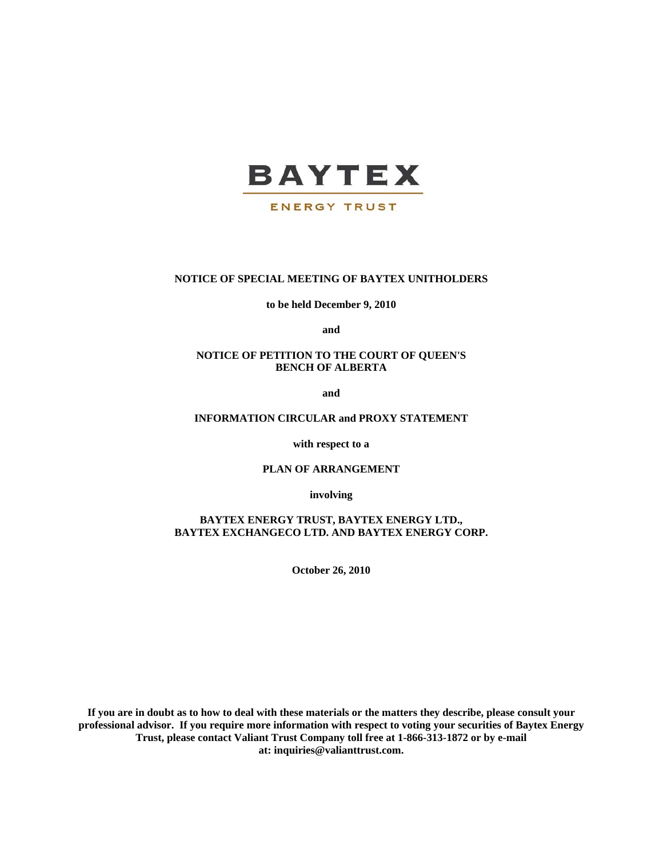

## **ENERGY TRUST**

### **NOTICE OF SPECIAL MEETING OF BAYTEX UNITHOLDERS**

**to be held December 9, 2010** 

**and** 

## **NOTICE OF PETITION TO THE COURT OF QUEEN'S BENCH OF ALBERTA**

**and** 

## **INFORMATION CIRCULAR and PROXY STATEMENT**

**with respect to a** 

### **PLAN OF ARRANGEMENT**

**involving** 

**BAYTEX ENERGY TRUST, BAYTEX ENERGY LTD., BAYTEX EXCHANGECO LTD. AND BAYTEX ENERGY CORP.** 

**October 26, 2010** 

**If you are in doubt as to how to deal with these materials or the matters they describe, please consult your professional advisor. If you require more information with respect to voting your securities of Baytex Energy Trust, please contact Valiant Trust Company toll free at 1-866-313-1872 or by e-mail at: inquiries@valianttrust.com.**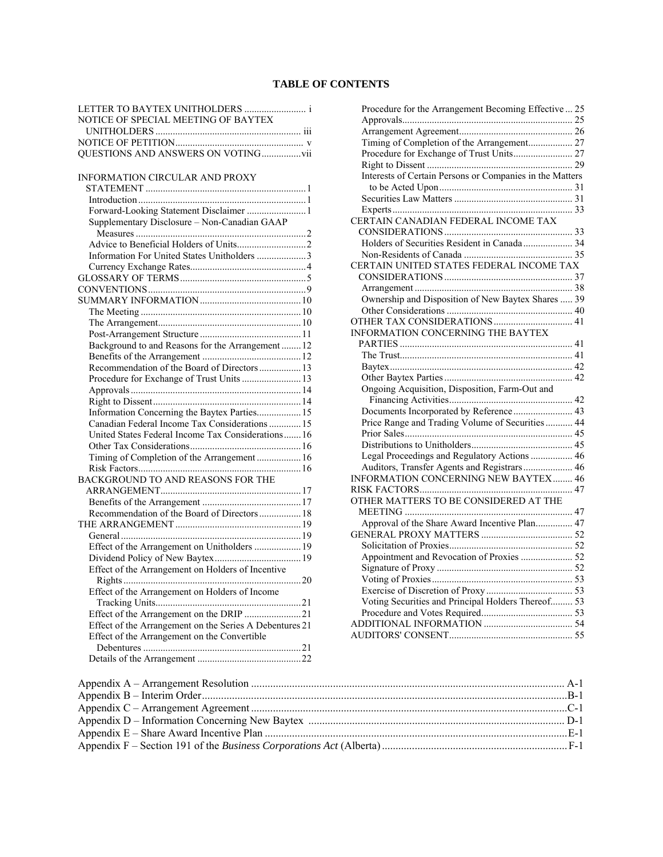# **TABLE OF CONTENTS**

| LETTER TO BAYTEX UNITHOLDERS  i                         |  |
|---------------------------------------------------------|--|
| NOTICE OF SPECIAL MEETING OF BAYTEX                     |  |
|                                                         |  |
|                                                         |  |
| QUESTIONS AND ANSWERS ON VOTINGvii                      |  |
|                                                         |  |
| INFORMATION CIRCULAR AND PROXY                          |  |
|                                                         |  |
|                                                         |  |
|                                                         |  |
| Supplementary Disclosure - Non-Canadian GAAP            |  |
|                                                         |  |
|                                                         |  |
| Information For United States Unitholders 3             |  |
|                                                         |  |
|                                                         |  |
|                                                         |  |
|                                                         |  |
|                                                         |  |
|                                                         |  |
|                                                         |  |
| Background to and Reasons for the Arrangement  12       |  |
|                                                         |  |
| Recommendation of the Board of Directors 13             |  |
| Procedure for Exchange of Trust Units  13               |  |
|                                                         |  |
|                                                         |  |
| Information Concerning the Baytex Parties 15            |  |
| Canadian Federal Income Tax Considerations  15          |  |
| United States Federal Income Tax Considerations 16      |  |
|                                                         |  |
| Timing of Completion of the Arrangement  16             |  |
|                                                         |  |
| BACKGROUND TO AND REASONS FOR THE                       |  |
|                                                         |  |
|                                                         |  |
| Recommendation of the Board of Directors 18             |  |
|                                                         |  |
|                                                         |  |
|                                                         |  |
|                                                         |  |
| Effect of the Arrangement on Holders of Incentive       |  |
|                                                         |  |
| Effect of the Arrangement on Holders of Income          |  |
|                                                         |  |
| Effect of the Arrangement on the DRIP 21                |  |
| Effect of the Arrangement on the Series A Debentures 21 |  |
| Effect of the Arrangement on the Convertible            |  |
|                                                         |  |
|                                                         |  |
|                                                         |  |

| Procedure for the Arrangement Becoming Effective  25                                  |  |
|---------------------------------------------------------------------------------------|--|
|                                                                                       |  |
|                                                                                       |  |
| Timing of Completion of the Arrangement 27                                            |  |
|                                                                                       |  |
|                                                                                       |  |
| Interests of Certain Persons or Companies in the Matters                              |  |
|                                                                                       |  |
|                                                                                       |  |
|                                                                                       |  |
| CERTAIN CANADIAN FEDERAL INCOME TAX                                                   |  |
|                                                                                       |  |
| Holders of Securities Resident in Canada  34                                          |  |
|                                                                                       |  |
| CERTAIN UNITED STATES FEDERAL INCOME TAX                                              |  |
|                                                                                       |  |
|                                                                                       |  |
| Ownership and Disposition of New Baytex Shares  39                                    |  |
|                                                                                       |  |
|                                                                                       |  |
| INFORMATION CONCERNING THE BAYTEX                                                     |  |
|                                                                                       |  |
|                                                                                       |  |
|                                                                                       |  |
|                                                                                       |  |
| Ongoing Acquisition, Disposition, Farm-Out and                                        |  |
|                                                                                       |  |
| Documents Incorporated by Reference 43                                                |  |
| Price Range and Trading Volume of Securities  44                                      |  |
|                                                                                       |  |
|                                                                                       |  |
| Legal Proceedings and Regulatory Actions  46                                          |  |
| Auditors, Transfer Agents and Registrars  46<br>INFORMATION CONCERNING NEW BAYTEX  46 |  |
|                                                                                       |  |
|                                                                                       |  |
| OTHER MATTERS TO BE CONSIDERED AT THE                                                 |  |
|                                                                                       |  |
| Approval of the Share Award Incentive Plan 47                                         |  |
|                                                                                       |  |
|                                                                                       |  |
| Appointment and Revocation of Proxies  52                                             |  |
|                                                                                       |  |
|                                                                                       |  |
|                                                                                       |  |
| Voting Securities and Principal Holders Thereof 53                                    |  |
|                                                                                       |  |
|                                                                                       |  |
|                                                                                       |  |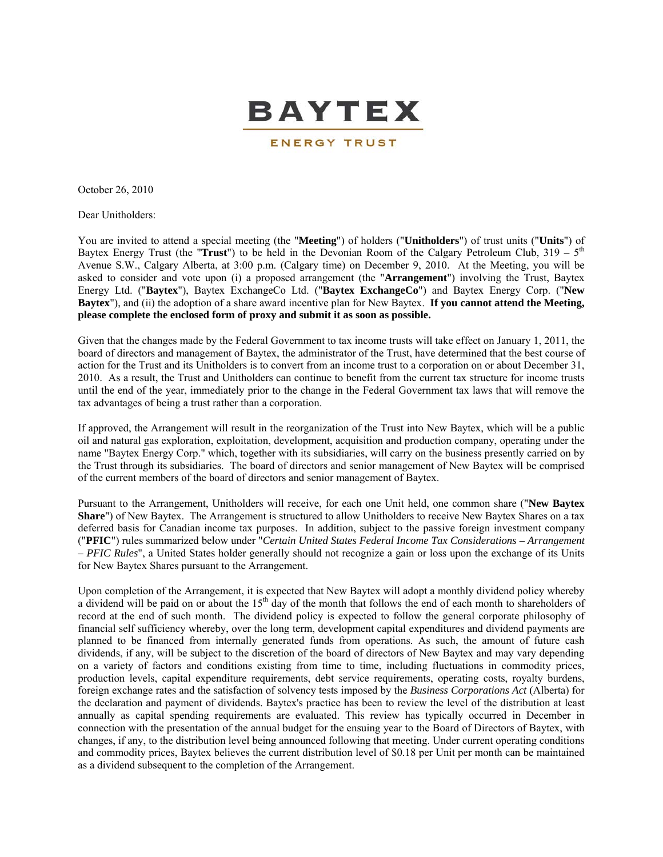

October 26, 2010

Dear Unitholders:

You are invited to attend a special meeting (the "**Meeting**") of holders ("**Unitholders**") of trust units ("**Units**") of Baytex Energy Trust (the "**Trust**") to be held in the Devonian Room of the Calgary Petroleum Club,  $319 - 5<sup>th</sup>$ Avenue S.W., Calgary Alberta, at 3:00 p.m. (Calgary time) on December 9, 2010. At the Meeting, you will be asked to consider and vote upon (i) a proposed arrangement (the "**Arrangement**") involving the Trust, Baytex Energy Ltd. ("**Baytex**"), Baytex ExchangeCo Ltd. ("**Baytex ExchangeCo**") and Baytex Energy Corp. ("**New Baytex**"), and (ii) the adoption of a share award incentive plan for New Baytex. **If you cannot attend the Meeting, please complete the enclosed form of proxy and submit it as soon as possible.** 

Given that the changes made by the Federal Government to tax income trusts will take effect on January 1, 2011, the board of directors and management of Baytex, the administrator of the Trust, have determined that the best course of action for the Trust and its Unitholders is to convert from an income trust to a corporation on or about December 31, 2010. As a result, the Trust and Unitholders can continue to benefit from the current tax structure for income trusts until the end of the year, immediately prior to the change in the Federal Government tax laws that will remove the tax advantages of being a trust rather than a corporation.

If approved, the Arrangement will result in the reorganization of the Trust into New Baytex, which will be a public oil and natural gas exploration, exploitation, development, acquisition and production company, operating under the name "Baytex Energy Corp." which, together with its subsidiaries, will carry on the business presently carried on by the Trust through its subsidiaries. The board of directors and senior management of New Baytex will be comprised of the current members of the board of directors and senior management of Baytex.

Pursuant to the Arrangement, Unitholders will receive, for each one Unit held, one common share ("**New Baytex Share**") of New Baytex. The Arrangement is structured to allow Unitholders to receive New Baytex Shares on a tax deferred basis for Canadian income tax purposes. In addition, subject to the passive foreign investment company ("**PFIC**") rules summarized below under "*Certain United States Federal Income Tax Considerations – Arrangement – PFIC Rules*", a United States holder generally should not recognize a gain or loss upon the exchange of its Units for New Baytex Shares pursuant to the Arrangement.

Upon completion of the Arrangement, it is expected that New Baytex will adopt a monthly dividend policy whereby a dividend will be paid on or about the 15<sup>th</sup> day of the month that follows the end of each month to shareholders of record at the end of such month. The dividend policy is expected to follow the general corporate philosophy of financial self sufficiency whereby, over the long term, development capital expenditures and dividend payments are planned to be financed from internally generated funds from operations. As such, the amount of future cash dividends, if any, will be subject to the discretion of the board of directors of New Baytex and may vary depending on a variety of factors and conditions existing from time to time, including fluctuations in commodity prices, production levels, capital expenditure requirements, debt service requirements, operating costs, royalty burdens, foreign exchange rates and the satisfaction of solvency tests imposed by the *Business Corporations Act* (Alberta) for the declaration and payment of dividends. Baytex's practice has been to review the level of the distribution at least annually as capital spending requirements are evaluated. This review has typically occurred in December in connection with the presentation of the annual budget for the ensuing year to the Board of Directors of Baytex, with changes, if any, to the distribution level being announced following that meeting. Under current operating conditions and commodity prices, Baytex believes the current distribution level of \$0.18 per Unit per month can be maintained as a dividend subsequent to the completion of the Arrangement.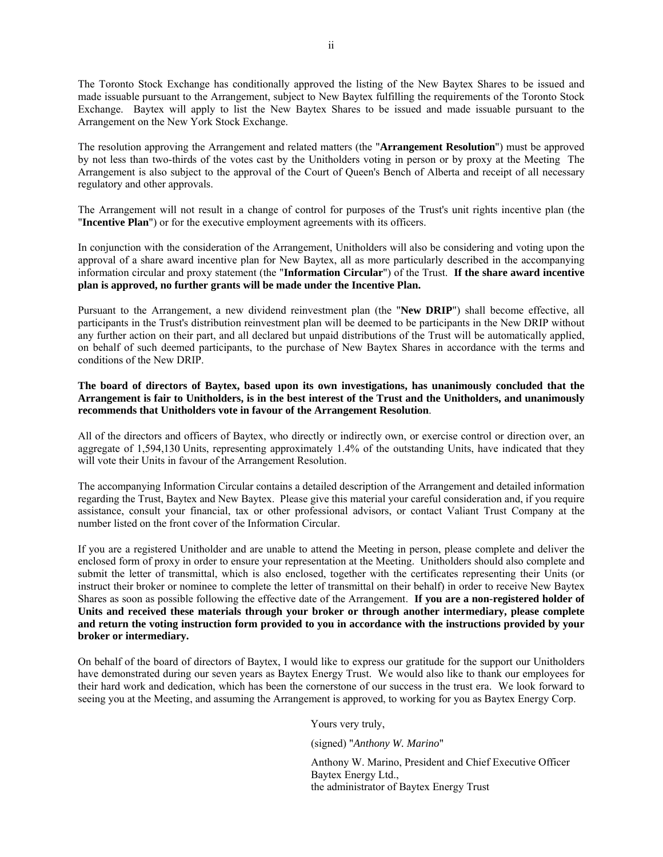The Toronto Stock Exchange has conditionally approved the listing of the New Baytex Shares to be issued and made issuable pursuant to the Arrangement, subject to New Baytex fulfilling the requirements of the Toronto Stock Exchange. Baytex will apply to list the New Baytex Shares to be issued and made issuable pursuant to the Arrangement on the New York Stock Exchange.

The resolution approving the Arrangement and related matters (the "**Arrangement Resolution**") must be approved by not less than two-thirds of the votes cast by the Unitholders voting in person or by proxy at the Meeting The Arrangement is also subject to the approval of the Court of Queen's Bench of Alberta and receipt of all necessary regulatory and other approvals.

The Arrangement will not result in a change of control for purposes of the Trust's unit rights incentive plan (the "**Incentive Plan**") or for the executive employment agreements with its officers.

In conjunction with the consideration of the Arrangement, Unitholders will also be considering and voting upon the approval of a share award incentive plan for New Baytex, all as more particularly described in the accompanying information circular and proxy statement (the "**Information Circular**") of the Trust. **If the share award incentive plan is approved, no further grants will be made under the Incentive Plan.** 

Pursuant to the Arrangement, a new dividend reinvestment plan (the "**New DRIP**") shall become effective, all participants in the Trust's distribution reinvestment plan will be deemed to be participants in the New DRIP without any further action on their part, and all declared but unpaid distributions of the Trust will be automatically applied, on behalf of such deemed participants, to the purchase of New Baytex Shares in accordance with the terms and conditions of the New DRIP.

**The board of directors of Baytex, based upon its own investigations, has unanimously concluded that the Arrangement is fair to Unitholders, is in the best interest of the Trust and the Unitholders, and unanimously recommends that Unitholders vote in favour of the Arrangement Resolution**.

All of the directors and officers of Baytex, who directly or indirectly own, or exercise control or direction over, an aggregate of 1,594,130 Units, representing approximately 1.4% of the outstanding Units, have indicated that they will vote their Units in favour of the Arrangement Resolution.

The accompanying Information Circular contains a detailed description of the Arrangement and detailed information regarding the Trust, Baytex and New Baytex. Please give this material your careful consideration and, if you require assistance, consult your financial, tax or other professional advisors, or contact Valiant Trust Company at the number listed on the front cover of the Information Circular.

If you are a registered Unitholder and are unable to attend the Meeting in person, please complete and deliver the enclosed form of proxy in order to ensure your representation at the Meeting. Unitholders should also complete and submit the letter of transmittal, which is also enclosed, together with the certificates representing their Units (or instruct their broker or nominee to complete the letter of transmittal on their behalf) in order to receive New Baytex Shares as soon as possible following the effective date of the Arrangement. **If you are a non-registered holder of Units and received these materials through your broker or through another intermediary, please complete and return the voting instruction form provided to you in accordance with the instructions provided by your broker or intermediary.**

On behalf of the board of directors of Baytex, I would like to express our gratitude for the support our Unitholders have demonstrated during our seven years as Baytex Energy Trust. We would also like to thank our employees for their hard work and dedication, which has been the cornerstone of our success in the trust era. We look forward to seeing you at the Meeting, and assuming the Arrangement is approved, to working for you as Baytex Energy Corp.

Yours very truly,

(signed) "*Anthony W. Marino*"

Anthony W. Marino, President and Chief Executive Officer Baytex Energy Ltd., the administrator of Baytex Energy Trust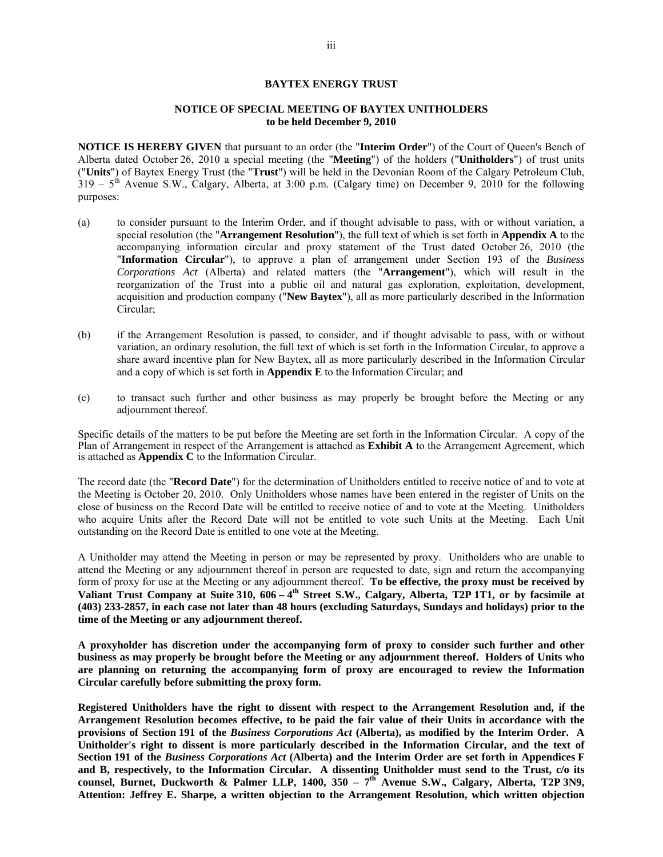## **BAYTEX ENERGY TRUST**

### **NOTICE OF SPECIAL MEETING OF BAYTEX UNITHOLDERS to be held December 9, 2010**

**NOTICE IS HEREBY GIVEN** that pursuant to an order (the "**Interim Order**") of the Court of Queen's Bench of Alberta dated October 26, 2010 a special meeting (the "**Meeting**") of the holders ("**Unitholders**") of trust units ("**Units**") of Baytex Energy Trust (the "**Trust**") will be held in the Devonian Room of the Calgary Petroleum Club,  $319 - 5$ <sup>th</sup> Avenue S.W., Calgary, Alberta, at 3:00 p.m. (Calgary time) on December 9, 2010 for the following purposes:

- (a) to consider pursuant to the Interim Order, and if thought advisable to pass, with or without variation, a special resolution (the "**Arrangement Resolution**"), the full text of which is set forth in **Appendix A** to the accompanying information circular and proxy statement of the Trust dated October 26, 2010 (the "**Information Circular**"), to approve a plan of arrangement under Section 193 of the *Business Corporations Act* (Alberta) and related matters (the "**Arrangement**"), which will result in the reorganization of the Trust into a public oil and natural gas exploration, exploitation, development, acquisition and production company ("**New Baytex**"), all as more particularly described in the Information Circular;
- (b) if the Arrangement Resolution is passed, to consider, and if thought advisable to pass, with or without variation, an ordinary resolution, the full text of which is set forth in the Information Circular, to approve a share award incentive plan for New Baytex, all as more particularly described in the Information Circular and a copy of which is set forth in **Appendix E** to the Information Circular; and
- (c) to transact such further and other business as may properly be brought before the Meeting or any adjournment thereof.

Specific details of the matters to be put before the Meeting are set forth in the Information Circular. A copy of the Plan of Arrangement in respect of the Arrangement is attached as **Exhibit A** to the Arrangement Agreement, which is attached as **Appendix C** to the Information Circular.

The record date (the "**Record Date**") for the determination of Unitholders entitled to receive notice of and to vote at the Meeting is October 20, 2010. Only Unitholders whose names have been entered in the register of Units on the close of business on the Record Date will be entitled to receive notice of and to vote at the Meeting. Unitholders who acquire Units after the Record Date will not be entitled to vote such Units at the Meeting. Each Unit outstanding on the Record Date is entitled to one vote at the Meeting.

A Unitholder may attend the Meeting in person or may be represented by proxy. Unitholders who are unable to attend the Meeting or any adjournment thereof in person are requested to date, sign and return the accompanying form of proxy for use at the Meeting or any adjournment thereof. **To be effective, the proxy must be received by Valiant Trust Company at Suite 310, 606 – 4th Street S.W., Calgary, Alberta, T2P 1T1, or by facsimile at (403) 233-2857, in each case not later than 48 hours (excluding Saturdays, Sundays and holidays) prior to the time of the Meeting or any adjournment thereof.**

**A proxyholder has discretion under the accompanying form of proxy to consider such further and other business as may properly be brought before the Meeting or any adjournment thereof. Holders of Units who are planning on returning the accompanying form of proxy are encouraged to review the Information Circular carefully before submitting the proxy form.** 

**Registered Unitholders have the right to dissent with respect to the Arrangement Resolution and, if the Arrangement Resolution becomes effective, to be paid the fair value of their Units in accordance with the provisions of Section 191 of the** *Business Corporations Act* **(Alberta), as modified by the Interim Order. A Unitholder's right to dissent is more particularly described in the Information Circular, and the text of Section 191 of the** *Business Corporations Act* **(Alberta) and the Interim Order are set forth in Appendices F and B, respectively, to the Information Circular. A dissenting Unitholder must send to the Trust, c/o its**  counsel, Burnet, Duckworth & Palmer LLP, 1400, 350 – 7<sup>th</sup> Avenue S.W., Calgary, Alberta, T2P 3N9, **Attention: Jeffrey E. Sharpe, a written objection to the Arrangement Resolution, which written objection**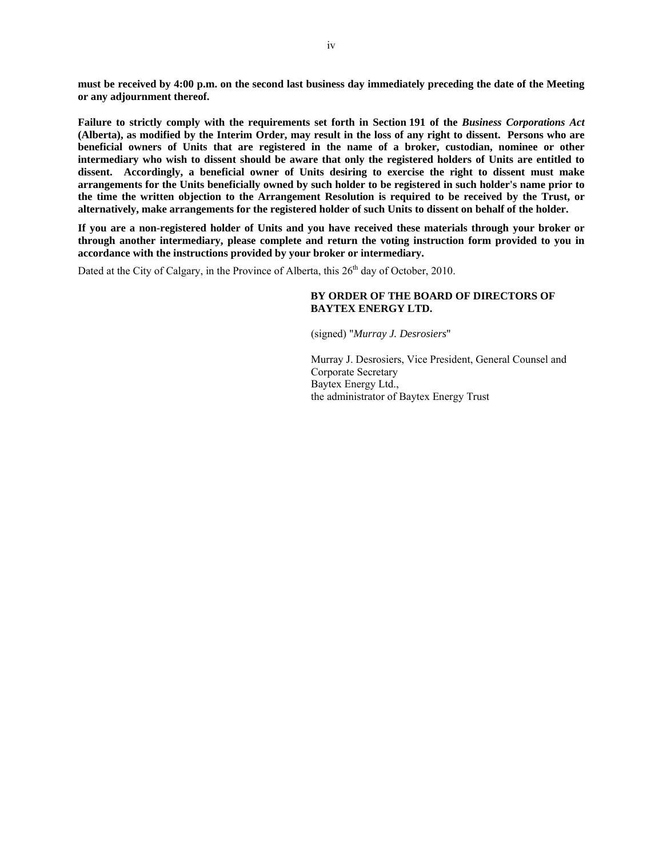**must be received by 4:00 p.m. on the second last business day immediately preceding the date of the Meeting or any adjournment thereof.** 

**Failure to strictly comply with the requirements set forth in Section 191 of the** *Business Corporations Act*  **(Alberta), as modified by the Interim Order, may result in the loss of any right to dissent. Persons who are beneficial owners of Units that are registered in the name of a broker, custodian, nominee or other intermediary who wish to dissent should be aware that only the registered holders of Units are entitled to dissent. Accordingly, a beneficial owner of Units desiring to exercise the right to dissent must make arrangements for the Units beneficially owned by such holder to be registered in such holder's name prior to the time the written objection to the Arrangement Resolution is required to be received by the Trust, or alternatively, make arrangements for the registered holder of such Units to dissent on behalf of the holder.**

**If you are a non-registered holder of Units and you have received these materials through your broker or through another intermediary, please complete and return the voting instruction form provided to you in accordance with the instructions provided by your broker or intermediary.** 

Dated at the City of Calgary, in the Province of Alberta, this  $26<sup>th</sup>$  day of October, 2010.

## **BY ORDER OF THE BOARD OF DIRECTORS OF BAYTEX ENERGY LTD.**

(signed) "*Murray J. Desrosiers*"

Murray J. Desrosiers, Vice President, General Counsel and Corporate Secretary Baytex Energy Ltd., the administrator of Baytex Energy Trust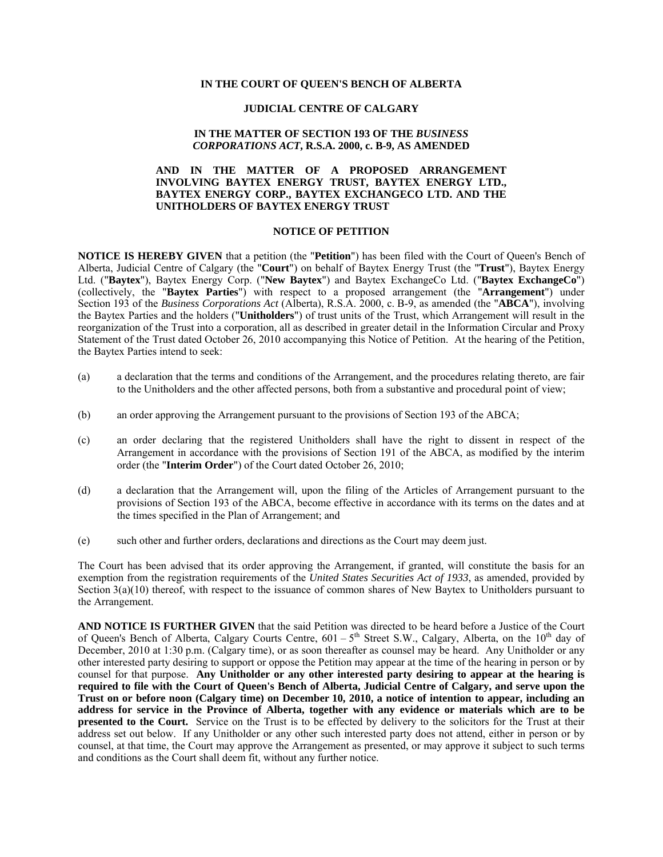### **IN THE COURT OF QUEEN'S BENCH OF ALBERTA**

## **JUDICIAL CENTRE OF CALGARY**

## **IN THE MATTER OF SECTION 193 OF THE** *BUSINESS CORPORATIONS ACT***, R.S.A. 2000, c. B-9, AS AMENDED**

## **AND IN THE MATTER OF A PROPOSED ARRANGEMENT INVOLVING BAYTEX ENERGY TRUST, BAYTEX ENERGY LTD., BAYTEX ENERGY CORP., BAYTEX EXCHANGECO LTD. AND THE UNITHOLDERS OF BAYTEX ENERGY TRUST**

## **NOTICE OF PETITION**

**NOTICE IS HEREBY GIVEN** that a petition (the "**Petition**") has been filed with the Court of Queen's Bench of Alberta, Judicial Centre of Calgary (the "**Court**") on behalf of Baytex Energy Trust (the "**Trust**"), Baytex Energy Ltd. ("**Baytex**"), Baytex Energy Corp. ("**New Baytex**") and Baytex ExchangeCo Ltd. ("**Baytex ExchangeCo**") (collectively, the "**Baytex Parties**") with respect to a proposed arrangement (the "**Arrangement**") under Section 193 of the *Business Corporations Act* (Alberta), R.S.A. 2000, c. B-9, as amended (the "**ABCA**"), involving the Baytex Parties and the holders ("**Unitholders**") of trust units of the Trust, which Arrangement will result in the reorganization of the Trust into a corporation, all as described in greater detail in the Information Circular and Proxy Statement of the Trust dated October 26, 2010 accompanying this Notice of Petition. At the hearing of the Petition, the Baytex Parties intend to seek:

- (a) a declaration that the terms and conditions of the Arrangement, and the procedures relating thereto, are fair to the Unitholders and the other affected persons, both from a substantive and procedural point of view;
- (b) an order approving the Arrangement pursuant to the provisions of Section 193 of the ABCA;
- (c) an order declaring that the registered Unitholders shall have the right to dissent in respect of the Arrangement in accordance with the provisions of Section 191 of the ABCA, as modified by the interim order (the "**Interim Order**") of the Court dated October 26, 2010;
- (d) a declaration that the Arrangement will, upon the filing of the Articles of Arrangement pursuant to the provisions of Section 193 of the ABCA, become effective in accordance with its terms on the dates and at the times specified in the Plan of Arrangement; and
- (e) such other and further orders, declarations and directions as the Court may deem just.

The Court has been advised that its order approving the Arrangement, if granted, will constitute the basis for an exemption from the registration requirements of the *United States Securities Act of 1933*, as amended, provided by Section 3(a)(10) thereof, with respect to the issuance of common shares of New Baytex to Unitholders pursuant to the Arrangement.

**AND NOTICE IS FURTHER GIVEN** that the said Petition was directed to be heard before a Justice of the Court of Queen's Bench of Alberta, Calgary Courts Centre,  $601 - 5<sup>th</sup>$  Street S.W., Calgary, Alberta, on the  $10<sup>th</sup>$  day of December, 2010 at 1:30 p.m. (Calgary time), or as soon thereafter as counsel may be heard. Any Unitholder or any other interested party desiring to support or oppose the Petition may appear at the time of the hearing in person or by counsel for that purpose. **Any Unitholder or any other interested party desiring to appear at the hearing is required to file with the Court of Queen's Bench of Alberta, Judicial Centre of Calgary, and serve upon the Trust on or before noon (Calgary time) on December 10, 2010, a notice of intention to appear, including an address for service in the Province of Alberta, together with any evidence or materials which are to be presented to the Court.** Service on the Trust is to be effected by delivery to the solicitors for the Trust at their address set out below. If any Unitholder or any other such interested party does not attend, either in person or by counsel, at that time, the Court may approve the Arrangement as presented, or may approve it subject to such terms and conditions as the Court shall deem fit, without any further notice.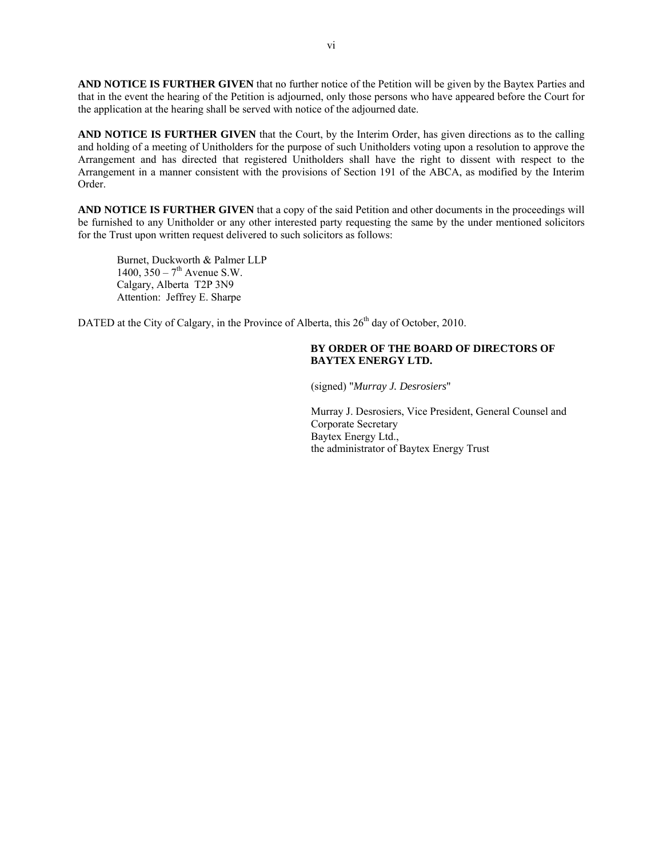**AND NOTICE IS FURTHER GIVEN** that no further notice of the Petition will be given by the Baytex Parties and that in the event the hearing of the Petition is adjourned, only those persons who have appeared before the Court for the application at the hearing shall be served with notice of the adjourned date.

**AND NOTICE IS FURTHER GIVEN** that the Court, by the Interim Order, has given directions as to the calling and holding of a meeting of Unitholders for the purpose of such Unitholders voting upon a resolution to approve the Arrangement and has directed that registered Unitholders shall have the right to dissent with respect to the Arrangement in a manner consistent with the provisions of Section 191 of the ABCA, as modified by the Interim Order.

**AND NOTICE IS FURTHER GIVEN** that a copy of the said Petition and other documents in the proceedings will be furnished to any Unitholder or any other interested party requesting the same by the under mentioned solicitors for the Trust upon written request delivered to such solicitors as follows:

Burnet, Duckworth & Palmer LLP 1400,  $350 - 7$ <sup>th</sup> Avenue S.W. Calgary, Alberta T2P 3N9 Attention: Jeffrey E. Sharpe

DATED at the City of Calgary, in the Province of Alberta, this  $26<sup>th</sup>$  day of October, 2010.

## **BY ORDER OF THE BOARD OF DIRECTORS OF BAYTEX ENERGY LTD.**

(signed) "*Murray J. Desrosiers*"

Murray J. Desrosiers, Vice President, General Counsel and Corporate Secretary Baytex Energy Ltd., the administrator of Baytex Energy Trust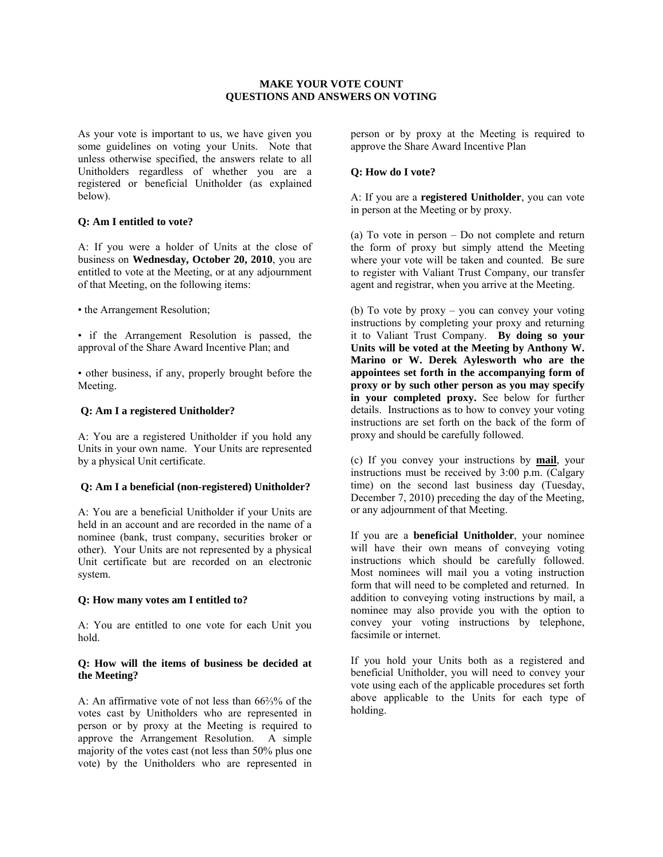## **MAKE YOUR VOTE COUNT QUESTIONS AND ANSWERS ON VOTING**

As your vote is important to us, we have given you some guidelines on voting your Units. Note that unless otherwise specified, the answers relate to all Unitholders regardless of whether you are a registered or beneficial Unitholder (as explained below).

## **Q: Am I entitled to vote?**

A: If you were a holder of Units at the close of business on **Wednesday, October 20, 2010**, you are entitled to vote at the Meeting, or at any adjournment of that Meeting, on the following items:

• the Arrangement Resolution;

• if the Arrangement Resolution is passed, the approval of the Share Award Incentive Plan; and

• other business, if any, properly brought before the Meeting.

### **Q: Am I a registered Unitholder?**

A: You are a registered Unitholder if you hold any Units in your own name. Your Units are represented by a physical Unit certificate.

## **Q: Am I a beneficial (non-registered) Unitholder?**

A: You are a beneficial Unitholder if your Units are held in an account and are recorded in the name of a nominee (bank, trust company, securities broker or other). Your Units are not represented by a physical Unit certificate but are recorded on an electronic system.

## **Q: How many votes am I entitled to?**

A: You are entitled to one vote for each Unit you hold.

### **Q: How will the items of business be decided at the Meeting?**

A: An affirmative vote of not less than 66⅔% of the votes cast by Unitholders who are represented in person or by proxy at the Meeting is required to approve the Arrangement Resolution. A simple majority of the votes cast (not less than 50% plus one vote) by the Unitholders who are represented in person or by proxy at the Meeting is required to approve the Share Award Incentive Plan

## **Q: How do I vote?**

A: If you are a **registered Unitholder**, you can vote in person at the Meeting or by proxy.

(a) To vote in person – Do not complete and return the form of proxy but simply attend the Meeting where your vote will be taken and counted. Be sure to register with Valiant Trust Company, our transfer agent and registrar, when you arrive at the Meeting.

(b) To vote by proxy – you can convey your voting instructions by completing your proxy and returning it to Valiant Trust Company. **By doing so your Units will be voted at the Meeting by Anthony W. Marino or W. Derek Aylesworth who are the appointees set forth in the accompanying form of proxy or by such other person as you may specify in your completed proxy.** See below for further details. Instructions as to how to convey your voting instructions are set forth on the back of the form of proxy and should be carefully followed.

(c) If you convey your instructions by **mail**, your instructions must be received by 3:00 p.m. (Calgary time) on the second last business day (Tuesday, December 7, 2010) preceding the day of the Meeting, or any adjournment of that Meeting.

If you are a **beneficial Unitholder**, your nominee will have their own means of conveying voting instructions which should be carefully followed. Most nominees will mail you a voting instruction form that will need to be completed and returned. In addition to conveying voting instructions by mail, a nominee may also provide you with the option to convey your voting instructions by telephone, facsimile or internet.

If you hold your Units both as a registered and beneficial Unitholder, you will need to convey your vote using each of the applicable procedures set forth above applicable to the Units for each type of holding.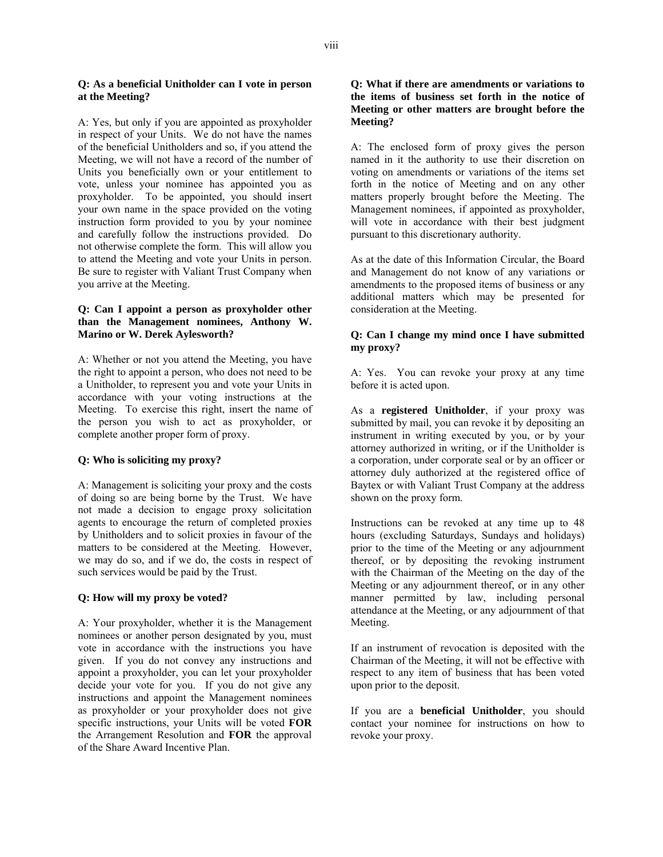## **Q: As a beneficial Unitholder can I vote in person at the Meeting?**

A: Yes, but only if you are appointed as proxyholder in respect of your Units. We do not have the names of the beneficial Unitholders and so, if you attend the Meeting, we will not have a record of the number of Units you beneficially own or your entitlement to vote, unless your nominee has appointed you as proxyholder. To be appointed, you should insert your own name in the space provided on the voting instruction form provided to you by your nominee and carefully follow the instructions provided. Do not otherwise complete the form. This will allow you to attend the Meeting and vote your Units in person. Be sure to register with Valiant Trust Company when you arrive at the Meeting.

## **Q: Can I appoint a person as proxyholder other than the Management nominees, Anthony W. Marino or W. Derek Aylesworth?**

A: Whether or not you attend the Meeting, you have the right to appoint a person, who does not need to be a Unitholder, to represent you and vote your Units in accordance with your voting instructions at the Meeting. To exercise this right, insert the name of the person you wish to act as proxyholder, or complete another proper form of proxy.

## **Q: Who is soliciting my proxy?**

A: Management is soliciting your proxy and the costs of doing so are being borne by the Trust. We have not made a decision to engage proxy solicitation agents to encourage the return of completed proxies by Unitholders and to solicit proxies in favour of the matters to be considered at the Meeting. However, we may do so, and if we do, the costs in respect of such services would be paid by the Trust.

## **Q: How will my proxy be voted?**

A: Your proxyholder, whether it is the Management nominees or another person designated by you, must vote in accordance with the instructions you have given. If you do not convey any instructions and appoint a proxyholder, you can let your proxyholder decide your vote for you. If you do not give any instructions and appoint the Management nominees as proxyholder or your proxyholder does not give specific instructions, your Units will be voted **FOR** the Arrangement Resolution and **FOR** the approval of the Share Award Incentive Plan.

## **Q: What if there are amendments or variations to the items of business set forth in the notice of Meeting or other matters are brought before the Meeting?**

A: The enclosed form of proxy gives the person named in it the authority to use their discretion on voting on amendments or variations of the items set forth in the notice of Meeting and on any other matters properly brought before the Meeting. The Management nominees, if appointed as proxyholder, will vote in accordance with their best judgment pursuant to this discretionary authority.

As at the date of this Information Circular, the Board and Management do not know of any variations or amendments to the proposed items of business or any additional matters which may be presented for consideration at the Meeting.

## **Q: Can I change my mind once I have submitted my proxy?**

A: Yes. You can revoke your proxy at any time before it is acted upon.

As a **registered Unitholder**, if your proxy was submitted by mail, you can revoke it by depositing an instrument in writing executed by you, or by your attorney authorized in writing, or if the Unitholder is a corporation, under corporate seal or by an officer or attorney duly authorized at the registered office of Baytex or with Valiant Trust Company at the address shown on the proxy form.

Instructions can be revoked at any time up to 48 hours (excluding Saturdays, Sundays and holidays) prior to the time of the Meeting or any adjournment thereof, or by depositing the revoking instrument with the Chairman of the Meeting on the day of the Meeting or any adjournment thereof, or in any other manner permitted by law, including personal attendance at the Meeting, or any adjournment of that Meeting.

If an instrument of revocation is deposited with the Chairman of the Meeting, it will not be effective with respect to any item of business that has been voted upon prior to the deposit.

If you are a **beneficial Unitholder**, you should contact your nominee for instructions on how to revoke your proxy.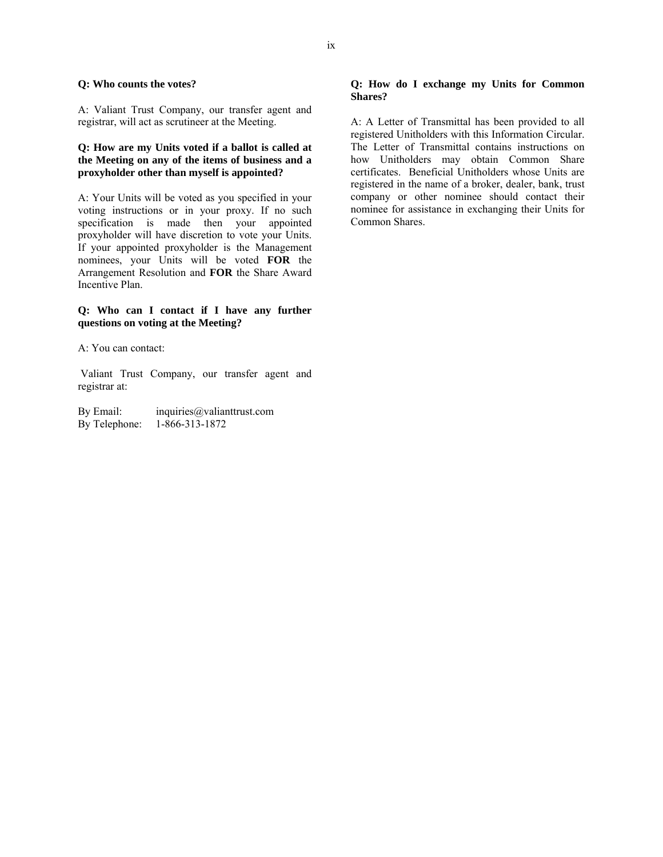### **Q: Who counts the votes?**

A: Valiant Trust Company, our transfer agent and registrar, will act as scrutineer at the Meeting.

## **Q: How are my Units voted if a ballot is called at the Meeting on any of the items of business and a proxyholder other than myself is appointed?**

A: Your Units will be voted as you specified in your voting instructions or in your proxy. If no such specification is made then your appointed proxyholder will have discretion to vote your Units. If your appointed proxyholder is the Management nominees, your Units will be voted **FOR** the Arrangement Resolution and **FOR** the Share Award Incentive Plan.

## **Q: Who can I contact if I have any further questions on voting at the Meeting?**

A: You can contact:

 Valiant Trust Company, our transfer agent and registrar at:

By Email: inquiries@valianttrust.com By Telephone: 1-866-313-1872

## **Q: How do I exchange my Units for Common Shares?**

A: A Letter of Transmittal has been provided to all registered Unitholders with this Information Circular. The Letter of Transmittal contains instructions on how Unitholders may obtain Common Share certificates. Beneficial Unitholders whose Units are registered in the name of a broker, dealer, bank, trust company or other nominee should contact their nominee for assistance in exchanging their Units for Common Shares.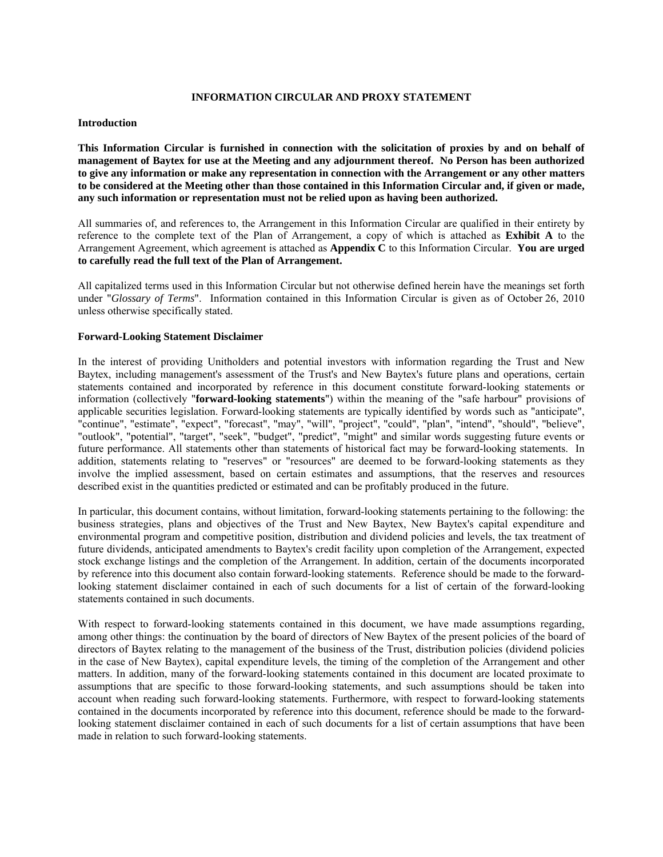### **INFORMATION CIRCULAR AND PROXY STATEMENT**

### **Introduction**

**This Information Circular is furnished in connection with the solicitation of proxies by and on behalf of management of Baytex for use at the Meeting and any adjournment thereof. No Person has been authorized to give any information or make any representation in connection with the Arrangement or any other matters to be considered at the Meeting other than those contained in this Information Circular and, if given or made, any such information or representation must not be relied upon as having been authorized.** 

All summaries of, and references to, the Arrangement in this Information Circular are qualified in their entirety by reference to the complete text of the Plan of Arrangement, a copy of which is attached as **Exhibit A** to the Arrangement Agreement, which agreement is attached as **Appendix C** to this Information Circular. **You are urged to carefully read the full text of the Plan of Arrangement.**

All capitalized terms used in this Information Circular but not otherwise defined herein have the meanings set forth under "*Glossary of Terms*". Information contained in this Information Circular is given as of October 26, 2010 unless otherwise specifically stated.

### **Forward-Looking Statement Disclaimer**

In the interest of providing Unitholders and potential investors with information regarding the Trust and New Baytex, including management's assessment of the Trust's and New Baytex's future plans and operations, certain statements contained and incorporated by reference in this document constitute forward-looking statements or information (collectively "**forward-looking statements**") within the meaning of the "safe harbour" provisions of applicable securities legislation. Forward-looking statements are typically identified by words such as "anticipate", "continue", "estimate", "expect", "forecast", "may", "will", "project", "could", "plan", "intend", "should", "believe", "outlook", "potential", "target", "seek", "budget", "predict", "might" and similar words suggesting future events or future performance. All statements other than statements of historical fact may be forward-looking statements. In addition, statements relating to "reserves" or "resources" are deemed to be forward-looking statements as they involve the implied assessment, based on certain estimates and assumptions, that the reserves and resources described exist in the quantities predicted or estimated and can be profitably produced in the future.

In particular, this document contains, without limitation, forward-looking statements pertaining to the following: the business strategies, plans and objectives of the Trust and New Baytex, New Baytex's capital expenditure and environmental program and competitive position, distribution and dividend policies and levels, the tax treatment of future dividends, anticipated amendments to Baytex's credit facility upon completion of the Arrangement, expected stock exchange listings and the completion of the Arrangement. In addition, certain of the documents incorporated by reference into this document also contain forward-looking statements. Reference should be made to the forwardlooking statement disclaimer contained in each of such documents for a list of certain of the forward-looking statements contained in such documents.

With respect to forward-looking statements contained in this document, we have made assumptions regarding, among other things: the continuation by the board of directors of New Baytex of the present policies of the board of directors of Baytex relating to the management of the business of the Trust, distribution policies (dividend policies in the case of New Baytex), capital expenditure levels, the timing of the completion of the Arrangement and other matters. In addition, many of the forward-looking statements contained in this document are located proximate to assumptions that are specific to those forward-looking statements, and such assumptions should be taken into account when reading such forward-looking statements. Furthermore, with respect to forward-looking statements contained in the documents incorporated by reference into this document, reference should be made to the forwardlooking statement disclaimer contained in each of such documents for a list of certain assumptions that have been made in relation to such forward-looking statements.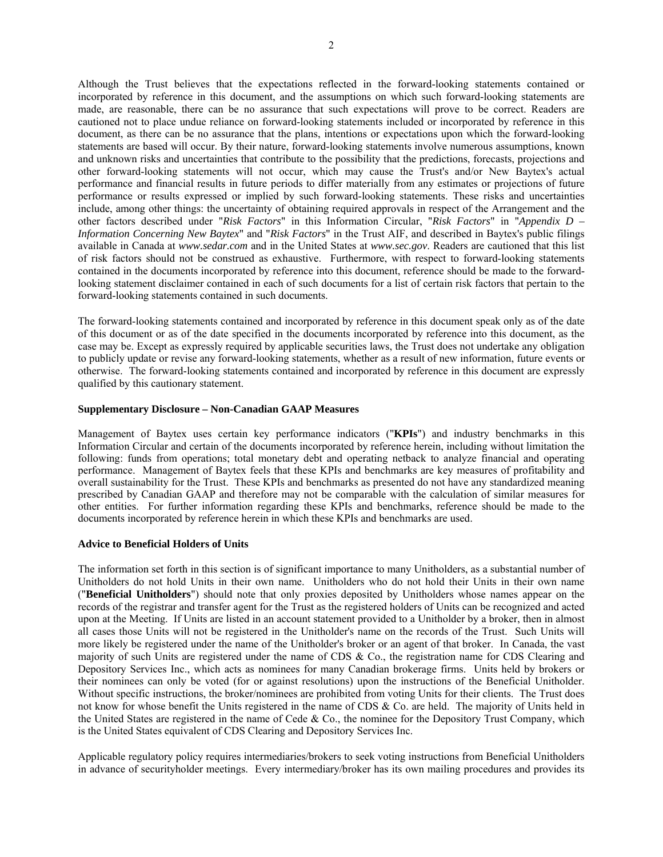Although the Trust believes that the expectations reflected in the forward-looking statements contained or incorporated by reference in this document, and the assumptions on which such forward-looking statements are made, are reasonable, there can be no assurance that such expectations will prove to be correct. Readers are cautioned not to place undue reliance on forward-looking statements included or incorporated by reference in this document, as there can be no assurance that the plans, intentions or expectations upon which the forward-looking statements are based will occur. By their nature, forward-looking statements involve numerous assumptions, known and unknown risks and uncertainties that contribute to the possibility that the predictions, forecasts, projections and other forward-looking statements will not occur, which may cause the Trust's and/or New Baytex's actual performance and financial results in future periods to differ materially from any estimates or projections of future performance or results expressed or implied by such forward-looking statements. These risks and uncertainties include, among other things: the uncertainty of obtaining required approvals in respect of the Arrangement and the other factors described under "*Risk Factors*" in this Information Circular, "*Risk Factors*" in "*Appendix D – Information Concerning New Baytex*" and "*Risk Factors*" in the Trust AIF, and described in Baytex's public filings available in Canada at *www.sedar.com* and in the United States at *www.sec.gov*. Readers are cautioned that this list of risk factors should not be construed as exhaustive. Furthermore, with respect to forward-looking statements contained in the documents incorporated by reference into this document, reference should be made to the forwardlooking statement disclaimer contained in each of such documents for a list of certain risk factors that pertain to the forward-looking statements contained in such documents.

The forward-looking statements contained and incorporated by reference in this document speak only as of the date of this document or as of the date specified in the documents incorporated by reference into this document, as the case may be. Except as expressly required by applicable securities laws, the Trust does not undertake any obligation to publicly update or revise any forward-looking statements, whether as a result of new information, future events or otherwise. The forward-looking statements contained and incorporated by reference in this document are expressly qualified by this cautionary statement.

### **Supplementary Disclosure – Non-Canadian GAAP Measures**

Management of Baytex uses certain key performance indicators ("**KPIs**") and industry benchmarks in this Information Circular and certain of the documents incorporated by reference herein, including without limitation the following: funds from operations; total monetary debt and operating netback to analyze financial and operating performance. Management of Baytex feels that these KPIs and benchmarks are key measures of profitability and overall sustainability for the Trust. These KPIs and benchmarks as presented do not have any standardized meaning prescribed by Canadian GAAP and therefore may not be comparable with the calculation of similar measures for other entities. For further information regarding these KPIs and benchmarks, reference should be made to the documents incorporated by reference herein in which these KPIs and benchmarks are used.

## **Advice to Beneficial Holders of Units**

The information set forth in this section is of significant importance to many Unitholders, as a substantial number of Unitholders do not hold Units in their own name. Unitholders who do not hold their Units in their own name ("**Beneficial Unitholders**") should note that only proxies deposited by Unitholders whose names appear on the records of the registrar and transfer agent for the Trust as the registered holders of Units can be recognized and acted upon at the Meeting. If Units are listed in an account statement provided to a Unitholder by a broker, then in almost all cases those Units will not be registered in the Unitholder's name on the records of the Trust. Such Units will more likely be registered under the name of the Unitholder's broker or an agent of that broker. In Canada, the vast majority of such Units are registered under the name of CDS & Co., the registration name for CDS Clearing and Depository Services Inc., which acts as nominees for many Canadian brokerage firms. Units held by brokers or their nominees can only be voted (for or against resolutions) upon the instructions of the Beneficial Unitholder. Without specific instructions, the broker/nominees are prohibited from voting Units for their clients. The Trust does not know for whose benefit the Units registered in the name of CDS & Co. are held. The majority of Units held in the United States are registered in the name of Cede  $\&$  Co., the nominee for the Depository Trust Company, which is the United States equivalent of CDS Clearing and Depository Services Inc.

Applicable regulatory policy requires intermediaries/brokers to seek voting instructions from Beneficial Unitholders in advance of securityholder meetings. Every intermediary/broker has its own mailing procedures and provides its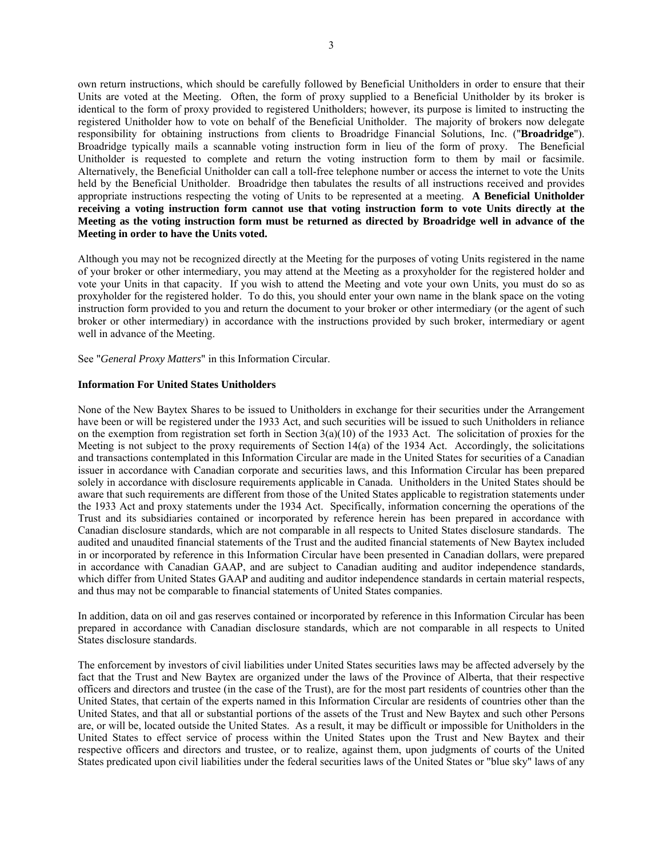own return instructions, which should be carefully followed by Beneficial Unitholders in order to ensure that their Units are voted at the Meeting. Often, the form of proxy supplied to a Beneficial Unitholder by its broker is identical to the form of proxy provided to registered Unitholders; however, its purpose is limited to instructing the registered Unitholder how to vote on behalf of the Beneficial Unitholder. The majority of brokers now delegate responsibility for obtaining instructions from clients to Broadridge Financial Solutions, Inc. ("**Broadridge**"). Broadridge typically mails a scannable voting instruction form in lieu of the form of proxy. The Beneficial Unitholder is requested to complete and return the voting instruction form to them by mail or facsimile. Alternatively, the Beneficial Unitholder can call a toll-free telephone number or access the internet to vote the Units held by the Beneficial Unitholder. Broadridge then tabulates the results of all instructions received and provides appropriate instructions respecting the voting of Units to be represented at a meeting. **A Beneficial Unitholder receiving a voting instruction form cannot use that voting instruction form to vote Units directly at the Meeting as the voting instruction form must be returned as directed by Broadridge well in advance of the Meeting in order to have the Units voted.** 

Although you may not be recognized directly at the Meeting for the purposes of voting Units registered in the name of your broker or other intermediary, you may attend at the Meeting as a proxyholder for the registered holder and vote your Units in that capacity. If you wish to attend the Meeting and vote your own Units, you must do so as proxyholder for the registered holder. To do this, you should enter your own name in the blank space on the voting instruction form provided to you and return the document to your broker or other intermediary (or the agent of such broker or other intermediary) in accordance with the instructions provided by such broker, intermediary or agent well in advance of the Meeting.

See "*General Proxy Matters*" in this Information Circular.

### **Information For United States Unitholders**

None of the New Baytex Shares to be issued to Unitholders in exchange for their securities under the Arrangement have been or will be registered under the 1933 Act, and such securities will be issued to such Unitholders in reliance on the exemption from registration set forth in Section  $3(a)(10)$  of the 1933 Act. The solicitation of proxies for the Meeting is not subject to the proxy requirements of Section 14(a) of the 1934 Act. Accordingly, the solicitations and transactions contemplated in this Information Circular are made in the United States for securities of a Canadian issuer in accordance with Canadian corporate and securities laws, and this Information Circular has been prepared solely in accordance with disclosure requirements applicable in Canada. Unitholders in the United States should be aware that such requirements are different from those of the United States applicable to registration statements under the 1933 Act and proxy statements under the 1934 Act. Specifically, information concerning the operations of the Trust and its subsidiaries contained or incorporated by reference herein has been prepared in accordance with Canadian disclosure standards, which are not comparable in all respects to United States disclosure standards. The audited and unaudited financial statements of the Trust and the audited financial statements of New Baytex included in or incorporated by reference in this Information Circular have been presented in Canadian dollars, were prepared in accordance with Canadian GAAP, and are subject to Canadian auditing and auditor independence standards, which differ from United States GAAP and auditing and auditor independence standards in certain material respects, and thus may not be comparable to financial statements of United States companies.

In addition, data on oil and gas reserves contained or incorporated by reference in this Information Circular has been prepared in accordance with Canadian disclosure standards, which are not comparable in all respects to United States disclosure standards.

The enforcement by investors of civil liabilities under United States securities laws may be affected adversely by the fact that the Trust and New Baytex are organized under the laws of the Province of Alberta, that their respective officers and directors and trustee (in the case of the Trust), are for the most part residents of countries other than the United States, that certain of the experts named in this Information Circular are residents of countries other than the United States, and that all or substantial portions of the assets of the Trust and New Baytex and such other Persons are, or will be, located outside the United States. As a result, it may be difficult or impossible for Unitholders in the United States to effect service of process within the United States upon the Trust and New Baytex and their respective officers and directors and trustee, or to realize, against them, upon judgments of courts of the United States predicated upon civil liabilities under the federal securities laws of the United States or "blue sky" laws of any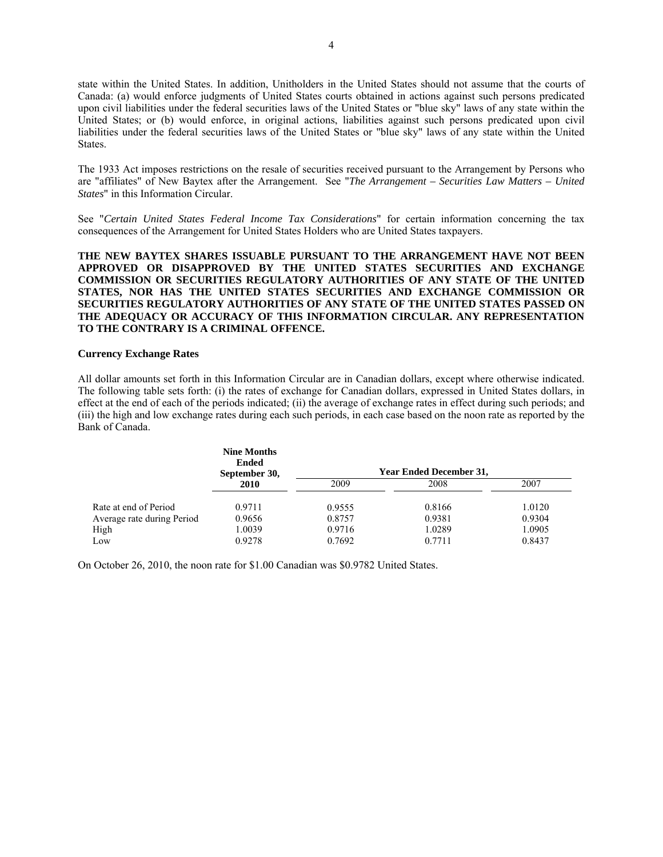state within the United States. In addition, Unitholders in the United States should not assume that the courts of Canada: (a) would enforce judgments of United States courts obtained in actions against such persons predicated upon civil liabilities under the federal securities laws of the United States or "blue sky" laws of any state within the United States; or (b) would enforce, in original actions, liabilities against such persons predicated upon civil liabilities under the federal securities laws of the United States or "blue sky" laws of any state within the United States.

The 1933 Act imposes restrictions on the resale of securities received pursuant to the Arrangement by Persons who are "affiliates" of New Baytex after the Arrangement. See "*The Arrangement – Securities Law Matters – United States*" in this Information Circular.

See "*Certain United States Federal Income Tax Considerations*" for certain information concerning the tax consequences of the Arrangement for United States Holders who are United States taxpayers.

**THE NEW BAYTEX SHARES ISSUABLE PURSUANT TO THE ARRANGEMENT HAVE NOT BEEN APPROVED OR DISAPPROVED BY THE UNITED STATES SECURITIES AND EXCHANGE COMMISSION OR SECURITIES REGULATORY AUTHORITIES OF ANY STATE OF THE UNITED STATES, NOR HAS THE UNITED STATES SECURITIES AND EXCHANGE COMMISSION OR SECURITIES REGULATORY AUTHORITIES OF ANY STATE OF THE UNITED STATES PASSED ON THE ADEQUACY OR ACCURACY OF THIS INFORMATION CIRCULAR. ANY REPRESENTATION TO THE CONTRARY IS A CRIMINAL OFFENCE.** 

### **Currency Exchange Rates**

All dollar amounts set forth in this Information Circular are in Canadian dollars, except where otherwise indicated. The following table sets forth: (i) the rates of exchange for Canadian dollars, expressed in United States dollars, in effect at the end of each of the periods indicated; (ii) the average of exchange rates in effect during such periods; and (iii) the high and low exchange rates during each such periods, in each case based on the noon rate as reported by the Bank of Canada.

|                            | <b>Nine Months</b><br><b>Ended</b><br>September 30, | <b>Year Ended December 31.</b> |        |        |
|----------------------------|-----------------------------------------------------|--------------------------------|--------|--------|
|                            | 2010                                                | 2009                           | 2008   | 2007   |
| Rate at end of Period      | 0.9711                                              | 0.9555                         | 0.8166 | 1.0120 |
| Average rate during Period | 0.9656                                              | 0.8757                         | 0.9381 | 0.9304 |
| High                       | 1.0039                                              | 0.9716                         | 1.0289 | 1.0905 |
| Low                        | 0.9278                                              | 0.7692                         | 0.7711 | 0.8437 |

On October 26, 2010, the noon rate for \$1.00 Canadian was \$0.9782 United States.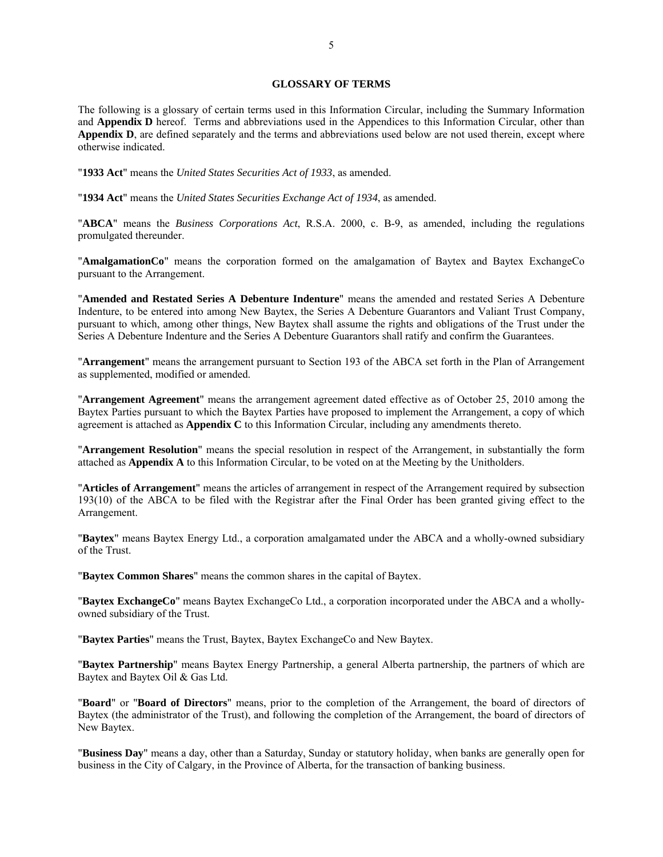### **GLOSSARY OF TERMS**

The following is a glossary of certain terms used in this Information Circular, including the Summary Information and **Appendix D** hereof. Terms and abbreviations used in the Appendices to this Information Circular, other than **Appendix D**, are defined separately and the terms and abbreviations used below are not used therein, except where otherwise indicated.

"**1933 Act**" means the *United States Securities Act of 1933*, as amended.

"**1934 Act**" means the *United States Securities Exchange Act of 1934*, as amended.

"**ABCA**" means the *Business Corporations Act*, R.S.A. 2000, c. B-9, as amended, including the regulations promulgated thereunder.

"**AmalgamationCo**" means the corporation formed on the amalgamation of Baytex and Baytex ExchangeCo pursuant to the Arrangement.

"**Amended and Restated Series A Debenture Indenture**" means the amended and restated Series A Debenture Indenture, to be entered into among New Baytex, the Series A Debenture Guarantors and Valiant Trust Company, pursuant to which, among other things, New Baytex shall assume the rights and obligations of the Trust under the Series A Debenture Indenture and the Series A Debenture Guarantors shall ratify and confirm the Guarantees.

"**Arrangement**" means the arrangement pursuant to Section 193 of the ABCA set forth in the Plan of Arrangement as supplemented, modified or amended.

"**Arrangement Agreement**" means the arrangement agreement dated effective as of October 25, 2010 among the Baytex Parties pursuant to which the Baytex Parties have proposed to implement the Arrangement, a copy of which agreement is attached as **Appendix C** to this Information Circular, including any amendments thereto.

"**Arrangement Resolution**" means the special resolution in respect of the Arrangement, in substantially the form attached as **Appendix A** to this Information Circular, to be voted on at the Meeting by the Unitholders.

"**Articles of Arrangement**" means the articles of arrangement in respect of the Arrangement required by subsection 193(10) of the ABCA to be filed with the Registrar after the Final Order has been granted giving effect to the Arrangement.

"**Baytex**" means Baytex Energy Ltd., a corporation amalgamated under the ABCA and a wholly-owned subsidiary of the Trust.

"**Baytex Common Shares**" means the common shares in the capital of Baytex.

"**Baytex ExchangeCo**" means Baytex ExchangeCo Ltd., a corporation incorporated under the ABCA and a whollyowned subsidiary of the Trust.

"**Baytex Parties**" means the Trust, Baytex, Baytex ExchangeCo and New Baytex.

"**Baytex Partnership**" means Baytex Energy Partnership, a general Alberta partnership, the partners of which are Baytex and Baytex Oil & Gas Ltd.

"**Board**" or "**Board of Directors**" means, prior to the completion of the Arrangement, the board of directors of Baytex (the administrator of the Trust), and following the completion of the Arrangement, the board of directors of New Baytex.

"**Business Day**" means a day, other than a Saturday, Sunday or statutory holiday, when banks are generally open for business in the City of Calgary, in the Province of Alberta, for the transaction of banking business.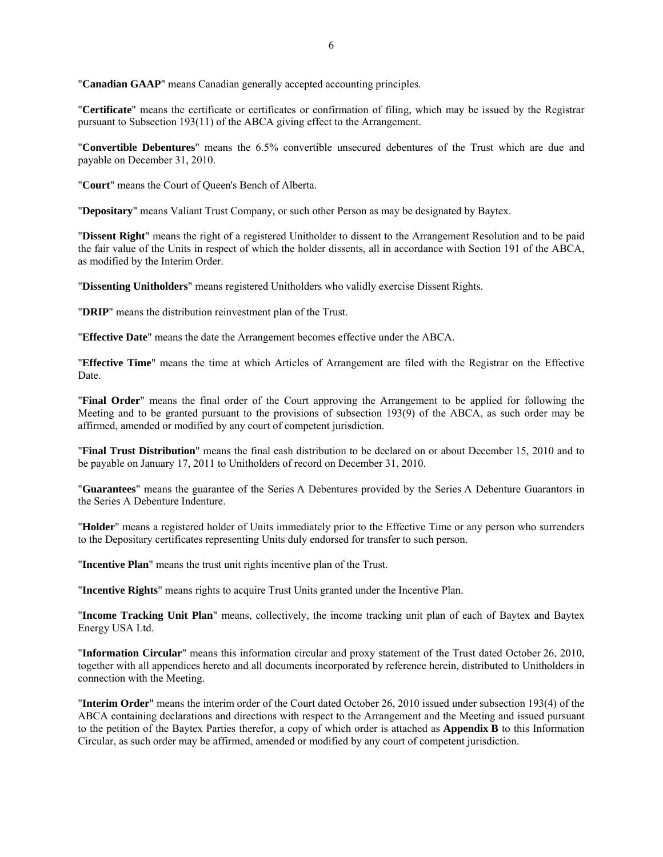"**Canadian GAAP**" means Canadian generally accepted accounting principles.

"**Certificate**" means the certificate or certificates or confirmation of filing, which may be issued by the Registrar pursuant to Subsection 193(11) of the ABCA giving effect to the Arrangement.

"**Convertible Debentures**" means the 6.5% convertible unsecured debentures of the Trust which are due and payable on December 31, 2010.

"**Court**" means the Court of Queen's Bench of Alberta.

"**Depositary**" means Valiant Trust Company, or such other Person as may be designated by Baytex.

"**Dissent Right**" means the right of a registered Unitholder to dissent to the Arrangement Resolution and to be paid the fair value of the Units in respect of which the holder dissents, all in accordance with Section 191 of the ABCA, as modified by the Interim Order.

"**Dissenting Unitholders**" means registered Unitholders who validly exercise Dissent Rights.

"**DRIP**" means the distribution reinvestment plan of the Trust.

"**Effective Date**" means the date the Arrangement becomes effective under the ABCA.

"**Effective Time**" means the time at which Articles of Arrangement are filed with the Registrar on the Effective Date.

"**Final Order**" means the final order of the Court approving the Arrangement to be applied for following the Meeting and to be granted pursuant to the provisions of subsection 193(9) of the ABCA, as such order may be affirmed, amended or modified by any court of competent jurisdiction.

"**Final Trust Distribution**" means the final cash distribution to be declared on or about December 15, 2010 and to be payable on January 17, 2011 to Unitholders of record on December 31, 2010.

"**Guarantees**" means the guarantee of the Series A Debentures provided by the Series A Debenture Guarantors in the Series A Debenture Indenture.

"**Holder**" means a registered holder of Units immediately prior to the Effective Time or any person who surrenders to the Depositary certificates representing Units duly endorsed for transfer to such person.

"**Incentive Plan**" means the trust unit rights incentive plan of the Trust.

"**Incentive Rights**" means rights to acquire Trust Units granted under the Incentive Plan.

"**Income Tracking Unit Plan**" means, collectively, the income tracking unit plan of each of Baytex and Baytex Energy USA Ltd.

"**Information Circular**" means this information circular and proxy statement of the Trust dated October 26, 2010, together with all appendices hereto and all documents incorporated by reference herein, distributed to Unitholders in connection with the Meeting.

"**Interim Order**" means the interim order of the Court dated October 26, 2010 issued under subsection 193(4) of the ABCA containing declarations and directions with respect to the Arrangement and the Meeting and issued pursuant to the petition of the Baytex Parties therefor, a copy of which order is attached as **Appendix B** to this Information Circular, as such order may be affirmed, amended or modified by any court of competent jurisdiction.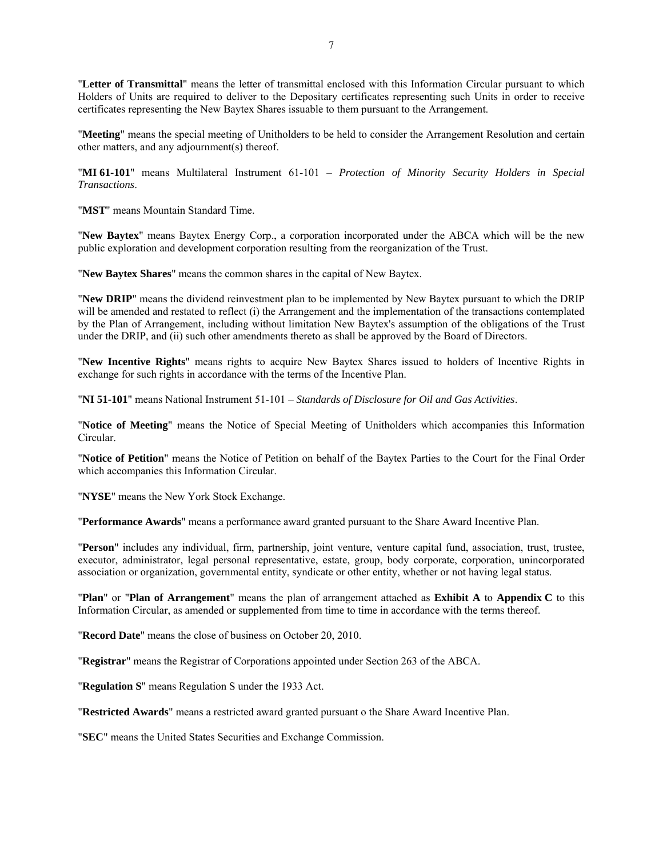"**Letter of Transmittal**" means the letter of transmittal enclosed with this Information Circular pursuant to which Holders of Units are required to deliver to the Depositary certificates representing such Units in order to receive certificates representing the New Baytex Shares issuable to them pursuant to the Arrangement.

"**Meeting**" means the special meeting of Unitholders to be held to consider the Arrangement Resolution and certain other matters, and any adjournment(s) thereof.

"**MI 61-101**" means Multilateral Instrument 61-101 – *Protection of Minority Security Holders in Special Transactions*.

"**MST**" means Mountain Standard Time.

"**New Baytex**" means Baytex Energy Corp., a corporation incorporated under the ABCA which will be the new public exploration and development corporation resulting from the reorganization of the Trust.

"**New Baytex Shares**" means the common shares in the capital of New Baytex.

"**New DRIP**" means the dividend reinvestment plan to be implemented by New Baytex pursuant to which the DRIP will be amended and restated to reflect (i) the Arrangement and the implementation of the transactions contemplated by the Plan of Arrangement, including without limitation New Baytex's assumption of the obligations of the Trust under the DRIP, and (ii) such other amendments thereto as shall be approved by the Board of Directors.

"**New Incentive Rights**" means rights to acquire New Baytex Shares issued to holders of Incentive Rights in exchange for such rights in accordance with the terms of the Incentive Plan.

"**NI 51-101**" means National Instrument 51-101 – *Standards of Disclosure for Oil and Gas Activities*.

"**Notice of Meeting**" means the Notice of Special Meeting of Unitholders which accompanies this Information Circular.

"**Notice of Petition**" means the Notice of Petition on behalf of the Baytex Parties to the Court for the Final Order which accompanies this Information Circular.

"**NYSE**" means the New York Stock Exchange.

"**Performance Awards**" means a performance award granted pursuant to the Share Award Incentive Plan.

"**Person**" includes any individual, firm, partnership, joint venture, venture capital fund, association, trust, trustee, executor, administrator, legal personal representative, estate, group, body corporate, corporation, unincorporated association or organization, governmental entity, syndicate or other entity, whether or not having legal status.

"**Plan**" or "**Plan of Arrangement**" means the plan of arrangement attached as **Exhibit A** to **Appendix C** to this Information Circular, as amended or supplemented from time to time in accordance with the terms thereof.

"**Record Date**" means the close of business on October 20, 2010.

"**Registrar**" means the Registrar of Corporations appointed under Section 263 of the ABCA.

"**Regulation S**" means Regulation S under the 1933 Act.

"**Restricted Awards**" means a restricted award granted pursuant o the Share Award Incentive Plan.

"**SEC**" means the United States Securities and Exchange Commission.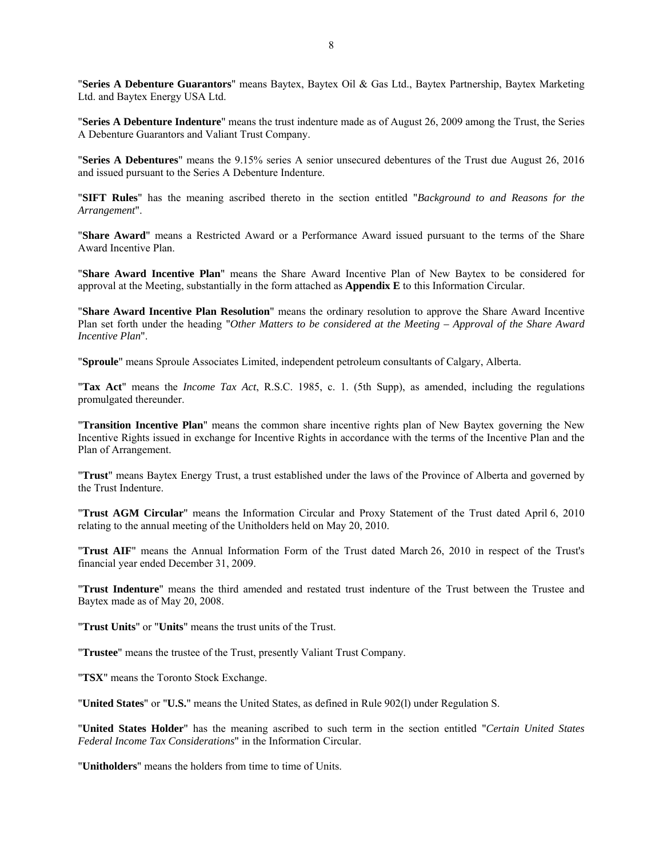"**Series A Debenture Guarantors**" means Baytex, Baytex Oil & Gas Ltd., Baytex Partnership, Baytex Marketing Ltd. and Baytex Energy USA Ltd.

"**Series A Debenture Indenture**" means the trust indenture made as of August 26, 2009 among the Trust, the Series A Debenture Guarantors and Valiant Trust Company.

"**Series A Debentures**" means the 9.15% series A senior unsecured debentures of the Trust due August 26, 2016 and issued pursuant to the Series A Debenture Indenture.

"**SIFT Rules**" has the meaning ascribed thereto in the section entitled "*Background to and Reasons for the Arrangement*".

"**Share Award**" means a Restricted Award or a Performance Award issued pursuant to the terms of the Share Award Incentive Plan.

"**Share Award Incentive Plan**" means the Share Award Incentive Plan of New Baytex to be considered for approval at the Meeting, substantially in the form attached as **Appendix E** to this Information Circular.

"**Share Award Incentive Plan Resolution**" means the ordinary resolution to approve the Share Award Incentive Plan set forth under the heading "*Other Matters to be considered at the Meeting – Approval of the Share Award Incentive Plan*".

"**Sproule**" means Sproule Associates Limited, independent petroleum consultants of Calgary, Alberta.

"**Tax Act**" means the *Income Tax Act*, R.S.C. 1985, c. 1. (5th Supp), as amended, including the regulations promulgated thereunder.

"**Transition Incentive Plan**" means the common share incentive rights plan of New Baytex governing the New Incentive Rights issued in exchange for Incentive Rights in accordance with the terms of the Incentive Plan and the Plan of Arrangement.

"**Trust**" means Baytex Energy Trust, a trust established under the laws of the Province of Alberta and governed by the Trust Indenture.

"**Trust AGM Circular**" means the Information Circular and Proxy Statement of the Trust dated April 6, 2010 relating to the annual meeting of the Unitholders held on May 20, 2010.

"**Trust AIF**" means the Annual Information Form of the Trust dated March 26, 2010 in respect of the Trust's financial year ended December 31, 2009.

"**Trust Indenture**" means the third amended and restated trust indenture of the Trust between the Trustee and Baytex made as of May 20, 2008.

"**Trust Units**" or "**Units**" means the trust units of the Trust.

"**Trustee**" means the trustee of the Trust, presently Valiant Trust Company.

"**TSX**" means the Toronto Stock Exchange.

"**United States**" or "**U.S.**" means the United States, as defined in Rule 902(l) under Regulation S.

"**United States Holder**" has the meaning ascribed to such term in the section entitled "*Certain United States Federal Income Tax Considerations*" in the Information Circular.

"**Unitholders**" means the holders from time to time of Units.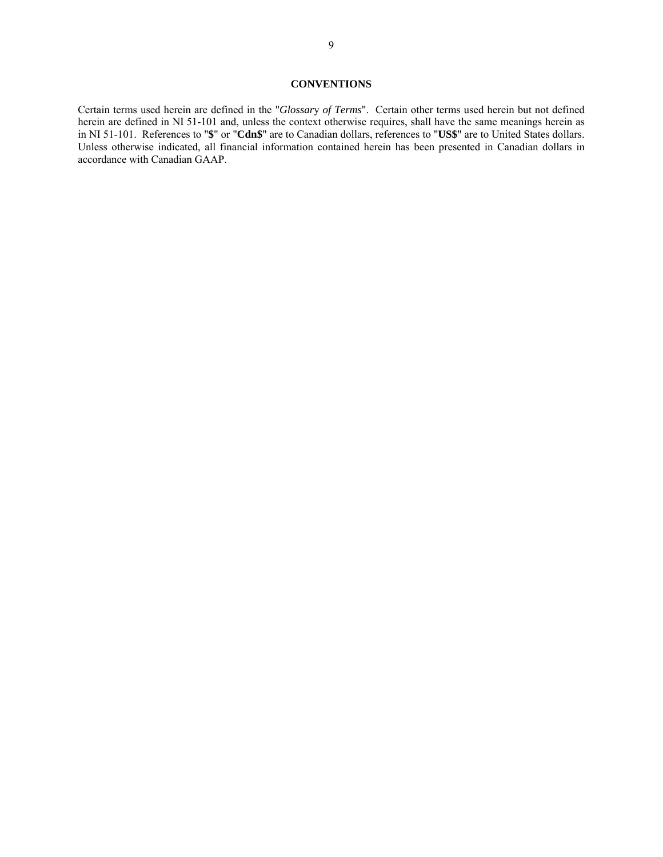## **CONVENTIONS**

Certain terms used herein are defined in the "*Glossar*y *of Terms*". Certain other terms used herein but not defined herein are defined in NI 51-101 and, unless the context otherwise requires, shall have the same meanings herein as in NI 51-101. References to "**\$**" or "**Cdn\$**" are to Canadian dollars, references to "**US\$**" are to United States dollars. Unless otherwise indicated, all financial information contained herein has been presented in Canadian dollars in accordance with Canadian GAAP.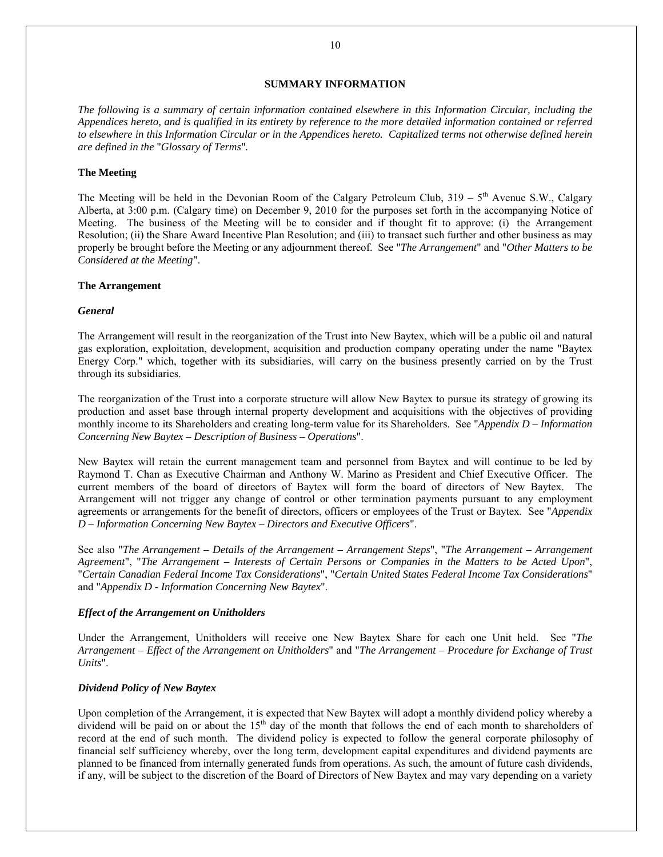## **SUMMARY INFORMATION**

*The following is a summary of certain information contained elsewhere in this Information Circular, including the Appendices hereto, and is qualified in its entirety by reference to the more detailed information contained or referred to elsewhere in this Information Circular or in the Appendices hereto. Capitalized terms not otherwise defined herein are defined in the* "*Glossary of Terms*"*.* 

## **The Meeting**

The Meeting will be held in the Devonian Room of the Calgary Petroleum Club,  $319 - 5$ <sup>th</sup> Avenue S.W., Calgary Alberta, at 3:00 p.m. (Calgary time) on December 9, 2010 for the purposes set forth in the accompanying Notice of Meeting. The business of the Meeting will be to consider and if thought fit to approve: (i) the Arrangement Resolution; (ii) the Share Award Incentive Plan Resolution; and (iii) to transact such further and other business as may properly be brought before the Meeting or any adjournment thereof. See "*The Arrangement*" and "*Other Matters to be Considered at the Meeting*".

### **The Arrangement**

#### *General*

The Arrangement will result in the reorganization of the Trust into New Baytex, which will be a public oil and natural gas exploration, exploitation, development, acquisition and production company operating under the name "Baytex Energy Corp." which, together with its subsidiaries, will carry on the business presently carried on by the Trust through its subsidiaries.

The reorganization of the Trust into a corporate structure will allow New Baytex to pursue its strategy of growing its production and asset base through internal property development and acquisitions with the objectives of providing monthly income to its Shareholders and creating long-term value for its Shareholders. See "*Appendix D – Information Concerning New Baytex – Description of Business – Operations*".

New Baytex will retain the current management team and personnel from Baytex and will continue to be led by Raymond T. Chan as Executive Chairman and Anthony W. Marino as President and Chief Executive Officer. The current members of the board of directors of Baytex will form the board of directors of New Baytex. The Arrangement will not trigger any change of control or other termination payments pursuant to any employment agreements or arrangements for the benefit of directors, officers or employees of the Trust or Baytex. See "*Appendix D – Information Concerning New Baytex – Directors and Executive Officers*".

See also "*The Arrangement – Details of the Arrangement – Arrangement Steps*", "*The Arrangement – Arrangement Agreement*", "*The Arrangement – Interests of Certain Persons or Companies in the Matters to be Acted Upon*", "*Certain Canadian Federal Income Tax Considerations*", "*Certain United States Federal Income Tax Considerations*" and "*Appendix D - Information Concerning New Baytex*".

### *Effect of the Arrangement on Unitholders*

Under the Arrangement, Unitholders will receive one New Baytex Share for each one Unit held. See "*The Arrangement – Effect of the Arrangement on Unitholders*" and "*The Arrangement – Procedure for Exchange of Trust Units*".

### *Dividend Policy of New Baytex*

Upon completion of the Arrangement, it is expected that New Baytex will adopt a monthly dividend policy whereby a dividend will be paid on or about the 15<sup>th</sup> day of the month that follows the end of each month to shareholders of record at the end of such month. The dividend policy is expected to follow the general corporate philosophy of financial self sufficiency whereby, over the long term, development capital expenditures and dividend payments are planned to be financed from internally generated funds from operations. As such, the amount of future cash dividends, if any, will be subject to the discretion of the Board of Directors of New Baytex and may vary depending on a variety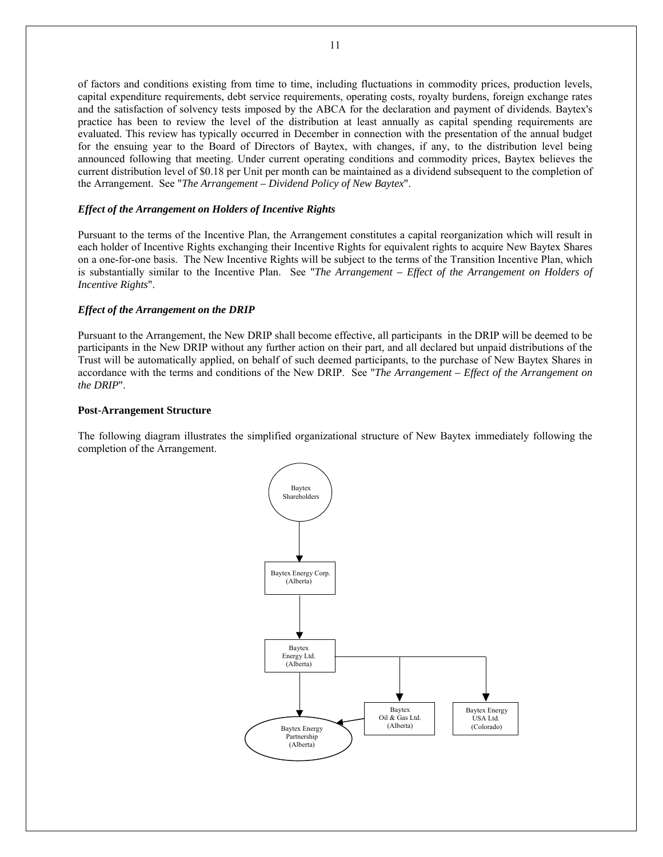of factors and conditions existing from time to time, including fluctuations in commodity prices, production levels, capital expenditure requirements, debt service requirements, operating costs, royalty burdens, foreign exchange rates and the satisfaction of solvency tests imposed by the ABCA for the declaration and payment of dividends. Baytex's practice has been to review the level of the distribution at least annually as capital spending requirements are evaluated. This review has typically occurred in December in connection with the presentation of the annual budget for the ensuing year to the Board of Directors of Baytex, with changes, if any, to the distribution level being announced following that meeting. Under current operating conditions and commodity prices, Baytex believes the current distribution level of \$0.18 per Unit per month can be maintained as a dividend subsequent to the completion of the Arrangement. See "*The Arrangement – Dividend Policy of New Baytex*".

### *Effect of the Arrangement on Holders of Incentive Rights*

Pursuant to the terms of the Incentive Plan, the Arrangement constitutes a capital reorganization which will result in each holder of Incentive Rights exchanging their Incentive Rights for equivalent rights to acquire New Baytex Shares on a one-for-one basis. The New Incentive Rights will be subject to the terms of the Transition Incentive Plan, which is substantially similar to the Incentive Plan. See "*The Arrangement – Effect of the Arrangement on Holders of Incentive Rights*".

### *Effect of the Arrangement on the DRIP*

Pursuant to the Arrangement, the New DRIP shall become effective, all participants in the DRIP will be deemed to be participants in the New DRIP without any further action on their part, and all declared but unpaid distributions of the Trust will be automatically applied, on behalf of such deemed participants, to the purchase of New Baytex Shares in accordance with the terms and conditions of the New DRIP. See "*The Arrangement – Effect of the Arrangement on the DRIP*".

#### **Post-Arrangement Structure**

The following diagram illustrates the simplified organizational structure of New Baytex immediately following the completion of the Arrangement.

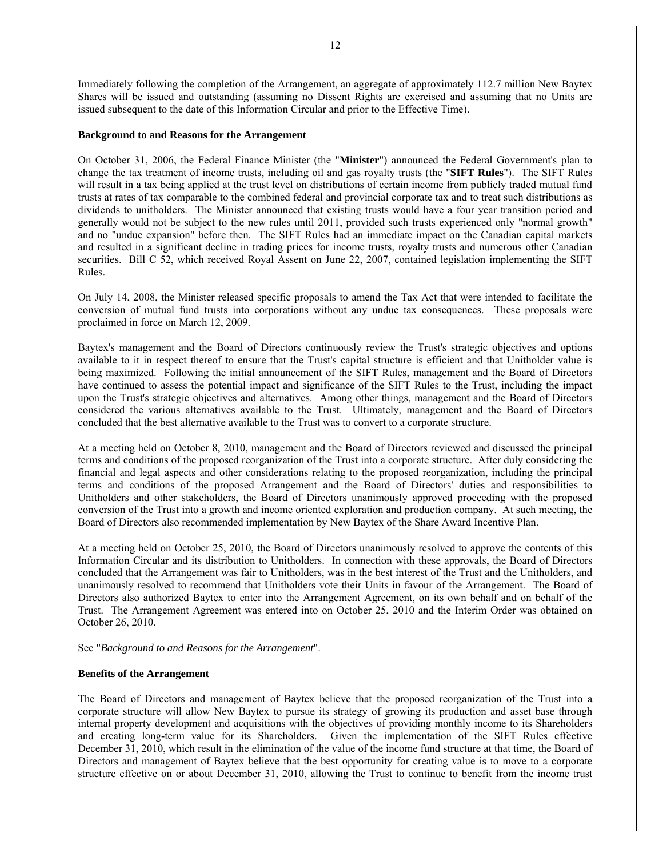Immediately following the completion of the Arrangement, an aggregate of approximately 112.7 million New Baytex Shares will be issued and outstanding (assuming no Dissent Rights are exercised and assuming that no Units are issued subsequent to the date of this Information Circular and prior to the Effective Time).

#### **Background to and Reasons for the Arrangement**

On October 31, 2006, the Federal Finance Minister (the "**Minister**") announced the Federal Government's plan to change the tax treatment of income trusts, including oil and gas royalty trusts (the "**SIFT Rules**"). The SIFT Rules will result in a tax being applied at the trust level on distributions of certain income from publicly traded mutual fund trusts at rates of tax comparable to the combined federal and provincial corporate tax and to treat such distributions as dividends to unitholders. The Minister announced that existing trusts would have a four year transition period and generally would not be subject to the new rules until 2011, provided such trusts experienced only "normal growth" and no "undue expansion" before then. The SIFT Rules had an immediate impact on the Canadian capital markets and resulted in a significant decline in trading prices for income trusts, royalty trusts and numerous other Canadian securities. Bill C 52, which received Royal Assent on June 22, 2007, contained legislation implementing the SIFT Rules.

On July 14, 2008, the Minister released specific proposals to amend the Tax Act that were intended to facilitate the conversion of mutual fund trusts into corporations without any undue tax consequences. These proposals were proclaimed in force on March 12, 2009.

Baytex's management and the Board of Directors continuously review the Trust's strategic objectives and options available to it in respect thereof to ensure that the Trust's capital structure is efficient and that Unitholder value is being maximized. Following the initial announcement of the SIFT Rules, management and the Board of Directors have continued to assess the potential impact and significance of the SIFT Rules to the Trust, including the impact upon the Trust's strategic objectives and alternatives. Among other things, management and the Board of Directors considered the various alternatives available to the Trust. Ultimately, management and the Board of Directors concluded that the best alternative available to the Trust was to convert to a corporate structure.

At a meeting held on October 8, 2010, management and the Board of Directors reviewed and discussed the principal terms and conditions of the proposed reorganization of the Trust into a corporate structure. After duly considering the financial and legal aspects and other considerations relating to the proposed reorganization, including the principal terms and conditions of the proposed Arrangement and the Board of Directors' duties and responsibilities to Unitholders and other stakeholders, the Board of Directors unanimously approved proceeding with the proposed conversion of the Trust into a growth and income oriented exploration and production company. At such meeting, the Board of Directors also recommended implementation by New Baytex of the Share Award Incentive Plan.

At a meeting held on October 25, 2010, the Board of Directors unanimously resolved to approve the contents of this Information Circular and its distribution to Unitholders. In connection with these approvals, the Board of Directors concluded that the Arrangement was fair to Unitholders, was in the best interest of the Trust and the Unitholders, and unanimously resolved to recommend that Unitholders vote their Units in favour of the Arrangement. The Board of Directors also authorized Baytex to enter into the Arrangement Agreement, on its own behalf and on behalf of the Trust. The Arrangement Agreement was entered into on October 25, 2010 and the Interim Order was obtained on October 26, 2010.

See "*Background to and Reasons for the Arrangement*".

#### **Benefits of the Arrangement**

The Board of Directors and management of Baytex believe that the proposed reorganization of the Trust into a corporate structure will allow New Baytex to pursue its strategy of growing its production and asset base through internal property development and acquisitions with the objectives of providing monthly income to its Shareholders and creating long-term value for its Shareholders. Given the implementation of the SIFT Rules effective December 31, 2010, which result in the elimination of the value of the income fund structure at that time, the Board of Directors and management of Baytex believe that the best opportunity for creating value is to move to a corporate structure effective on or about December 31, 2010, allowing the Trust to continue to benefit from the income trust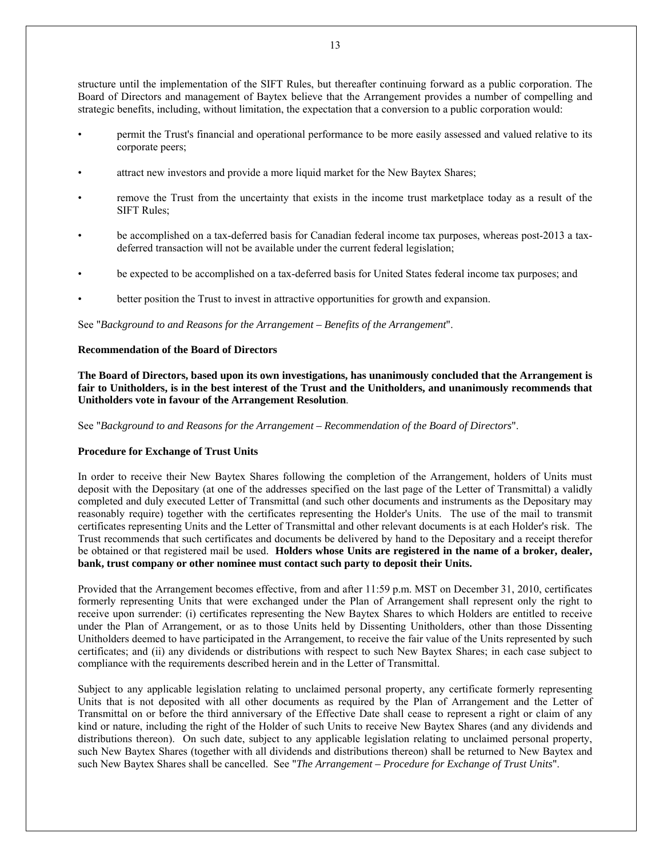structure until the implementation of the SIFT Rules, but thereafter continuing forward as a public corporation. The

- Board of Directors and management of Baytex believe that the Arrangement provides a number of compelling and strategic benefits, including, without limitation, the expectation that a conversion to a public corporation would:
- permit the Trust's financial and operational performance to be more easily assessed and valued relative to its corporate peers;
- attract new investors and provide a more liquid market for the New Baytex Shares;
- remove the Trust from the uncertainty that exists in the income trust marketplace today as a result of the SIFT Rules;
- be accomplished on a tax-deferred basis for Canadian federal income tax purposes, whereas post-2013 a taxdeferred transaction will not be available under the current federal legislation;
- be expected to be accomplished on a tax-deferred basis for United States federal income tax purposes; and
- better position the Trust to invest in attractive opportunities for growth and expansion.

See "*Background to and Reasons for the Arrangement – Benefits of the Arrangement*".

## **Recommendation of the Board of Directors**

**The Board of Directors, based upon its own investigations, has unanimously concluded that the Arrangement is fair to Unitholders, is in the best interest of the Trust and the Unitholders, and unanimously recommends that Unitholders vote in favour of the Arrangement Resolution**.

See "*Background to and Reasons for the Arrangement – Recommendation of the Board of Directors*".

## **Procedure for Exchange of Trust Units**

In order to receive their New Baytex Shares following the completion of the Arrangement, holders of Units must deposit with the Depositary (at one of the addresses specified on the last page of the Letter of Transmittal) a validly completed and duly executed Letter of Transmittal (and such other documents and instruments as the Depositary may reasonably require) together with the certificates representing the Holder's Units. The use of the mail to transmit certificates representing Units and the Letter of Transmittal and other relevant documents is at each Holder's risk. The Trust recommends that such certificates and documents be delivered by hand to the Depositary and a receipt therefor be obtained or that registered mail be used. **Holders whose Units are registered in the name of a broker, dealer, bank, trust company or other nominee must contact such party to deposit their Units.** 

Provided that the Arrangement becomes effective, from and after 11:59 p.m. MST on December 31, 2010, certificates formerly representing Units that were exchanged under the Plan of Arrangement shall represent only the right to receive upon surrender: (i) certificates representing the New Baytex Shares to which Holders are entitled to receive under the Plan of Arrangement, or as to those Units held by Dissenting Unitholders, other than those Dissenting Unitholders deemed to have participated in the Arrangement, to receive the fair value of the Units represented by such certificates; and (ii) any dividends or distributions with respect to such New Baytex Shares; in each case subject to compliance with the requirements described herein and in the Letter of Transmittal.

Subject to any applicable legislation relating to unclaimed personal property, any certificate formerly representing Units that is not deposited with all other documents as required by the Plan of Arrangement and the Letter of Transmittal on or before the third anniversary of the Effective Date shall cease to represent a right or claim of any kind or nature, including the right of the Holder of such Units to receive New Baytex Shares (and any dividends and distributions thereon). On such date, subject to any applicable legislation relating to unclaimed personal property, such New Baytex Shares (together with all dividends and distributions thereon) shall be returned to New Baytex and such New Baytex Shares shall be cancelled. See "*The Arrangement – Procedure for Exchange of Trust Units*".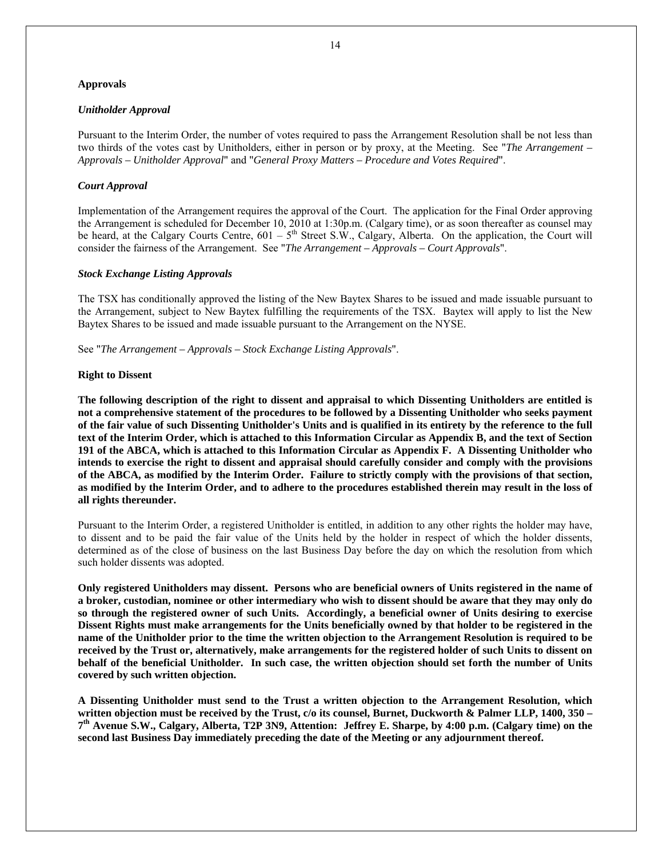### **Approvals**

### *Unitholder Approval*

Pursuant to the Interim Order, the number of votes required to pass the Arrangement Resolution shall be not less than two thirds of the votes cast by Unitholders, either in person or by proxy, at the Meeting. See "*The Arrangement – Approvals – Unitholder Approval*" and "*General Proxy Matters – Procedure and Votes Required*".

### *Court Approval*

Implementation of the Arrangement requires the approval of the Court. The application for the Final Order approving the Arrangement is scheduled for December 10, 2010 at 1:30p.m. (Calgary time), or as soon thereafter as counsel may be heard, at the Calgary Courts Centre,  $601 - 5$ <sup>th</sup> Street S.W., Calgary, Alberta. On the application, the Court will consider the fairness of the Arrangement. See "*The Arrangement – Approvals – Court Approvals*".

### *Stock Exchange Listing Approvals*

The TSX has conditionally approved the listing of the New Baytex Shares to be issued and made issuable pursuant to the Arrangement, subject to New Baytex fulfilling the requirements of the TSX. Baytex will apply to list the New Baytex Shares to be issued and made issuable pursuant to the Arrangement on the NYSE.

See "*The Arrangement – Approvals – Stock Exchange Listing Approvals*".

### **Right to Dissent**

**The following description of the right to dissent and appraisal to which Dissenting Unitholders are entitled is not a comprehensive statement of the procedures to be followed by a Dissenting Unitholder who seeks payment of the fair value of such Dissenting Unitholder's Units and is qualified in its entirety by the reference to the full text of the Interim Order, which is attached to this Information Circular as Appendix B, and the text of Section 191 of the ABCA, which is attached to this Information Circular as Appendix F. A Dissenting Unitholder who intends to exercise the right to dissent and appraisal should carefully consider and comply with the provisions of the ABCA, as modified by the Interim Order. Failure to strictly comply with the provisions of that section, as modified by the Interim Order, and to adhere to the procedures established therein may result in the loss of all rights thereunder.**

Pursuant to the Interim Order, a registered Unitholder is entitled, in addition to any other rights the holder may have, to dissent and to be paid the fair value of the Units held by the holder in respect of which the holder dissents, determined as of the close of business on the last Business Day before the day on which the resolution from which such holder dissents was adopted.

**Only registered Unitholders may dissent. Persons who are beneficial owners of Units registered in the name of a broker, custodian, nominee or other intermediary who wish to dissent should be aware that they may only do so through the registered owner of such Units. Accordingly, a beneficial owner of Units desiring to exercise Dissent Rights must make arrangements for the Units beneficially owned by that holder to be registered in the name of the Unitholder prior to the time the written objection to the Arrangement Resolution is required to be received by the Trust or, alternatively, make arrangements for the registered holder of such Units to dissent on behalf of the beneficial Unitholder. In such case, the written objection should set forth the number of Units covered by such written objection.** 

**A Dissenting Unitholder must send to the Trust a written objection to the Arrangement Resolution, which written objection must be received by the Trust, c/o its counsel, Burnet, Duckworth & Palmer LLP, 1400, 350 – 7th Avenue S.W., Calgary, Alberta, T2P 3N9, Attention: Jeffrey E. Sharpe, by 4:00 p.m. (Calgary time) on the second last Business Day immediately preceding the date of the Meeting or any adjournment thereof.**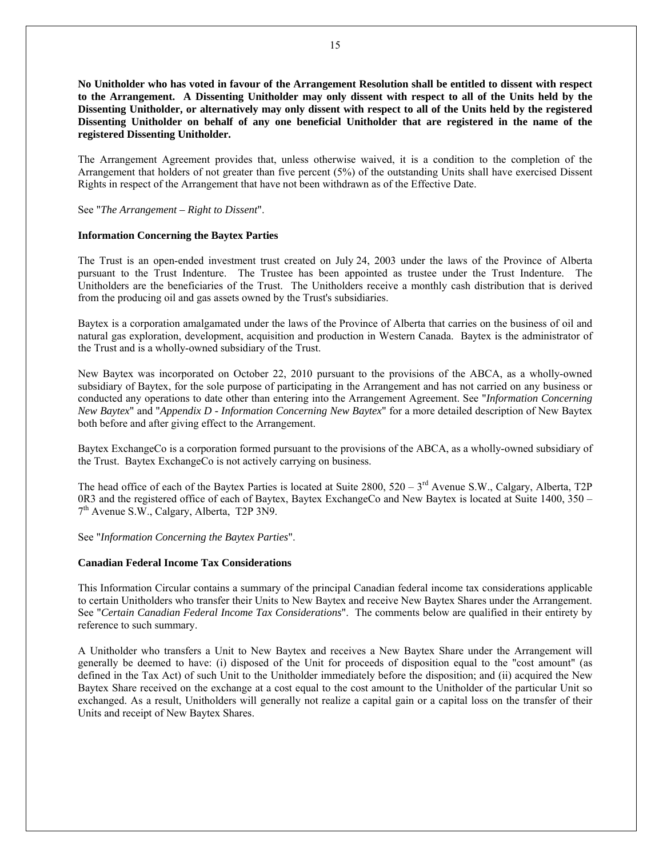**No Unitholder who has voted in favour of the Arrangement Resolution shall be entitled to dissent with respect to the Arrangement. A Dissenting Unitholder may only dissent with respect to all of the Units held by the Dissenting Unitholder, or alternatively may only dissent with respect to all of the Units held by the registered Dissenting Unitholder on behalf of any one beneficial Unitholder that are registered in the name of the registered Dissenting Unitholder.**

The Arrangement Agreement provides that, unless otherwise waived, it is a condition to the completion of the Arrangement that holders of not greater than five percent (5%) of the outstanding Units shall have exercised Dissent Rights in respect of the Arrangement that have not been withdrawn as of the Effective Date.

See "*The Arrangement – Right to Dissent*".

#### **Information Concerning the Baytex Parties**

The Trust is an open-ended investment trust created on July 24, 2003 under the laws of the Province of Alberta pursuant to the Trust Indenture. The Trustee has been appointed as trustee under the Trust Indenture. The Unitholders are the beneficiaries of the Trust. The Unitholders receive a monthly cash distribution that is derived from the producing oil and gas assets owned by the Trust's subsidiaries.

Baytex is a corporation amalgamated under the laws of the Province of Alberta that carries on the business of oil and natural gas exploration, development, acquisition and production in Western Canada. Baytex is the administrator of the Trust and is a wholly-owned subsidiary of the Trust.

New Baytex was incorporated on October 22, 2010 pursuant to the provisions of the ABCA, as a wholly-owned subsidiary of Baytex, for the sole purpose of participating in the Arrangement and has not carried on any business or conducted any operations to date other than entering into the Arrangement Agreement. See "*Information Concerning New Baytex*" and "*Appendix D - Information Concerning New Baytex*" for a more detailed description of New Baytex both before and after giving effect to the Arrangement.

Baytex ExchangeCo is a corporation formed pursuant to the provisions of the ABCA, as a wholly-owned subsidiary of the Trust. Baytex ExchangeCo is not actively carrying on business.

The head office of each of the Baytex Parties is located at Suite  $2800$ ,  $520 - 3<sup>rd</sup>$  Avenue S.W., Calgary, Alberta, T2P 0R3 and the registered office of each of Baytex, Baytex ExchangeCo and New Baytex is located at Suite 1400, 350 – 7<sup>th</sup> Avenue S.W., Calgary, Alberta, T2P 3N9.

See "*Information Concerning the Baytex Parties*".

#### **Canadian Federal Income Tax Considerations**

This Information Circular contains a summary of the principal Canadian federal income tax considerations applicable to certain Unitholders who transfer their Units to New Baytex and receive New Baytex Shares under the Arrangement. See "*Certain Canadian Federal Income Tax Considerations*". The comments below are qualified in their entirety by reference to such summary.

A Unitholder who transfers a Unit to New Baytex and receives a New Baytex Share under the Arrangement will generally be deemed to have: (i) disposed of the Unit for proceeds of disposition equal to the "cost amount" (as defined in the Tax Act) of such Unit to the Unitholder immediately before the disposition; and (ii) acquired the New Baytex Share received on the exchange at a cost equal to the cost amount to the Unitholder of the particular Unit so exchanged. As a result, Unitholders will generally not realize a capital gain or a capital loss on the transfer of their Units and receipt of New Baytex Shares.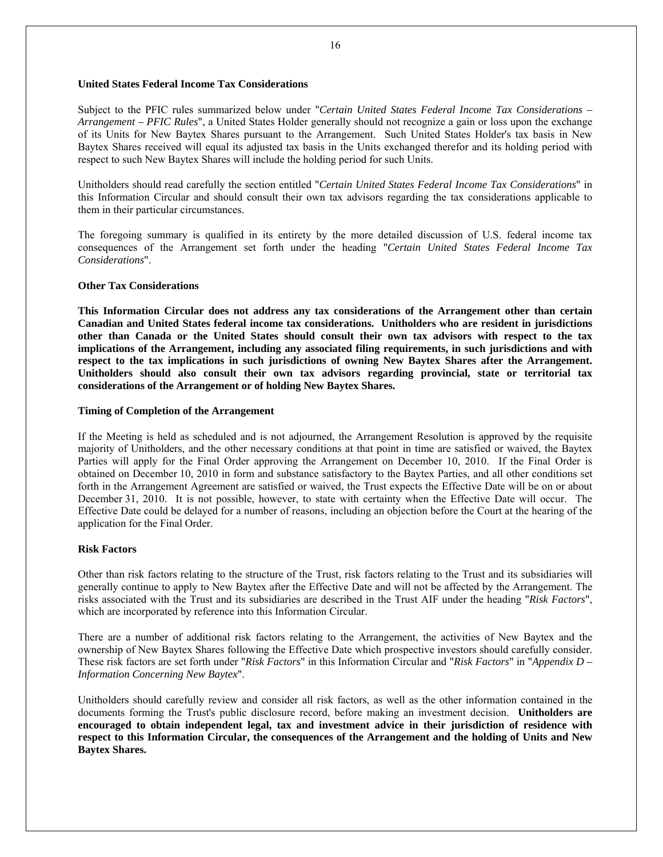## **United States Federal Income Tax Considerations**

Subject to the PFIC rules summarized below under "*Certain United States Federal Income Tax Considerations – Arrangement – PFIC Rules*", a United States Holder generally should not recognize a gain or loss upon the exchange of its Units for New Baytex Shares pursuant to the Arrangement. Such United States Holder's tax basis in New Baytex Shares received will equal its adjusted tax basis in the Units exchanged therefor and its holding period with respect to such New Baytex Shares will include the holding period for such Units.

Unitholders should read carefully the section entitled "*Certain United States Federal Income Tax Considerations*" in this Information Circular and should consult their own tax advisors regarding the tax considerations applicable to them in their particular circumstances.

The foregoing summary is qualified in its entirety by the more detailed discussion of U.S. federal income tax consequences of the Arrangement set forth under the heading "*Certain United States Federal Income Tax Considerations*".

### **Other Tax Considerations**

**This Information Circular does not address any tax considerations of the Arrangement other than certain Canadian and United States federal income tax considerations. Unitholders who are resident in jurisdictions other than Canada or the United States should consult their own tax advisors with respect to the tax implications of the Arrangement, including any associated filing requirements, in such jurisdictions and with respect to the tax implications in such jurisdictions of owning New Baytex Shares after the Arrangement. Unitholders should also consult their own tax advisors regarding provincial, state or territorial tax considerations of the Arrangement or of holding New Baytex Shares.**

### **Timing of Completion of the Arrangement**

If the Meeting is held as scheduled and is not adjourned, the Arrangement Resolution is approved by the requisite majority of Unitholders, and the other necessary conditions at that point in time are satisfied or waived, the Baytex Parties will apply for the Final Order approving the Arrangement on December 10, 2010. If the Final Order is obtained on December 10, 2010 in form and substance satisfactory to the Baytex Parties, and all other conditions set forth in the Arrangement Agreement are satisfied or waived, the Trust expects the Effective Date will be on or about December 31, 2010. It is not possible, however, to state with certainty when the Effective Date will occur. The Effective Date could be delayed for a number of reasons, including an objection before the Court at the hearing of the application for the Final Order.

### **Risk Factors**

Other than risk factors relating to the structure of the Trust, risk factors relating to the Trust and its subsidiaries will generally continue to apply to New Baytex after the Effective Date and will not be affected by the Arrangement. The risks associated with the Trust and its subsidiaries are described in the Trust AIF under the heading "*Risk Factors*", which are incorporated by reference into this Information Circular.

There are a number of additional risk factors relating to the Arrangement, the activities of New Baytex and the ownership of New Baytex Shares following the Effective Date which prospective investors should carefully consider. These risk factors are set forth under "*Risk Factors*" in this Information Circular and "*Risk Factors*" in "*Appendix D – Information Concerning New Baytex*".

Unitholders should carefully review and consider all risk factors, as well as the other information contained in the documents forming the Trust's public disclosure record, before making an investment decision. **Unitholders are encouraged to obtain independent legal, tax and investment advice in their jurisdiction of residence with respect to this Information Circular, the consequences of the Arrangement and the holding of Units and New Baytex Shares.**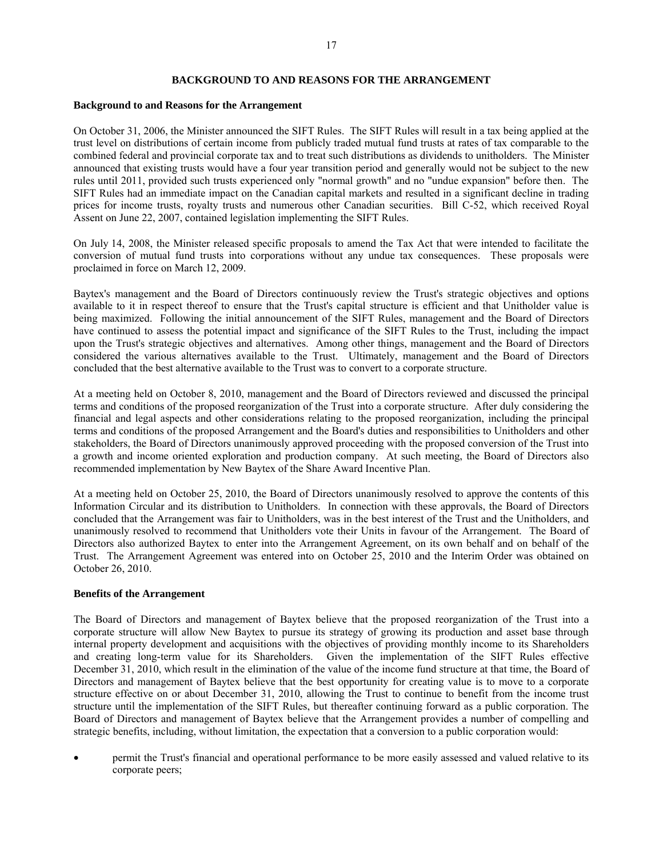#### 17

### **BACKGROUND TO AND REASONS FOR THE ARRANGEMENT**

#### **Background to and Reasons for the Arrangement**

On October 31, 2006, the Minister announced the SIFT Rules. The SIFT Rules will result in a tax being applied at the trust level on distributions of certain income from publicly traded mutual fund trusts at rates of tax comparable to the combined federal and provincial corporate tax and to treat such distributions as dividends to unitholders. The Minister announced that existing trusts would have a four year transition period and generally would not be subject to the new rules until 2011, provided such trusts experienced only "normal growth" and no "undue expansion" before then. The SIFT Rules had an immediate impact on the Canadian capital markets and resulted in a significant decline in trading prices for income trusts, royalty trusts and numerous other Canadian securities. Bill C-52, which received Royal Assent on June 22, 2007, contained legislation implementing the SIFT Rules.

On July 14, 2008, the Minister released specific proposals to amend the Tax Act that were intended to facilitate the conversion of mutual fund trusts into corporations without any undue tax consequences. These proposals were proclaimed in force on March 12, 2009.

Baytex's management and the Board of Directors continuously review the Trust's strategic objectives and options available to it in respect thereof to ensure that the Trust's capital structure is efficient and that Unitholder value is being maximized. Following the initial announcement of the SIFT Rules, management and the Board of Directors have continued to assess the potential impact and significance of the SIFT Rules to the Trust, including the impact upon the Trust's strategic objectives and alternatives. Among other things, management and the Board of Directors considered the various alternatives available to the Trust. Ultimately, management and the Board of Directors concluded that the best alternative available to the Trust was to convert to a corporate structure.

At a meeting held on October 8, 2010, management and the Board of Directors reviewed and discussed the principal terms and conditions of the proposed reorganization of the Trust into a corporate structure. After duly considering the financial and legal aspects and other considerations relating to the proposed reorganization, including the principal terms and conditions of the proposed Arrangement and the Board's duties and responsibilities to Unitholders and other stakeholders, the Board of Directors unanimously approved proceeding with the proposed conversion of the Trust into a growth and income oriented exploration and production company. At such meeting, the Board of Directors also recommended implementation by New Baytex of the Share Award Incentive Plan.

At a meeting held on October 25, 2010, the Board of Directors unanimously resolved to approve the contents of this Information Circular and its distribution to Unitholders. In connection with these approvals, the Board of Directors concluded that the Arrangement was fair to Unitholders, was in the best interest of the Trust and the Unitholders, and unanimously resolved to recommend that Unitholders vote their Units in favour of the Arrangement. The Board of Directors also authorized Baytex to enter into the Arrangement Agreement, on its own behalf and on behalf of the Trust. The Arrangement Agreement was entered into on October 25, 2010 and the Interim Order was obtained on October 26, 2010.

#### **Benefits of the Arrangement**

The Board of Directors and management of Baytex believe that the proposed reorganization of the Trust into a corporate structure will allow New Baytex to pursue its strategy of growing its production and asset base through internal property development and acquisitions with the objectives of providing monthly income to its Shareholders and creating long-term value for its Shareholders. Given the implementation of the SIFT Rules effective December 31, 2010, which result in the elimination of the value of the income fund structure at that time, the Board of Directors and management of Baytex believe that the best opportunity for creating value is to move to a corporate structure effective on or about December 31, 2010, allowing the Trust to continue to benefit from the income trust structure until the implementation of the SIFT Rules, but thereafter continuing forward as a public corporation. The Board of Directors and management of Baytex believe that the Arrangement provides a number of compelling and strategic benefits, including, without limitation, the expectation that a conversion to a public corporation would:

• permit the Trust's financial and operational performance to be more easily assessed and valued relative to its corporate peers;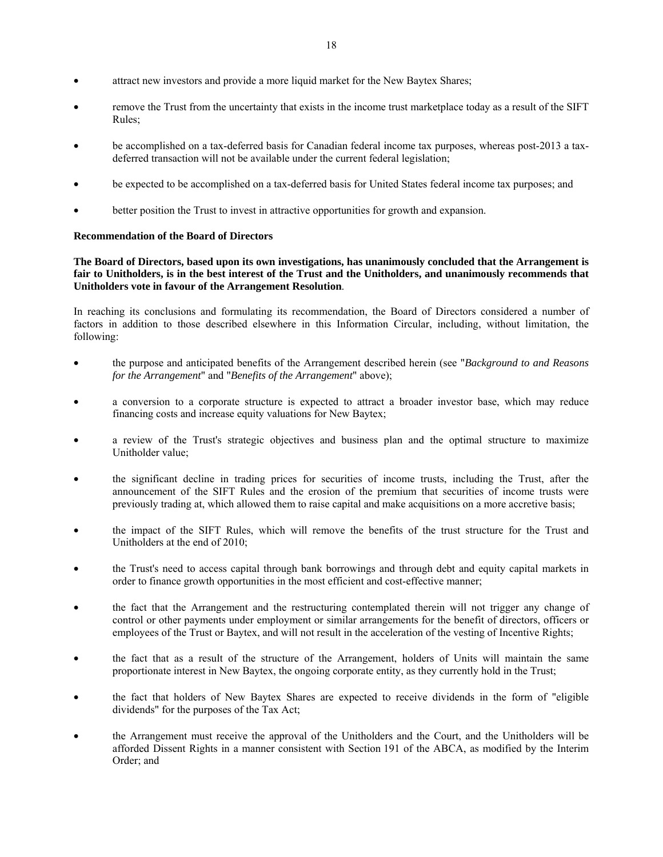- attract new investors and provide a more liquid market for the New Baytex Shares;
- remove the Trust from the uncertainty that exists in the income trust marketplace today as a result of the SIFT Rules;
- be accomplished on a tax-deferred basis for Canadian federal income tax purposes, whereas post-2013 a taxdeferred transaction will not be available under the current federal legislation;
- be expected to be accomplished on a tax-deferred basis for United States federal income tax purposes; and
- better position the Trust to invest in attractive opportunities for growth and expansion.

## **Recommendation of the Board of Directors**

**The Board of Directors, based upon its own investigations, has unanimously concluded that the Arrangement is fair to Unitholders, is in the best interest of the Trust and the Unitholders, and unanimously recommends that Unitholders vote in favour of the Arrangement Resolution**.

In reaching its conclusions and formulating its recommendation, the Board of Directors considered a number of factors in addition to those described elsewhere in this Information Circular, including, without limitation, the following:

- the purpose and anticipated benefits of the Arrangement described herein (see "*Background to and Reasons for the Arrangement*" and "*Benefits of the Arrangement*" above);
- a conversion to a corporate structure is expected to attract a broader investor base, which may reduce financing costs and increase equity valuations for New Baytex;
- a review of the Trust's strategic objectives and business plan and the optimal structure to maximize Unitholder value;
- the significant decline in trading prices for securities of income trusts, including the Trust, after the announcement of the SIFT Rules and the erosion of the premium that securities of income trusts were previously trading at, which allowed them to raise capital and make acquisitions on a more accretive basis;
- the impact of the SIFT Rules, which will remove the benefits of the trust structure for the Trust and Unitholders at the end of 2010;
- the Trust's need to access capital through bank borrowings and through debt and equity capital markets in order to finance growth opportunities in the most efficient and cost-effective manner;
- the fact that the Arrangement and the restructuring contemplated therein will not trigger any change of control or other payments under employment or similar arrangements for the benefit of directors, officers or employees of the Trust or Baytex, and will not result in the acceleration of the vesting of Incentive Rights;
- the fact that as a result of the structure of the Arrangement, holders of Units will maintain the same proportionate interest in New Baytex, the ongoing corporate entity, as they currently hold in the Trust;
- the fact that holders of New Baytex Shares are expected to receive dividends in the form of "eligible dividends" for the purposes of the Tax Act;
- the Arrangement must receive the approval of the Unitholders and the Court, and the Unitholders will be afforded Dissent Rights in a manner consistent with Section 191 of the ABCA, as modified by the Interim Order; and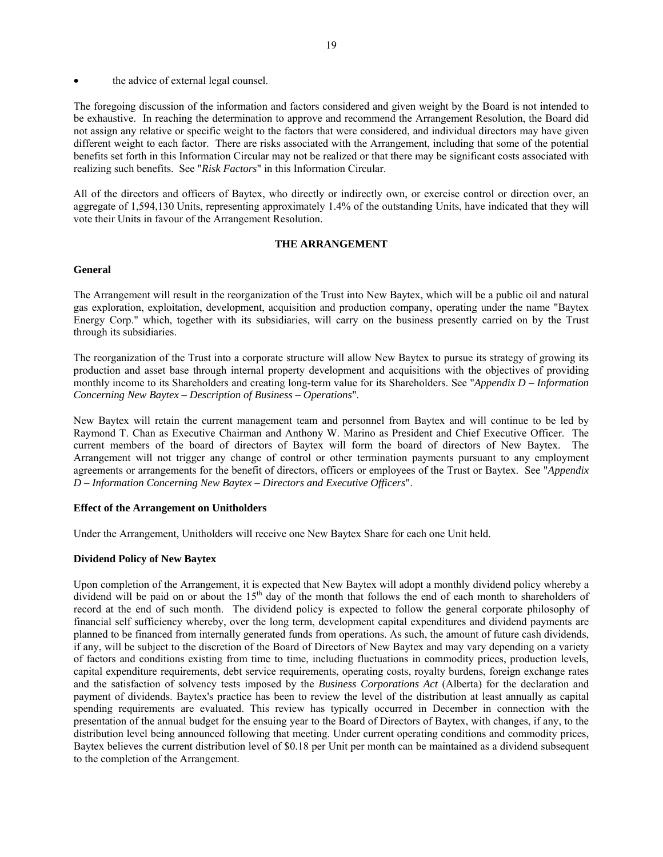the advice of external legal counsel.

The foregoing discussion of the information and factors considered and given weight by the Board is not intended to be exhaustive. In reaching the determination to approve and recommend the Arrangement Resolution, the Board did not assign any relative or specific weight to the factors that were considered, and individual directors may have given different weight to each factor. There are risks associated with the Arrangement, including that some of the potential benefits set forth in this Information Circular may not be realized or that there may be significant costs associated with realizing such benefits. See "*Risk Factors*" in this Information Circular.

All of the directors and officers of Baytex, who directly or indirectly own, or exercise control or direction over, an aggregate of 1,594,130 Units, representing approximately 1.4% of the outstanding Units, have indicated that they will vote their Units in favour of the Arrangement Resolution.

## **THE ARRANGEMENT**

## **General**

The Arrangement will result in the reorganization of the Trust into New Baytex, which will be a public oil and natural gas exploration, exploitation, development, acquisition and production company, operating under the name "Baytex Energy Corp." which, together with its subsidiaries, will carry on the business presently carried on by the Trust through its subsidiaries.

The reorganization of the Trust into a corporate structure will allow New Baytex to pursue its strategy of growing its production and asset base through internal property development and acquisitions with the objectives of providing monthly income to its Shareholders and creating long-term value for its Shareholders. See "*Appendix D – Information Concerning New Baytex – Description of Business – Operations*".

New Baytex will retain the current management team and personnel from Baytex and will continue to be led by Raymond T. Chan as Executive Chairman and Anthony W. Marino as President and Chief Executive Officer. The current members of the board of directors of Baytex will form the board of directors of New Baytex. The Arrangement will not trigger any change of control or other termination payments pursuant to any employment agreements or arrangements for the benefit of directors, officers or employees of the Trust or Baytex. See "*Appendix D – Information Concerning New Baytex – Directors and Executive Officers*".

### **Effect of the Arrangement on Unitholders**

Under the Arrangement, Unitholders will receive one New Baytex Share for each one Unit held.

## **Dividend Policy of New Baytex**

Upon completion of the Arrangement, it is expected that New Baytex will adopt a monthly dividend policy whereby a dividend will be paid on or about the 15<sup>th</sup> day of the month that follows the end of each month to shareholders of record at the end of such month. The dividend policy is expected to follow the general corporate philosophy of financial self sufficiency whereby, over the long term, development capital expenditures and dividend payments are planned to be financed from internally generated funds from operations. As such, the amount of future cash dividends, if any, will be subject to the discretion of the Board of Directors of New Baytex and may vary depending on a variety of factors and conditions existing from time to time, including fluctuations in commodity prices, production levels, capital expenditure requirements, debt service requirements, operating costs, royalty burdens, foreign exchange rates and the satisfaction of solvency tests imposed by the *Business Corporations Act* (Alberta) for the declaration and payment of dividends. Baytex's practice has been to review the level of the distribution at least annually as capital spending requirements are evaluated. This review has typically occurred in December in connection with the presentation of the annual budget for the ensuing year to the Board of Directors of Baytex, with changes, if any, to the distribution level being announced following that meeting. Under current operating conditions and commodity prices, Baytex believes the current distribution level of \$0.18 per Unit per month can be maintained as a dividend subsequent to the completion of the Arrangement.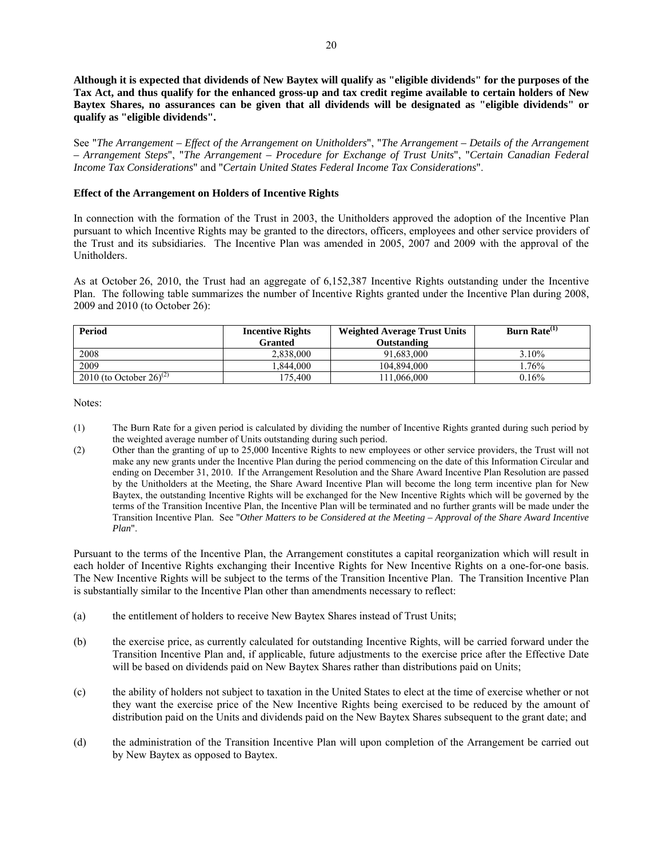**Although it is expected that dividends of New Baytex will qualify as "eligible dividends" for the purposes of the Tax Act, and thus qualify for the enhanced gross-up and tax credit regime available to certain holders of New Baytex Shares, no assurances can be given that all dividends will be designated as "eligible dividends" or qualify as "eligible dividends".** 

See "*The Arrangement – Effect of the Arrangement on Unitholders*", "*The Arrangement – Details of the Arrangement – Arrangement Steps*", "*The Arrangement – Procedure for Exchange of Trust Units*", "*Certain Canadian Federal Income Tax Considerations*" and "*Certain United States Federal Income Tax Considerations*".

## **Effect of the Arrangement on Holders of Incentive Rights**

In connection with the formation of the Trust in 2003, the Unitholders approved the adoption of the Incentive Plan pursuant to which Incentive Rights may be granted to the directors, officers, employees and other service providers of the Trust and its subsidiaries. The Incentive Plan was amended in 2005, 2007 and 2009 with the approval of the Unitholders.

As at October 26, 2010, the Trust had an aggregate of 6,152,387 Incentive Rights outstanding under the Incentive Plan. The following table summarizes the number of Incentive Rights granted under the Incentive Plan during 2008, 2009 and 2010 (to October 26):

| Period                              | <b>Incentive Rights</b> | <b>Weighted Average Trust Units</b> | Burn Rate $(1)$ |
|-------------------------------------|-------------------------|-------------------------------------|-----------------|
|                                     | <b>Granted</b>          | <b>Outstanding</b>                  |                 |
| 2008                                | 2.838,000               | 91.683.000                          | 3.10%           |
| 2009                                | .844.000                | 104.894.000                         | .76%            |
| 2010 (to October 26) <sup>(2)</sup> | 175.400                 | 11.066.000                          | $0.16\%$        |

Notes:

- (1) The Burn Rate for a given period is calculated by dividing the number of Incentive Rights granted during such period by the weighted average number of Units outstanding during such period.
- (2) Other than the granting of up to 25,000 Incentive Rights to new employees or other service providers, the Trust will not make any new grants under the Incentive Plan during the period commencing on the date of this Information Circular and ending on December 31, 2010. If the Arrangement Resolution and the Share Award Incentive Plan Resolution are passed by the Unitholders at the Meeting, the Share Award Incentive Plan will become the long term incentive plan for New Baytex, the outstanding Incentive Rights will be exchanged for the New Incentive Rights which will be governed by the terms of the Transition Incentive Plan, the Incentive Plan will be terminated and no further grants will be made under the Transition Incentive Plan. See "*Other Matters to be Considered at the Meeting – Approval of the Share Award Incentive Plan*".

Pursuant to the terms of the Incentive Plan, the Arrangement constitutes a capital reorganization which will result in each holder of Incentive Rights exchanging their Incentive Rights for New Incentive Rights on a one-for-one basis. The New Incentive Rights will be subject to the terms of the Transition Incentive Plan. The Transition Incentive Plan is substantially similar to the Incentive Plan other than amendments necessary to reflect:

- (a) the entitlement of holders to receive New Baytex Shares instead of Trust Units;
- (b) the exercise price, as currently calculated for outstanding Incentive Rights, will be carried forward under the Transition Incentive Plan and, if applicable, future adjustments to the exercise price after the Effective Date will be based on dividends paid on New Baytex Shares rather than distributions paid on Units;
- (c) the ability of holders not subject to taxation in the United States to elect at the time of exercise whether or not they want the exercise price of the New Incentive Rights being exercised to be reduced by the amount of distribution paid on the Units and dividends paid on the New Baytex Shares subsequent to the grant date; and
- (d) the administration of the Transition Incentive Plan will upon completion of the Arrangement be carried out by New Baytex as opposed to Baytex.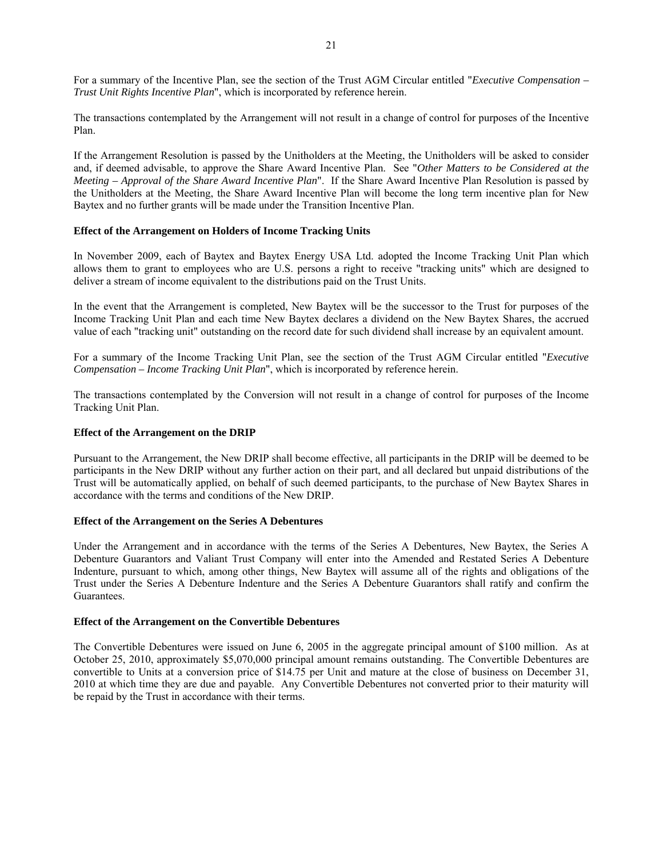For a summary of the Incentive Plan, see the section of the Trust AGM Circular entitled "*Executive Compensation – Trust Unit Rights Incentive Plan*", which is incorporated by reference herein.

The transactions contemplated by the Arrangement will not result in a change of control for purposes of the Incentive Plan.

If the Arrangement Resolution is passed by the Unitholders at the Meeting, the Unitholders will be asked to consider and, if deemed advisable, to approve the Share Award Incentive Plan. See "*Other Matters to be Considered at the Meeting – Approval of the Share Award Incentive Plan*". If the Share Award Incentive Plan Resolution is passed by the Unitholders at the Meeting, the Share Award Incentive Plan will become the long term incentive plan for New Baytex and no further grants will be made under the Transition Incentive Plan.

## **Effect of the Arrangement on Holders of Income Tracking Units**

In November 2009, each of Baytex and Baytex Energy USA Ltd. adopted the Income Tracking Unit Plan which allows them to grant to employees who are U.S. persons a right to receive "tracking units" which are designed to deliver a stream of income equivalent to the distributions paid on the Trust Units.

In the event that the Arrangement is completed, New Baytex will be the successor to the Trust for purposes of the Income Tracking Unit Plan and each time New Baytex declares a dividend on the New Baytex Shares, the accrued value of each "tracking unit" outstanding on the record date for such dividend shall increase by an equivalent amount.

For a summary of the Income Tracking Unit Plan, see the section of the Trust AGM Circular entitled "*Executive Compensation – Income Tracking Unit Plan*", which is incorporated by reference herein.

The transactions contemplated by the Conversion will not result in a change of control for purposes of the Income Tracking Unit Plan.

### **Effect of the Arrangement on the DRIP**

Pursuant to the Arrangement, the New DRIP shall become effective, all participants in the DRIP will be deemed to be participants in the New DRIP without any further action on their part, and all declared but unpaid distributions of the Trust will be automatically applied, on behalf of such deemed participants, to the purchase of New Baytex Shares in accordance with the terms and conditions of the New DRIP.

## **Effect of the Arrangement on the Series A Debentures**

Under the Arrangement and in accordance with the terms of the Series A Debentures, New Baytex, the Series A Debenture Guarantors and Valiant Trust Company will enter into the Amended and Restated Series A Debenture Indenture, pursuant to which, among other things, New Baytex will assume all of the rights and obligations of the Trust under the Series A Debenture Indenture and the Series A Debenture Guarantors shall ratify and confirm the **Guarantees** 

### **Effect of the Arrangement on the Convertible Debentures**

The Convertible Debentures were issued on June 6, 2005 in the aggregate principal amount of \$100 million. As at October 25, 2010, approximately \$5,070,000 principal amount remains outstanding. The Convertible Debentures are convertible to Units at a conversion price of \$14.75 per Unit and mature at the close of business on December 31, 2010 at which time they are due and payable. Any Convertible Debentures not converted prior to their maturity will be repaid by the Trust in accordance with their terms.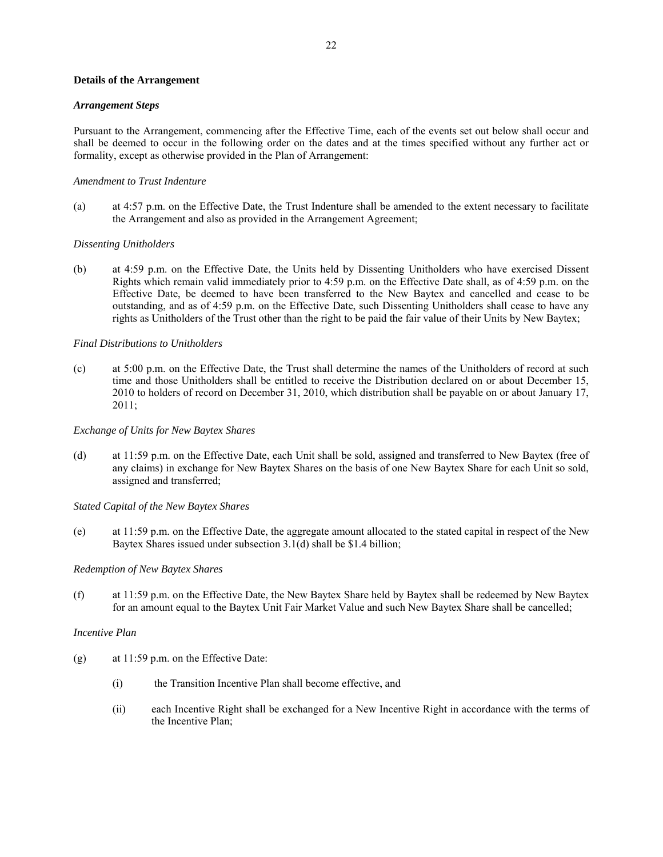### **Details of the Arrangement**

#### *Arrangement Steps*

Pursuant to the Arrangement, commencing after the Effective Time, each of the events set out below shall occur and shall be deemed to occur in the following order on the dates and at the times specified without any further act or formality, except as otherwise provided in the Plan of Arrangement:

#### *Amendment to Trust Indenture*

(a) at 4:57 p.m. on the Effective Date, the Trust Indenture shall be amended to the extent necessary to facilitate the Arrangement and also as provided in the Arrangement Agreement;

### *Dissenting Unitholders*

(b) at 4:59 p.m. on the Effective Date, the Units held by Dissenting Unitholders who have exercised Dissent Rights which remain valid immediately prior to 4:59 p.m. on the Effective Date shall, as of 4:59 p.m. on the Effective Date, be deemed to have been transferred to the New Baytex and cancelled and cease to be outstanding, and as of 4:59 p.m. on the Effective Date, such Dissenting Unitholders shall cease to have any rights as Unitholders of the Trust other than the right to be paid the fair value of their Units by New Baytex;

### *Final Distributions to Unitholders*

(c) at 5:00 p.m. on the Effective Date, the Trust shall determine the names of the Unitholders of record at such time and those Unitholders shall be entitled to receive the Distribution declared on or about December 15, 2010 to holders of record on December 31, 2010, which distribution shall be payable on or about January 17, 2011;

#### *Exchange of Units for New Baytex Shares*

(d) at 11:59 p.m. on the Effective Date, each Unit shall be sold, assigned and transferred to New Baytex (free of any claims) in exchange for New Baytex Shares on the basis of one New Baytex Share for each Unit so sold, assigned and transferred;

*Stated Capital of the New Baytex Shares* 

(e) at 11:59 p.m. on the Effective Date, the aggregate amount allocated to the stated capital in respect of the New Baytex Shares issued under subsection 3.1(d) shall be \$1.4 billion;

#### *Redemption of New Baytex Shares*

(f) at 11:59 p.m. on the Effective Date, the New Baytex Share held by Baytex shall be redeemed by New Baytex for an amount equal to the Baytex Unit Fair Market Value and such New Baytex Share shall be cancelled;

### *Incentive Plan*

- (g) at 11:59 p.m. on the Effective Date:
	- (i) the Transition Incentive Plan shall become effective, and
	- (ii) each Incentive Right shall be exchanged for a New Incentive Right in accordance with the terms of the Incentive Plan;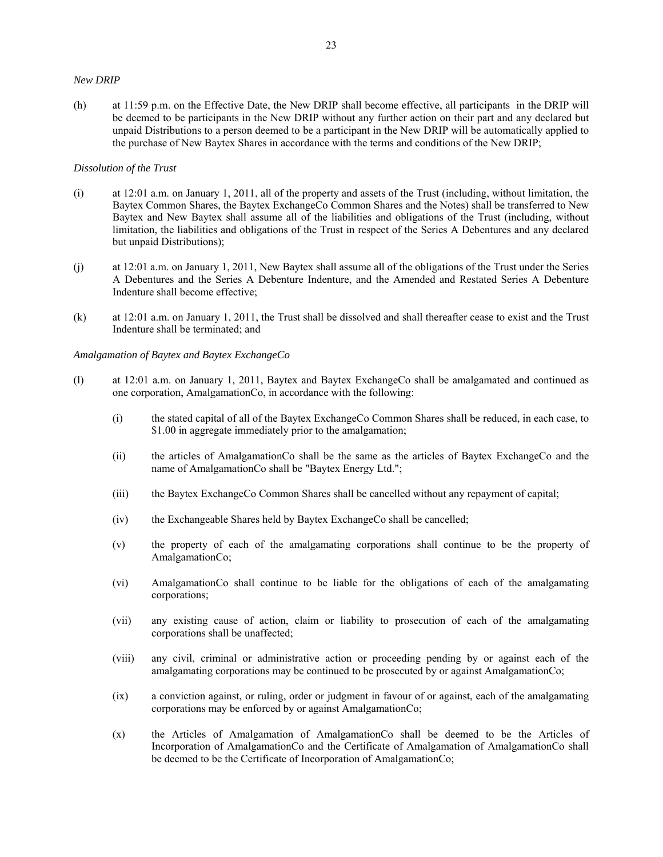#### *New DRIP*

(h) at 11:59 p.m. on the Effective Date, the New DRIP shall become effective, all participants in the DRIP will be deemed to be participants in the New DRIP without any further action on their part and any declared but unpaid Distributions to a person deemed to be a participant in the New DRIP will be automatically applied to the purchase of New Baytex Shares in accordance with the terms and conditions of the New DRIP;

## *Dissolution of the Trust*

- (i) at 12:01 a.m. on January 1, 2011, all of the property and assets of the Trust (including, without limitation, the Baytex Common Shares, the Baytex ExchangeCo Common Shares and the Notes) shall be transferred to New Baytex and New Baytex shall assume all of the liabilities and obligations of the Trust (including, without limitation, the liabilities and obligations of the Trust in respect of the Series A Debentures and any declared but unpaid Distributions);
- (j) at 12:01 a.m. on January 1, 2011, New Baytex shall assume all of the obligations of the Trust under the Series A Debentures and the Series A Debenture Indenture, and the Amended and Restated Series A Debenture Indenture shall become effective;
- (k) at 12:01 a.m. on January 1, 2011, the Trust shall be dissolved and shall thereafter cease to exist and the Trust Indenture shall be terminated; and

#### *Amalgamation of Baytex and Baytex ExchangeCo*

- (l) at 12:01 a.m. on January 1, 2011, Baytex and Baytex ExchangeCo shall be amalgamated and continued as one corporation, AmalgamationCo, in accordance with the following:
	- (i) the stated capital of all of the Baytex ExchangeCo Common Shares shall be reduced, in each case, to \$1.00 in aggregate immediately prior to the amalgamation;
	- (ii) the articles of AmalgamationCo shall be the same as the articles of Baytex ExchangeCo and the name of AmalgamationCo shall be "Baytex Energy Ltd.";
	- (iii) the Baytex ExchangeCo Common Shares shall be cancelled without any repayment of capital;
	- (iv) the Exchangeable Shares held by Baytex ExchangeCo shall be cancelled;
	- (v) the property of each of the amalgamating corporations shall continue to be the property of AmalgamationCo;
	- (vi) AmalgamationCo shall continue to be liable for the obligations of each of the amalgamating corporations;
	- (vii) any existing cause of action, claim or liability to prosecution of each of the amalgamating corporations shall be unaffected;
	- (viii) any civil, criminal or administrative action or proceeding pending by or against each of the amalgamating corporations may be continued to be prosecuted by or against AmalgamationCo;
	- (ix) a conviction against, or ruling, order or judgment in favour of or against, each of the amalgamating corporations may be enforced by or against AmalgamationCo;
	- (x) the Articles of Amalgamation of AmalgamationCo shall be deemed to be the Articles of Incorporation of AmalgamationCo and the Certificate of Amalgamation of AmalgamationCo shall be deemed to be the Certificate of Incorporation of AmalgamationCo;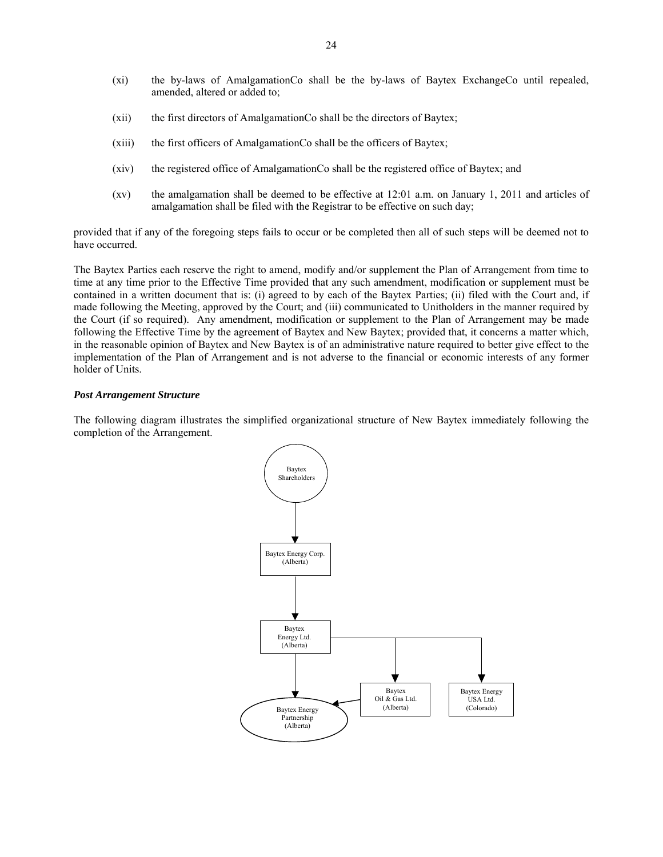- (xi) the by-laws of AmalgamationCo shall be the by-laws of Baytex ExchangeCo until repealed, amended, altered or added to;
- (xii) the first directors of AmalgamationCo shall be the directors of Baytex;
- (xiii) the first officers of AmalgamationCo shall be the officers of Baytex;
- (xiv) the registered office of AmalgamationCo shall be the registered office of Baytex; and
- (xv) the amalgamation shall be deemed to be effective at 12:01 a.m. on January 1, 2011 and articles of amalgamation shall be filed with the Registrar to be effective on such day;

provided that if any of the foregoing steps fails to occur or be completed then all of such steps will be deemed not to have occurred.

The Baytex Parties each reserve the right to amend, modify and/or supplement the Plan of Arrangement from time to time at any time prior to the Effective Time provided that any such amendment, modification or supplement must be contained in a written document that is: (i) agreed to by each of the Baytex Parties; (ii) filed with the Court and, if made following the Meeting, approved by the Court; and (iii) communicated to Unitholders in the manner required by the Court (if so required). Any amendment, modification or supplement to the Plan of Arrangement may be made following the Effective Time by the agreement of Baytex and New Baytex; provided that, it concerns a matter which, in the reasonable opinion of Baytex and New Baytex is of an administrative nature required to better give effect to the implementation of the Plan of Arrangement and is not adverse to the financial or economic interests of any former holder of Units.

#### *Post Arrangement Structure*

The following diagram illustrates the simplified organizational structure of New Baytex immediately following the completion of the Arrangement.

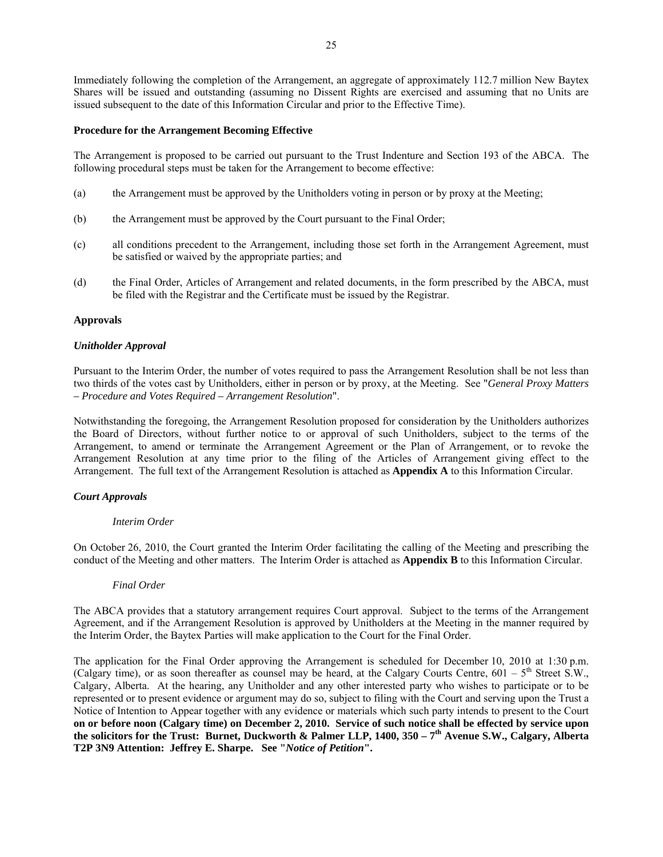Immediately following the completion of the Arrangement, an aggregate of approximately 112.7 million New Baytex Shares will be issued and outstanding (assuming no Dissent Rights are exercised and assuming that no Units are issued subsequent to the date of this Information Circular and prior to the Effective Time).

### **Procedure for the Arrangement Becoming Effective**

The Arrangement is proposed to be carried out pursuant to the Trust Indenture and Section 193 of the ABCA. The following procedural steps must be taken for the Arrangement to become effective:

- (a) the Arrangement must be approved by the Unitholders voting in person or by proxy at the Meeting;
- (b) the Arrangement must be approved by the Court pursuant to the Final Order;
- (c) all conditions precedent to the Arrangement, including those set forth in the Arrangement Agreement, must be satisfied or waived by the appropriate parties; and
- (d) the Final Order, Articles of Arrangement and related documents, in the form prescribed by the ABCA, must be filed with the Registrar and the Certificate must be issued by the Registrar.

### **Approvals**

### *Unitholder Approval*

Pursuant to the Interim Order, the number of votes required to pass the Arrangement Resolution shall be not less than two thirds of the votes cast by Unitholders, either in person or by proxy, at the Meeting. See "*General Proxy Matters – Procedure and Votes Required – Arrangement Resolution*".

Notwithstanding the foregoing, the Arrangement Resolution proposed for consideration by the Unitholders authorizes the Board of Directors, without further notice to or approval of such Unitholders, subject to the terms of the Arrangement, to amend or terminate the Arrangement Agreement or the Plan of Arrangement, or to revoke the Arrangement Resolution at any time prior to the filing of the Articles of Arrangement giving effect to the Arrangement. The full text of the Arrangement Resolution is attached as **Appendix A** to this Information Circular.

### *Court Approvals*

### *Interim Order*

On October 26, 2010, the Court granted the Interim Order facilitating the calling of the Meeting and prescribing the conduct of the Meeting and other matters. The Interim Order is attached as **Appendix B** to this Information Circular.

### *Final Order*

The ABCA provides that a statutory arrangement requires Court approval. Subject to the terms of the Arrangement Agreement, and if the Arrangement Resolution is approved by Unitholders at the Meeting in the manner required by the Interim Order, the Baytex Parties will make application to the Court for the Final Order.

The application for the Final Order approving the Arrangement is scheduled for December 10, 2010 at 1:30 p.m. (Calgary time), or as soon thereafter as counsel may be heard, at the Calgary Courts Centre,  $601 - 5$ <sup>th</sup> Street S.W., Calgary, Alberta. At the hearing, any Unitholder and any other interested party who wishes to participate or to be represented or to present evidence or argument may do so, subject to filing with the Court and serving upon the Trust a Notice of Intention to Appear together with any evidence or materials which such party intends to present to the Court **on or before noon (Calgary time) on December 2, 2010. Service of such notice shall be effected by service upon**  the solicitors for the Trust: Burnet, Duckworth & Palmer LLP, 1400, 350 – 7<sup>th</sup> Avenue S.W., Calgary, Alberta **T2P 3N9 Attention: Jeffrey E. Sharpe. See "***Notice of Petition***".**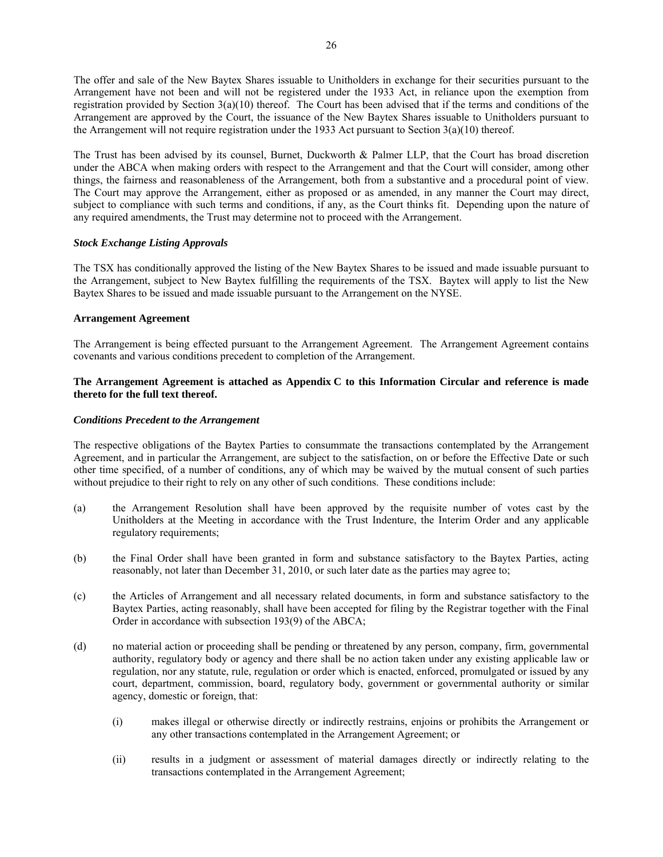The offer and sale of the New Baytex Shares issuable to Unitholders in exchange for their securities pursuant to the Arrangement have not been and will not be registered under the 1933 Act, in reliance upon the exemption from registration provided by Section  $3(a)(10)$  thereof. The Court has been advised that if the terms and conditions of the Arrangement are approved by the Court, the issuance of the New Baytex Shares issuable to Unitholders pursuant to the Arrangement will not require registration under the 1933 Act pursuant to Section 3(a)(10) thereof.

The Trust has been advised by its counsel, Burnet, Duckworth & Palmer LLP, that the Court has broad discretion under the ABCA when making orders with respect to the Arrangement and that the Court will consider, among other things, the fairness and reasonableness of the Arrangement, both from a substantive and a procedural point of view. The Court may approve the Arrangement, either as proposed or as amended, in any manner the Court may direct, subject to compliance with such terms and conditions, if any, as the Court thinks fit. Depending upon the nature of any required amendments, the Trust may determine not to proceed with the Arrangement.

# *Stock Exchange Listing Approvals*

The TSX has conditionally approved the listing of the New Baytex Shares to be issued and made issuable pursuant to the Arrangement, subject to New Baytex fulfilling the requirements of the TSX. Baytex will apply to list the New Baytex Shares to be issued and made issuable pursuant to the Arrangement on the NYSE.

## **Arrangement Agreement**

The Arrangement is being effected pursuant to the Arrangement Agreement. The Arrangement Agreement contains covenants and various conditions precedent to completion of the Arrangement.

# **The Arrangement Agreement is attached as Appendix C to this Information Circular and reference is made thereto for the full text thereof.**

## *Conditions Precedent to the Arrangement*

The respective obligations of the Baytex Parties to consummate the transactions contemplated by the Arrangement Agreement, and in particular the Arrangement, are subject to the satisfaction, on or before the Effective Date or such other time specified, of a number of conditions, any of which may be waived by the mutual consent of such parties without prejudice to their right to rely on any other of such conditions. These conditions include:

- (a) the Arrangement Resolution shall have been approved by the requisite number of votes cast by the Unitholders at the Meeting in accordance with the Trust Indenture, the Interim Order and any applicable regulatory requirements;
- (b) the Final Order shall have been granted in form and substance satisfactory to the Baytex Parties, acting reasonably, not later than December 31, 2010, or such later date as the parties may agree to;
- (c) the Articles of Arrangement and all necessary related documents, in form and substance satisfactory to the Baytex Parties, acting reasonably, shall have been accepted for filing by the Registrar together with the Final Order in accordance with subsection 193(9) of the ABCA;
- (d) no material action or proceeding shall be pending or threatened by any person, company, firm, governmental authority, regulatory body or agency and there shall be no action taken under any existing applicable law or regulation, nor any statute, rule, regulation or order which is enacted, enforced, promulgated or issued by any court, department, commission, board, regulatory body, government or governmental authority or similar agency, domestic or foreign, that:
	- (i) makes illegal or otherwise directly or indirectly restrains, enjoins or prohibits the Arrangement or any other transactions contemplated in the Arrangement Agreement; or
	- (ii) results in a judgment or assessment of material damages directly or indirectly relating to the transactions contemplated in the Arrangement Agreement;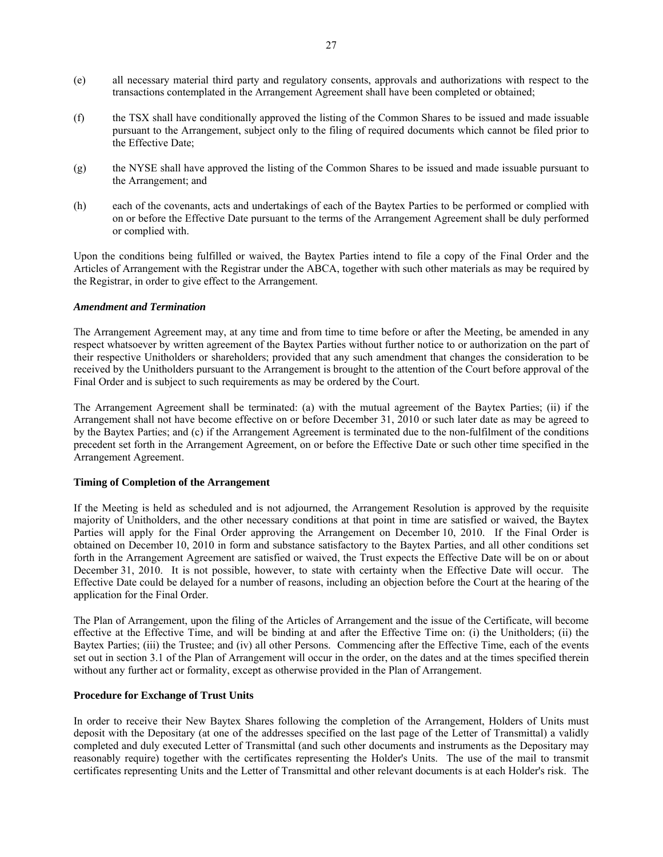- (e) all necessary material third party and regulatory consents, approvals and authorizations with respect to the transactions contemplated in the Arrangement Agreement shall have been completed or obtained;
- (f) the TSX shall have conditionally approved the listing of the Common Shares to be issued and made issuable pursuant to the Arrangement, subject only to the filing of required documents which cannot be filed prior to the Effective Date;
- (g) the NYSE shall have approved the listing of the Common Shares to be issued and made issuable pursuant to the Arrangement; and
- (h) each of the covenants, acts and undertakings of each of the Baytex Parties to be performed or complied with on or before the Effective Date pursuant to the terms of the Arrangement Agreement shall be duly performed or complied with.

Upon the conditions being fulfilled or waived, the Baytex Parties intend to file a copy of the Final Order and the Articles of Arrangement with the Registrar under the ABCA, together with such other materials as may be required by the Registrar, in order to give effect to the Arrangement.

## *Amendment and Termination*

The Arrangement Agreement may, at any time and from time to time before or after the Meeting, be amended in any respect whatsoever by written agreement of the Baytex Parties without further notice to or authorization on the part of their respective Unitholders or shareholders; provided that any such amendment that changes the consideration to be received by the Unitholders pursuant to the Arrangement is brought to the attention of the Court before approval of the Final Order and is subject to such requirements as may be ordered by the Court.

The Arrangement Agreement shall be terminated: (a) with the mutual agreement of the Baytex Parties; (ii) if the Arrangement shall not have become effective on or before December 31, 2010 or such later date as may be agreed to by the Baytex Parties; and (c) if the Arrangement Agreement is terminated due to the non-fulfilment of the conditions precedent set forth in the Arrangement Agreement, on or before the Effective Date or such other time specified in the Arrangement Agreement.

# **Timing of Completion of the Arrangement**

If the Meeting is held as scheduled and is not adjourned, the Arrangement Resolution is approved by the requisite majority of Unitholders, and the other necessary conditions at that point in time are satisfied or waived, the Baytex Parties will apply for the Final Order approving the Arrangement on December 10, 2010. If the Final Order is obtained on December 10, 2010 in form and substance satisfactory to the Baytex Parties, and all other conditions set forth in the Arrangement Agreement are satisfied or waived, the Trust expects the Effective Date will be on or about December 31, 2010. It is not possible, however, to state with certainty when the Effective Date will occur. The Effective Date could be delayed for a number of reasons, including an objection before the Court at the hearing of the application for the Final Order.

The Plan of Arrangement, upon the filing of the Articles of Arrangement and the issue of the Certificate, will become effective at the Effective Time, and will be binding at and after the Effective Time on: (i) the Unitholders; (ii) the Baytex Parties; (iii) the Trustee; and (iv) all other Persons. Commencing after the Effective Time, each of the events set out in section 3.1 of the Plan of Arrangement will occur in the order, on the dates and at the times specified therein without any further act or formality, except as otherwise provided in the Plan of Arrangement.

# **Procedure for Exchange of Trust Units**

In order to receive their New Baytex Shares following the completion of the Arrangement, Holders of Units must deposit with the Depositary (at one of the addresses specified on the last page of the Letter of Transmittal) a validly completed and duly executed Letter of Transmittal (and such other documents and instruments as the Depositary may reasonably require) together with the certificates representing the Holder's Units. The use of the mail to transmit certificates representing Units and the Letter of Transmittal and other relevant documents is at each Holder's risk. The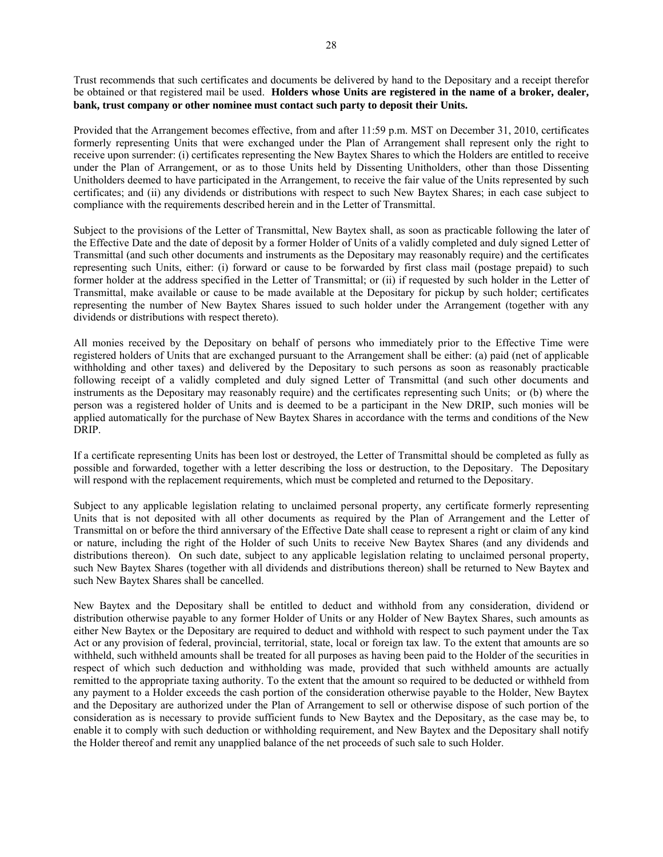Trust recommends that such certificates and documents be delivered by hand to the Depositary and a receipt therefor be obtained or that registered mail be used. **Holders whose Units are registered in the name of a broker, dealer, bank, trust company or other nominee must contact such party to deposit their Units.**

Provided that the Arrangement becomes effective, from and after 11:59 p.m. MST on December 31, 2010, certificates formerly representing Units that were exchanged under the Plan of Arrangement shall represent only the right to receive upon surrender: (i) certificates representing the New Baytex Shares to which the Holders are entitled to receive under the Plan of Arrangement, or as to those Units held by Dissenting Unitholders, other than those Dissenting Unitholders deemed to have participated in the Arrangement, to receive the fair value of the Units represented by such certificates; and (ii) any dividends or distributions with respect to such New Baytex Shares; in each case subject to compliance with the requirements described herein and in the Letter of Transmittal.

Subject to the provisions of the Letter of Transmittal, New Baytex shall, as soon as practicable following the later of the Effective Date and the date of deposit by a former Holder of Units of a validly completed and duly signed Letter of Transmittal (and such other documents and instruments as the Depositary may reasonably require) and the certificates representing such Units, either: (i) forward or cause to be forwarded by first class mail (postage prepaid) to such former holder at the address specified in the Letter of Transmittal; or (ii) if requested by such holder in the Letter of Transmittal, make available or cause to be made available at the Depositary for pickup by such holder; certificates representing the number of New Baytex Shares issued to such holder under the Arrangement (together with any dividends or distributions with respect thereto).

All monies received by the Depositary on behalf of persons who immediately prior to the Effective Time were registered holders of Units that are exchanged pursuant to the Arrangement shall be either: (a) paid (net of applicable withholding and other taxes) and delivered by the Depositary to such persons as soon as reasonably practicable following receipt of a validly completed and duly signed Letter of Transmittal (and such other documents and instruments as the Depositary may reasonably require) and the certificates representing such Units; or (b) where the person was a registered holder of Units and is deemed to be a participant in the New DRIP, such monies will be applied automatically for the purchase of New Baytex Shares in accordance with the terms and conditions of the New DRIP.

If a certificate representing Units has been lost or destroyed, the Letter of Transmittal should be completed as fully as possible and forwarded, together with a letter describing the loss or destruction, to the Depositary. The Depositary will respond with the replacement requirements, which must be completed and returned to the Depositary.

Subject to any applicable legislation relating to unclaimed personal property, any certificate formerly representing Units that is not deposited with all other documents as required by the Plan of Arrangement and the Letter of Transmittal on or before the third anniversary of the Effective Date shall cease to represent a right or claim of any kind or nature, including the right of the Holder of such Units to receive New Baytex Shares (and any dividends and distributions thereon). On such date, subject to any applicable legislation relating to unclaimed personal property, such New Baytex Shares (together with all dividends and distributions thereon) shall be returned to New Baytex and such New Baytex Shares shall be cancelled.

New Baytex and the Depositary shall be entitled to deduct and withhold from any consideration, dividend or distribution otherwise payable to any former Holder of Units or any Holder of New Baytex Shares, such amounts as either New Baytex or the Depositary are required to deduct and withhold with respect to such payment under the Tax Act or any provision of federal, provincial, territorial, state, local or foreign tax law. To the extent that amounts are so withheld, such withheld amounts shall be treated for all purposes as having been paid to the Holder of the securities in respect of which such deduction and withholding was made, provided that such withheld amounts are actually remitted to the appropriate taxing authority. To the extent that the amount so required to be deducted or withheld from any payment to a Holder exceeds the cash portion of the consideration otherwise payable to the Holder, New Baytex and the Depositary are authorized under the Plan of Arrangement to sell or otherwise dispose of such portion of the consideration as is necessary to provide sufficient funds to New Baytex and the Depositary, as the case may be, to enable it to comply with such deduction or withholding requirement, and New Baytex and the Depositary shall notify the Holder thereof and remit any unapplied balance of the net proceeds of such sale to such Holder.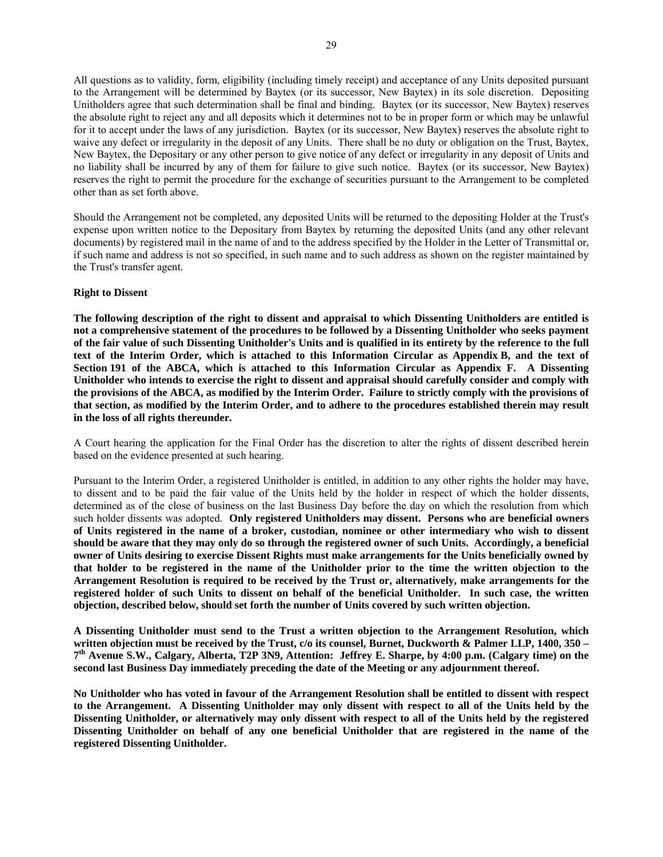All questions as to validity, form, eligibility (including timely receipt) and acceptance of any Units deposited pursuant to the Arrangement will be determined by Baytex (or its successor, New Baytex) in its sole discretion. Depositing Unitholders agree that such determination shall be final and binding. Baytex (or its successor, New Baytex) reserves the absolute right to reject any and all deposits which it determines not to be in proper form or which may be unlawful for it to accept under the laws of any jurisdiction. Baytex (or its successor, New Baytex) reserves the absolute right to waive any defect or irregularity in the deposit of any Units. There shall be no duty or obligation on the Trust, Baytex, New Baytex, the Depositary or any other person to give notice of any defect or irregularity in any deposit of Units and no liability shall be incurred by any of them for failure to give such notice.Baytex (or its successor, New Baytex) reserves the right to permit the procedure for the exchange of securities pursuant to the Arrangement to be completed other than as set forth above.

Should the Arrangement not be completed, any deposited Units will be returned to the depositing Holder at the Trust's expense upon written notice to the Depositary from Baytex by returning the deposited Units (and any other relevant documents) by registered mail in the name of and to the address specified by the Holder in the Letter of Transmittal or, if such name and address is not so specified, in such name and to such address as shown on the register maintained by the Trust's transfer agent.

### **Right to Dissent**

**The following description of the right to dissent and appraisal to which Dissenting Unitholders are entitled is not a comprehensive statement of the procedures to be followed by a Dissenting Unitholder who seeks payment of the fair value of such Dissenting Unitholder's Units and is qualified in its entirety by the reference to the full text of the Interim Order, which is attached to this Information Circular as Appendix B, and the text of Section 191 of the ABCA, which is attached to this Information Circular as Appendix F. A Dissenting Unitholder who intends to exercise the right to dissent and appraisal should carefully consider and comply with the provisions of the ABCA, as modified by the Interim Order. Failure to strictly comply with the provisions of that section, as modified by the Interim Order, and to adhere to the procedures established therein may result in the loss of all rights thereunder.** 

A Court hearing the application for the Final Order has the discretion to alter the rights of dissent described herein based on the evidence presented at such hearing.

Pursuant to the Interim Order, a registered Unitholder is entitled, in addition to any other rights the holder may have, to dissent and to be paid the fair value of the Units held by the holder in respect of which the holder dissents, determined as of the close of business on the last Business Day before the day on which the resolution from which such holder dissents was adopted. **Only registered Unitholders may dissent. Persons who are beneficial owners of Units registered in the name of a broker, custodian, nominee or other intermediary who wish to dissent should be aware that they may only do so through the registered owner of such Units. Accordingly, a beneficial owner of Units desiring to exercise Dissent Rights must make arrangements for the Units beneficially owned by that holder to be registered in the name of the Unitholder prior to the time the written objection to the Arrangement Resolution is required to be received by the Trust or, alternatively, make arrangements for the registered holder of such Units to dissent on behalf of the beneficial Unitholder. In such case, the written objection, described below, should set forth the number of Units covered by such written objection.**

**A Dissenting Unitholder must send to the Trust a written objection to the Arrangement Resolution, which written objection must be received by the Trust, c/o its counsel, Burnet, Duckworth & Palmer LLP, 1400, 350 – 7th Avenue S.W., Calgary, Alberta, T2P 3N9, Attention: Jeffrey E. Sharpe, by 4:00 p.m. (Calgary time) on the second last Business Day immediately preceding the date of the Meeting or any adjournment thereof.** 

**No Unitholder who has voted in favour of the Arrangement Resolution shall be entitled to dissent with respect to the Arrangement. A Dissenting Unitholder may only dissent with respect to all of the Units held by the Dissenting Unitholder, or alternatively may only dissent with respect to all of the Units held by the registered Dissenting Unitholder on behalf of any one beneficial Unitholder that are registered in the name of the registered Dissenting Unitholder.**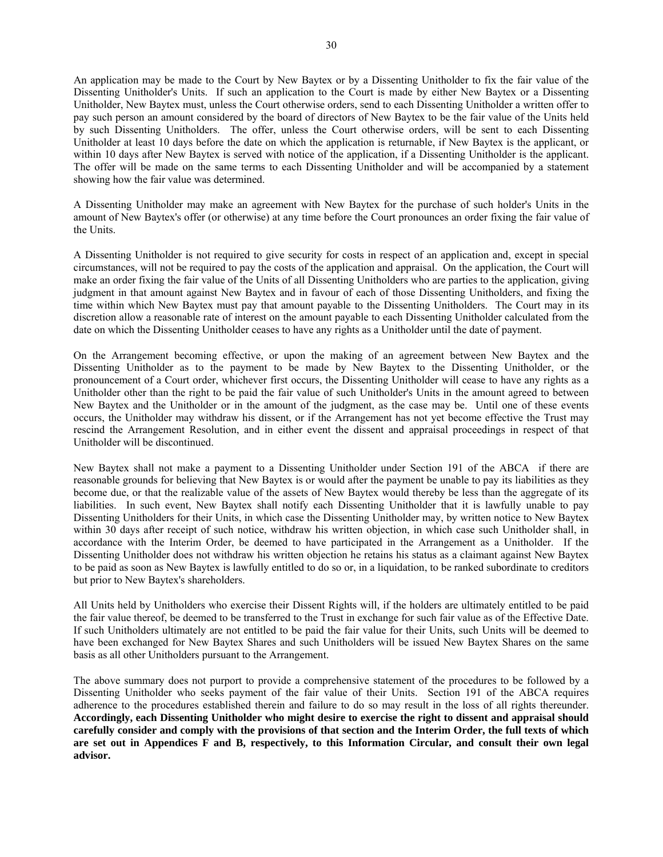An application may be made to the Court by New Baytex or by a Dissenting Unitholder to fix the fair value of the Dissenting Unitholder's Units. If such an application to the Court is made by either New Baytex or a Dissenting Unitholder, New Baytex must, unless the Court otherwise orders, send to each Dissenting Unitholder a written offer to pay such person an amount considered by the board of directors of New Baytex to be the fair value of the Units held by such Dissenting Unitholders. The offer, unless the Court otherwise orders, will be sent to each Dissenting Unitholder at least 10 days before the date on which the application is returnable, if New Baytex is the applicant, or within 10 days after New Baytex is served with notice of the application, if a Dissenting Unitholder is the applicant. The offer will be made on the same terms to each Dissenting Unitholder and will be accompanied by a statement showing how the fair value was determined.

A Dissenting Unitholder may make an agreement with New Baytex for the purchase of such holder's Units in the amount of New Baytex's offer (or otherwise) at any time before the Court pronounces an order fixing the fair value of the Units.

A Dissenting Unitholder is not required to give security for costs in respect of an application and, except in special circumstances, will not be required to pay the costs of the application and appraisal. On the application, the Court will make an order fixing the fair value of the Units of all Dissenting Unitholders who are parties to the application, giving judgment in that amount against New Baytex and in favour of each of those Dissenting Unitholders, and fixing the time within which New Baytex must pay that amount payable to the Dissenting Unitholders. The Court may in its discretion allow a reasonable rate of interest on the amount payable to each Dissenting Unitholder calculated from the date on which the Dissenting Unitholder ceases to have any rights as a Unitholder until the date of payment.

On the Arrangement becoming effective, or upon the making of an agreement between New Baytex and the Dissenting Unitholder as to the payment to be made by New Baytex to the Dissenting Unitholder, or the pronouncement of a Court order, whichever first occurs, the Dissenting Unitholder will cease to have any rights as a Unitholder other than the right to be paid the fair value of such Unitholder's Units in the amount agreed to between New Baytex and the Unitholder or in the amount of the judgment, as the case may be. Until one of these events occurs, the Unitholder may withdraw his dissent, or if the Arrangement has not yet become effective the Trust may rescind the Arrangement Resolution, and in either event the dissent and appraisal proceedings in respect of that Unitholder will be discontinued.

New Baytex shall not make a payment to a Dissenting Unitholder under Section 191 of the ABCA if there are reasonable grounds for believing that New Baytex is or would after the payment be unable to pay its liabilities as they become due, or that the realizable value of the assets of New Baytex would thereby be less than the aggregate of its liabilities. In such event, New Baytex shall notify each Dissenting Unitholder that it is lawfully unable to pay Dissenting Unitholders for their Units, in which case the Dissenting Unitholder may, by written notice to New Baytex within 30 days after receipt of such notice, withdraw his written objection, in which case such Unitholder shall, in accordance with the Interim Order, be deemed to have participated in the Arrangement as a Unitholder. If the Dissenting Unitholder does not withdraw his written objection he retains his status as a claimant against New Baytex to be paid as soon as New Baytex is lawfully entitled to do so or, in a liquidation, to be ranked subordinate to creditors but prior to New Baytex's shareholders.

All Units held by Unitholders who exercise their Dissent Rights will, if the holders are ultimately entitled to be paid the fair value thereof, be deemed to be transferred to the Trust in exchange for such fair value as of the Effective Date. If such Unitholders ultimately are not entitled to be paid the fair value for their Units, such Units will be deemed to have been exchanged for New Baytex Shares and such Unitholders will be issued New Baytex Shares on the same basis as all other Unitholders pursuant to the Arrangement.

The above summary does not purport to provide a comprehensive statement of the procedures to be followed by a Dissenting Unitholder who seeks payment of the fair value of their Units. Section 191 of the ABCA requires adherence to the procedures established therein and failure to do so may result in the loss of all rights thereunder. **Accordingly, each Dissenting Unitholder who might desire to exercise the right to dissent and appraisal should carefully consider and comply with the provisions of that section and the Interim Order, the full texts of which are set out in Appendices F and B, respectively, to this Information Circular, and consult their own legal advisor.**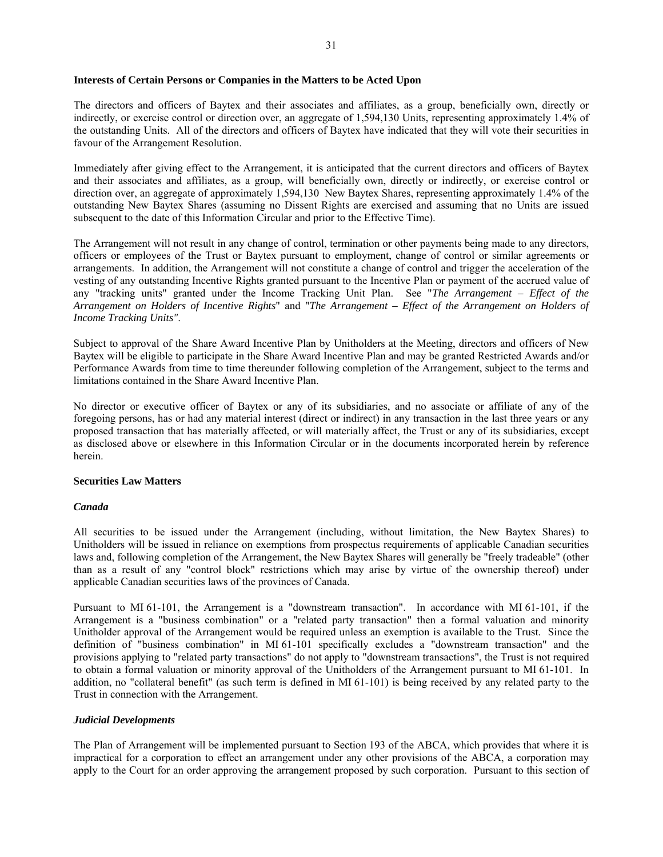### **Interests of Certain Persons or Companies in the Matters to be Acted Upon**

The directors and officers of Baytex and their associates and affiliates, as a group, beneficially own, directly or indirectly, or exercise control or direction over, an aggregate of 1,594,130 Units, representing approximately 1.4% of the outstanding Units. All of the directors and officers of Baytex have indicated that they will vote their securities in favour of the Arrangement Resolution.

Immediately after giving effect to the Arrangement, it is anticipated that the current directors and officers of Baytex and their associates and affiliates, as a group, will beneficially own, directly or indirectly, or exercise control or direction over, an aggregate of approximately 1,594,130 New Baytex Shares, representing approximately 1.4% of the outstanding New Baytex Shares (assuming no Dissent Rights are exercised and assuming that no Units are issued subsequent to the date of this Information Circular and prior to the Effective Time).

The Arrangement will not result in any change of control, termination or other payments being made to any directors, officers or employees of the Trust or Baytex pursuant to employment, change of control or similar agreements or arrangements. In addition, the Arrangement will not constitute a change of control and trigger the acceleration of the vesting of any outstanding Incentive Rights granted pursuant to the Incentive Plan or payment of the accrued value of any "tracking units" granted under the Income Tracking Unit Plan. See "*The Arrangement – Effect of the Arrangement on Holders of Incentive Rights*" and "*The Arrangement – Effect of the Arrangement on Holders of Income Tracking Units"*.

Subject to approval of the Share Award Incentive Plan by Unitholders at the Meeting, directors and officers of New Baytex will be eligible to participate in the Share Award Incentive Plan and may be granted Restricted Awards and/or Performance Awards from time to time thereunder following completion of the Arrangement, subject to the terms and limitations contained in the Share Award Incentive Plan.

No director or executive officer of Baytex or any of its subsidiaries, and no associate or affiliate of any of the foregoing persons, has or had any material interest (direct or indirect) in any transaction in the last three years or any proposed transaction that has materially affected, or will materially affect, the Trust or any of its subsidiaries, except as disclosed above or elsewhere in this Information Circular or in the documents incorporated herein by reference herein.

# **Securities Law Matters**

## *Canada*

All securities to be issued under the Arrangement (including, without limitation, the New Baytex Shares) to Unitholders will be issued in reliance on exemptions from prospectus requirements of applicable Canadian securities laws and, following completion of the Arrangement, the New Baytex Shares will generally be "freely tradeable" (other than as a result of any "control block" restrictions which may arise by virtue of the ownership thereof) under applicable Canadian securities laws of the provinces of Canada.

Pursuant to MI 61-101, the Arrangement is a "downstream transaction". In accordance with MI 61-101, if the Arrangement is a "business combination" or a "related party transaction" then a formal valuation and minority Unitholder approval of the Arrangement would be required unless an exemption is available to the Trust. Since the definition of "business combination" in MI 61-101 specifically excludes a "downstream transaction" and the provisions applying to "related party transactions" do not apply to "downstream transactions", the Trust is not required to obtain a formal valuation or minority approval of the Unitholders of the Arrangement pursuant to MI 61-101. In addition, no "collateral benefit" (as such term is defined in MI 61-101) is being received by any related party to the Trust in connection with the Arrangement.

## *Judicial Developments*

The Plan of Arrangement will be implemented pursuant to Section 193 of the ABCA, which provides that where it is impractical for a corporation to effect an arrangement under any other provisions of the ABCA, a corporation may apply to the Court for an order approving the arrangement proposed by such corporation. Pursuant to this section of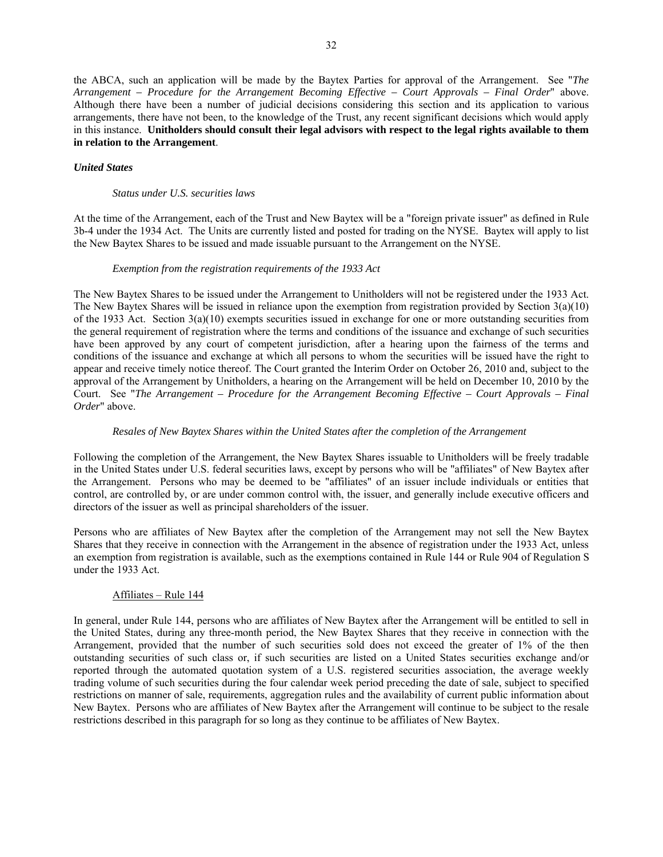the ABCA, such an application will be made by the Baytex Parties for approval of the Arrangement. See "*The Arrangement – Procedure for the Arrangement Becoming Effective – Court Approvals – Final Order*" above. Although there have been a number of judicial decisions considering this section and its application to various arrangements, there have not been, to the knowledge of the Trust, any recent significant decisions which would apply in this instance. **Unitholders should consult their legal advisors with respect to the legal rights available to them in relation to the Arrangement**.

# *United States*

### *Status under U.S. securities laws*

At the time of the Arrangement, each of the Trust and New Baytex will be a "foreign private issuer" as defined in Rule 3b-4 under the 1934 Act. The Units are currently listed and posted for trading on the NYSE. Baytex will apply to list the New Baytex Shares to be issued and made issuable pursuant to the Arrangement on the NYSE.

# *Exemption from the registration requirements of the 1933 Act*

The New Baytex Shares to be issued under the Arrangement to Unitholders will not be registered under the 1933 Act. The New Baytex Shares will be issued in reliance upon the exemption from registration provided by Section 3(a)(10) of the 1933 Act. Section 3(a)(10) exempts securities issued in exchange for one or more outstanding securities from the general requirement of registration where the terms and conditions of the issuance and exchange of such securities have been approved by any court of competent jurisdiction, after a hearing upon the fairness of the terms and conditions of the issuance and exchange at which all persons to whom the securities will be issued have the right to appear and receive timely notice thereof. The Court granted the Interim Order on October 26, 2010 and, subject to the approval of the Arrangement by Unitholders, a hearing on the Arrangement will be held on December 10, 2010 by the Court. See "*The Arrangement – Procedure for the Arrangement Becoming Effective – Court Approvals – Final Order*" above.

## *Resales of New Baytex Shares within the United States after the completion of the Arrangement*

Following the completion of the Arrangement, the New Baytex Shares issuable to Unitholders will be freely tradable in the United States under U.S. federal securities laws, except by persons who will be "affiliates" of New Baytex after the Arrangement. Persons who may be deemed to be "affiliates" of an issuer include individuals or entities that control, are controlled by, or are under common control with, the issuer, and generally include executive officers and directors of the issuer as well as principal shareholders of the issuer.

Persons who are affiliates of New Baytex after the completion of the Arrangement may not sell the New Baytex Shares that they receive in connection with the Arrangement in the absence of registration under the 1933 Act, unless an exemption from registration is available, such as the exemptions contained in Rule 144 or Rule 904 of Regulation S under the 1933 Act.

# Affiliates – Rule 144

In general, under Rule 144, persons who are affiliates of New Baytex after the Arrangement will be entitled to sell in the United States, during any three-month period, the New Baytex Shares that they receive in connection with the Arrangement, provided that the number of such securities sold does not exceed the greater of 1% of the then outstanding securities of such class or, if such securities are listed on a United States securities exchange and/or reported through the automated quotation system of a U.S. registered securities association, the average weekly trading volume of such securities during the four calendar week period preceding the date of sale, subject to specified restrictions on manner of sale, requirements, aggregation rules and the availability of current public information about New Baytex. Persons who are affiliates of New Baytex after the Arrangement will continue to be subject to the resale restrictions described in this paragraph for so long as they continue to be affiliates of New Baytex.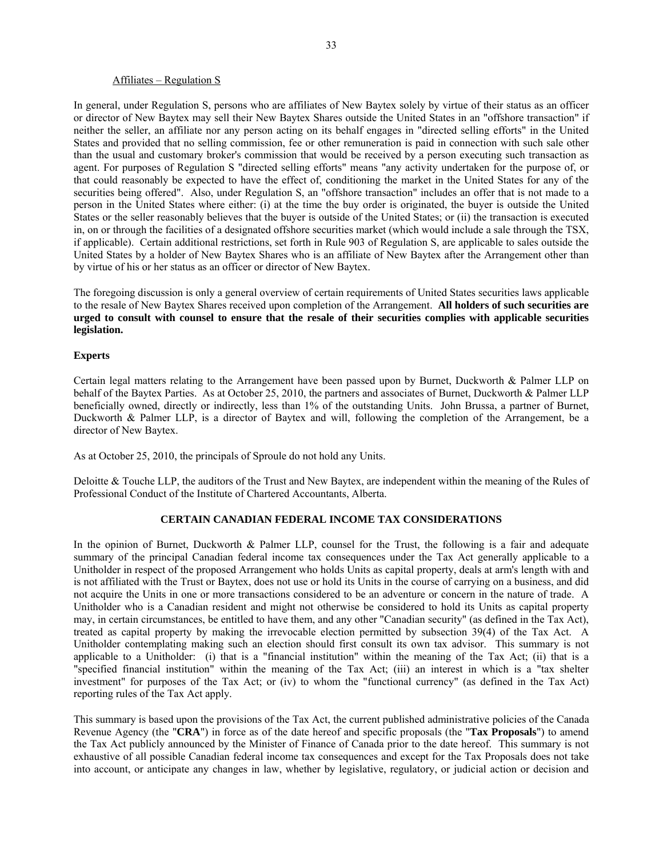### Affiliates – Regulation S

In general, under Regulation S, persons who are affiliates of New Baytex solely by virtue of their status as an officer or director of New Baytex may sell their New Baytex Shares outside the United States in an "offshore transaction" if neither the seller, an affiliate nor any person acting on its behalf engages in "directed selling efforts" in the United States and provided that no selling commission, fee or other remuneration is paid in connection with such sale other than the usual and customary broker's commission that would be received by a person executing such transaction as agent. For purposes of Regulation S "directed selling efforts" means "any activity undertaken for the purpose of, or that could reasonably be expected to have the effect of, conditioning the market in the United States for any of the securities being offered". Also, under Regulation S, an "offshore transaction" includes an offer that is not made to a person in the United States where either: (i) at the time the buy order is originated, the buyer is outside the United States or the seller reasonably believes that the buyer is outside of the United States; or (ii) the transaction is executed in, on or through the facilities of a designated offshore securities market (which would include a sale through the TSX, if applicable). Certain additional restrictions, set forth in Rule 903 of Regulation S, are applicable to sales outside the United States by a holder of New Baytex Shares who is an affiliate of New Baytex after the Arrangement other than by virtue of his or her status as an officer or director of New Baytex.

The foregoing discussion is only a general overview of certain requirements of United States securities laws applicable to the resale of New Baytex Shares received upon completion of the Arrangement. **All holders of such securities are urged to consult with counsel to ensure that the resale of their securities complies with applicable securities legislation.** 

## **Experts**

Certain legal matters relating to the Arrangement have been passed upon by Burnet, Duckworth & Palmer LLP on behalf of the Baytex Parties. As at October 25, 2010, the partners and associates of Burnet, Duckworth & Palmer LLP beneficially owned, directly or indirectly, less than 1% of the outstanding Units. John Brussa, a partner of Burnet, Duckworth & Palmer LLP, is a director of Baytex and will, following the completion of the Arrangement, be a director of New Baytex.

As at October 25, 2010, the principals of Sproule do not hold any Units.

Deloitte & Touche LLP, the auditors of the Trust and New Baytex, are independent within the meaning of the Rules of Professional Conduct of the Institute of Chartered Accountants, Alberta.

## **CERTAIN CANADIAN FEDERAL INCOME TAX CONSIDERATIONS**

In the opinion of Burnet, Duckworth & Palmer LLP, counsel for the Trust, the following is a fair and adequate summary of the principal Canadian federal income tax consequences under the Tax Act generally applicable to a Unitholder in respect of the proposed Arrangement who holds Units as capital property, deals at arm's length with and is not affiliated with the Trust or Baytex, does not use or hold its Units in the course of carrying on a business, and did not acquire the Units in one or more transactions considered to be an adventure or concern in the nature of trade. A Unitholder who is a Canadian resident and might not otherwise be considered to hold its Units as capital property may, in certain circumstances, be entitled to have them, and any other "Canadian security" (as defined in the Tax Act), treated as capital property by making the irrevocable election permitted by subsection 39(4) of the Tax Act. A Unitholder contemplating making such an election should first consult its own tax advisor. This summary is not applicable to a Unitholder: (i) that is a "financial institution" within the meaning of the Tax Act; (ii) that is a "specified financial institution" within the meaning of the Tax Act; (iii) an interest in which is a "tax shelter investment" for purposes of the Tax Act; or (iv) to whom the "functional currency" (as defined in the Tax Act) reporting rules of the Tax Act apply.

This summary is based upon the provisions of the Tax Act, the current published administrative policies of the Canada Revenue Agency (the "**CRA**") in force as of the date hereof and specific proposals (the "**Tax Proposals**") to amend the Tax Act publicly announced by the Minister of Finance of Canada prior to the date hereof. This summary is not exhaustive of all possible Canadian federal income tax consequences and except for the Tax Proposals does not take into account, or anticipate any changes in law, whether by legislative, regulatory, or judicial action or decision and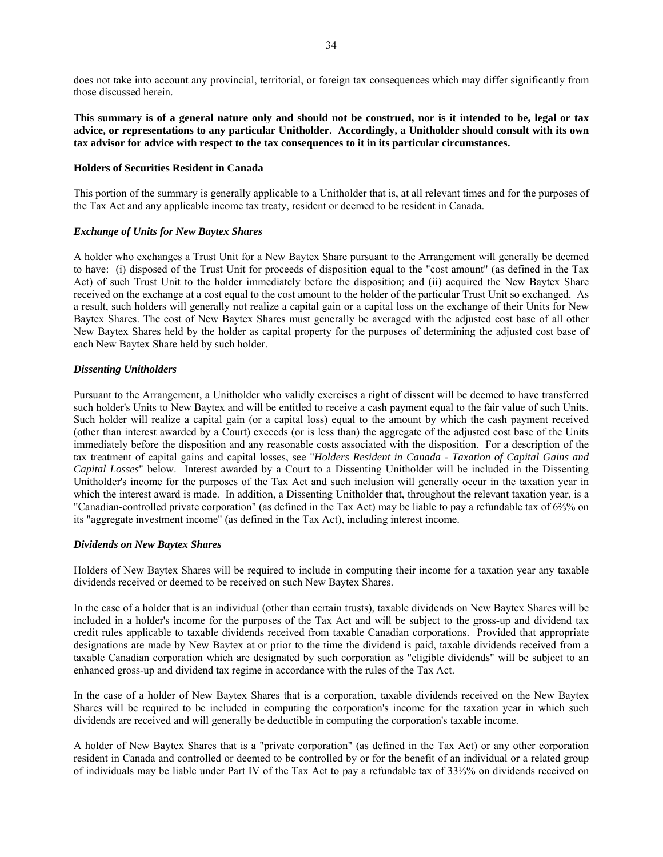does not take into account any provincial, territorial, or foreign tax consequences which may differ significantly from those discussed herein.

**This summary is of a general nature only and should not be construed, nor is it intended to be, legal or tax advice, or representations to any particular Unitholder. Accordingly, a Unitholder should consult with its own tax advisor for advice with respect to the tax consequences to it in its particular circumstances.** 

### **Holders of Securities Resident in Canada**

This portion of the summary is generally applicable to a Unitholder that is, at all relevant times and for the purposes of the Tax Act and any applicable income tax treaty, resident or deemed to be resident in Canada.

## *Exchange of Units for New Baytex Shares*

A holder who exchanges a Trust Unit for a New Baytex Share pursuant to the Arrangement will generally be deemed to have: (i) disposed of the Trust Unit for proceeds of disposition equal to the "cost amount" (as defined in the Tax Act) of such Trust Unit to the holder immediately before the disposition; and (ii) acquired the New Baytex Share received on the exchange at a cost equal to the cost amount to the holder of the particular Trust Unit so exchanged. As a result, such holders will generally not realize a capital gain or a capital loss on the exchange of their Units for New Baytex Shares. The cost of New Baytex Shares must generally be averaged with the adjusted cost base of all other New Baytex Shares held by the holder as capital property for the purposes of determining the adjusted cost base of each New Baytex Share held by such holder.

### *Dissenting Unitholders*

Pursuant to the Arrangement, a Unitholder who validly exercises a right of dissent will be deemed to have transferred such holder's Units to New Baytex and will be entitled to receive a cash payment equal to the fair value of such Units. Such holder will realize a capital gain (or a capital loss) equal to the amount by which the cash payment received (other than interest awarded by a Court) exceeds (or is less than) the aggregate of the adjusted cost base of the Units immediately before the disposition and any reasonable costs associated with the disposition. For a description of the tax treatment of capital gains and capital losses, see "*Holders Resident in Canada - Taxation of Capital Gains and Capital Losses*" below. Interest awarded by a Court to a Dissenting Unitholder will be included in the Dissenting Unitholder's income for the purposes of the Tax Act and such inclusion will generally occur in the taxation year in which the interest award is made. In addition, a Dissenting Unitholder that, throughout the relevant taxation year, is a "Canadian-controlled private corporation" (as defined in the Tax Act) may be liable to pay a refundable tax of 6⅔% on its "aggregate investment income" (as defined in the Tax Act), including interest income.

## *Dividends on New Baytex Shares*

Holders of New Baytex Shares will be required to include in computing their income for a taxation year any taxable dividends received or deemed to be received on such New Baytex Shares.

In the case of a holder that is an individual (other than certain trusts), taxable dividends on New Baytex Shares will be included in a holder's income for the purposes of the Tax Act and will be subject to the gross-up and dividend tax credit rules applicable to taxable dividends received from taxable Canadian corporations. Provided that appropriate designations are made by New Baytex at or prior to the time the dividend is paid, taxable dividends received from a taxable Canadian corporation which are designated by such corporation as "eligible dividends" will be subject to an enhanced gross-up and dividend tax regime in accordance with the rules of the Tax Act.

In the case of a holder of New Baytex Shares that is a corporation, taxable dividends received on the New Baytex Shares will be required to be included in computing the corporation's income for the taxation year in which such dividends are received and will generally be deductible in computing the corporation's taxable income.

A holder of New Baytex Shares that is a "private corporation" (as defined in the Tax Act) or any other corporation resident in Canada and controlled or deemed to be controlled by or for the benefit of an individual or a related group of individuals may be liable under Part IV of the Tax Act to pay a refundable tax of 33⅓% on dividends received on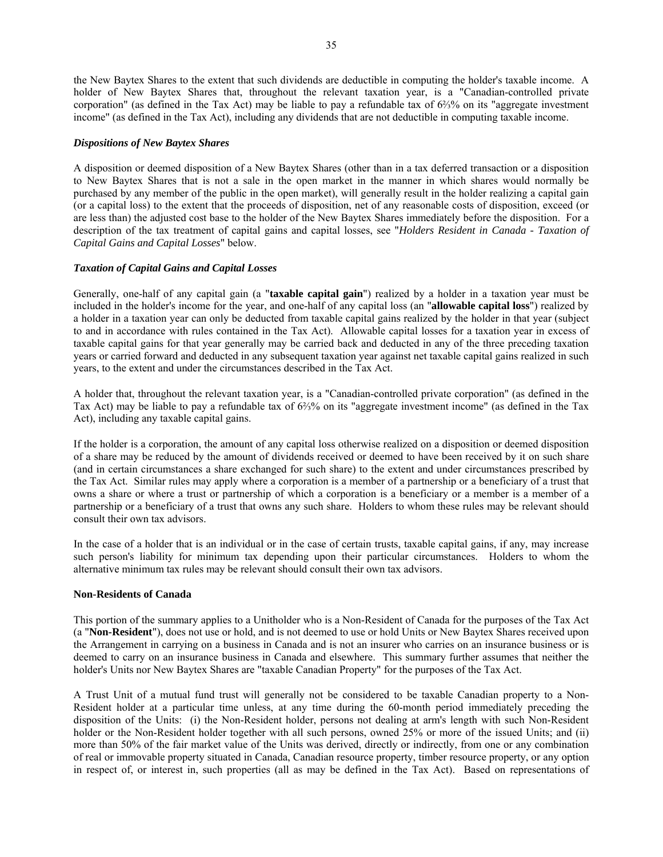the New Baytex Shares to the extent that such dividends are deductible in computing the holder's taxable income. A holder of New Baytex Shares that, throughout the relevant taxation year, is a "Canadian-controlled private corporation" (as defined in the Tax Act) may be liable to pay a refundable tax of 6⅔% on its "aggregate investment income" (as defined in the Tax Act), including any dividends that are not deductible in computing taxable income.

## *Dispositions of New Baytex Shares*

A disposition or deemed disposition of a New Baytex Shares (other than in a tax deferred transaction or a disposition to New Baytex Shares that is not a sale in the open market in the manner in which shares would normally be purchased by any member of the public in the open market), will generally result in the holder realizing a capital gain (or a capital loss) to the extent that the proceeds of disposition, net of any reasonable costs of disposition, exceed (or are less than) the adjusted cost base to the holder of the New Baytex Shares immediately before the disposition. For a description of the tax treatment of capital gains and capital losses, see "*Holders Resident in Canada - Taxation of Capital Gains and Capital Losses*" below.

# *Taxation of Capital Gains and Capital Losses*

Generally, one-half of any capital gain (a "**taxable capital gain**") realized by a holder in a taxation year must be included in the holder's income for the year, and one-half of any capital loss (an "**allowable capital loss**") realized by a holder in a taxation year can only be deducted from taxable capital gains realized by the holder in that year (subject to and in accordance with rules contained in the Tax Act). Allowable capital losses for a taxation year in excess of taxable capital gains for that year generally may be carried back and deducted in any of the three preceding taxation years or carried forward and deducted in any subsequent taxation year against net taxable capital gains realized in such years, to the extent and under the circumstances described in the Tax Act.

A holder that, throughout the relevant taxation year, is a "Canadian-controlled private corporation" (as defined in the Tax Act) may be liable to pay a refundable tax of 6⅔% on its "aggregate investment income" (as defined in the Tax Act), including any taxable capital gains.

If the holder is a corporation, the amount of any capital loss otherwise realized on a disposition or deemed disposition of a share may be reduced by the amount of dividends received or deemed to have been received by it on such share (and in certain circumstances a share exchanged for such share) to the extent and under circumstances prescribed by the Tax Act. Similar rules may apply where a corporation is a member of a partnership or a beneficiary of a trust that owns a share or where a trust or partnership of which a corporation is a beneficiary or a member is a member of a partnership or a beneficiary of a trust that owns any such share. Holders to whom these rules may be relevant should consult their own tax advisors.

In the case of a holder that is an individual or in the case of certain trusts, taxable capital gains, if any, may increase such person's liability for minimum tax depending upon their particular circumstances. Holders to whom the alternative minimum tax rules may be relevant should consult their own tax advisors.

## **Non-Residents of Canada**

This portion of the summary applies to a Unitholder who is a Non-Resident of Canada for the purposes of the Tax Act (a "**Non-Resident**"), does not use or hold, and is not deemed to use or hold Units or New Baytex Shares received upon the Arrangement in carrying on a business in Canada and is not an insurer who carries on an insurance business or is deemed to carry on an insurance business in Canada and elsewhere. This summary further assumes that neither the holder's Units nor New Baytex Shares are "taxable Canadian Property" for the purposes of the Tax Act.

A Trust Unit of a mutual fund trust will generally not be considered to be taxable Canadian property to a Non-Resident holder at a particular time unless, at any time during the 60-month period immediately preceding the disposition of the Units: (i) the Non-Resident holder, persons not dealing at arm's length with such Non-Resident holder or the Non-Resident holder together with all such persons, owned 25% or more of the issued Units; and (ii) more than 50% of the fair market value of the Units was derived, directly or indirectly, from one or any combination of real or immovable property situated in Canada, Canadian resource property, timber resource property, or any option in respect of, or interest in, such properties (all as may be defined in the Tax Act). Based on representations of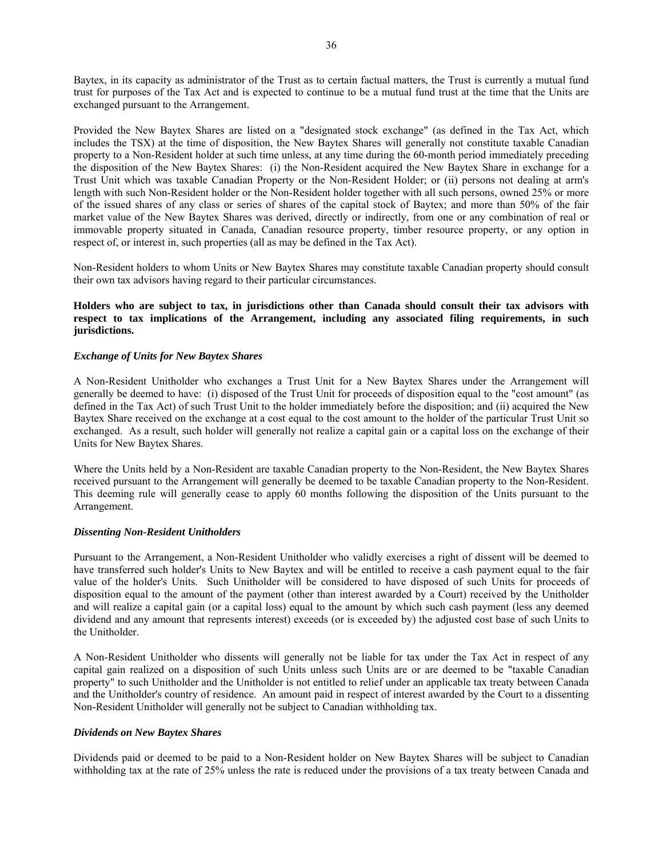Baytex, in its capacity as administrator of the Trust as to certain factual matters, the Trust is currently a mutual fund trust for purposes of the Tax Act and is expected to continue to be a mutual fund trust at the time that the Units are exchanged pursuant to the Arrangement.

Provided the New Baytex Shares are listed on a "designated stock exchange" (as defined in the Tax Act, which includes the TSX) at the time of disposition, the New Baytex Shares will generally not constitute taxable Canadian property to a Non-Resident holder at such time unless, at any time during the 60-month period immediately preceding the disposition of the New Baytex Shares: (i) the Non-Resident acquired the New Baytex Share in exchange for a Trust Unit which was taxable Canadian Property or the Non-Resident Holder; or (ii) persons not dealing at arm's length with such Non-Resident holder or the Non-Resident holder together with all such persons, owned 25% or more of the issued shares of any class or series of shares of the capital stock of Baytex; and more than 50% of the fair market value of the New Baytex Shares was derived, directly or indirectly, from one or any combination of real or immovable property situated in Canada, Canadian resource property, timber resource property, or any option in respect of, or interest in, such properties (all as may be defined in the Tax Act).

Non-Resident holders to whom Units or New Baytex Shares may constitute taxable Canadian property should consult their own tax advisors having regard to their particular circumstances.

# **Holders who are subject to tax, in jurisdictions other than Canada should consult their tax advisors with respect to tax implications of the Arrangement, including any associated filing requirements, in such jurisdictions.**

# *Exchange of Units for New Baytex Shares*

A Non-Resident Unitholder who exchanges a Trust Unit for a New Baytex Shares under the Arrangement will generally be deemed to have: (i) disposed of the Trust Unit for proceeds of disposition equal to the "cost amount" (as defined in the Tax Act) of such Trust Unit to the holder immediately before the disposition; and (ii) acquired the New Baytex Share received on the exchange at a cost equal to the cost amount to the holder of the particular Trust Unit so exchanged. As a result, such holder will generally not realize a capital gain or a capital loss on the exchange of their Units for New Baytex Shares.

Where the Units held by a Non-Resident are taxable Canadian property to the Non-Resident, the New Baytex Shares received pursuant to the Arrangement will generally be deemed to be taxable Canadian property to the Non-Resident. This deeming rule will generally cease to apply 60 months following the disposition of the Units pursuant to the Arrangement.

### *Dissenting Non-Resident Unitholders*

Pursuant to the Arrangement, a Non-Resident Unitholder who validly exercises a right of dissent will be deemed to have transferred such holder's Units to New Baytex and will be entitled to receive a cash payment equal to the fair value of the holder's Units. Such Unitholder will be considered to have disposed of such Units for proceeds of disposition equal to the amount of the payment (other than interest awarded by a Court) received by the Unitholder and will realize a capital gain (or a capital loss) equal to the amount by which such cash payment (less any deemed dividend and any amount that represents interest) exceeds (or is exceeded by) the adjusted cost base of such Units to the Unitholder.

A Non-Resident Unitholder who dissents will generally not be liable for tax under the Tax Act in respect of any capital gain realized on a disposition of such Units unless such Units are or are deemed to be "taxable Canadian property" to such Unitholder and the Unitholder is not entitled to relief under an applicable tax treaty between Canada and the Unitholder's country of residence. An amount paid in respect of interest awarded by the Court to a dissenting Non-Resident Unitholder will generally not be subject to Canadian withholding tax.

## *Dividends on New Baytex Shares*

Dividends paid or deemed to be paid to a Non-Resident holder on New Baytex Shares will be subject to Canadian withholding tax at the rate of 25% unless the rate is reduced under the provisions of a tax treaty between Canada and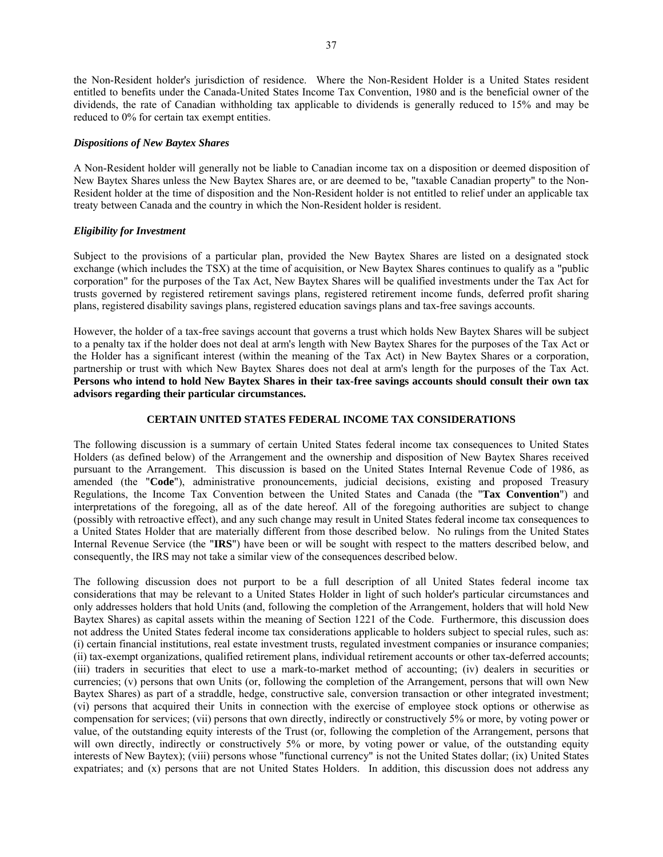the Non-Resident holder's jurisdiction of residence. Where the Non-Resident Holder is a United States resident entitled to benefits under the Canada-United States Income Tax Convention, 1980 and is the beneficial owner of the dividends, the rate of Canadian withholding tax applicable to dividends is generally reduced to 15% and may be reduced to 0% for certain tax exempt entities.

## *Dispositions of New Baytex Shares*

A Non-Resident holder will generally not be liable to Canadian income tax on a disposition or deemed disposition of New Baytex Shares unless the New Baytex Shares are, or are deemed to be, "taxable Canadian property" to the Non-Resident holder at the time of disposition and the Non-Resident holder is not entitled to relief under an applicable tax treaty between Canada and the country in which the Non-Resident holder is resident.

# *Eligibility for Investment*

Subject to the provisions of a particular plan, provided the New Baytex Shares are listed on a designated stock exchange (which includes the TSX) at the time of acquisition, or New Baytex Shares continues to qualify as a "public corporation" for the purposes of the Tax Act, New Baytex Shares will be qualified investments under the Tax Act for trusts governed by registered retirement savings plans, registered retirement income funds, deferred profit sharing plans, registered disability savings plans, registered education savings plans and tax-free savings accounts.

However, the holder of a tax-free savings account that governs a trust which holds New Baytex Shares will be subject to a penalty tax if the holder does not deal at arm's length with New Baytex Shares for the purposes of the Tax Act or the Holder has a significant interest (within the meaning of the Tax Act) in New Baytex Shares or a corporation, partnership or trust with which New Baytex Shares does not deal at arm's length for the purposes of the Tax Act. **Persons who intend to hold New Baytex Shares in their tax-free savings accounts should consult their own tax advisors regarding their particular circumstances.**

# **CERTAIN UNITED STATES FEDERAL INCOME TAX CONSIDERATIONS**

The following discussion is a summary of certain United States federal income tax consequences to United States Holders (as defined below) of the Arrangement and the ownership and disposition of New Baytex Shares received pursuant to the Arrangement. This discussion is based on the United States Internal Revenue Code of 1986, as amended (the "**Code**"), administrative pronouncements, judicial decisions, existing and proposed Treasury Regulations, the Income Tax Convention between the United States and Canada (the "**Tax Convention**") and interpretations of the foregoing, all as of the date hereof. All of the foregoing authorities are subject to change (possibly with retroactive effect), and any such change may result in United States federal income tax consequences to a United States Holder that are materially different from those described below. No rulings from the United States Internal Revenue Service (the "**IRS**") have been or will be sought with respect to the matters described below, and consequently, the IRS may not take a similar view of the consequences described below.

The following discussion does not purport to be a full description of all United States federal income tax considerations that may be relevant to a United States Holder in light of such holder's particular circumstances and only addresses holders that hold Units (and, following the completion of the Arrangement, holders that will hold New Baytex Shares) as capital assets within the meaning of Section 1221 of the Code. Furthermore, this discussion does not address the United States federal income tax considerations applicable to holders subject to special rules, such as: (i) certain financial institutions, real estate investment trusts, regulated investment companies or insurance companies; (ii) tax-exempt organizations, qualified retirement plans, individual retirement accounts or other tax-deferred accounts; (iii) traders in securities that elect to use a mark-to-market method of accounting; (iv) dealers in securities or currencies; (v) persons that own Units (or, following the completion of the Arrangement, persons that will own New Baytex Shares) as part of a straddle, hedge, constructive sale, conversion transaction or other integrated investment; (vi) persons that acquired their Units in connection with the exercise of employee stock options or otherwise as compensation for services; (vii) persons that own directly, indirectly or constructively 5% or more, by voting power or value, of the outstanding equity interests of the Trust (or, following the completion of the Arrangement, persons that will own directly, indirectly or constructively 5% or more, by voting power or value, of the outstanding equity interests of New Baytex); (viii) persons whose "functional currency" is not the United States dollar; (ix) United States expatriates; and (x) persons that are not United States Holders. In addition, this discussion does not address any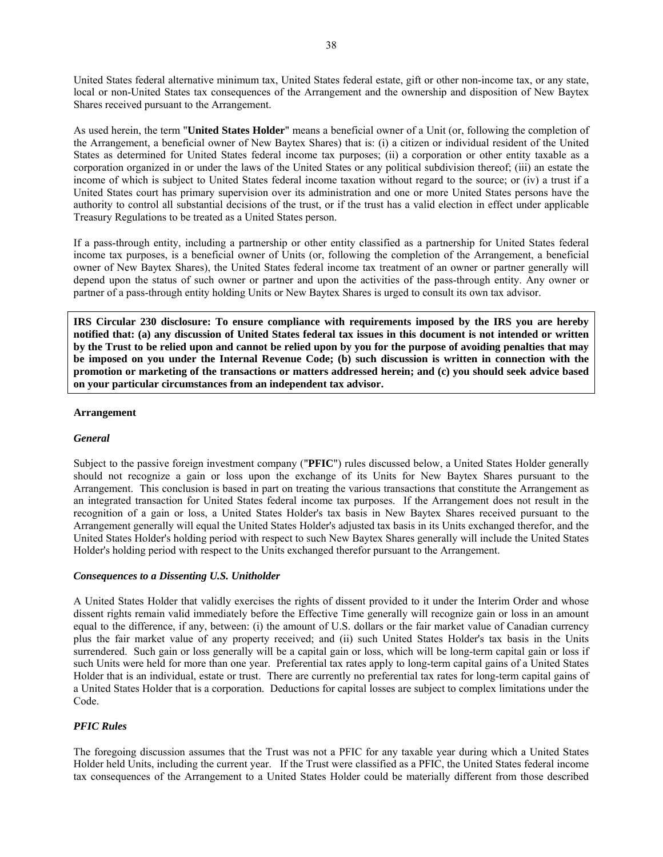United States federal alternative minimum tax, United States federal estate, gift or other non-income tax, or any state, local or non-United States tax consequences of the Arrangement and the ownership and disposition of New Baytex Shares received pursuant to the Arrangement.

As used herein, the term "**United States Holder**" means a beneficial owner of a Unit (or, following the completion of the Arrangement, a beneficial owner of New Baytex Shares) that is: (i) a citizen or individual resident of the United States as determined for United States federal income tax purposes; (ii) a corporation or other entity taxable as a corporation organized in or under the laws of the United States or any political subdivision thereof; (iii) an estate the income of which is subject to United States federal income taxation without regard to the source; or (iv) a trust if a United States court has primary supervision over its administration and one or more United States persons have the authority to control all substantial decisions of the trust, or if the trust has a valid election in effect under applicable Treasury Regulations to be treated as a United States person.

If a pass-through entity, including a partnership or other entity classified as a partnership for United States federal income tax purposes, is a beneficial owner of Units (or, following the completion of the Arrangement, a beneficial owner of New Baytex Shares), the United States federal income tax treatment of an owner or partner generally will depend upon the status of such owner or partner and upon the activities of the pass-through entity. Any owner or partner of a pass-through entity holding Units or New Baytex Shares is urged to consult its own tax advisor.

**IRS Circular 230 disclosure: To ensure compliance with requirements imposed by the IRS you are hereby notified that: (a) any discussion of United States federal tax issues in this document is not intended or written by the Trust to be relied upon and cannot be relied upon by you for the purpose of avoiding penalties that may be imposed on you under the Internal Revenue Code; (b) such discussion is written in connection with the promotion or marketing of the transactions or matters addressed herein; and (c) you should seek advice based on your particular circumstances from an independent tax advisor.** 

## **Arrangement**

# *General*

Subject to the passive foreign investment company ("**PFIC**") rules discussed below, a United States Holder generally should not recognize a gain or loss upon the exchange of its Units for New Baytex Shares pursuant to the Arrangement. This conclusion is based in part on treating the various transactions that constitute the Arrangement as an integrated transaction for United States federal income tax purposes. If the Arrangement does not result in the recognition of a gain or loss, a United States Holder's tax basis in New Baytex Shares received pursuant to the Arrangement generally will equal the United States Holder's adjusted tax basis in its Units exchanged therefor, and the United States Holder's holding period with respect to such New Baytex Shares generally will include the United States Holder's holding period with respect to the Units exchanged therefor pursuant to the Arrangement.

## *Consequences to a Dissenting U.S. Unitholder*

A United States Holder that validly exercises the rights of dissent provided to it under the Interim Order and whose dissent rights remain valid immediately before the Effective Time generally will recognize gain or loss in an amount equal to the difference, if any, between: (i) the amount of U.S. dollars or the fair market value of Canadian currency plus the fair market value of any property received; and (ii) such United States Holder's tax basis in the Units surrendered. Such gain or loss generally will be a capital gain or loss, which will be long-term capital gain or loss if such Units were held for more than one year. Preferential tax rates apply to long-term capital gains of a United States Holder that is an individual, estate or trust. There are currently no preferential tax rates for long-term capital gains of a United States Holder that is a corporation. Deductions for capital losses are subject to complex limitations under the Code.

# *PFIC Rules*

The foregoing discussion assumes that the Trust was not a PFIC for any taxable year during which a United States Holder held Units, including the current year. If the Trust were classified as a PFIC, the United States federal income tax consequences of the Arrangement to a United States Holder could be materially different from those described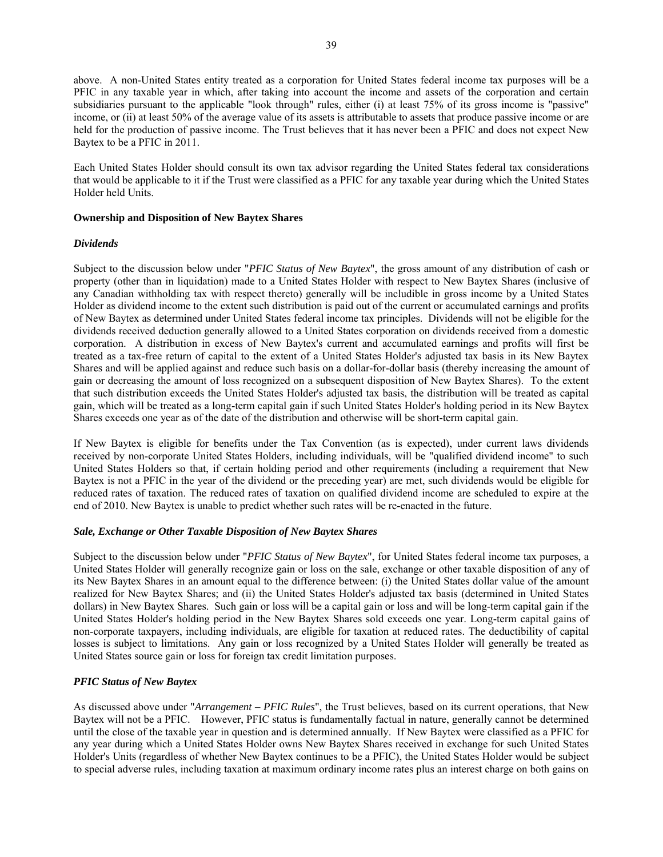above. A non-United States entity treated as a corporation for United States federal income tax purposes will be a PFIC in any taxable year in which, after taking into account the income and assets of the corporation and certain subsidiaries pursuant to the applicable "look through" rules, either (i) at least 75% of its gross income is "passive" income, or (ii) at least 50% of the average value of its assets is attributable to assets that produce passive income or are held for the production of passive income. The Trust believes that it has never been a PFIC and does not expect New Baytex to be a PFIC in 2011.

Each United States Holder should consult its own tax advisor regarding the United States federal tax considerations that would be applicable to it if the Trust were classified as a PFIC for any taxable year during which the United States Holder held Units.

## **Ownership and Disposition of New Baytex Shares**

# *Dividends*

Subject to the discussion below under "*PFIC Status of New Baytex*", the gross amount of any distribution of cash or property (other than in liquidation) made to a United States Holder with respect to New Baytex Shares (inclusive of any Canadian withholding tax with respect thereto) generally will be includible in gross income by a United States Holder as dividend income to the extent such distribution is paid out of the current or accumulated earnings and profits of New Baytex as determined under United States federal income tax principles. Dividends will not be eligible for the dividends received deduction generally allowed to a United States corporation on dividends received from a domestic corporation. A distribution in excess of New Baytex's current and accumulated earnings and profits will first be treated as a tax-free return of capital to the extent of a United States Holder's adjusted tax basis in its New Baytex Shares and will be applied against and reduce such basis on a dollar-for-dollar basis (thereby increasing the amount of gain or decreasing the amount of loss recognized on a subsequent disposition of New Baytex Shares). To the extent that such distribution exceeds the United States Holder's adjusted tax basis, the distribution will be treated as capital gain, which will be treated as a long-term capital gain if such United States Holder's holding period in its New Baytex Shares exceeds one year as of the date of the distribution and otherwise will be short-term capital gain.

If New Baytex is eligible for benefits under the Tax Convention (as is expected), under current laws dividends received by non-corporate United States Holders, including individuals, will be "qualified dividend income" to such United States Holders so that, if certain holding period and other requirements (including a requirement that New Baytex is not a PFIC in the year of the dividend or the preceding year) are met, such dividends would be eligible for reduced rates of taxation. The reduced rates of taxation on qualified dividend income are scheduled to expire at the end of 2010. New Baytex is unable to predict whether such rates will be re-enacted in the future.

## *Sale, Exchange or Other Taxable Disposition of New Baytex Shares*

Subject to the discussion below under "*PFIC Status of New Baytex*", for United States federal income tax purposes, a United States Holder will generally recognize gain or loss on the sale, exchange or other taxable disposition of any of its New Baytex Shares in an amount equal to the difference between: (i) the United States dollar value of the amount realized for New Baytex Shares; and (ii) the United States Holder's adjusted tax basis (determined in United States dollars) in New Baytex Shares. Such gain or loss will be a capital gain or loss and will be long-term capital gain if the United States Holder's holding period in the New Baytex Shares sold exceeds one year. Long-term capital gains of non-corporate taxpayers, including individuals, are eligible for taxation at reduced rates. The deductibility of capital losses is subject to limitations. Any gain or loss recognized by a United States Holder will generally be treated as United States source gain or loss for foreign tax credit limitation purposes.

# *PFIC Status of New Baytex*

As discussed above under "*Arrangement – PFIC Rules*", the Trust believes, based on its current operations, that New Baytex will not be a PFIC. However, PFIC status is fundamentally factual in nature, generally cannot be determined until the close of the taxable year in question and is determined annually. If New Baytex were classified as a PFIC for any year during which a United States Holder owns New Baytex Shares received in exchange for such United States Holder's Units (regardless of whether New Baytex continues to be a PFIC), the United States Holder would be subject to special adverse rules, including taxation at maximum ordinary income rates plus an interest charge on both gains on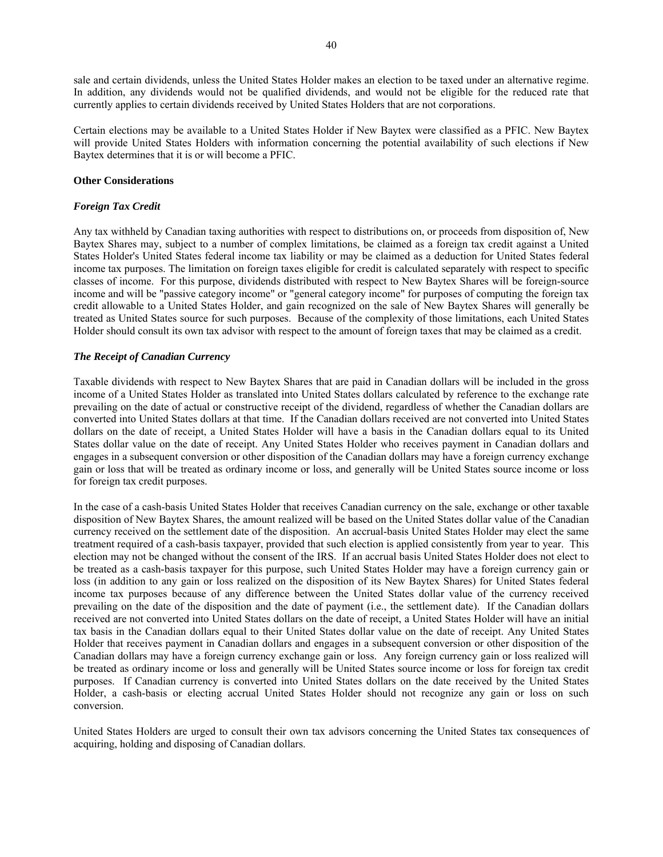sale and certain dividends, unless the United States Holder makes an election to be taxed under an alternative regime. In addition, any dividends would not be qualified dividends, and would not be eligible for the reduced rate that currently applies to certain dividends received by United States Holders that are not corporations.

Certain elections may be available to a United States Holder if New Baytex were classified as a PFIC. New Baytex will provide United States Holders with information concerning the potential availability of such elections if New Baytex determines that it is or will become a PFIC.

# **Other Considerations**

# *Foreign Tax Credit*

Any tax withheld by Canadian taxing authorities with respect to distributions on, or proceeds from disposition of, New Baytex Shares may, subject to a number of complex limitations, be claimed as a foreign tax credit against a United States Holder's United States federal income tax liability or may be claimed as a deduction for United States federal income tax purposes. The limitation on foreign taxes eligible for credit is calculated separately with respect to specific classes of income. For this purpose, dividends distributed with respect to New Baytex Shares will be foreign-source income and will be "passive category income" or "general category income" for purposes of computing the foreign tax credit allowable to a United States Holder, and gain recognized on the sale of New Baytex Shares will generally be treated as United States source for such purposes. Because of the complexity of those limitations, each United States Holder should consult its own tax advisor with respect to the amount of foreign taxes that may be claimed as a credit.

# *The Receipt of Canadian Currency*

Taxable dividends with respect to New Baytex Shares that are paid in Canadian dollars will be included in the gross income of a United States Holder as translated into United States dollars calculated by reference to the exchange rate prevailing on the date of actual or constructive receipt of the dividend, regardless of whether the Canadian dollars are converted into United States dollars at that time. If the Canadian dollars received are not converted into United States dollars on the date of receipt, a United States Holder will have a basis in the Canadian dollars equal to its United States dollar value on the date of receipt. Any United States Holder who receives payment in Canadian dollars and engages in a subsequent conversion or other disposition of the Canadian dollars may have a foreign currency exchange gain or loss that will be treated as ordinary income or loss, and generally will be United States source income or loss for foreign tax credit purposes.

In the case of a cash-basis United States Holder that receives Canadian currency on the sale, exchange or other taxable disposition of New Baytex Shares, the amount realized will be based on the United States dollar value of the Canadian currency received on the settlement date of the disposition. An accrual-basis United States Holder may elect the same treatment required of a cash-basis taxpayer, provided that such election is applied consistently from year to year. This election may not be changed without the consent of the IRS. If an accrual basis United States Holder does not elect to be treated as a cash-basis taxpayer for this purpose, such United States Holder may have a foreign currency gain or loss (in addition to any gain or loss realized on the disposition of its New Baytex Shares) for United States federal income tax purposes because of any difference between the United States dollar value of the currency received prevailing on the date of the disposition and the date of payment (i.e., the settlement date). If the Canadian dollars received are not converted into United States dollars on the date of receipt, a United States Holder will have an initial tax basis in the Canadian dollars equal to their United States dollar value on the date of receipt. Any United States Holder that receives payment in Canadian dollars and engages in a subsequent conversion or other disposition of the Canadian dollars may have a foreign currency exchange gain or loss. Any foreign currency gain or loss realized will be treated as ordinary income or loss and generally will be United States source income or loss for foreign tax credit purposes. If Canadian currency is converted into United States dollars on the date received by the United States Holder, a cash-basis or electing accrual United States Holder should not recognize any gain or loss on such conversion.

United States Holders are urged to consult their own tax advisors concerning the United States tax consequences of acquiring, holding and disposing of Canadian dollars.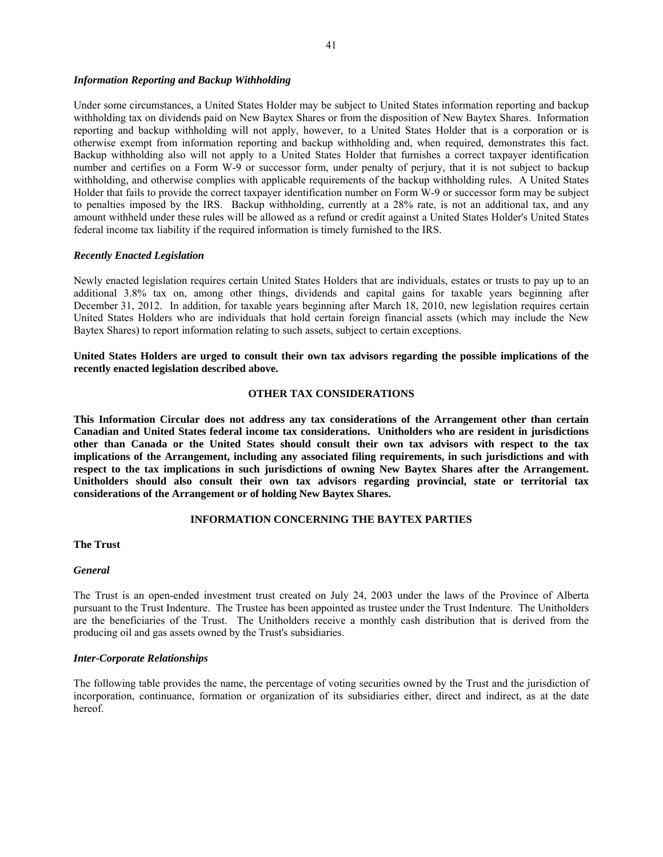### *Information Reporting and Backup Withholding*

Under some circumstances, a United States Holder may be subject to United States information reporting and backup withholding tax on dividends paid on New Baytex Shares or from the disposition of New Baytex Shares. Information reporting and backup withholding will not apply, however, to a United States Holder that is a corporation or is otherwise exempt from information reporting and backup withholding and, when required, demonstrates this fact. Backup withholding also will not apply to a United States Holder that furnishes a correct taxpayer identification number and certifies on a Form W-9 or successor form, under penalty of perjury, that it is not subject to backup withholding, and otherwise complies with applicable requirements of the backup withholding rules. A United States Holder that fails to provide the correct taxpayer identification number on Form W-9 or successor form may be subject to penalties imposed by the IRS. Backup withholding, currently at a 28% rate, is not an additional tax, and any amount withheld under these rules will be allowed as a refund or credit against a United States Holder's United States federal income tax liability if the required information is timely furnished to the IRS.

# *Recently Enacted Legislation*

Newly enacted legislation requires certain United States Holders that are individuals, estates or trusts to pay up to an additional 3.8% tax on, among other things, dividends and capital gains for taxable years beginning after December 31, 2012. In addition, for taxable years beginning after March 18, 2010, new legislation requires certain United States Holders who are individuals that hold certain foreign financial assets (which may include the New Baytex Shares) to report information relating to such assets, subject to certain exceptions.

**United States Holders are urged to consult their own tax advisors regarding the possible implications of the recently enacted legislation described above.** 

### **OTHER TAX CONSIDERATIONS**

**This Information Circular does not address any tax considerations of the Arrangement other than certain Canadian and United States federal income tax considerations. Unitholders who are resident in jurisdictions other than Canada or the United States should consult their own tax advisors with respect to the tax implications of the Arrangement, including any associated filing requirements, in such jurisdictions and with respect to the tax implications in such jurisdictions of owning New Baytex Shares after the Arrangement. Unitholders should also consult their own tax advisors regarding provincial, state or territorial tax considerations of the Arrangement or of holding New Baytex Shares.**

## **INFORMATION CONCERNING THE BAYTEX PARTIES**

#### **The Trust**

#### *General*

The Trust is an open-ended investment trust created on July 24, 2003 under the laws of the Province of Alberta pursuant to the Trust Indenture. The Trustee has been appointed as trustee under the Trust Indenture. The Unitholders are the beneficiaries of the Trust. The Unitholders receive a monthly cash distribution that is derived from the producing oil and gas assets owned by the Trust's subsidiaries.

#### *Inter-Corporate Relationships*

The following table provides the name, the percentage of voting securities owned by the Trust and the jurisdiction of incorporation, continuance, formation or organization of its subsidiaries either, direct and indirect, as at the date hereof.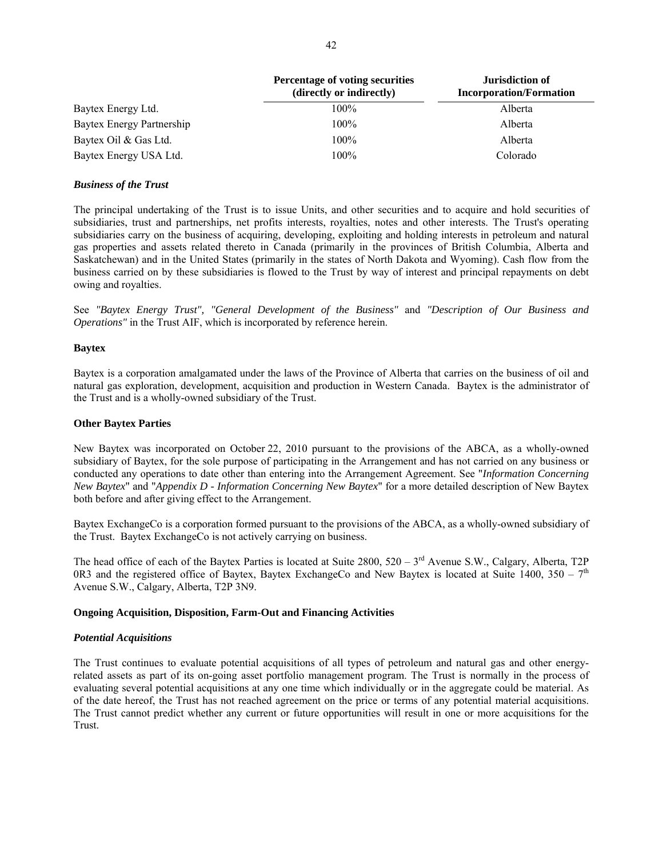|                           | <b>Percentage of voting securities</b><br>(directly or indirectly) | Jurisdiction of<br><b>Incorporation/Formation</b> |  |
|---------------------------|--------------------------------------------------------------------|---------------------------------------------------|--|
| Baytex Energy Ltd.        | $100\%$                                                            | Alberta                                           |  |
| Baytex Energy Partnership | $100\%$                                                            | Alberta                                           |  |
| Baytex Oil & Gas Ltd.     | $100\%$                                                            | Alberta                                           |  |
| Baytex Energy USA Ltd.    | 100%                                                               | Colorado                                          |  |

# *Business of the Trust*

The principal undertaking of the Trust is to issue Units, and other securities and to acquire and hold securities of subsidiaries, trust and partnerships, net profits interests, royalties, notes and other interests. The Trust's operating subsidiaries carry on the business of acquiring, developing, exploiting and holding interests in petroleum and natural gas properties and assets related thereto in Canada (primarily in the provinces of British Columbia, Alberta and Saskatchewan) and in the United States (primarily in the states of North Dakota and Wyoming). Cash flow from the business carried on by these subsidiaries is flowed to the Trust by way of interest and principal repayments on debt owing and royalties.

See *"Baytex Energy Trust", "General Development of the Business"* and *"Description of Our Business and Operations"* in the Trust AIF, which is incorporated by reference herein.

## **Baytex**

Baytex is a corporation amalgamated under the laws of the Province of Alberta that carries on the business of oil and natural gas exploration, development, acquisition and production in Western Canada. Baytex is the administrator of the Trust and is a wholly-owned subsidiary of the Trust.

### **Other Baytex Parties**

New Baytex was incorporated on October 22, 2010 pursuant to the provisions of the ABCA, as a wholly-owned subsidiary of Baytex, for the sole purpose of participating in the Arrangement and has not carried on any business or conducted any operations to date other than entering into the Arrangement Agreement. See "*Information Concerning New Baytex*" and "*Appendix D - Information Concerning New Baytex*" for a more detailed description of New Baytex both before and after giving effect to the Arrangement.

Baytex ExchangeCo is a corporation formed pursuant to the provisions of the ABCA, as a wholly-owned subsidiary of the Trust. Baytex ExchangeCo is not actively carrying on business.

The head office of each of the Baytex Parties is located at Suite  $2800$ ,  $520 - 3<sup>rd</sup>$  Avenue S.W., Calgary, Alberta, T2P 0R3 and the registered office of Baytex, Baytex ExchangeCo and New Baytex is located at Suite 1400,  $350 - 7<sup>th</sup>$ Avenue S.W., Calgary, Alberta, T2P 3N9.

### **Ongoing Acquisition, Disposition, Farm-Out and Financing Activities**

## *Potential Acquisitions*

The Trust continues to evaluate potential acquisitions of all types of petroleum and natural gas and other energyrelated assets as part of its on-going asset portfolio management program. The Trust is normally in the process of evaluating several potential acquisitions at any one time which individually or in the aggregate could be material. As of the date hereof, the Trust has not reached agreement on the price or terms of any potential material acquisitions. The Trust cannot predict whether any current or future opportunities will result in one or more acquisitions for the Trust.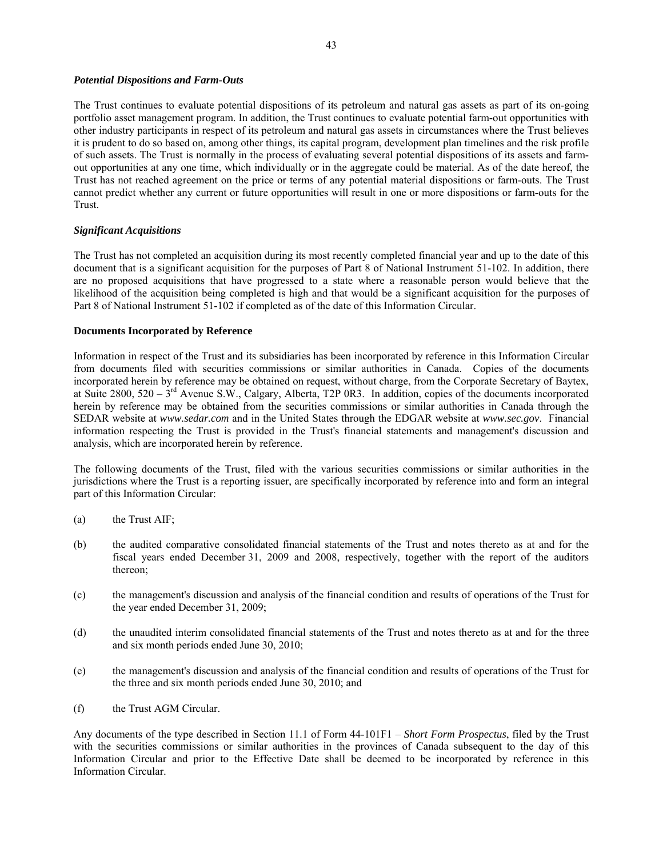## *Potential Dispositions and Farm-Outs*

The Trust continues to evaluate potential dispositions of its petroleum and natural gas assets as part of its on-going portfolio asset management program. In addition, the Trust continues to evaluate potential farm-out opportunities with other industry participants in respect of its petroleum and natural gas assets in circumstances where the Trust believes it is prudent to do so based on, among other things, its capital program, development plan timelines and the risk profile of such assets. The Trust is normally in the process of evaluating several potential dispositions of its assets and farmout opportunities at any one time, which individually or in the aggregate could be material. As of the date hereof, the Trust has not reached agreement on the price or terms of any potential material dispositions or farm-outs. The Trust cannot predict whether any current or future opportunities will result in one or more dispositions or farm-outs for the Trust.

# *Significant Acquisitions*

The Trust has not completed an acquisition during its most recently completed financial year and up to the date of this document that is a significant acquisition for the purposes of Part 8 of National Instrument 51-102. In addition, there are no proposed acquisitions that have progressed to a state where a reasonable person would believe that the likelihood of the acquisition being completed is high and that would be a significant acquisition for the purposes of Part 8 of National Instrument 51-102 if completed as of the date of this Information Circular.

# **Documents Incorporated by Reference**

Information in respect of the Trust and its subsidiaries has been incorporated by reference in this Information Circular from documents filed with securities commissions or similar authorities in Canada. Copies of the documents incorporated herein by reference may be obtained on request, without charge, from the Corporate Secretary of Baytex, at Suite 2800,  $520 - 3^{rd}$  Avenue S.W., Calgary, Alberta, T2P 0R3. In addition, copies of the documents incorporated herein by reference may be obtained from the securities commissions or similar authorities in Canada through the SEDAR website at *www.sedar.com* and in the United States through the EDGAR website at *www.sec.gov*. Financial information respecting the Trust is provided in the Trust's financial statements and management's discussion and analysis, which are incorporated herein by reference.

The following documents of the Trust, filed with the various securities commissions or similar authorities in the jurisdictions where the Trust is a reporting issuer, are specifically incorporated by reference into and form an integral part of this Information Circular:

- (a) the Trust AIF;
- (b) the audited comparative consolidated financial statements of the Trust and notes thereto as at and for the fiscal years ended December 31, 2009 and 2008, respectively, together with the report of the auditors thereon;
- (c) the management's discussion and analysis of the financial condition and results of operations of the Trust for the year ended December 31, 2009;
- (d) the unaudited interim consolidated financial statements of the Trust and notes thereto as at and for the three and six month periods ended June 30, 2010;
- (e) the management's discussion and analysis of the financial condition and results of operations of the Trust for the three and six month periods ended June 30, 2010; and
- (f) the Trust AGM Circular.

Any documents of the type described in Section 11.1 of Form 44-101F1 – *Short Form Prospectus*, filed by the Trust with the securities commissions or similar authorities in the provinces of Canada subsequent to the day of this Information Circular and prior to the Effective Date shall be deemed to be incorporated by reference in this Information Circular.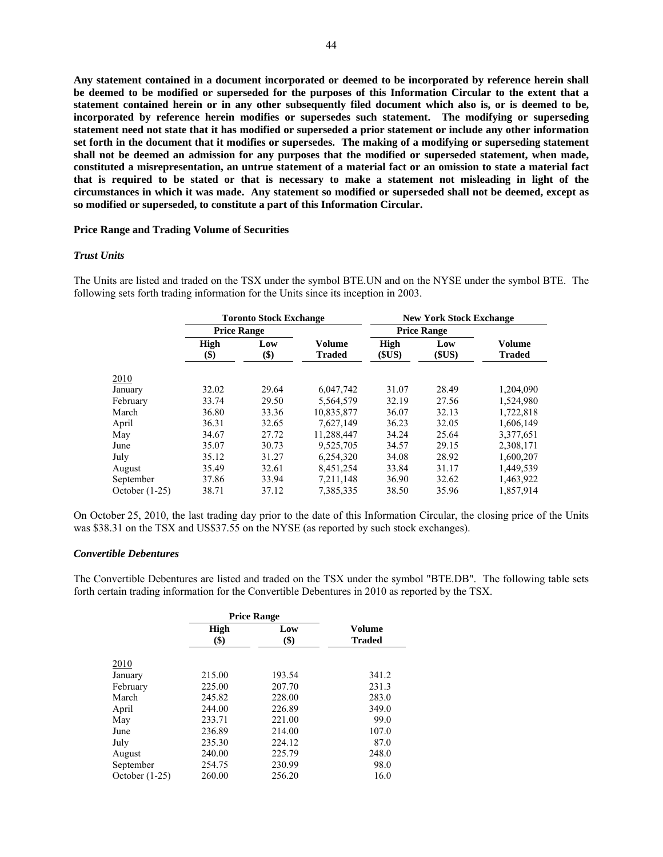**Any statement contained in a document incorporated or deemed to be incorporated by reference herein shall be deemed to be modified or superseded for the purposes of this Information Circular to the extent that a statement contained herein or in any other subsequently filed document which also is, or is deemed to be, incorporated by reference herein modifies or supersedes such statement. The modifying or superseding statement need not state that it has modified or superseded a prior statement or include any other information set forth in the document that it modifies or supersedes. The making of a modifying or superseding statement shall not be deemed an admission for any purposes that the modified or superseded statement, when made, constituted a misrepresentation, an untrue statement of a material fact or an omission to state a material fact that is required to be stated or that is necessary to make a statement not misleading in light of the circumstances in which it was made. Any statement so modified or superseded shall not be deemed, except as so modified or superseded, to constitute a part of this Information Circular.** 

#### **Price Range and Trading Volume of Securities**

### *Trust Units*

The Units are listed and traded on the TSX under the symbol BTE.UN and on the NYSE under the symbol BTE. The following sets forth trading information for the Units since its inception in 2003.

|                |                    | <b>Toronto Stock Exchange</b> |                         | <b>New York Stock Exchange</b> |               |                         |  |
|----------------|--------------------|-------------------------------|-------------------------|--------------------------------|---------------|-------------------------|--|
|                | <b>Price Range</b> |                               |                         | <b>Price Range</b>             |               |                         |  |
|                | <b>High</b><br>\$) | Low<br>\$)                    | Volume<br><b>Traded</b> | <b>High</b><br>(SUS)           | Low<br>(\$US) | Volume<br><b>Traded</b> |  |
| 2010           |                    |                               |                         |                                |               |                         |  |
| January        | 32.02              | 29.64                         | 6,047,742               | 31.07                          | 28.49         | 1,204,090               |  |
| February       | 33.74              | 29.50                         | 5,564,579               | 32.19                          | 27.56         | 1,524,980               |  |
| March          | 36.80              | 33.36                         | 10,835,877              | 36.07                          | 32.13         | 1,722,818               |  |
| April          | 36.31              | 32.65                         | 7,627,149               | 36.23                          | 32.05         | 1,606,149               |  |
| May            | 34.67              | 27.72                         | 11,288,447              | 34.24                          | 25.64         | 3,377,651               |  |
| June           | 35.07              | 30.73                         | 9,525,705               | 34.57                          | 29.15         | 2,308,171               |  |
| July           | 35.12              | 31.27                         | 6,254,320               | 34.08                          | 28.92         | 1,600,207               |  |
| August         | 35.49              | 32.61                         | 8.451.254               | 33.84                          | 31.17         | 1,449,539               |  |
| September      | 37.86              | 33.94                         | 7,211,148               | 36.90                          | 32.62         | 1,463,922               |  |
| October (1-25) | 38.71              | 37.12                         | 7,385,335               | 38.50                          | 35.96         | 1,857,914               |  |

On October 25, 2010, the last trading day prior to the date of this Information Circular, the closing price of the Units was \$38.31 on the TSX and US\$37.55 on the NYSE (as reported by such stock exchanges).

### *Convertible Debentures*

The Convertible Debentures are listed and traded on the TSX under the symbol "BTE.DB". The following table sets forth certain trading information for the Convertible Debentures in 2010 as reported by the TSX.

|                  | <b>Price Range</b> |                                  |                         |  |
|------------------|--------------------|----------------------------------|-------------------------|--|
|                  | <b>High</b><br>\$) | Low<br>$\left( \text{\$}\right)$ | Volume<br><b>Traded</b> |  |
| 2010             |                    |                                  |                         |  |
| January          | 215.00             | 193.54                           | 341.2                   |  |
| February         | 225.00             | 207.70                           | 231.3                   |  |
| March            | 245.82             | 228.00                           | 283.0                   |  |
| April            | 244.00             | 226.89                           | 349.0                   |  |
| May              | 233.71             | 221.00                           | 99.0                    |  |
| June             | 236.89             | 214.00                           | 107.0                   |  |
| July             | 235.30             | 224.12                           | 87.0                    |  |
| August           | 240.00             | 225.79                           | 248.0                   |  |
| September        | 254.75             | 230.99                           | 98.0                    |  |
| October $(1-25)$ | 260.00             | 256.20                           | 16.0                    |  |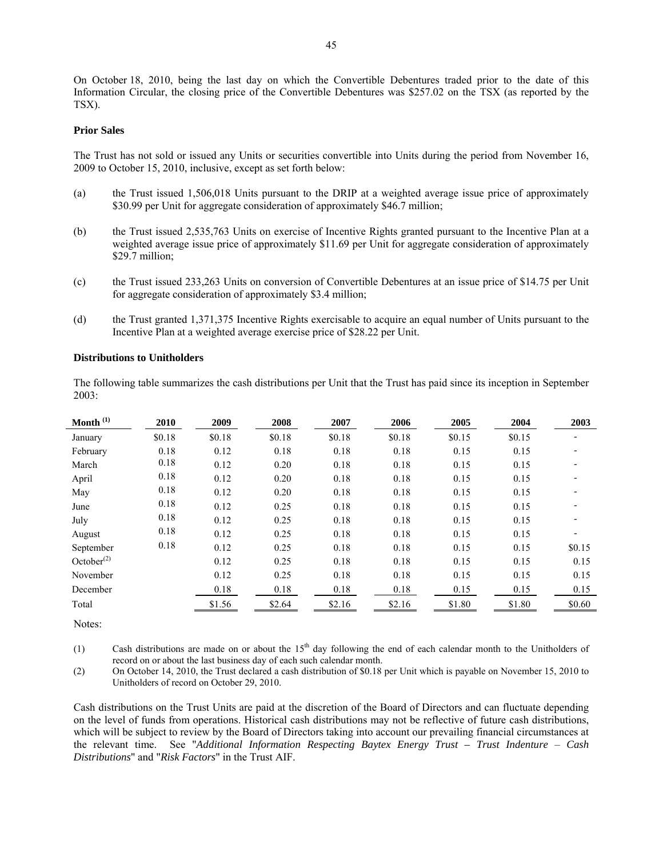On October 18, 2010, being the last day on which the Convertible Debentures traded prior to the date of this Information Circular, the closing price of the Convertible Debentures was \$257.02 on the TSX (as reported by the TSX).

# **Prior Sales**

The Trust has not sold or issued any Units or securities convertible into Units during the period from November 16, 2009 to October 15, 2010, inclusive, except as set forth below:

- (a) the Trust issued 1,506,018 Units pursuant to the DRIP at a weighted average issue price of approximately \$30.99 per Unit for aggregate consideration of approximately \$46.7 million;
- (b) the Trust issued 2,535,763 Units on exercise of Incentive Rights granted pursuant to the Incentive Plan at a weighted average issue price of approximately \$11.69 per Unit for aggregate consideration of approximately \$29.7 million;
- (c) the Trust issued 233,263 Units on conversion of Convertible Debentures at an issue price of \$14.75 per Unit for aggregate consideration of approximately \$3.4 million;
- (d) the Trust granted 1,371,375 Incentive Rights exercisable to acquire an equal number of Units pursuant to the Incentive Plan at a weighted average exercise price of \$28.22 per Unit.

### **Distributions to Unitholders**

The following table summarizes the cash distributions per Unit that the Trust has paid since its inception in September 2003:

| Month $^{(1)}$   | 2010   | 2009   | 2008   | 2007   | 2006   | 2005   | 2004   | 2003   |
|------------------|--------|--------|--------|--------|--------|--------|--------|--------|
| January          | \$0.18 | \$0.18 | \$0.18 | \$0.18 | \$0.18 | \$0.15 | \$0.15 |        |
| February         | 0.18   | 0.12   | 0.18   | 0.18   | 0.18   | 0.15   | 0.15   |        |
| March            | 0.18   | 0.12   | 0.20   | 0.18   | 0.18   | 0.15   | 0.15   |        |
| April            | 0.18   | 0.12   | 0.20   | 0.18   | 0.18   | 0.15   | 0.15   |        |
| May              | 0.18   | 0.12   | 0.20   | 0.18   | 0.18   | 0.15   | 0.15   |        |
| June             | 0.18   | 0.12   | 0.25   | 0.18   | 0.18   | 0.15   | 0.15   |        |
| July             | 0.18   | 0.12   | 0.25   | 0.18   | 0.18   | 0.15   | 0.15   |        |
| August           | 0.18   | 0.12   | 0.25   | 0.18   | 0.18   | 0.15   | 0.15   |        |
| September        | 0.18   | 0.12   | 0.25   | 0.18   | 0.18   | 0.15   | 0.15   | \$0.15 |
| October $^{(2)}$ |        | 0.12   | 0.25   | 0.18   | 0.18   | 0.15   | 0.15   | 0.15   |
| November         |        | 0.12   | 0.25   | 0.18   | 0.18   | 0.15   | 0.15   | 0.15   |
| December         |        | 0.18   | 0.18   | 0.18   | 0.18   | 0.15   | 0.15   | 0.15   |
| Total            |        | \$1.56 | \$2.64 | \$2.16 | \$2.16 | \$1.80 | \$1.80 | \$0.60 |

Notes:

(1) Cash distributions are made on or about the  $15<sup>th</sup>$  day following the end of each calendar month to the Unitholders of record on or about the last business day of each such calendar month.

(2) On October 14, 2010, the Trust declared a cash distribution of \$0.18 per Unit which is payable on November 15, 2010 to Unitholders of record on October 29, 2010.

Cash distributions on the Trust Units are paid at the discretion of the Board of Directors and can fluctuate depending on the level of funds from operations. Historical cash distributions may not be reflective of future cash distributions, which will be subject to review by the Board of Directors taking into account our prevailing financial circumstances at the relevant time. See "*Additional Information Respecting Baytex Energy Trust – Trust Indenture* – *Cash Distributions*" and "*Risk Factors*" in the Trust AIF.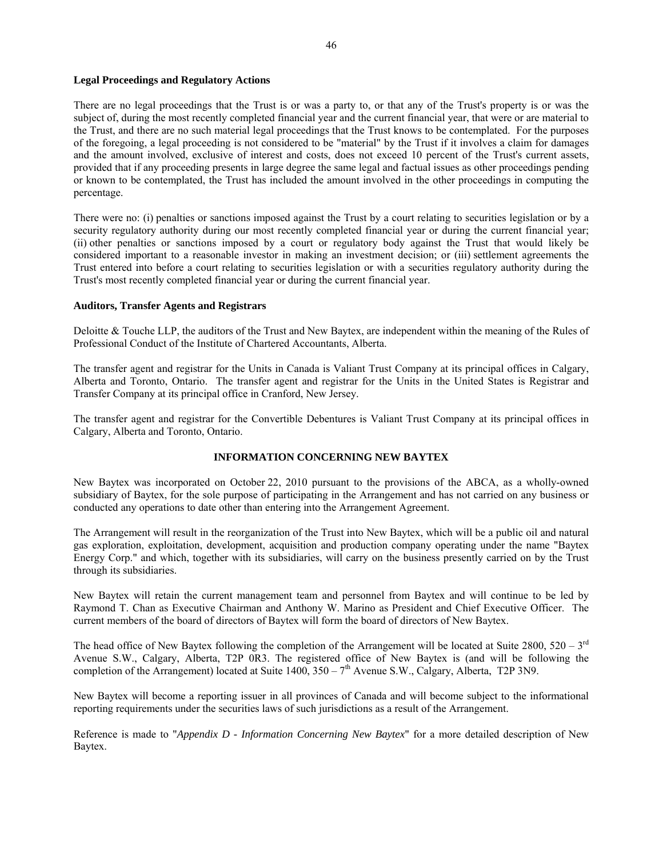## **Legal Proceedings and Regulatory Actions**

There are no legal proceedings that the Trust is or was a party to, or that any of the Trust's property is or was the subject of, during the most recently completed financial year and the current financial year, that were or are material to the Trust, and there are no such material legal proceedings that the Trust knows to be contemplated. For the purposes of the foregoing, a legal proceeding is not considered to be "material" by the Trust if it involves a claim for damages and the amount involved, exclusive of interest and costs, does not exceed 10 percent of the Trust's current assets, provided that if any proceeding presents in large degree the same legal and factual issues as other proceedings pending or known to be contemplated, the Trust has included the amount involved in the other proceedings in computing the percentage.

There were no: (i) penalties or sanctions imposed against the Trust by a court relating to securities legislation or by a security regulatory authority during our most recently completed financial year or during the current financial year; (ii) other penalties or sanctions imposed by a court or regulatory body against the Trust that would likely be considered important to a reasonable investor in making an investment decision; or (iii) settlement agreements the Trust entered into before a court relating to securities legislation or with a securities regulatory authority during the Trust's most recently completed financial year or during the current financial year.

# **Auditors, Transfer Agents and Registrars**

Deloitte & Touche LLP, the auditors of the Trust and New Baytex, are independent within the meaning of the Rules of Professional Conduct of the Institute of Chartered Accountants, Alberta.

The transfer agent and registrar for the Units in Canada is Valiant Trust Company at its principal offices in Calgary, Alberta and Toronto, Ontario. The transfer agent and registrar for the Units in the United States is Registrar and Transfer Company at its principal office in Cranford, New Jersey.

The transfer agent and registrar for the Convertible Debentures is Valiant Trust Company at its principal offices in Calgary, Alberta and Toronto, Ontario.

# **INFORMATION CONCERNING NEW BAYTEX**

New Baytex was incorporated on October 22, 2010 pursuant to the provisions of the ABCA, as a wholly-owned subsidiary of Baytex, for the sole purpose of participating in the Arrangement and has not carried on any business or conducted any operations to date other than entering into the Arrangement Agreement.

The Arrangement will result in the reorganization of the Trust into New Baytex, which will be a public oil and natural gas exploration, exploitation, development, acquisition and production company operating under the name "Baytex Energy Corp." and which, together with its subsidiaries, will carry on the business presently carried on by the Trust through its subsidiaries.

New Baytex will retain the current management team and personnel from Baytex and will continue to be led by Raymond T. Chan as Executive Chairman and Anthony W. Marino as President and Chief Executive Officer. The current members of the board of directors of Baytex will form the board of directors of New Baytex.

The head office of New Baytex following the completion of the Arrangement will be located at Suite 2800,  $520 - 3^{rd}$ Avenue S.W., Calgary, Alberta, T2P 0R3. The registered office of New Baytex is (and will be following the completion of the Arrangement) located at Suite  $1400$ ,  $350 - 7<sup>th</sup>$  Avenue S.W., Calgary, Alberta, T2P 3N9.

New Baytex will become a reporting issuer in all provinces of Canada and will become subject to the informational reporting requirements under the securities laws of such jurisdictions as a result of the Arrangement.

Reference is made to "*Appendix D - Information Concerning New Baytex*" for a more detailed description of New Baytex.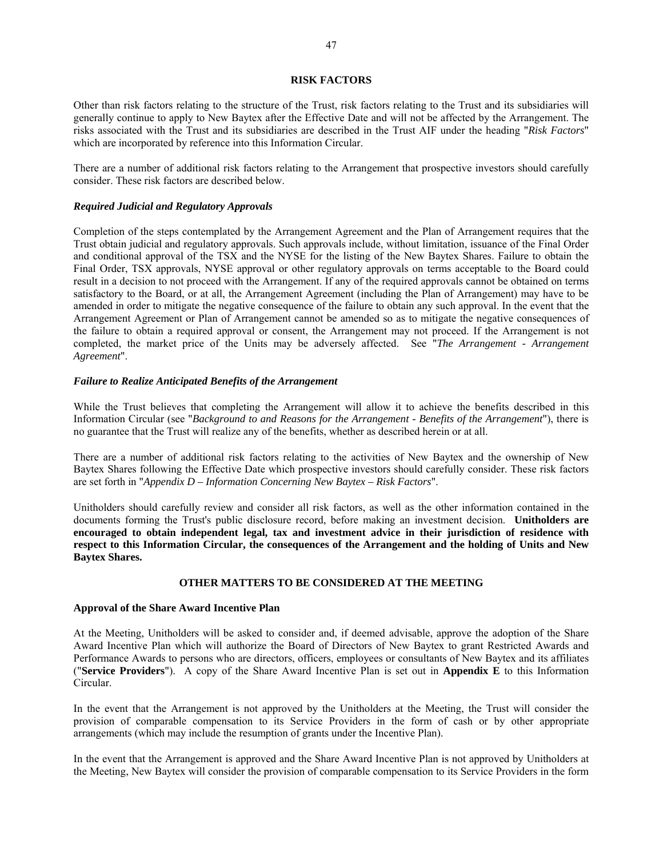### **RISK FACTORS**

Other than risk factors relating to the structure of the Trust, risk factors relating to the Trust and its subsidiaries will generally continue to apply to New Baytex after the Effective Date and will not be affected by the Arrangement. The risks associated with the Trust and its subsidiaries are described in the Trust AIF under the heading "*Risk Factors*" which are incorporated by reference into this Information Circular.

There are a number of additional risk factors relating to the Arrangement that prospective investors should carefully consider. These risk factors are described below.

### *Required Judicial and Regulatory Approvals*

Completion of the steps contemplated by the Arrangement Agreement and the Plan of Arrangement requires that the Trust obtain judicial and regulatory approvals. Such approvals include, without limitation, issuance of the Final Order and conditional approval of the TSX and the NYSE for the listing of the New Baytex Shares. Failure to obtain the Final Order, TSX approvals, NYSE approval or other regulatory approvals on terms acceptable to the Board could result in a decision to not proceed with the Arrangement. If any of the required approvals cannot be obtained on terms satisfactory to the Board, or at all, the Arrangement Agreement (including the Plan of Arrangement) may have to be amended in order to mitigate the negative consequence of the failure to obtain any such approval. In the event that the Arrangement Agreement or Plan of Arrangement cannot be amended so as to mitigate the negative consequences of the failure to obtain a required approval or consent, the Arrangement may not proceed. If the Arrangement is not completed, the market price of the Units may be adversely affected. See "*The Arrangement - Arrangement Agreement*".

# *Failure to Realize Anticipated Benefits of the Arrangement*

While the Trust believes that completing the Arrangement will allow it to achieve the benefits described in this Information Circular (see "*Background to and Reasons for the Arrangement - Benefits of the Arrangement*"), there is no guarantee that the Trust will realize any of the benefits, whether as described herein or at all.

There are a number of additional risk factors relating to the activities of New Baytex and the ownership of New Baytex Shares following the Effective Date which prospective investors should carefully consider. These risk factors are set forth in "*Appendix D – Information Concerning New Baytex – Risk Factors*".

Unitholders should carefully review and consider all risk factors, as well as the other information contained in the documents forming the Trust's public disclosure record, before making an investment decision. **Unitholders are encouraged to obtain independent legal, tax and investment advice in their jurisdiction of residence with respect to this Information Circular, the consequences of the Arrangement and the holding of Units and New Baytex Shares.** 

## **OTHER MATTERS TO BE CONSIDERED AT THE MEETING**

#### **Approval of the Share Award Incentive Plan**

At the Meeting, Unitholders will be asked to consider and, if deemed advisable, approve the adoption of the Share Award Incentive Plan which will authorize the Board of Directors of New Baytex to grant Restricted Awards and Performance Awards to persons who are directors, officers, employees or consultants of New Baytex and its affiliates ("**Service Providers**"). A copy of the Share Award Incentive Plan is set out in **Appendix E** to this Information Circular.

In the event that the Arrangement is not approved by the Unitholders at the Meeting, the Trust will consider the provision of comparable compensation to its Service Providers in the form of cash or by other appropriate arrangements (which may include the resumption of grants under the Incentive Plan).

In the event that the Arrangement is approved and the Share Award Incentive Plan is not approved by Unitholders at the Meeting, New Baytex will consider the provision of comparable compensation to its Service Providers in the form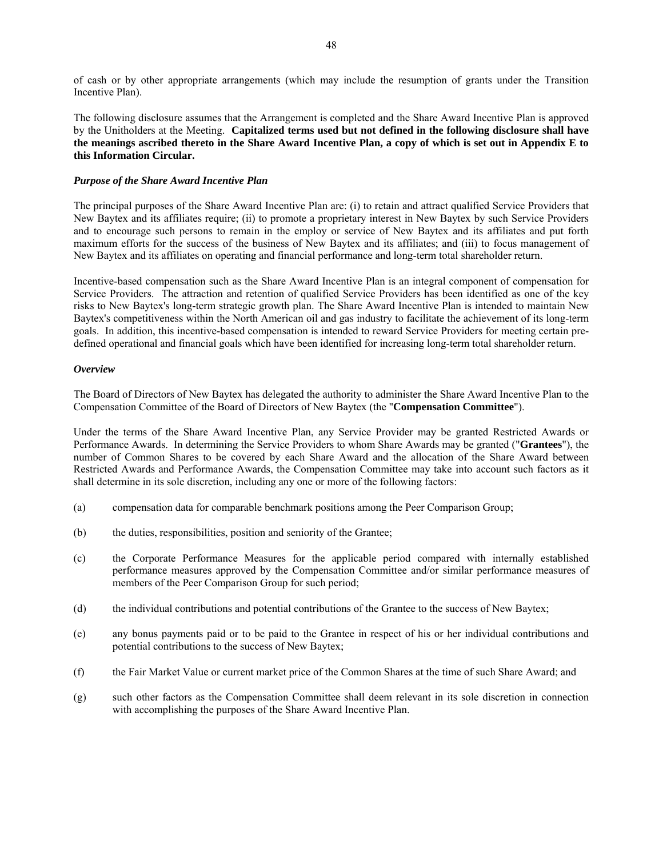of cash or by other appropriate arrangements (which may include the resumption of grants under the Transition Incentive Plan).

The following disclosure assumes that the Arrangement is completed and the Share Award Incentive Plan is approved by the Unitholders at the Meeting. **Capitalized terms used but not defined in the following disclosure shall have the meanings ascribed thereto in the Share Award Incentive Plan, a copy of which is set out in Appendix E to this Information Circular.**

## *Purpose of the Share Award Incentive Plan*

The principal purposes of the Share Award Incentive Plan are: (i) to retain and attract qualified Service Providers that New Baytex and its affiliates require; (ii) to promote a proprietary interest in New Baytex by such Service Providers and to encourage such persons to remain in the employ or service of New Baytex and its affiliates and put forth maximum efforts for the success of the business of New Baytex and its affiliates; and (iii) to focus management of New Baytex and its affiliates on operating and financial performance and long-term total shareholder return.

Incentive-based compensation such as the Share Award Incentive Plan is an integral component of compensation for Service Providers. The attraction and retention of qualified Service Providers has been identified as one of the key risks to New Baytex's long-term strategic growth plan. The Share Award Incentive Plan is intended to maintain New Baytex's competitiveness within the North American oil and gas industry to facilitate the achievement of its long-term goals. In addition, this incentive-based compensation is intended to reward Service Providers for meeting certain predefined operational and financial goals which have been identified for increasing long-term total shareholder return.

### *Overview*

The Board of Directors of New Baytex has delegated the authority to administer the Share Award Incentive Plan to the Compensation Committee of the Board of Directors of New Baytex (the "**Compensation Committee**").

Under the terms of the Share Award Incentive Plan, any Service Provider may be granted Restricted Awards or Performance Awards. In determining the Service Providers to whom Share Awards may be granted ("**Grantees**"), the number of Common Shares to be covered by each Share Award and the allocation of the Share Award between Restricted Awards and Performance Awards, the Compensation Committee may take into account such factors as it shall determine in its sole discretion, including any one or more of the following factors:

- (a) compensation data for comparable benchmark positions among the Peer Comparison Group;
- (b) the duties, responsibilities, position and seniority of the Grantee;
- (c) the Corporate Performance Measures for the applicable period compared with internally established performance measures approved by the Compensation Committee and/or similar performance measures of members of the Peer Comparison Group for such period;
- (d) the individual contributions and potential contributions of the Grantee to the success of New Baytex;
- (e) any bonus payments paid or to be paid to the Grantee in respect of his or her individual contributions and potential contributions to the success of New Baytex;
- (f) the Fair Market Value or current market price of the Common Shares at the time of such Share Award; and
- (g) such other factors as the Compensation Committee shall deem relevant in its sole discretion in connection with accomplishing the purposes of the Share Award Incentive Plan.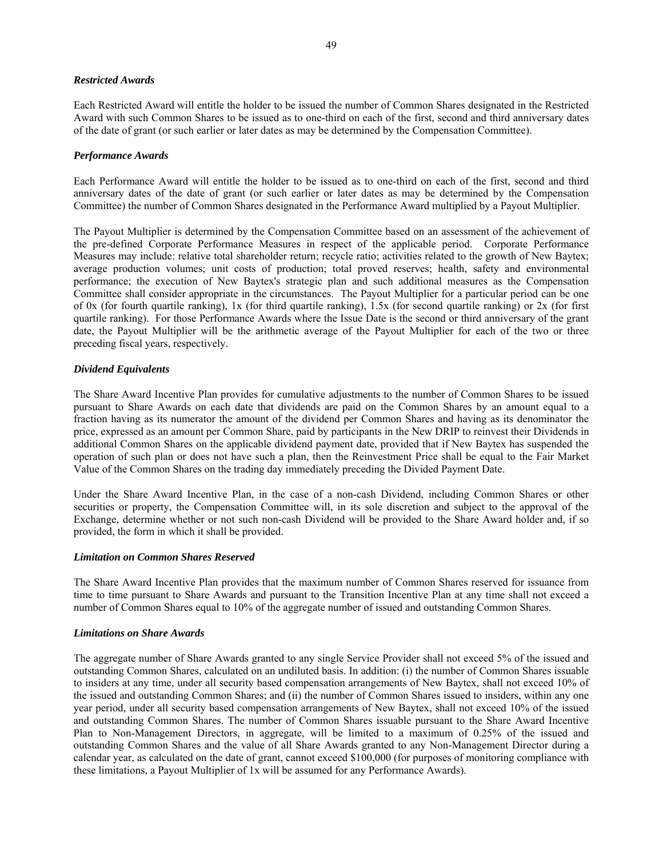### *Restricted Awards*

Each Restricted Award will entitle the holder to be issued the number of Common Shares designated in the Restricted Award with such Common Shares to be issued as to one-third on each of the first, second and third anniversary dates of the date of grant (or such earlier or later dates as may be determined by the Compensation Committee).

## *Performance Awards*

Each Performance Award will entitle the holder to be issued as to one-third on each of the first, second and third anniversary dates of the date of grant (or such earlier or later dates as may be determined by the Compensation Committee) the number of Common Shares designated in the Performance Award multiplied by a Payout Multiplier.

The Payout Multiplier is determined by the Compensation Committee based on an assessment of the achievement of the pre-defined Corporate Performance Measures in respect of the applicable period. Corporate Performance Measures may include: relative total shareholder return; recycle ratio; activities related to the growth of New Baytex; average production volumes; unit costs of production; total proved reserves; health, safety and environmental performance; the execution of New Baytex's strategic plan and such additional measures as the Compensation Committee shall consider appropriate in the circumstances. The Payout Multiplier for a particular period can be one of 0x (for fourth quartile ranking), 1x (for third quartile ranking), 1.5x (for second quartile ranking) or 2x (for first quartile ranking). For those Performance Awards where the Issue Date is the second or third anniversary of the grant date, the Payout Multiplier will be the arithmetic average of the Payout Multiplier for each of the two or three preceding fiscal years, respectively.

### *Dividend Equivalents*

The Share Award Incentive Plan provides for cumulative adjustments to the number of Common Shares to be issued pursuant to Share Awards on each date that dividends are paid on the Common Shares by an amount equal to a fraction having as its numerator the amount of the dividend per Common Shares and having as its denominator the price, expressed as an amount per Common Share, paid by participants in the New DRIP to reinvest their Dividends in additional Common Shares on the applicable dividend payment date, provided that if New Baytex has suspended the operation of such plan or does not have such a plan, then the Reinvestment Price shall be equal to the Fair Market Value of the Common Shares on the trading day immediately preceding the Divided Payment Date.

Under the Share Award Incentive Plan, in the case of a non-cash Dividend, including Common Shares or other securities or property, the Compensation Committee will, in its sole discretion and subject to the approval of the Exchange, determine whether or not such non-cash Dividend will be provided to the Share Award holder and, if so provided, the form in which it shall be provided.

#### *Limitation on Common Shares Reserved*

The Share Award Incentive Plan provides that the maximum number of Common Shares reserved for issuance from time to time pursuant to Share Awards and pursuant to the Transition Incentive Plan at any time shall not exceed a number of Common Shares equal to 10% of the aggregate number of issued and outstanding Common Shares.

## *Limitations on Share Awards*

The aggregate number of Share Awards granted to any single Service Provider shall not exceed 5% of the issued and outstanding Common Shares, calculated on an undiluted basis. In addition: (i) the number of Common Shares issuable to insiders at any time, under all security based compensation arrangements of New Baytex, shall not exceed 10% of the issued and outstanding Common Shares; and (ii) the number of Common Shares issued to insiders, within any one year period, under all security based compensation arrangements of New Baytex, shall not exceed 10% of the issued and outstanding Common Shares. The number of Common Shares issuable pursuant to the Share Award Incentive Plan to Non-Management Directors, in aggregate, will be limited to a maximum of 0.25% of the issued and outstanding Common Shares and the value of all Share Awards granted to any Non-Management Director during a calendar year, as calculated on the date of grant, cannot exceed \$100,000 (for purposes of monitoring compliance with these limitations, a Payout Multiplier of 1x will be assumed for any Performance Awards).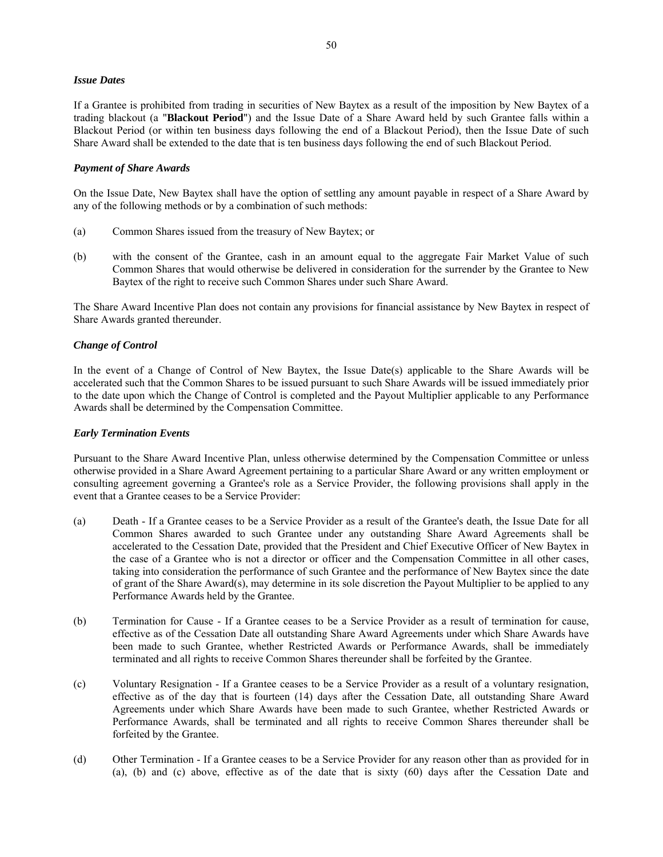## *Issue Dates*

If a Grantee is prohibited from trading in securities of New Baytex as a result of the imposition by New Baytex of a trading blackout (a "**Blackout Period**") and the Issue Date of a Share Award held by such Grantee falls within a Blackout Period (or within ten business days following the end of a Blackout Period), then the Issue Date of such Share Award shall be extended to the date that is ten business days following the end of such Blackout Period.

# *Payment of Share Awards*

On the Issue Date, New Baytex shall have the option of settling any amount payable in respect of a Share Award by any of the following methods or by a combination of such methods:

- (a) Common Shares issued from the treasury of New Baytex; or
- (b) with the consent of the Grantee, cash in an amount equal to the aggregate Fair Market Value of such Common Shares that would otherwise be delivered in consideration for the surrender by the Grantee to New Baytex of the right to receive such Common Shares under such Share Award.

The Share Award Incentive Plan does not contain any provisions for financial assistance by New Baytex in respect of Share Awards granted thereunder.

# *Change of Control*

In the event of a Change of Control of New Baytex, the Issue Date(s) applicable to the Share Awards will be accelerated such that the Common Shares to be issued pursuant to such Share Awards will be issued immediately prior to the date upon which the Change of Control is completed and the Payout Multiplier applicable to any Performance Awards shall be determined by the Compensation Committee.

## *Early Termination Events*

Pursuant to the Share Award Incentive Plan, unless otherwise determined by the Compensation Committee or unless otherwise provided in a Share Award Agreement pertaining to a particular Share Award or any written employment or consulting agreement governing a Grantee's role as a Service Provider, the following provisions shall apply in the event that a Grantee ceases to be a Service Provider:

- (a) Death If a Grantee ceases to be a Service Provider as a result of the Grantee's death, the Issue Date for all Common Shares awarded to such Grantee under any outstanding Share Award Agreements shall be accelerated to the Cessation Date, provided that the President and Chief Executive Officer of New Baytex in the case of a Grantee who is not a director or officer and the Compensation Committee in all other cases, taking into consideration the performance of such Grantee and the performance of New Baytex since the date of grant of the Share Award(s), may determine in its sole discretion the Payout Multiplier to be applied to any Performance Awards held by the Grantee.
- (b) Termination for Cause If a Grantee ceases to be a Service Provider as a result of termination for cause, effective as of the Cessation Date all outstanding Share Award Agreements under which Share Awards have been made to such Grantee, whether Restricted Awards or Performance Awards, shall be immediately terminated and all rights to receive Common Shares thereunder shall be forfeited by the Grantee.
- (c) Voluntary Resignation If a Grantee ceases to be a Service Provider as a result of a voluntary resignation, effective as of the day that is fourteen (14) days after the Cessation Date, all outstanding Share Award Agreements under which Share Awards have been made to such Grantee, whether Restricted Awards or Performance Awards, shall be terminated and all rights to receive Common Shares thereunder shall be forfeited by the Grantee.
- (d) Other Termination If a Grantee ceases to be a Service Provider for any reason other than as provided for in (a), (b) and (c) above, effective as of the date that is sixty (60) days after the Cessation Date and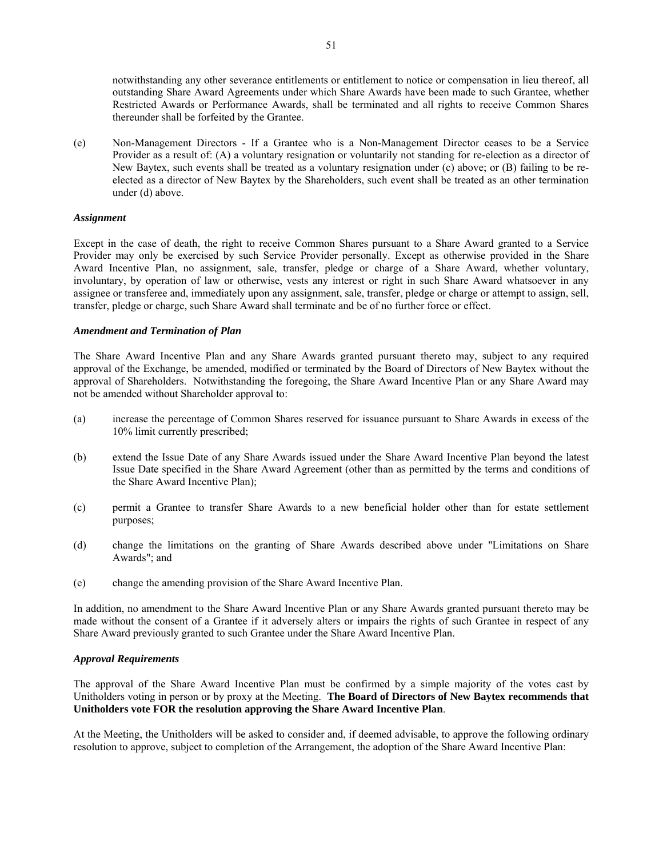notwithstanding any other severance entitlements or entitlement to notice or compensation in lieu thereof, all outstanding Share Award Agreements under which Share Awards have been made to such Grantee, whether Restricted Awards or Performance Awards, shall be terminated and all rights to receive Common Shares thereunder shall be forfeited by the Grantee.

(e) Non-Management Directors - If a Grantee who is a Non-Management Director ceases to be a Service Provider as a result of: (A) a voluntary resignation or voluntarily not standing for re-election as a director of New Baytex, such events shall be treated as a voluntary resignation under (c) above; or (B) failing to be reelected as a director of New Baytex by the Shareholders, such event shall be treated as an other termination under (d) above.

## *Assignment*

Except in the case of death, the right to receive Common Shares pursuant to a Share Award granted to a Service Provider may only be exercised by such Service Provider personally. Except as otherwise provided in the Share Award Incentive Plan, no assignment, sale, transfer, pledge or charge of a Share Award, whether voluntary, involuntary, by operation of law or otherwise, vests any interest or right in such Share Award whatsoever in any assignee or transferee and, immediately upon any assignment, sale, transfer, pledge or charge or attempt to assign, sell, transfer, pledge or charge, such Share Award shall terminate and be of no further force or effect.

## *Amendment and Termination of Plan*

The Share Award Incentive Plan and any Share Awards granted pursuant thereto may, subject to any required approval of the Exchange, be amended, modified or terminated by the Board of Directors of New Baytex without the approval of Shareholders. Notwithstanding the foregoing, the Share Award Incentive Plan or any Share Award may not be amended without Shareholder approval to:

- (a) increase the percentage of Common Shares reserved for issuance pursuant to Share Awards in excess of the 10% limit currently prescribed;
- (b) extend the Issue Date of any Share Awards issued under the Share Award Incentive Plan beyond the latest Issue Date specified in the Share Award Agreement (other than as permitted by the terms and conditions of the Share Award Incentive Plan);
- (c) permit a Grantee to transfer Share Awards to a new beneficial holder other than for estate settlement purposes;
- (d) change the limitations on the granting of Share Awards described above under "Limitations on Share Awards"; and
- (e) change the amending provision of the Share Award Incentive Plan.

In addition, no amendment to the Share Award Incentive Plan or any Share Awards granted pursuant thereto may be made without the consent of a Grantee if it adversely alters or impairs the rights of such Grantee in respect of any Share Award previously granted to such Grantee under the Share Award Incentive Plan.

# *Approval Requirements*

The approval of the Share Award Incentive Plan must be confirmed by a simple majority of the votes cast by Unitholders voting in person or by proxy at the Meeting. **The Board of Directors of New Baytex recommends that Unitholders vote FOR the resolution approving the Share Award Incentive Plan**.

At the Meeting, the Unitholders will be asked to consider and, if deemed advisable, to approve the following ordinary resolution to approve, subject to completion of the Arrangement, the adoption of the Share Award Incentive Plan: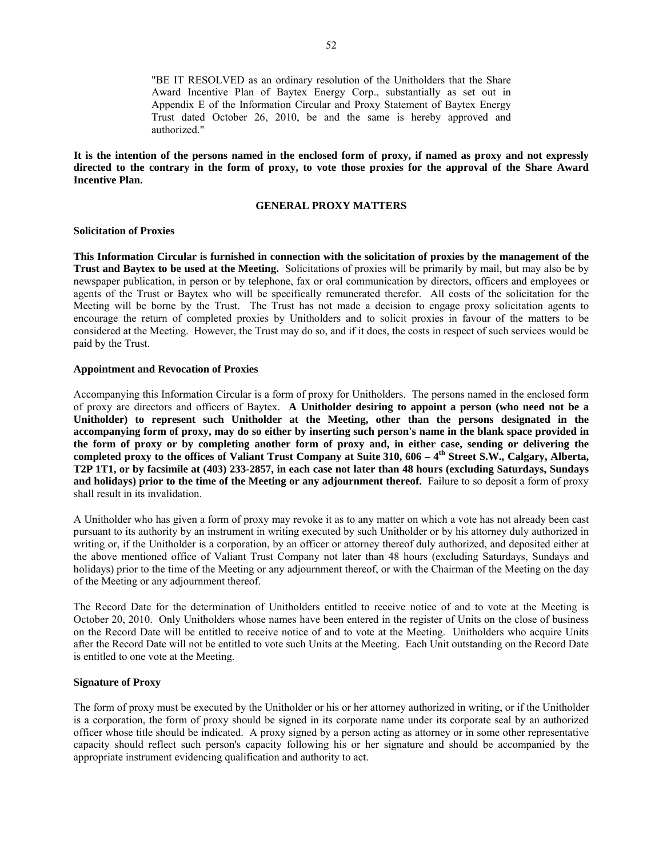"BE IT RESOLVED as an ordinary resolution of the Unitholders that the Share Award Incentive Plan of Baytex Energy Corp., substantially as set out in Appendix E of the Information Circular and Proxy Statement of Baytex Energy Trust dated October 26, 2010, be and the same is hereby approved and authorized."

**It is the intention of the persons named in the enclosed form of proxy, if named as proxy and not expressly directed to the contrary in the form of proxy, to vote those proxies for the approval of the Share Award Incentive Plan.** 

### **GENERAL PROXY MATTERS**

## **Solicitation of Proxies**

**This Information Circular is furnished in connection with the solicitation of proxies by the management of the Trust and Baytex to be used at the Meeting.** Solicitations of proxies will be primarily by mail, but may also be by newspaper publication, in person or by telephone, fax or oral communication by directors, officers and employees or agents of the Trust or Baytex who will be specifically remunerated therefor. All costs of the solicitation for the Meeting will be borne by the Trust. The Trust has not made a decision to engage proxy solicitation agents to encourage the return of completed proxies by Unitholders and to solicit proxies in favour of the matters to be considered at the Meeting. However, the Trust may do so, and if it does, the costs in respect of such services would be paid by the Trust.

## **Appointment and Revocation of Proxies**

Accompanying this Information Circular is a form of proxy for Unitholders. The persons named in the enclosed form of proxy are directors and officers of Baytex. **A Unitholder desiring to appoint a person (who need not be a Unitholder) to represent such Unitholder at the Meeting, other than the persons designated in the accompanying form of proxy, may do so either by inserting such person's name in the blank space provided in the form of proxy or by completing another form of proxy and, in either case, sending or delivering the**  completed proxy to the offices of Valiant Trust Company at Suite 310, 606 – 4<sup>th</sup> Street S.W., Calgary, Alberta, **T2P 1T1, or by facsimile at (403) 233-2857, in each case not later than 48 hours (excluding Saturdays, Sundays and holidays) prior to the time of the Meeting or any adjournment thereof.** Failure to so deposit a form of proxy shall result in its invalidation.

A Unitholder who has given a form of proxy may revoke it as to any matter on which a vote has not already been cast pursuant to its authority by an instrument in writing executed by such Unitholder or by his attorney duly authorized in writing or, if the Unitholder is a corporation, by an officer or attorney thereof duly authorized, and deposited either at the above mentioned office of Valiant Trust Company not later than 48 hours (excluding Saturdays, Sundays and holidays) prior to the time of the Meeting or any adjournment thereof, or with the Chairman of the Meeting on the day of the Meeting or any adjournment thereof.

The Record Date for the determination of Unitholders entitled to receive notice of and to vote at the Meeting is October 20, 2010. Only Unitholders whose names have been entered in the register of Units on the close of business on the Record Date will be entitled to receive notice of and to vote at the Meeting. Unitholders who acquire Units after the Record Date will not be entitled to vote such Units at the Meeting. Each Unit outstanding on the Record Date is entitled to one vote at the Meeting.

### **Signature of Proxy**

The form of proxy must be executed by the Unitholder or his or her attorney authorized in writing, or if the Unitholder is a corporation, the form of proxy should be signed in its corporate name under its corporate seal by an authorized officer whose title should be indicated. A proxy signed by a person acting as attorney or in some other representative capacity should reflect such person's capacity following his or her signature and should be accompanied by the appropriate instrument evidencing qualification and authority to act.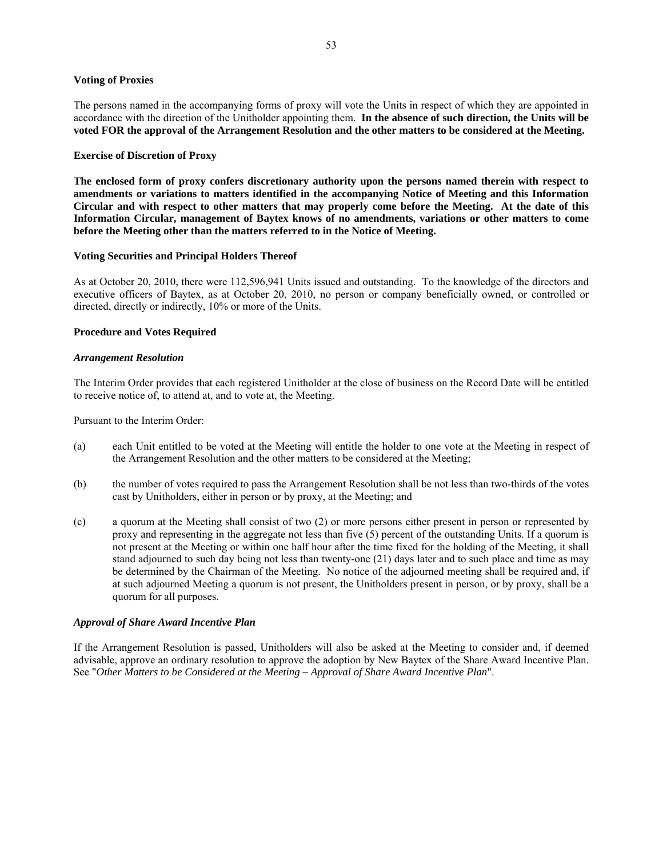## **Voting of Proxies**

The persons named in the accompanying forms of proxy will vote the Units in respect of which they are appointed in accordance with the direction of the Unitholder appointing them. **In the absence of such direction, the Units will be voted FOR the approval of the Arrangement Resolution and the other matters to be considered at the Meeting.** 

### **Exercise of Discretion of Proxy**

**The enclosed form of proxy confers discretionary authority upon the persons named therein with respect to amendments or variations to matters identified in the accompanying Notice of Meeting and this Information Circular and with respect to other matters that may properly come before the Meeting. At the date of this Information Circular, management of Baytex knows of no amendments, variations or other matters to come before the Meeting other than the matters referred to in the Notice of Meeting.** 

### **Voting Securities and Principal Holders Thereof**

As at October 20, 2010, there were 112,596,941 Units issued and outstanding. To the knowledge of the directors and executive officers of Baytex, as at October 20, 2010, no person or company beneficially owned, or controlled or directed, directly or indirectly, 10% or more of the Units.

## **Procedure and Votes Required**

### *Arrangement Resolution*

The Interim Order provides that each registered Unitholder at the close of business on the Record Date will be entitled to receive notice of, to attend at, and to vote at, the Meeting.

Pursuant to the Interim Order:

- (a) each Unit entitled to be voted at the Meeting will entitle the holder to one vote at the Meeting in respect of the Arrangement Resolution and the other matters to be considered at the Meeting;
- (b) the number of votes required to pass the Arrangement Resolution shall be not less than two-thirds of the votes cast by Unitholders, either in person or by proxy, at the Meeting; and
- (c) a quorum at the Meeting shall consist of two (2) or more persons either present in person or represented by proxy and representing in the aggregate not less than five (5) percent of the outstanding Units. If a quorum is not present at the Meeting or within one half hour after the time fixed for the holding of the Meeting, it shall stand adjourned to such day being not less than twenty-one (21) days later and to such place and time as may be determined by the Chairman of the Meeting. No notice of the adjourned meeting shall be required and, if at such adjourned Meeting a quorum is not present, the Unitholders present in person, or by proxy, shall be a quorum for all purposes.

## *Approval of Share Award Incentive Plan*

If the Arrangement Resolution is passed, Unitholders will also be asked at the Meeting to consider and, if deemed advisable, approve an ordinary resolution to approve the adoption by New Baytex of the Share Award Incentive Plan. See "*Other Matters to be Considered at the Meeting – Approval of Share Award Incentive Plan*".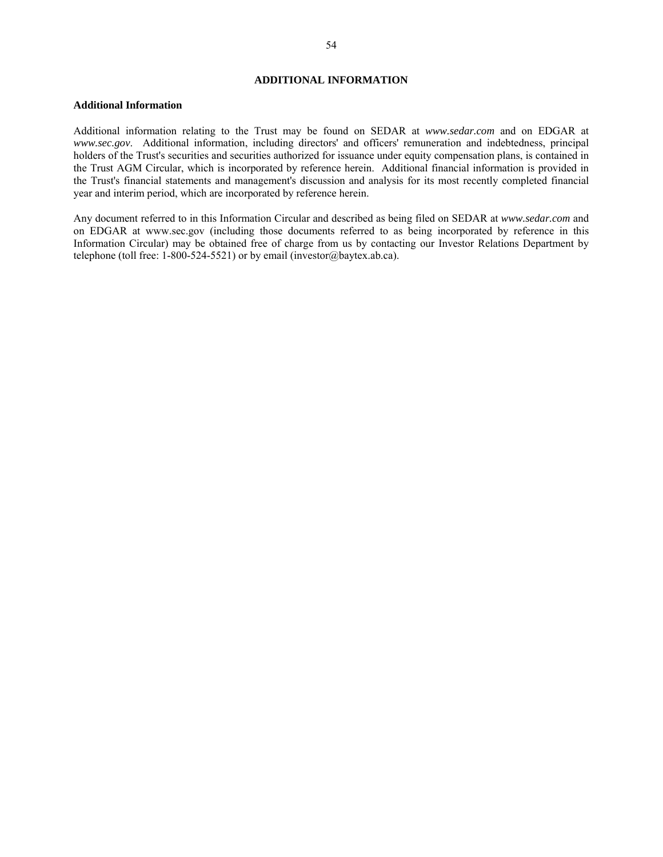### **ADDITIONAL INFORMATION**

#### **Additional Information**

Additional information relating to the Trust may be found on SEDAR at *www.sedar.com* and on EDGAR at *www.sec.gov*. Additional information, including directors' and officers' remuneration and indebtedness, principal holders of the Trust's securities and securities authorized for issuance under equity compensation plans, is contained in the Trust AGM Circular, which is incorporated by reference herein. Additional financial information is provided in the Trust's financial statements and management's discussion and analysis for its most recently completed financial year and interim period, which are incorporated by reference herein.

Any document referred to in this Information Circular and described as being filed on SEDAR at *www.sedar.com* and on EDGAR at www.sec.gov (including those documents referred to as being incorporated by reference in this Information Circular) may be obtained free of charge from us by contacting our Investor Relations Department by telephone (toll free: 1-800-524-5521) or by email (investor@baytex.ab.ca).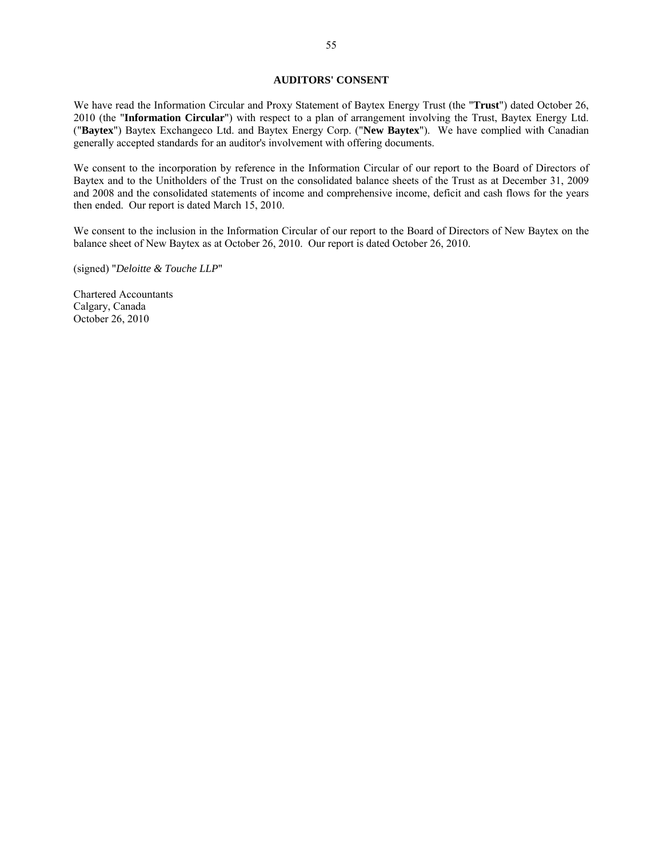### **AUDITORS' CONSENT**

We have read the Information Circular and Proxy Statement of Baytex Energy Trust (the "**Trust**") dated October 26, 2010 (the "**Information Circular**") with respect to a plan of arrangement involving the Trust, Baytex Energy Ltd. ("**Baytex**") Baytex Exchangeco Ltd. and Baytex Energy Corp. ("**New Baytex**"). We have complied with Canadian generally accepted standards for an auditor's involvement with offering documents.

We consent to the incorporation by reference in the Information Circular of our report to the Board of Directors of Baytex and to the Unitholders of the Trust on the consolidated balance sheets of the Trust as at December 31, 2009 and 2008 and the consolidated statements of income and comprehensive income, deficit and cash flows for the years then ended. Our report is dated March 15, 2010.

We consent to the inclusion in the Information Circular of our report to the Board of Directors of New Baytex on the balance sheet of New Baytex as at October 26, 2010. Our report is dated October 26, 2010.

(signed) "*Deloitte & Touche LLP*"

Chartered Accountants Calgary, Canada October 26, 2010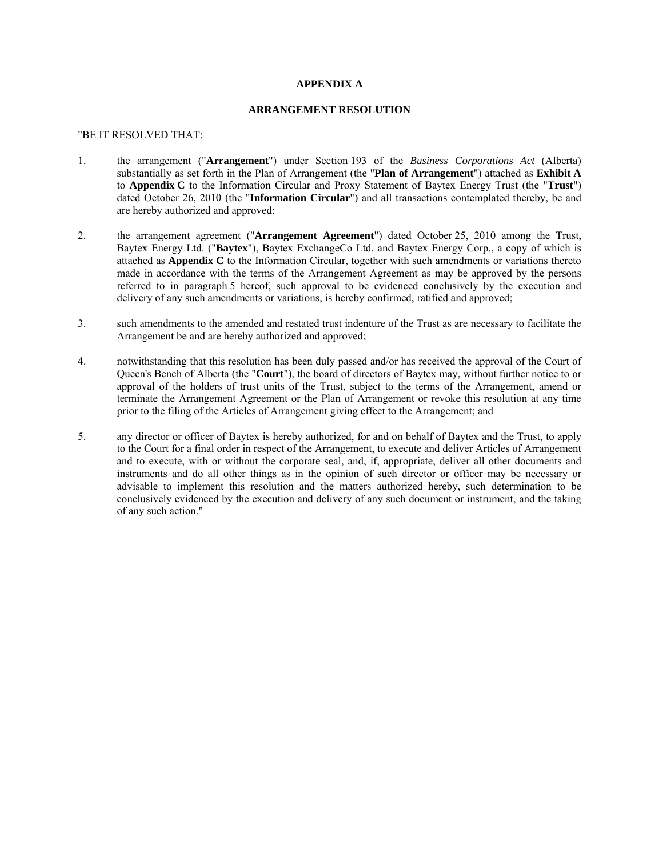## **APPENDIX A**

## **ARRANGEMENT RESOLUTION**

#### "BE IT RESOLVED THAT:

- 1. the arrangement ("**Arrangement**") under Section 193 of the *Business Corporations Act* (Alberta) substantially as set forth in the Plan of Arrangement (the "**Plan of Arrangement**") attached as **Exhibit A** to **Appendix C** to the Information Circular and Proxy Statement of Baytex Energy Trust (the "**Trust**") dated October 26, 2010 (the "**Information Circular**") and all transactions contemplated thereby, be and are hereby authorized and approved;
- 2. the arrangement agreement ("**Arrangement Agreement**") dated October 25, 2010 among the Trust, Baytex Energy Ltd. ("**Baytex**"), Baytex ExchangeCo Ltd. and Baytex Energy Corp., a copy of which is attached as **Appendix C** to the Information Circular, together with such amendments or variations thereto made in accordance with the terms of the Arrangement Agreement as may be approved by the persons referred to in paragraph 5 hereof, such approval to be evidenced conclusively by the execution and delivery of any such amendments or variations, is hereby confirmed, ratified and approved;
- 3. such amendments to the amended and restated trust indenture of the Trust as are necessary to facilitate the Arrangement be and are hereby authorized and approved;
- 4. notwithstanding that this resolution has been duly passed and/or has received the approval of the Court of Queen's Bench of Alberta (the "**Court**"), the board of directors of Baytex may, without further notice to or approval of the holders of trust units of the Trust, subject to the terms of the Arrangement, amend or terminate the Arrangement Agreement or the Plan of Arrangement or revoke this resolution at any time prior to the filing of the Articles of Arrangement giving effect to the Arrangement; and
- 5. any director or officer of Baytex is hereby authorized, for and on behalf of Baytex and the Trust, to apply to the Court for a final order in respect of the Arrangement, to execute and deliver Articles of Arrangement and to execute, with or without the corporate seal, and, if, appropriate, deliver all other documents and instruments and do all other things as in the opinion of such director or officer may be necessary or advisable to implement this resolution and the matters authorized hereby, such determination to be conclusively evidenced by the execution and delivery of any such document or instrument, and the taking of any such action."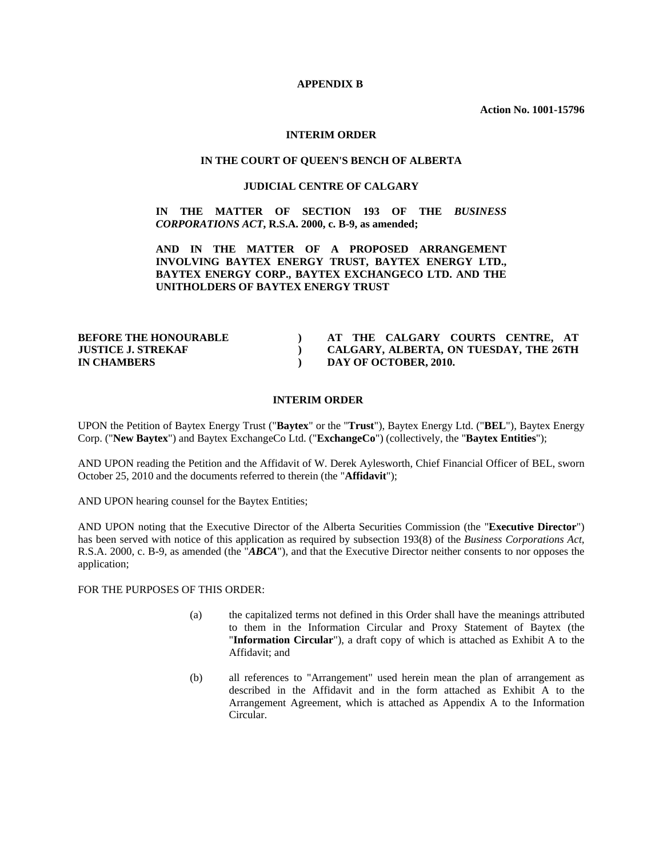### **APPENDIX B**

**Action No. 1001-15796** 

### **INTERIM ORDER**

## **IN THE COURT OF QUEEN'S BENCH OF ALBERTA**

## **JUDICIAL CENTRE OF CALGARY**

# **IN THE MATTER OF SECTION 193 OF THE** *BUSINESS CORPORATIONS ACT***, R.S.A. 2000, c. B-9, as amended;**

# **AND IN THE MATTER OF A PROPOSED ARRANGEMENT INVOLVING BAYTEX ENERGY TRUST, BAYTEX ENERGY LTD., BAYTEX ENERGY CORP., BAYTEX EXCHANGECO LTD. AND THE UNITHOLDERS OF BAYTEX ENERGY TRUST**

| <b>BEFORE THE HONOURABLE</b> | AT THE CALGARY COURTS CENTRE, AT       |
|------------------------------|----------------------------------------|
| <b>JUSTICE J. STREKAF</b>    | CALGARY, ALBERTA, ON TUESDAY, THE 26TH |
| <b>IN CHAMBERS</b>           | DAY OF OCTOBER, 2010.                  |

## **INTERIM ORDER**

UPON the Petition of Baytex Energy Trust ("**Baytex**" or the "**Trust**"), Baytex Energy Ltd. ("**BEL**"), Baytex Energy Corp. ("**New Baytex**") and Baytex ExchangeCo Ltd. ("**ExchangeCo**") (collectively, the "**Baytex Entities**");

AND UPON reading the Petition and the Affidavit of W. Derek Aylesworth, Chief Financial Officer of BEL, sworn October 25, 2010 and the documents referred to therein (the "**Affidavit**");

AND UPON hearing counsel for the Baytex Entities;

AND UPON noting that the Executive Director of the Alberta Securities Commission (the "**Executive Director**") has been served with notice of this application as required by subsection 193(8) of the *Business Corporations Act*, R.S.A. 2000, c. B-9, as amended (the "*ABCA*"), and that the Executive Director neither consents to nor opposes the application;

FOR THE PURPOSES OF THIS ORDER:

- (a) the capitalized terms not defined in this Order shall have the meanings attributed to them in the Information Circular and Proxy Statement of Baytex (the "**Information Circular**"), a draft copy of which is attached as Exhibit A to the Affidavit; and
- (b) all references to "Arrangement" used herein mean the plan of arrangement as described in the Affidavit and in the form attached as Exhibit A to the Arrangement Agreement, which is attached as Appendix A to the Information Circular.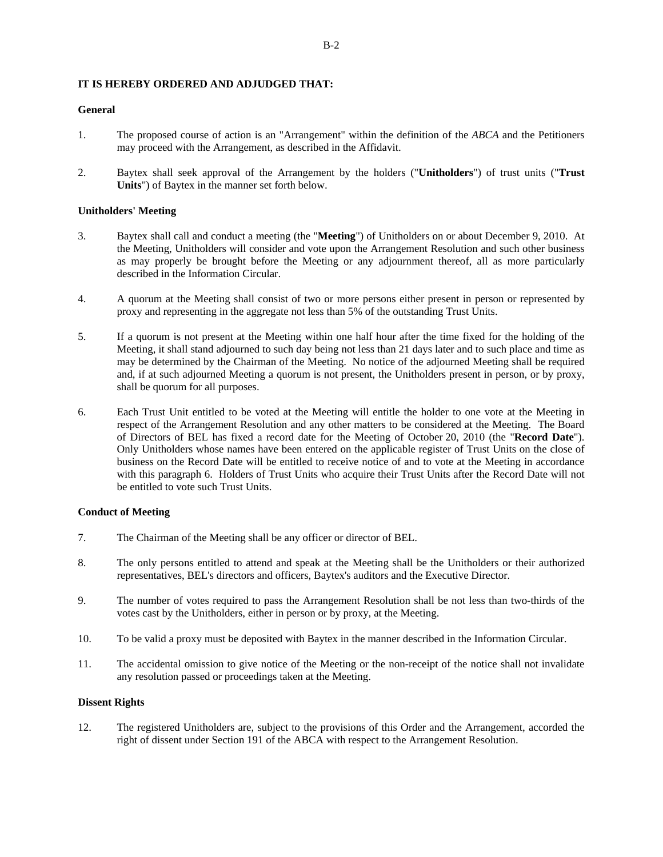# **IT IS HEREBY ORDERED AND ADJUDGED THAT:**

# **General**

- 1. The proposed course of action is an "Arrangement" within the definition of the *ABCA* and the Petitioners may proceed with the Arrangement, as described in the Affidavit.
- 2. Baytex shall seek approval of the Arrangement by the holders ("**Unitholders**") of trust units ("**Trust Units**") of Baytex in the manner set forth below.

# **Unitholders' Meeting**

- 3. Baytex shall call and conduct a meeting (the "**Meeting**") of Unitholders on or about December 9, 2010. At the Meeting, Unitholders will consider and vote upon the Arrangement Resolution and such other business as may properly be brought before the Meeting or any adjournment thereof, all as more particularly described in the Information Circular.
- 4. A quorum at the Meeting shall consist of two or more persons either present in person or represented by proxy and representing in the aggregate not less than 5% of the outstanding Trust Units.
- 5. If a quorum is not present at the Meeting within one half hour after the time fixed for the holding of the Meeting, it shall stand adjourned to such day being not less than 21 days later and to such place and time as may be determined by the Chairman of the Meeting. No notice of the adjourned Meeting shall be required and, if at such adjourned Meeting a quorum is not present, the Unitholders present in person, or by proxy, shall be quorum for all purposes.
- 6. Each Trust Unit entitled to be voted at the Meeting will entitle the holder to one vote at the Meeting in respect of the Arrangement Resolution and any other matters to be considered at the Meeting. The Board of Directors of BEL has fixed a record date for the Meeting of October 20, 2010 (the "**Record Date**"). Only Unitholders whose names have been entered on the applicable register of Trust Units on the close of business on the Record Date will be entitled to receive notice of and to vote at the Meeting in accordance with this paragraph 6. Holders of Trust Units who acquire their Trust Units after the Record Date will not be entitled to vote such Trust Units.

## **Conduct of Meeting**

- 7. The Chairman of the Meeting shall be any officer or director of BEL.
- 8. The only persons entitled to attend and speak at the Meeting shall be the Unitholders or their authorized representatives, BEL's directors and officers, Baytex's auditors and the Executive Director.
- 9. The number of votes required to pass the Arrangement Resolution shall be not less than two-thirds of the votes cast by the Unitholders, either in person or by proxy, at the Meeting.
- 10. To be valid a proxy must be deposited with Baytex in the manner described in the Information Circular.
- 11. The accidental omission to give notice of the Meeting or the non-receipt of the notice shall not invalidate any resolution passed or proceedings taken at the Meeting.

# **Dissent Rights**

12. The registered Unitholders are, subject to the provisions of this Order and the Arrangement, accorded the right of dissent under Section 191 of the ABCA with respect to the Arrangement Resolution.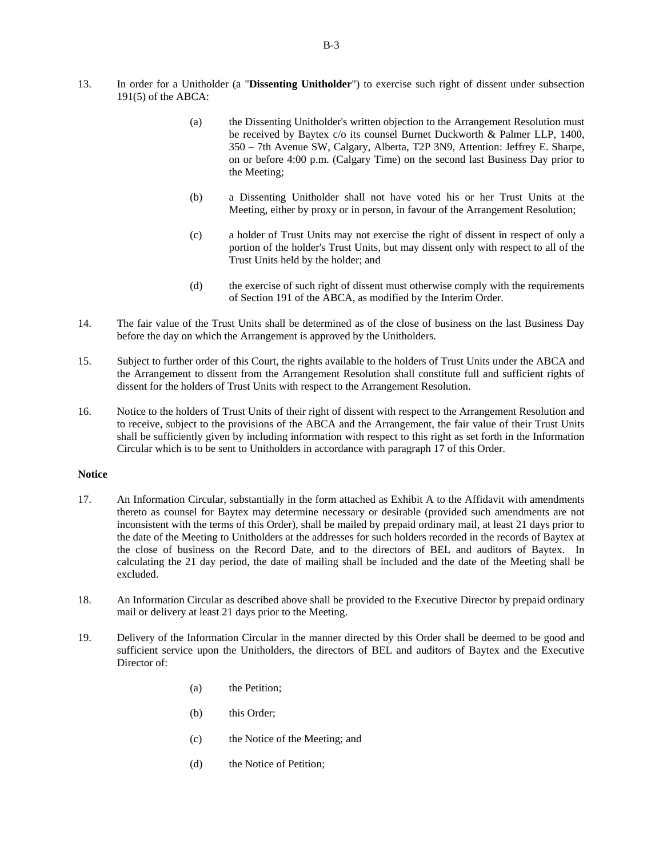- 13. In order for a Unitholder (a "**Dissenting Unitholder**") to exercise such right of dissent under subsection 191(5) of the ABCA:
	- (a) the Dissenting Unitholder's written objection to the Arrangement Resolution must be received by Baytex c/o its counsel Burnet Duckworth & Palmer LLP, 1400, 350 – 7th Avenue SW, Calgary, Alberta, T2P 3N9, Attention: Jeffrey E. Sharpe, on or before 4:00 p.m. (Calgary Time) on the second last Business Day prior to the Meeting;
	- (b) a Dissenting Unitholder shall not have voted his or her Trust Units at the Meeting, either by proxy or in person, in favour of the Arrangement Resolution;
	- (c) a holder of Trust Units may not exercise the right of dissent in respect of only a portion of the holder's Trust Units, but may dissent only with respect to all of the Trust Units held by the holder; and
	- (d) the exercise of such right of dissent must otherwise comply with the requirements of Section 191 of the ABCA, as modified by the Interim Order.
- 14. The fair value of the Trust Units shall be determined as of the close of business on the last Business Day before the day on which the Arrangement is approved by the Unitholders.
- 15. Subject to further order of this Court, the rights available to the holders of Trust Units under the ABCA and the Arrangement to dissent from the Arrangement Resolution shall constitute full and sufficient rights of dissent for the holders of Trust Units with respect to the Arrangement Resolution.
- 16. Notice to the holders of Trust Units of their right of dissent with respect to the Arrangement Resolution and to receive, subject to the provisions of the ABCA and the Arrangement, the fair value of their Trust Units shall be sufficiently given by including information with respect to this right as set forth in the Information Circular which is to be sent to Unitholders in accordance with paragraph 17 of this Order.

## **Notice**

- 17. An Information Circular, substantially in the form attached as Exhibit A to the Affidavit with amendments thereto as counsel for Baytex may determine necessary or desirable (provided such amendments are not inconsistent with the terms of this Order), shall be mailed by prepaid ordinary mail, at least 21 days prior to the date of the Meeting to Unitholders at the addresses for such holders recorded in the records of Baytex at the close of business on the Record Date, and to the directors of BEL and auditors of Baytex. In calculating the 21 day period, the date of mailing shall be included and the date of the Meeting shall be excluded.
- 18. An Information Circular as described above shall be provided to the Executive Director by prepaid ordinary mail or delivery at least 21 days prior to the Meeting.
- 19. Delivery of the Information Circular in the manner directed by this Order shall be deemed to be good and sufficient service upon the Unitholders, the directors of BEL and auditors of Baytex and the Executive Director of:
	- (a) the Petition;
	- (b) this Order;
	- (c) the Notice of the Meeting; and
	- (d) the Notice of Petition;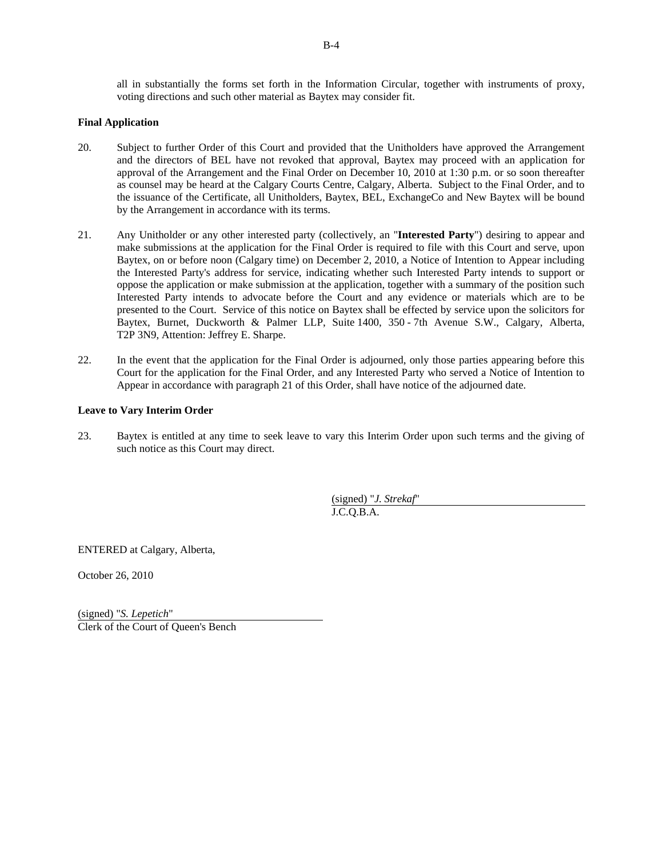all in substantially the forms set forth in the Information Circular, together with instruments of proxy, voting directions and such other material as Baytex may consider fit.

# **Final Application**

- 20. Subject to further Order of this Court and provided that the Unitholders have approved the Arrangement and the directors of BEL have not revoked that approval, Baytex may proceed with an application for approval of the Arrangement and the Final Order on December 10, 2010 at 1:30 p.m. or so soon thereafter as counsel may be heard at the Calgary Courts Centre, Calgary, Alberta. Subject to the Final Order, and to the issuance of the Certificate, all Unitholders, Baytex, BEL, ExchangeCo and New Baytex will be bound by the Arrangement in accordance with its terms.
- 21. Any Unitholder or any other interested party (collectively, an "**Interested Party**") desiring to appear and make submissions at the application for the Final Order is required to file with this Court and serve, upon Baytex, on or before noon (Calgary time) on December 2, 2010, a Notice of Intention to Appear including the Interested Party's address for service, indicating whether such Interested Party intends to support or oppose the application or make submission at the application, together with a summary of the position such Interested Party intends to advocate before the Court and any evidence or materials which are to be presented to the Court. Service of this notice on Baytex shall be effected by service upon the solicitors for Baytex, Burnet, Duckworth & Palmer LLP, Suite 1400, 350 - 7th Avenue S.W., Calgary, Alberta, T2P 3N9, Attention: Jeffrey E. Sharpe.
- 22. In the event that the application for the Final Order is adjourned, only those parties appearing before this Court for the application for the Final Order, and any Interested Party who served a Notice of Intention to Appear in accordance with paragraph 21 of this Order, shall have notice of the adjourned date.

# **Leave to Vary Interim Order**

23. Baytex is entitled at any time to seek leave to vary this Interim Order upon such terms and the giving of such notice as this Court may direct.

> (signed) "*J. Strekaf*" J.C.Q.B.A.

ENTERED at Calgary, Alberta,

October 26, 2010

(signed) "*S. Lepetich*" Clerk of the Court of Queen's Bench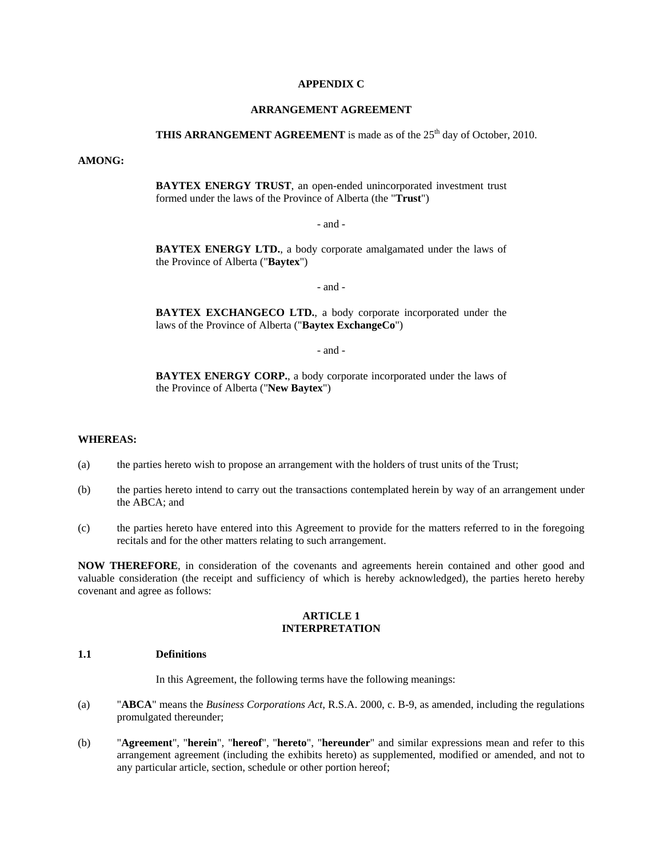### **APPENDIX C**

## **ARRANGEMENT AGREEMENT**

# **THIS ARRANGEMENT AGREEMENT** is made as of the 25<sup>th</sup> day of October, 2010.

## **AMONG:**

**BAYTEX ENERGY TRUST**, an open-ended unincorporated investment trust formed under the laws of the Province of Alberta (the "**Trust**")

- and -

**BAYTEX ENERGY LTD.**, a body corporate amalgamated under the laws of the Province of Alberta ("**Baytex**")

- and -

**BAYTEX EXCHANGECO LTD.**, a body corporate incorporated under the laws of the Province of Alberta ("**Baytex ExchangeCo**")

- and -

**BAYTEX ENERGY CORP.**, a body corporate incorporated under the laws of the Province of Alberta ("**New Baytex**")

### **WHEREAS:**

- (a) the parties hereto wish to propose an arrangement with the holders of trust units of the Trust;
- (b) the parties hereto intend to carry out the transactions contemplated herein by way of an arrangement under the ABCA; and
- (c) the parties hereto have entered into this Agreement to provide for the matters referred to in the foregoing recitals and for the other matters relating to such arrangement.

**NOW THEREFORE**, in consideration of the covenants and agreements herein contained and other good and valuable consideration (the receipt and sufficiency of which is hereby acknowledged), the parties hereto hereby covenant and agree as follows:

## **ARTICLE 1 INTERPRETATION**

## **1.1 Definitions**

In this Agreement, the following terms have the following meanings:

- (a) "**ABCA**" means the *Business Corporations Act*, R.S.A. 2000, c. B-9, as amended, including the regulations promulgated thereunder;
- (b) "**Agreement**", "**herein**", "**hereof**", "**hereto**", "**hereunder**" and similar expressions mean and refer to this arrangement agreement (including the exhibits hereto) as supplemented, modified or amended, and not to any particular article, section, schedule or other portion hereof;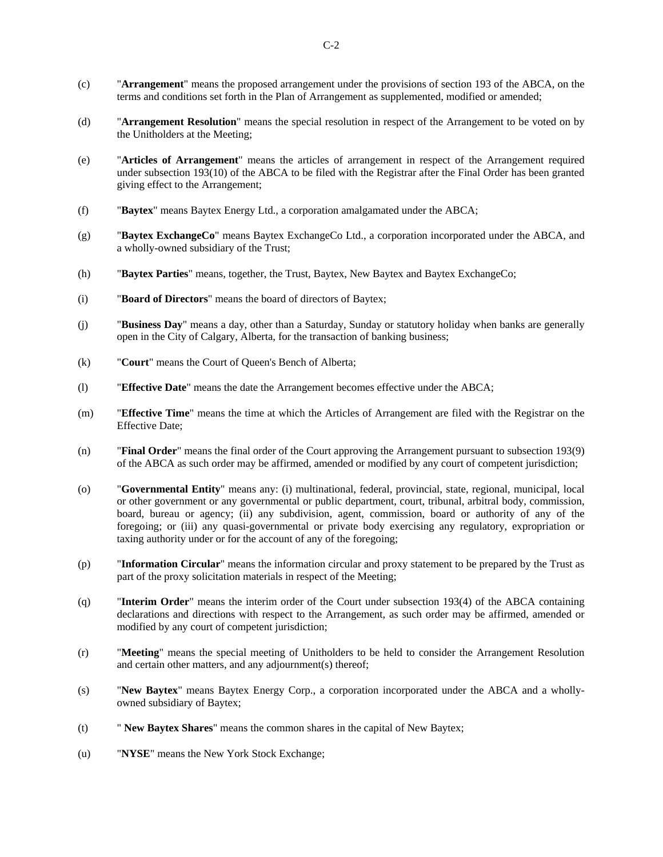- (c) "**Arrangement**" means the proposed arrangement under the provisions of section 193 of the ABCA, on the terms and conditions set forth in the Plan of Arrangement as supplemented, modified or amended;
- (d) "**Arrangement Resolution**" means the special resolution in respect of the Arrangement to be voted on by the Unitholders at the Meeting;
- (e) "**Articles of Arrangement**" means the articles of arrangement in respect of the Arrangement required under subsection 193(10) of the ABCA to be filed with the Registrar after the Final Order has been granted giving effect to the Arrangement;
- (f) "**Baytex**" means Baytex Energy Ltd., a corporation amalgamated under the ABCA;
- (g) "**Baytex ExchangeCo**" means Baytex ExchangeCo Ltd., a corporation incorporated under the ABCA, and a wholly-owned subsidiary of the Trust;
- (h) "**Baytex Parties**" means, together, the Trust, Baytex, New Baytex and Baytex ExchangeCo;
- (i) "**Board of Directors**" means the board of directors of Baytex;
- (j) "**Business Day**" means a day, other than a Saturday, Sunday or statutory holiday when banks are generally open in the City of Calgary, Alberta, for the transaction of banking business;
- (k) "**Court**" means the Court of Queen's Bench of Alberta;
- (l) "**Effective Date**" means the date the Arrangement becomes effective under the ABCA;
- (m) "**Effective Time**" means the time at which the Articles of Arrangement are filed with the Registrar on the Effective Date;
- (n) "**Final Order**" means the final order of the Court approving the Arrangement pursuant to subsection 193(9) of the ABCA as such order may be affirmed, amended or modified by any court of competent jurisdiction;
- (o) "**Governmental Entity**" means any: (i) multinational, federal, provincial, state, regional, municipal, local or other government or any governmental or public department, court, tribunal, arbitral body, commission, board, bureau or agency; (ii) any subdivision, agent, commission, board or authority of any of the foregoing; or (iii) any quasi-governmental or private body exercising any regulatory, expropriation or taxing authority under or for the account of any of the foregoing;
- (p) "**Information Circular**" means the information circular and proxy statement to be prepared by the Trust as part of the proxy solicitation materials in respect of the Meeting;
- (q) "**Interim Order**" means the interim order of the Court under subsection 193(4) of the ABCA containing declarations and directions with respect to the Arrangement, as such order may be affirmed, amended or modified by any court of competent jurisdiction;
- (r) "**Meeting**" means the special meeting of Unitholders to be held to consider the Arrangement Resolution and certain other matters, and any adjournment(s) thereof;
- (s) "**New Baytex**" means Baytex Energy Corp., a corporation incorporated under the ABCA and a whollyowned subsidiary of Baytex;
- (t) " **New Baytex Shares**" means the common shares in the capital of New Baytex;
- (u) "**NYSE**" means the New York Stock Exchange;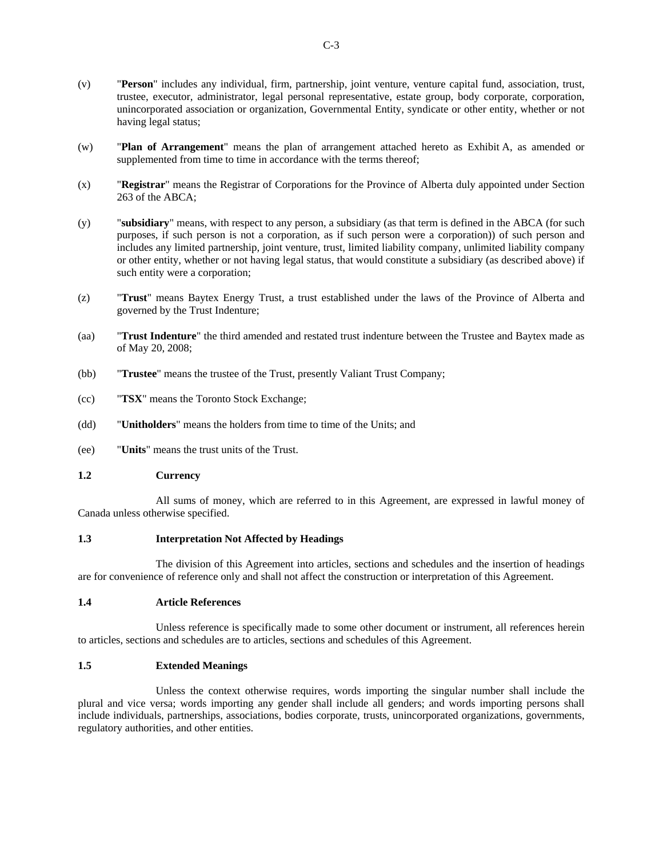- (v) "**Person**" includes any individual, firm, partnership, joint venture, venture capital fund, association, trust, trustee, executor, administrator, legal personal representative, estate group, body corporate, corporation, unincorporated association or organization, Governmental Entity, syndicate or other entity, whether or not having legal status;
- (w) "**Plan of Arrangement**" means the plan of arrangement attached hereto as Exhibit A, as amended or supplemented from time to time in accordance with the terms thereof;
- (x) "**Registrar**" means the Registrar of Corporations for the Province of Alberta duly appointed under Section 263 of the ABCA;
- (y) "**subsidiary**" means, with respect to any person, a subsidiary (as that term is defined in the ABCA (for such purposes, if such person is not a corporation, as if such person were a corporation)) of such person and includes any limited partnership, joint venture, trust, limited liability company, unlimited liability company or other entity, whether or not having legal status, that would constitute a subsidiary (as described above) if such entity were a corporation;
- (z) "**Trust**" means Baytex Energy Trust, a trust established under the laws of the Province of Alberta and governed by the Trust Indenture;
- (aa) "**Trust Indenture**" the third amended and restated trust indenture between the Trustee and Baytex made as of May 20, 2008;
- (bb) "**Trustee**" means the trustee of the Trust, presently Valiant Trust Company;
- (cc) "**TSX**" means the Toronto Stock Exchange;
- (dd) "**Unitholders**" means the holders from time to time of the Units; and
- (ee) "**Units**" means the trust units of the Trust.

## **1.2 Currency**

All sums of money, which are referred to in this Agreement, are expressed in lawful money of Canada unless otherwise specified.

#### **1.3 Interpretation Not Affected by Headings**

The division of this Agreement into articles, sections and schedules and the insertion of headings are for convenience of reference only and shall not affect the construction or interpretation of this Agreement.

# **1.4 Article References**

Unless reference is specifically made to some other document or instrument, all references herein to articles, sections and schedules are to articles, sections and schedules of this Agreement.

#### **1.5 Extended Meanings**

Unless the context otherwise requires, words importing the singular number shall include the plural and vice versa; words importing any gender shall include all genders; and words importing persons shall include individuals, partnerships, associations, bodies corporate, trusts, unincorporated organizations, governments, regulatory authorities, and other entities.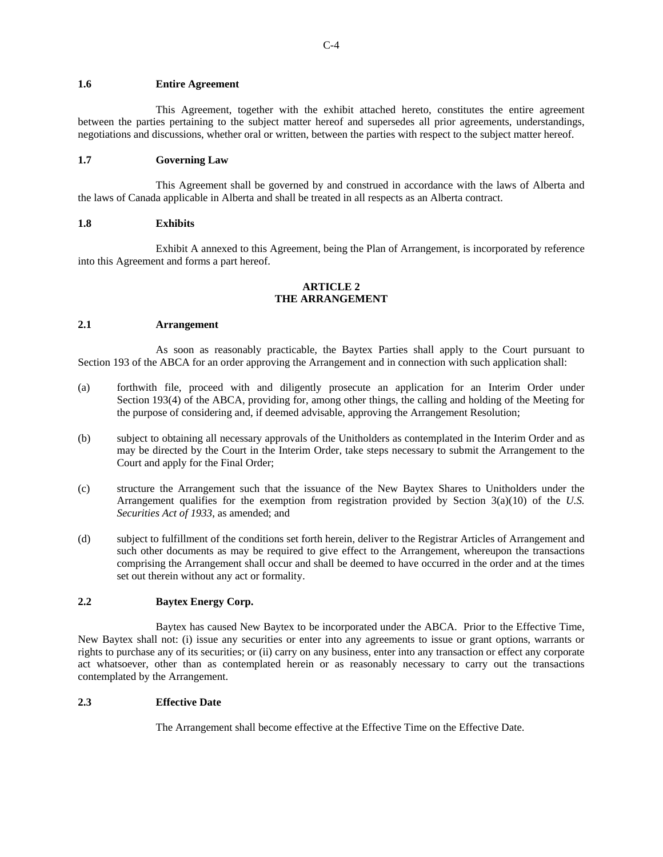## **1.6 Entire Agreement**

This Agreement, together with the exhibit attached hereto, constitutes the entire agreement between the parties pertaining to the subject matter hereof and supersedes all prior agreements, understandings, negotiations and discussions, whether oral or written, between the parties with respect to the subject matter hereof.

## **1.7 Governing Law**

This Agreement shall be governed by and construed in accordance with the laws of Alberta and the laws of Canada applicable in Alberta and shall be treated in all respects as an Alberta contract.

#### **1.8 Exhibits**

Exhibit A annexed to this Agreement, being the Plan of Arrangement, is incorporated by reference into this Agreement and forms a part hereof.

## **ARTICLE 2 THE ARRANGEMENT**

## **2.1 Arrangement**

As soon as reasonably practicable, the Baytex Parties shall apply to the Court pursuant to Section 193 of the ABCA for an order approving the Arrangement and in connection with such application shall:

- (a) forthwith file, proceed with and diligently prosecute an application for an Interim Order under Section 193(4) of the ABCA, providing for, among other things, the calling and holding of the Meeting for the purpose of considering and, if deemed advisable, approving the Arrangement Resolution;
- (b) subject to obtaining all necessary approvals of the Unitholders as contemplated in the Interim Order and as may be directed by the Court in the Interim Order, take steps necessary to submit the Arrangement to the Court and apply for the Final Order;
- (c) structure the Arrangement such that the issuance of the New Baytex Shares to Unitholders under the Arrangement qualifies for the exemption from registration provided by Section 3(a)(10) of the *U.S. Securities Act of 1933*, as amended; and
- (d) subject to fulfillment of the conditions set forth herein, deliver to the Registrar Articles of Arrangement and such other documents as may be required to give effect to the Arrangement, whereupon the transactions comprising the Arrangement shall occur and shall be deemed to have occurred in the order and at the times set out therein without any act or formality.

# **2.2 Baytex Energy Corp.**

Baytex has caused New Baytex to be incorporated under the ABCA. Prior to the Effective Time, New Baytex shall not: (i) issue any securities or enter into any agreements to issue or grant options, warrants or rights to purchase any of its securities; or (ii) carry on any business, enter into any transaction or effect any corporate act whatsoever, other than as contemplated herein or as reasonably necessary to carry out the transactions contemplated by the Arrangement.

## **2.3 Effective Date**

The Arrangement shall become effective at the Effective Time on the Effective Date.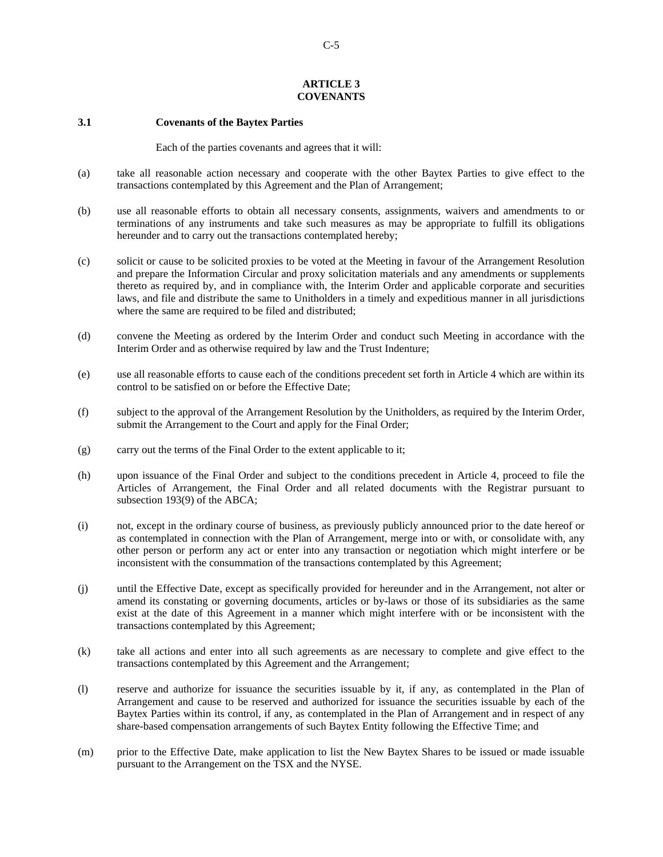## **ARTICLE 3 COVENANTS**

### **3.1 Covenants of the Baytex Parties**

Each of the parties covenants and agrees that it will:

- (a) take all reasonable action necessary and cooperate with the other Baytex Parties to give effect to the transactions contemplated by this Agreement and the Plan of Arrangement;
- (b) use all reasonable efforts to obtain all necessary consents, assignments, waivers and amendments to or terminations of any instruments and take such measures as may be appropriate to fulfill its obligations hereunder and to carry out the transactions contemplated hereby;
- (c) solicit or cause to be solicited proxies to be voted at the Meeting in favour of the Arrangement Resolution and prepare the Information Circular and proxy solicitation materials and any amendments or supplements thereto as required by, and in compliance with, the Interim Order and applicable corporate and securities laws, and file and distribute the same to Unitholders in a timely and expeditious manner in all jurisdictions where the same are required to be filed and distributed;
- (d) convene the Meeting as ordered by the Interim Order and conduct such Meeting in accordance with the Interim Order and as otherwise required by law and the Trust Indenture;
- (e) use all reasonable efforts to cause each of the conditions precedent set forth in Article 4 which are within its control to be satisfied on or before the Effective Date;
- (f) subject to the approval of the Arrangement Resolution by the Unitholders, as required by the Interim Order, submit the Arrangement to the Court and apply for the Final Order;
- (g) carry out the terms of the Final Order to the extent applicable to it;
- (h) upon issuance of the Final Order and subject to the conditions precedent in Article 4, proceed to file the Articles of Arrangement, the Final Order and all related documents with the Registrar pursuant to subsection 193(9) of the ABCA;
- (i) not, except in the ordinary course of business, as previously publicly announced prior to the date hereof or as contemplated in connection with the Plan of Arrangement, merge into or with, or consolidate with, any other person or perform any act or enter into any transaction or negotiation which might interfere or be inconsistent with the consummation of the transactions contemplated by this Agreement;
- (j) until the Effective Date, except as specifically provided for hereunder and in the Arrangement, not alter or amend its constating or governing documents, articles or by-laws or those of its subsidiaries as the same exist at the date of this Agreement in a manner which might interfere with or be inconsistent with the transactions contemplated by this Agreement;
- (k) take all actions and enter into all such agreements as are necessary to complete and give effect to the transactions contemplated by this Agreement and the Arrangement;
- (l) reserve and authorize for issuance the securities issuable by it, if any, as contemplated in the Plan of Arrangement and cause to be reserved and authorized for issuance the securities issuable by each of the Baytex Parties within its control, if any, as contemplated in the Plan of Arrangement and in respect of any share-based compensation arrangements of such Baytex Entity following the Effective Time; and
- (m) prior to the Effective Date, make application to list the New Baytex Shares to be issued or made issuable pursuant to the Arrangement on the TSX and the NYSE.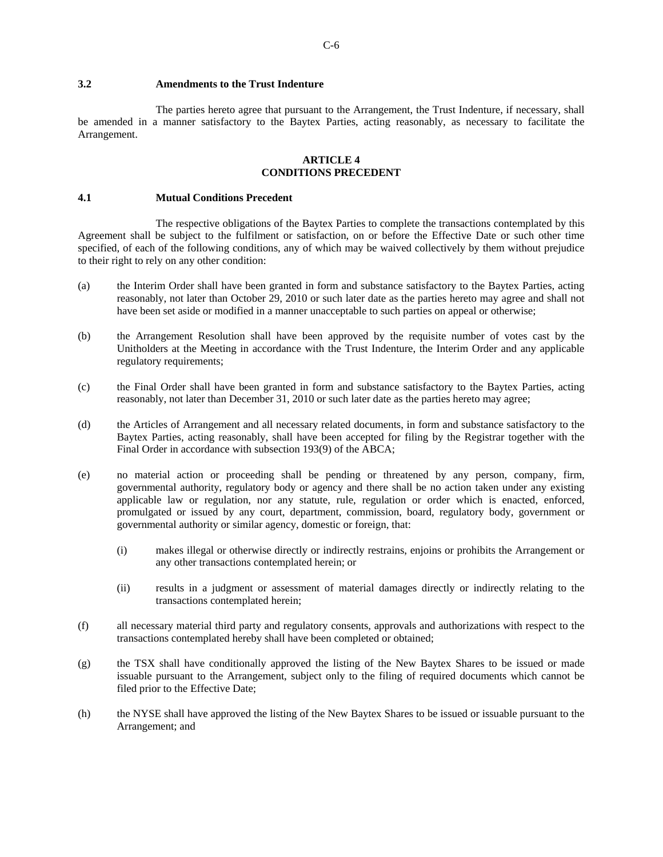The parties hereto agree that pursuant to the Arrangement, the Trust Indenture, if necessary, shall be amended in a manner satisfactory to the Baytex Parties, acting reasonably, as necessary to facilitate the Arrangement.

## **ARTICLE 4 CONDITIONS PRECEDENT**

#### **4.1 Mutual Conditions Precedent**

The respective obligations of the Baytex Parties to complete the transactions contemplated by this Agreement shall be subject to the fulfilment or satisfaction, on or before the Effective Date or such other time specified, of each of the following conditions, any of which may be waived collectively by them without prejudice to their right to rely on any other condition:

- (a) the Interim Order shall have been granted in form and substance satisfactory to the Baytex Parties, acting reasonably, not later than October 29, 2010 or such later date as the parties hereto may agree and shall not have been set aside or modified in a manner unacceptable to such parties on appeal or otherwise;
- (b) the Arrangement Resolution shall have been approved by the requisite number of votes cast by the Unitholders at the Meeting in accordance with the Trust Indenture, the Interim Order and any applicable regulatory requirements;
- (c) the Final Order shall have been granted in form and substance satisfactory to the Baytex Parties, acting reasonably, not later than December 31, 2010 or such later date as the parties hereto may agree;
- (d) the Articles of Arrangement and all necessary related documents, in form and substance satisfactory to the Baytex Parties, acting reasonably, shall have been accepted for filing by the Registrar together with the Final Order in accordance with subsection 193(9) of the ABCA;
- (e) no material action or proceeding shall be pending or threatened by any person, company, firm, governmental authority, regulatory body or agency and there shall be no action taken under any existing applicable law or regulation, nor any statute, rule, regulation or order which is enacted, enforced, promulgated or issued by any court, department, commission, board, regulatory body, government or governmental authority or similar agency, domestic or foreign, that:
	- (i) makes illegal or otherwise directly or indirectly restrains, enjoins or prohibits the Arrangement or any other transactions contemplated herein; or
	- (ii) results in a judgment or assessment of material damages directly or indirectly relating to the transactions contemplated herein;
- (f) all necessary material third party and regulatory consents, approvals and authorizations with respect to the transactions contemplated hereby shall have been completed or obtained;
- (g) the TSX shall have conditionally approved the listing of the New Baytex Shares to be issued or made issuable pursuant to the Arrangement, subject only to the filing of required documents which cannot be filed prior to the Effective Date;
- (h) the NYSE shall have approved the listing of the New Baytex Shares to be issued or issuable pursuant to the Arrangement; and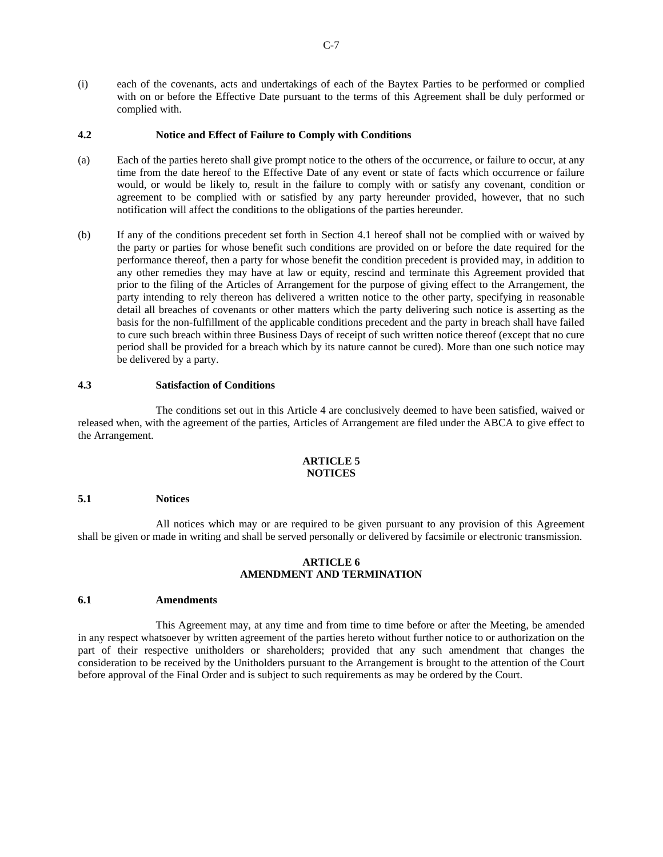(i) each of the covenants, acts and undertakings of each of the Baytex Parties to be performed or complied with on or before the Effective Date pursuant to the terms of this Agreement shall be duly performed or complied with.

## **4.2 Notice and Effect of Failure to Comply with Conditions**

- (a) Each of the parties hereto shall give prompt notice to the others of the occurrence, or failure to occur, at any time from the date hereof to the Effective Date of any event or state of facts which occurrence or failure would, or would be likely to, result in the failure to comply with or satisfy any covenant, condition or agreement to be complied with or satisfied by any party hereunder provided, however, that no such notification will affect the conditions to the obligations of the parties hereunder.
- (b) If any of the conditions precedent set forth in Section 4.1 hereof shall not be complied with or waived by the party or parties for whose benefit such conditions are provided on or before the date required for the performance thereof, then a party for whose benefit the condition precedent is provided may, in addition to any other remedies they may have at law or equity, rescind and terminate this Agreement provided that prior to the filing of the Articles of Arrangement for the purpose of giving effect to the Arrangement, the party intending to rely thereon has delivered a written notice to the other party, specifying in reasonable detail all breaches of covenants or other matters which the party delivering such notice is asserting as the basis for the non-fulfillment of the applicable conditions precedent and the party in breach shall have failed to cure such breach within three Business Days of receipt of such written notice thereof (except that no cure period shall be provided for a breach which by its nature cannot be cured). More than one such notice may be delivered by a party.

## **4.3 Satisfaction of Conditions**

The conditions set out in this Article 4 are conclusively deemed to have been satisfied, waived or released when, with the agreement of the parties, Articles of Arrangement are filed under the ABCA to give effect to the Arrangement.

## **ARTICLE 5 NOTICES**

#### **5.1 Notices**

All notices which may or are required to be given pursuant to any provision of this Agreement shall be given or made in writing and shall be served personally or delivered by facsimile or electronic transmission.

## **ARTICLE 6 AMENDMENT AND TERMINATION**

#### **6.1 Amendments**

This Agreement may, at any time and from time to time before or after the Meeting, be amended in any respect whatsoever by written agreement of the parties hereto without further notice to or authorization on the part of their respective unitholders or shareholders; provided that any such amendment that changes the consideration to be received by the Unitholders pursuant to the Arrangement is brought to the attention of the Court before approval of the Final Order and is subject to such requirements as may be ordered by the Court.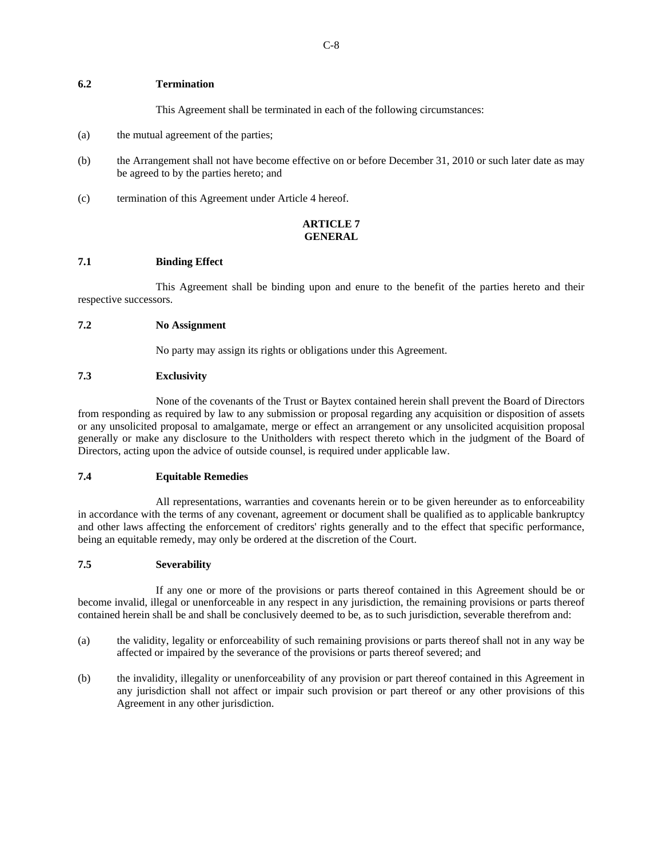## **6.2 Termination**

This Agreement shall be terminated in each of the following circumstances:

- (a) the mutual agreement of the parties;
- (b) the Arrangement shall not have become effective on or before December 31, 2010 or such later date as may be agreed to by the parties hereto; and
- (c) termination of this Agreement under Article 4 hereof.

# **ARTICLE 7 GENERAL**

# **7.1 Binding Effect**

This Agreement shall be binding upon and enure to the benefit of the parties hereto and their respective successors.

## **7.2 No Assignment**

No party may assign its rights or obligations under this Agreement.

## **7.3 Exclusivity**

None of the covenants of the Trust or Baytex contained herein shall prevent the Board of Directors from responding as required by law to any submission or proposal regarding any acquisition or disposition of assets or any unsolicited proposal to amalgamate, merge or effect an arrangement or any unsolicited acquisition proposal generally or make any disclosure to the Unitholders with respect thereto which in the judgment of the Board of Directors, acting upon the advice of outside counsel, is required under applicable law.

## **7.4 Equitable Remedies**

All representations, warranties and covenants herein or to be given hereunder as to enforceability in accordance with the terms of any covenant, agreement or document shall be qualified as to applicable bankruptcy and other laws affecting the enforcement of creditors' rights generally and to the effect that specific performance, being an equitable remedy, may only be ordered at the discretion of the Court.

# **7.5 Severability**

If any one or more of the provisions or parts thereof contained in this Agreement should be or become invalid, illegal or unenforceable in any respect in any jurisdiction, the remaining provisions or parts thereof contained herein shall be and shall be conclusively deemed to be, as to such jurisdiction, severable therefrom and:

- (a) the validity, legality or enforceability of such remaining provisions or parts thereof shall not in any way be affected or impaired by the severance of the provisions or parts thereof severed; and
- (b) the invalidity, illegality or unenforceability of any provision or part thereof contained in this Agreement in any jurisdiction shall not affect or impair such provision or part thereof or any other provisions of this Agreement in any other jurisdiction.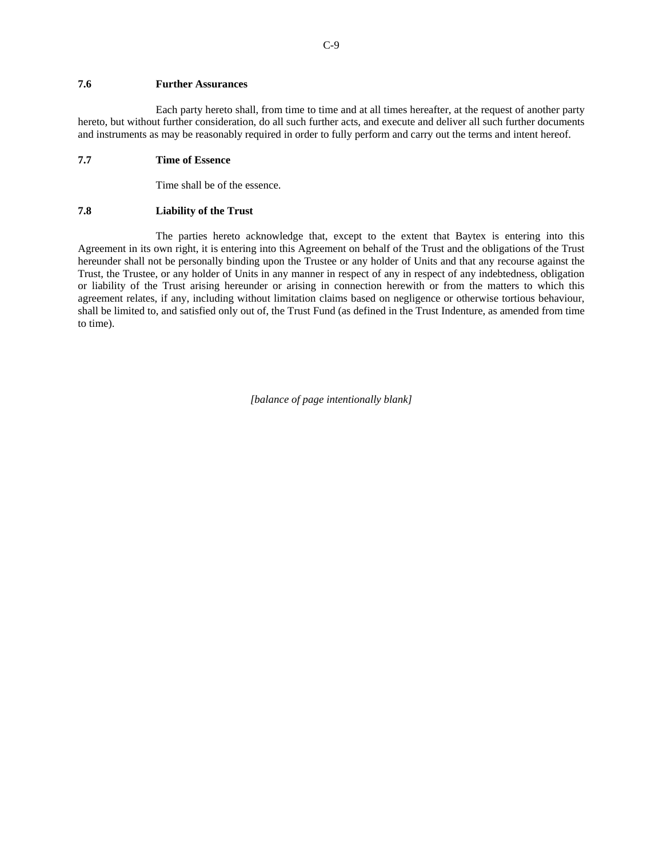## **7.6 Further Assurances**

Each party hereto shall, from time to time and at all times hereafter, at the request of another party hereto, but without further consideration, do all such further acts, and execute and deliver all such further documents and instruments as may be reasonably required in order to fully perform and carry out the terms and intent hereof.

## **7.7 Time of Essence**

Time shall be of the essence.

#### **7.8 Liability of the Trust**

The parties hereto acknowledge that, except to the extent that Baytex is entering into this Agreement in its own right, it is entering into this Agreement on behalf of the Trust and the obligations of the Trust hereunder shall not be personally binding upon the Trustee or any holder of Units and that any recourse against the Trust, the Trustee, or any holder of Units in any manner in respect of any in respect of any indebtedness, obligation or liability of the Trust arising hereunder or arising in connection herewith or from the matters to which this agreement relates, if any, including without limitation claims based on negligence or otherwise tortious behaviour, shall be limited to, and satisfied only out of, the Trust Fund (as defined in the Trust Indenture, as amended from time to time).

*[balance of page intentionally blank]*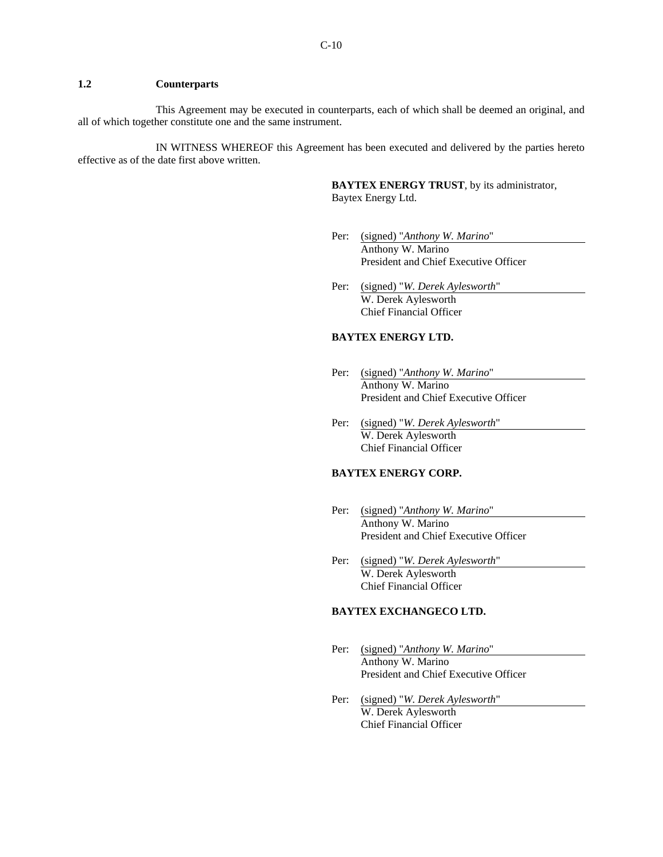# **1.2 Counterparts**

This Agreement may be executed in counterparts, each of which shall be deemed an original, and all of which together constitute one and the same instrument.

IN WITNESS WHEREOF this Agreement has been executed and delivered by the parties hereto effective as of the date first above written.

> **BAYTEX ENERGY TRUST**, by its administrator, Baytex Energy Ltd.

- Per: (signed) "*Anthony W. Marino*" Anthony W. Marino President and Chief Executive Officer
- Per: (signed) "*W. Derek Aylesworth*" W. Derek Aylesworth Chief Financial Officer

## **BAYTEX ENERGY LTD.**

- Per: (signed) "*Anthony W. Marino*" Anthony W. Marino President and Chief Executive Officer
- Per: (signed) "*W. Derek Aylesworth*" W. Derek Aylesworth Chief Financial Officer

## **BAYTEX ENERGY CORP.**

- Per: (signed) "*Anthony W. Marino*" Anthony W. Marino President and Chief Executive Officer
- Per: (signed) "*W. Derek Aylesworth*" W. Derek Aylesworth Chief Financial Officer

#### **BAYTEX EXCHANGECO LTD.**

- Per: (signed) "*Anthony W. Marino*" Anthony W. Marino President and Chief Executive Officer
- Per: (signed) "*W. Derek Aylesworth*" W. Derek Aylesworth Chief Financial Officer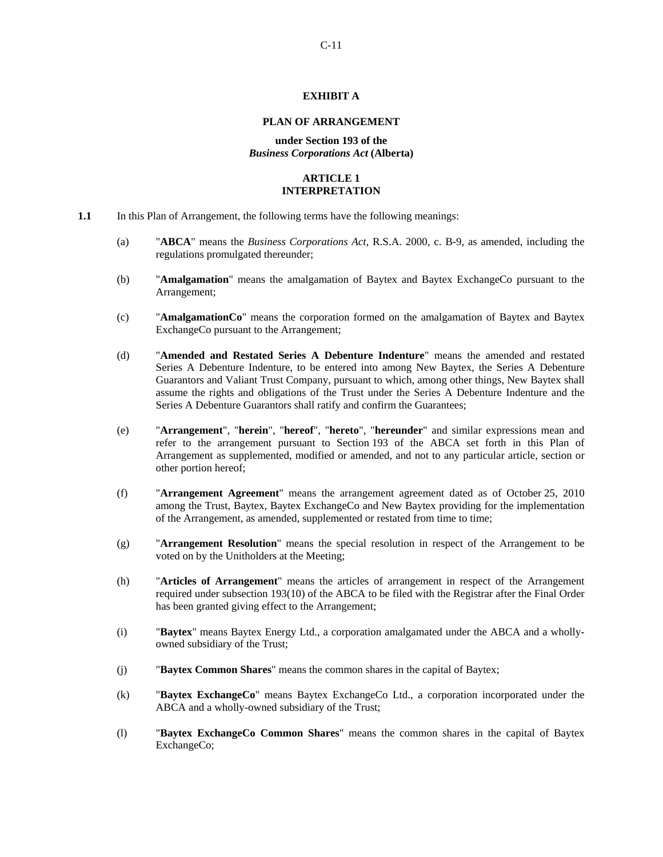## **EXHIBIT A**

## **PLAN OF ARRANGEMENT**

#### **under Section 193 of the**  *Business Corporations Act* **(Alberta)**

# **ARTICLE 1 INTERPRETATION**

- **1.1** In this Plan of Arrangement, the following terms have the following meanings:
	- (a) "**ABCA**" means the *Business Corporations Act*, R.S.A. 2000, c. B-9, as amended, including the regulations promulgated thereunder;
	- (b) "**Amalgamation**" means the amalgamation of Baytex and Baytex ExchangeCo pursuant to the Arrangement;
	- (c) "**AmalgamationCo**" means the corporation formed on the amalgamation of Baytex and Baytex ExchangeCo pursuant to the Arrangement;
	- (d) "**Amended and Restated Series A Debenture Indenture**" means the amended and restated Series A Debenture Indenture, to be entered into among New Baytex, the Series A Debenture Guarantors and Valiant Trust Company, pursuant to which, among other things, New Baytex shall assume the rights and obligations of the Trust under the Series A Debenture Indenture and the Series A Debenture Guarantors shall ratify and confirm the Guarantees;
	- (e) "**Arrangement**", "**herein**", "**hereof**", "**hereto**", "**hereunder**" and similar expressions mean and refer to the arrangement pursuant to Section 193 of the ABCA set forth in this Plan of Arrangement as supplemented, modified or amended, and not to any particular article, section or other portion hereof;
	- (f) "**Arrangement Agreement**" means the arrangement agreement dated as of October 25, 2010 among the Trust, Baytex, Baytex ExchangeCo and New Baytex providing for the implementation of the Arrangement, as amended, supplemented or restated from time to time;
	- (g) "**Arrangement Resolution**" means the special resolution in respect of the Arrangement to be voted on by the Unitholders at the Meeting;
	- (h) "**Articles of Arrangement**" means the articles of arrangement in respect of the Arrangement required under subsection 193(10) of the ABCA to be filed with the Registrar after the Final Order has been granted giving effect to the Arrangement;
	- (i) "**Baytex**" means Baytex Energy Ltd., a corporation amalgamated under the ABCA and a whollyowned subsidiary of the Trust;
	- (j) "**Baytex Common Shares**" means the common shares in the capital of Baytex;
	- (k) "**Baytex ExchangeCo**" means Baytex ExchangeCo Ltd., a corporation incorporated under the ABCA and a wholly-owned subsidiary of the Trust;
	- (l) "**Baytex ExchangeCo Common Shares**" means the common shares in the capital of Baytex ExchangeCo;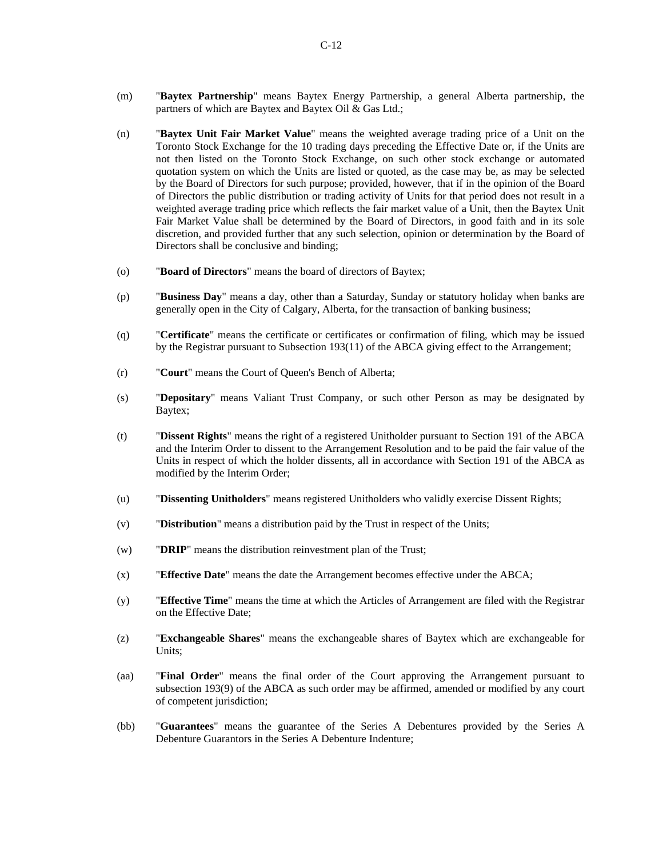- (m) "**Baytex Partnership**" means Baytex Energy Partnership, a general Alberta partnership, the partners of which are Baytex and Baytex Oil & Gas Ltd.;
- (n) "**Baytex Unit Fair Market Value**" means the weighted average trading price of a Unit on the Toronto Stock Exchange for the 10 trading days preceding the Effective Date or, if the Units are not then listed on the Toronto Stock Exchange, on such other stock exchange or automated quotation system on which the Units are listed or quoted, as the case may be, as may be selected by the Board of Directors for such purpose; provided, however, that if in the opinion of the Board of Directors the public distribution or trading activity of Units for that period does not result in a weighted average trading price which reflects the fair market value of a Unit, then the Baytex Unit Fair Market Value shall be determined by the Board of Directors, in good faith and in its sole discretion, and provided further that any such selection, opinion or determination by the Board of Directors shall be conclusive and binding;
- (o) "**Board of Directors**" means the board of directors of Baytex;
- (p) "**Business Day**" means a day, other than a Saturday, Sunday or statutory holiday when banks are generally open in the City of Calgary, Alberta, for the transaction of banking business;
- (q) "**Certificate**" means the certificate or certificates or confirmation of filing, which may be issued by the Registrar pursuant to Subsection 193(11) of the ABCA giving effect to the Arrangement;
- (r) "**Court**" means the Court of Queen's Bench of Alberta;
- (s) "**Depositary**" means Valiant Trust Company, or such other Person as may be designated by Baytex;
- (t) "**Dissent Rights**" means the right of a registered Unitholder pursuant to Section 191 of the ABCA and the Interim Order to dissent to the Arrangement Resolution and to be paid the fair value of the Units in respect of which the holder dissents, all in accordance with Section 191 of the ABCA as modified by the Interim Order;
- (u) "**Dissenting Unitholders**" means registered Unitholders who validly exercise Dissent Rights;
- (v) "**Distribution**" means a distribution paid by the Trust in respect of the Units;
- (w) "**DRIP**" means the distribution reinvestment plan of the Trust;
- (x) "**Effective Date**" means the date the Arrangement becomes effective under the ABCA;
- (y) "**Effective Time**" means the time at which the Articles of Arrangement are filed with the Registrar on the Effective Date;
- (z) "**Exchangeable Shares**" means the exchangeable shares of Baytex which are exchangeable for Units;
- (aa) "**Final Order**" means the final order of the Court approving the Arrangement pursuant to subsection 193(9) of the ABCA as such order may be affirmed, amended or modified by any court of competent jurisdiction;
- (bb) "**Guarantees**" means the guarantee of the Series A Debentures provided by the Series A Debenture Guarantors in the Series A Debenture Indenture;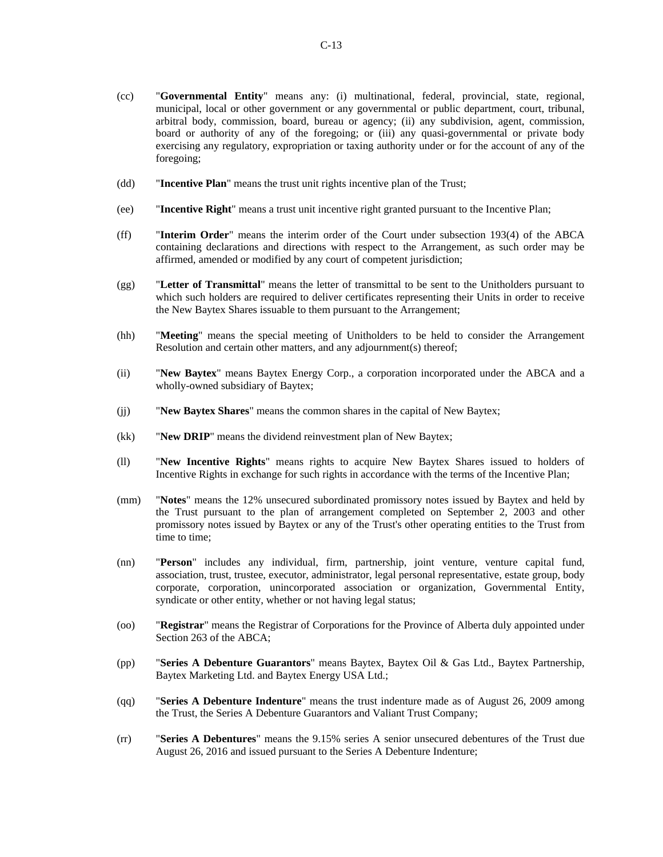- (cc) "**Governmental Entity**" means any: (i) multinational, federal, provincial, state, regional, municipal, local or other government or any governmental or public department, court, tribunal, arbitral body, commission, board, bureau or agency; (ii) any subdivision, agent, commission, board or authority of any of the foregoing; or (iii) any quasi-governmental or private body exercising any regulatory, expropriation or taxing authority under or for the account of any of the foregoing;
- (dd) "**Incentive Plan**" means the trust unit rights incentive plan of the Trust;
- (ee) "**Incentive Right**" means a trust unit incentive right granted pursuant to the Incentive Plan;
- (ff) "**Interim Order**" means the interim order of the Court under subsection 193(4) of the ABCA containing declarations and directions with respect to the Arrangement, as such order may be affirmed, amended or modified by any court of competent jurisdiction;
- (gg) "**Letter of Transmittal**" means the letter of transmittal to be sent to the Unitholders pursuant to which such holders are required to deliver certificates representing their Units in order to receive the New Baytex Shares issuable to them pursuant to the Arrangement;
- (hh) "**Meeting**" means the special meeting of Unitholders to be held to consider the Arrangement Resolution and certain other matters, and any adjournment(s) thereof;
- (ii) "**New Baytex**" means Baytex Energy Corp., a corporation incorporated under the ABCA and a wholly-owned subsidiary of Baytex;
- (jj) "**New Baytex Shares**" means the common shares in the capital of New Baytex;
- (kk) "**New DRIP**" means the dividend reinvestment plan of New Baytex;
- (ll) "**New Incentive Rights**" means rights to acquire New Baytex Shares issued to holders of Incentive Rights in exchange for such rights in accordance with the terms of the Incentive Plan;
- (mm) "**Notes**" means the 12% unsecured subordinated promissory notes issued by Baytex and held by the Trust pursuant to the plan of arrangement completed on September 2, 2003 and other promissory notes issued by Baytex or any of the Trust's other operating entities to the Trust from time to time;
- (nn) "**Person**" includes any individual, firm, partnership, joint venture, venture capital fund, association, trust, trustee, executor, administrator, legal personal representative, estate group, body corporate, corporation, unincorporated association or organization, Governmental Entity, syndicate or other entity, whether or not having legal status;
- (oo) "**Registrar**" means the Registrar of Corporations for the Province of Alberta duly appointed under Section 263 of the ABCA;
- (pp) "**Series A Debenture Guarantors**" means Baytex, Baytex Oil & Gas Ltd., Baytex Partnership, Baytex Marketing Ltd. and Baytex Energy USA Ltd.;
- (qq) "**Series A Debenture Indenture**" means the trust indenture made as of August 26, 2009 among the Trust, the Series A Debenture Guarantors and Valiant Trust Company;
- (rr) "**Series A Debentures**" means the 9.15% series A senior unsecured debentures of the Trust due August 26, 2016 and issued pursuant to the Series A Debenture Indenture;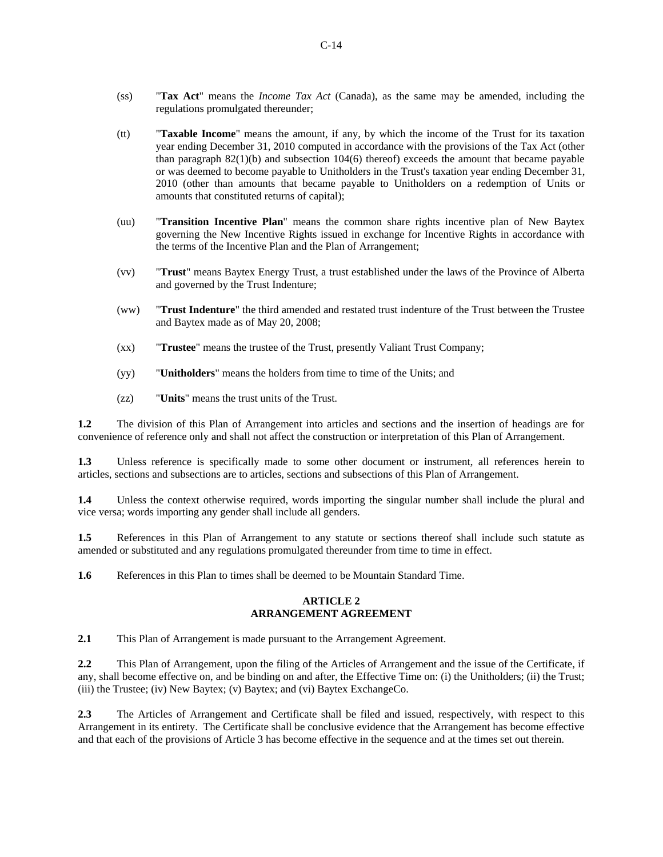- (ss) "**Tax Act**" means the *Income Tax Act* (Canada), as the same may be amended, including the regulations promulgated thereunder;
- (tt) "**Taxable Income**" means the amount, if any, by which the income of the Trust for its taxation year ending December 31, 2010 computed in accordance with the provisions of the Tax Act (other than paragraph 82(1)(b) and subsection 104(6) thereof) exceeds the amount that became payable or was deemed to become payable to Unitholders in the Trust's taxation year ending December 31, 2010 (other than amounts that became payable to Unitholders on a redemption of Units or amounts that constituted returns of capital);
- (uu) "**Transition Incentive Plan**" means the common share rights incentive plan of New Baytex governing the New Incentive Rights issued in exchange for Incentive Rights in accordance with the terms of the Incentive Plan and the Plan of Arrangement;
- (vv) "**Trust**" means Baytex Energy Trust, a trust established under the laws of the Province of Alberta and governed by the Trust Indenture;
- (ww) "**Trust Indenture**" the third amended and restated trust indenture of the Trust between the Trustee and Baytex made as of May 20, 2008;
- (xx) "**Trustee**" means the trustee of the Trust, presently Valiant Trust Company;
- (yy) "**Unitholders**" means the holders from time to time of the Units; and
- (zz) "**Units**" means the trust units of the Trust.

**1.2** The division of this Plan of Arrangement into articles and sections and the insertion of headings are for convenience of reference only and shall not affect the construction or interpretation of this Plan of Arrangement.

**1.3** Unless reference is specifically made to some other document or instrument, all references herein to articles, sections and subsections are to articles, sections and subsections of this Plan of Arrangement.

**1.4** Unless the context otherwise required, words importing the singular number shall include the plural and vice versa; words importing any gender shall include all genders.

**1.5** References in this Plan of Arrangement to any statute or sections thereof shall include such statute as amended or substituted and any regulations promulgated thereunder from time to time in effect.

**1.6** References in this Plan to times shall be deemed to be Mountain Standard Time.

## **ARTICLE 2 ARRANGEMENT AGREEMENT**

**2.1** This Plan of Arrangement is made pursuant to the Arrangement Agreement.

**2.2** This Plan of Arrangement, upon the filing of the Articles of Arrangement and the issue of the Certificate, if any, shall become effective on, and be binding on and after, the Effective Time on: (i) the Unitholders; (ii) the Trust; (iii) the Trustee; (iv) New Baytex; (v) Baytex; and (vi) Baytex ExchangeCo.

**2.3** The Articles of Arrangement and Certificate shall be filed and issued, respectively, with respect to this Arrangement in its entirety. The Certificate shall be conclusive evidence that the Arrangement has become effective and that each of the provisions of Article 3 has become effective in the sequence and at the times set out therein.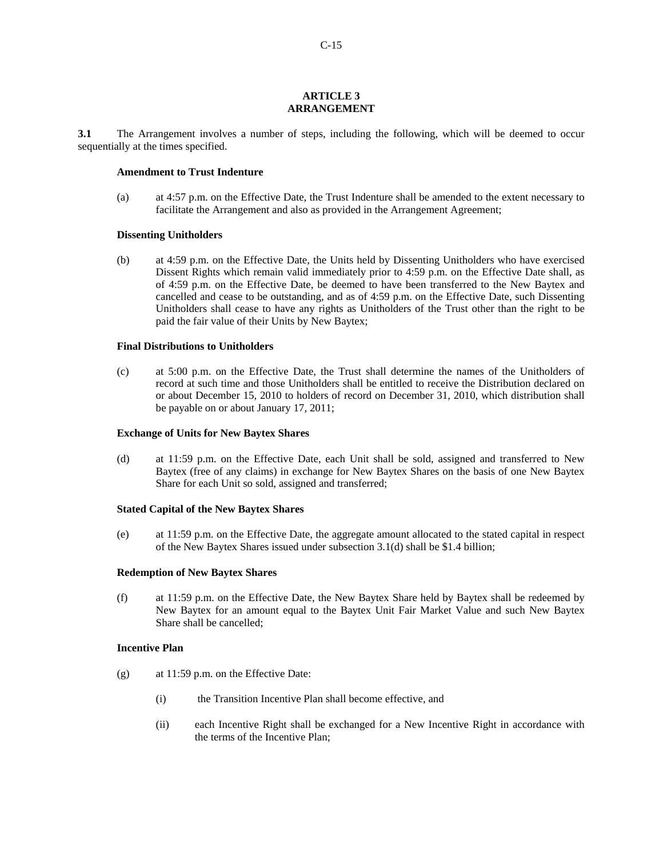#### **ARTICLE 3 ARRANGEMENT**

**3.1** The Arrangement involves a number of steps, including the following, which will be deemed to occur sequentially at the times specified.

## **Amendment to Trust Indenture**

(a) at 4:57 p.m. on the Effective Date, the Trust Indenture shall be amended to the extent necessary to facilitate the Arrangement and also as provided in the Arrangement Agreement;

#### **Dissenting Unitholders**

(b) at 4:59 p.m. on the Effective Date, the Units held by Dissenting Unitholders who have exercised Dissent Rights which remain valid immediately prior to 4:59 p.m. on the Effective Date shall, as of 4:59 p.m. on the Effective Date, be deemed to have been transferred to the New Baytex and cancelled and cease to be outstanding, and as of 4:59 p.m. on the Effective Date, such Dissenting Unitholders shall cease to have any rights as Unitholders of the Trust other than the right to be paid the fair value of their Units by New Baytex;

### **Final Distributions to Unitholders**

(c) at 5:00 p.m. on the Effective Date, the Trust shall determine the names of the Unitholders of record at such time and those Unitholders shall be entitled to receive the Distribution declared on or about December 15, 2010 to holders of record on December 31, 2010, which distribution shall be payable on or about January 17, 2011;

#### **Exchange of Units for New Baytex Shares**

(d) at 11:59 p.m. on the Effective Date, each Unit shall be sold, assigned and transferred to New Baytex (free of any claims) in exchange for New Baytex Shares on the basis of one New Baytex Share for each Unit so sold, assigned and transferred;

## **Stated Capital of the New Baytex Shares**

(e) at 11:59 p.m. on the Effective Date, the aggregate amount allocated to the stated capital in respect of the New Baytex Shares issued under subsection 3.1(d) shall be \$1.4 billion;

## **Redemption of New Baytex Shares**

(f) at 11:59 p.m. on the Effective Date, the New Baytex Share held by Baytex shall be redeemed by New Baytex for an amount equal to the Baytex Unit Fair Market Value and such New Baytex Share shall be cancelled;

#### **Incentive Plan**

- (g) at 11:59 p.m. on the Effective Date:
	- (i) the Transition Incentive Plan shall become effective, and
	- (ii) each Incentive Right shall be exchanged for a New Incentive Right in accordance with the terms of the Incentive Plan;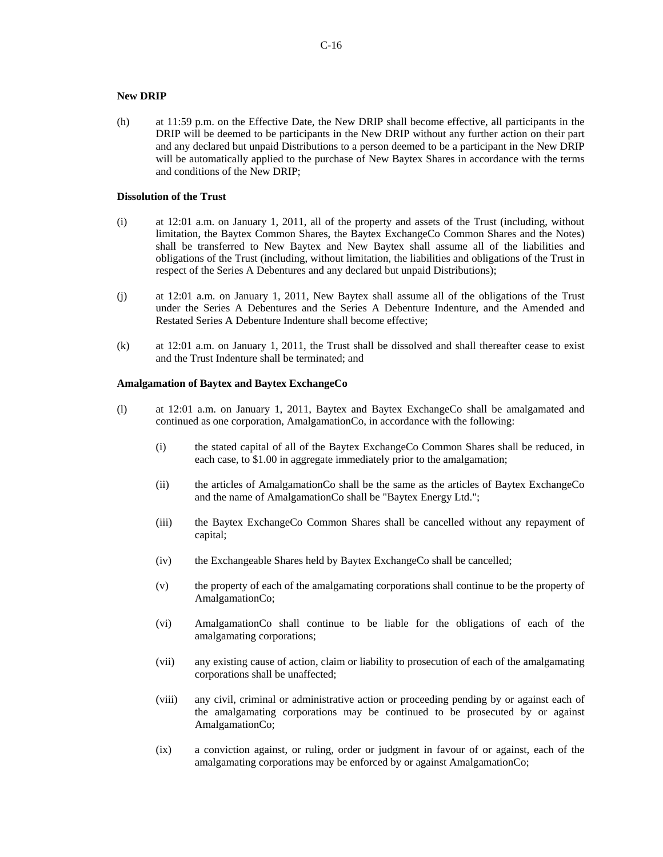## **New DRIP**

(h) at 11:59 p.m. on the Effective Date, the New DRIP shall become effective, all participants in the DRIP will be deemed to be participants in the New DRIP without any further action on their part and any declared but unpaid Distributions to a person deemed to be a participant in the New DRIP will be automatically applied to the purchase of New Baytex Shares in accordance with the terms and conditions of the New DRIP;

## **Dissolution of the Trust**

- (i) at 12:01 a.m. on January 1, 2011, all of the property and assets of the Trust (including, without limitation, the Baytex Common Shares, the Baytex ExchangeCo Common Shares and the Notes) shall be transferred to New Baytex and New Baytex shall assume all of the liabilities and obligations of the Trust (including, without limitation, the liabilities and obligations of the Trust in respect of the Series A Debentures and any declared but unpaid Distributions);
- (j) at 12:01 a.m. on January 1, 2011, New Baytex shall assume all of the obligations of the Trust under the Series A Debentures and the Series A Debenture Indenture, and the Amended and Restated Series A Debenture Indenture shall become effective;
- (k) at 12:01 a.m. on January 1, 2011, the Trust shall be dissolved and shall thereafter cease to exist and the Trust Indenture shall be terminated; and

## **Amalgamation of Baytex and Baytex ExchangeCo**

- (l) at 12:01 a.m. on January 1, 2011, Baytex and Baytex ExchangeCo shall be amalgamated and continued as one corporation, AmalgamationCo, in accordance with the following:
	- (i) the stated capital of all of the Baytex ExchangeCo Common Shares shall be reduced, in each case, to \$1.00 in aggregate immediately prior to the amalgamation;
	- (ii) the articles of AmalgamationCo shall be the same as the articles of Baytex ExchangeCo and the name of AmalgamationCo shall be "Baytex Energy Ltd.";
	- (iii) the Baytex ExchangeCo Common Shares shall be cancelled without any repayment of capital;
	- (iv) the Exchangeable Shares held by Baytex ExchangeCo shall be cancelled;
	- (v) the property of each of the amalgamating corporations shall continue to be the property of AmalgamationCo;
	- (vi) AmalgamationCo shall continue to be liable for the obligations of each of the amalgamating corporations;
	- (vii) any existing cause of action, claim or liability to prosecution of each of the amalgamating corporations shall be unaffected;
	- (viii) any civil, criminal or administrative action or proceeding pending by or against each of the amalgamating corporations may be continued to be prosecuted by or against AmalgamationCo;
	- (ix) a conviction against, or ruling, order or judgment in favour of or against, each of the amalgamating corporations may be enforced by or against AmalgamationCo;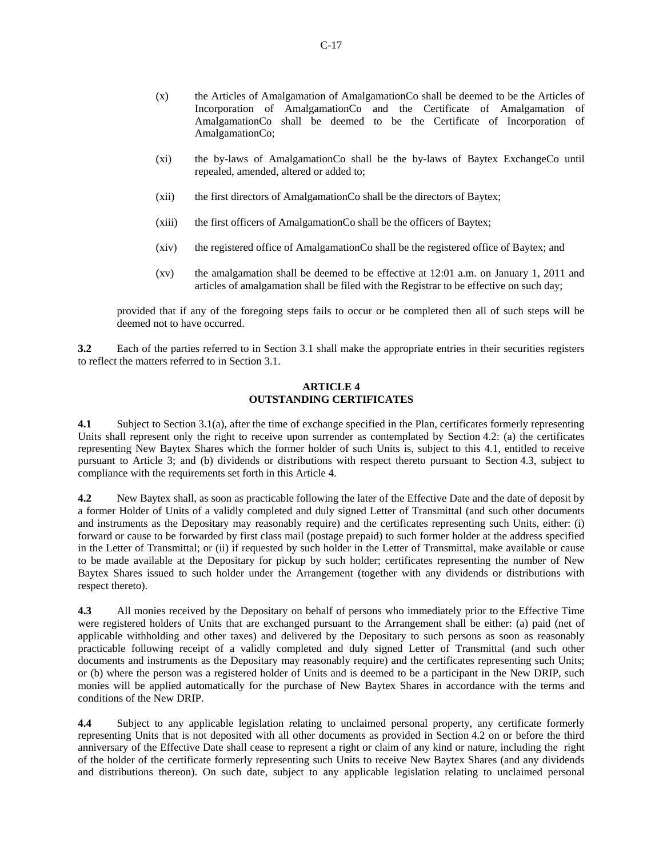- (x) the Articles of Amalgamation of AmalgamationCo shall be deemed to be the Articles of Incorporation of AmalgamationCo and the Certificate of Amalgamation of AmalgamationCo shall be deemed to be the Certificate of Incorporation of AmalgamationCo;
- (xi) the by-laws of AmalgamationCo shall be the by-laws of Baytex ExchangeCo until repealed, amended, altered or added to;
- (xii) the first directors of AmalgamationCo shall be the directors of Baytex;
- (xiii) the first officers of AmalgamationCo shall be the officers of Baytex;
- (xiv) the registered office of AmalgamationCo shall be the registered office of Baytex; and
- (xv) the amalgamation shall be deemed to be effective at 12:01 a.m. on January 1, 2011 and articles of amalgamation shall be filed with the Registrar to be effective on such day;

provided that if any of the foregoing steps fails to occur or be completed then all of such steps will be deemed not to have occurred.

**3.2** Each of the parties referred to in Section 3.1 shall make the appropriate entries in their securities registers to reflect the matters referred to in Section 3.1.

## **ARTICLE 4 OUTSTANDING CERTIFICATES**

**4.1** Subject to Section 3.1(a), after the time of exchange specified in the Plan, certificates formerly representing Units shall represent only the right to receive upon surrender as contemplated by Section 4.2: (a) the certificates representing New Baytex Shares which the former holder of such Units is, subject to this 4.1, entitled to receive pursuant to Article 3; and (b) dividends or distributions with respect thereto pursuant to Section 4.3, subject to compliance with the requirements set forth in this Article 4.

**4.2** New Baytex shall, as soon as practicable following the later of the Effective Date and the date of deposit by a former Holder of Units of a validly completed and duly signed Letter of Transmittal (and such other documents and instruments as the Depositary may reasonably require) and the certificates representing such Units, either: (i) forward or cause to be forwarded by first class mail (postage prepaid) to such former holder at the address specified in the Letter of Transmittal; or (ii) if requested by such holder in the Letter of Transmittal, make available or cause to be made available at the Depositary for pickup by such holder; certificates representing the number of New Baytex Shares issued to such holder under the Arrangement (together with any dividends or distributions with respect thereto).

**4.3** All monies received by the Depositary on behalf of persons who immediately prior to the Effective Time were registered holders of Units that are exchanged pursuant to the Arrangement shall be either: (a) paid (net of applicable withholding and other taxes) and delivered by the Depositary to such persons as soon as reasonably practicable following receipt of a validly completed and duly signed Letter of Transmittal (and such other documents and instruments as the Depositary may reasonably require) and the certificates representing such Units; or (b) where the person was a registered holder of Units and is deemed to be a participant in the New DRIP, such monies will be applied automatically for the purchase of New Baytex Shares in accordance with the terms and conditions of the New DRIP.

**4.4** Subject to any applicable legislation relating to unclaimed personal property, any certificate formerly representing Units that is not deposited with all other documents as provided in Section 4.2 on or before the third anniversary of the Effective Date shall cease to represent a right or claim of any kind or nature, including the right of the holder of the certificate formerly representing such Units to receive New Baytex Shares (and any dividends and distributions thereon). On such date, subject to any applicable legislation relating to unclaimed personal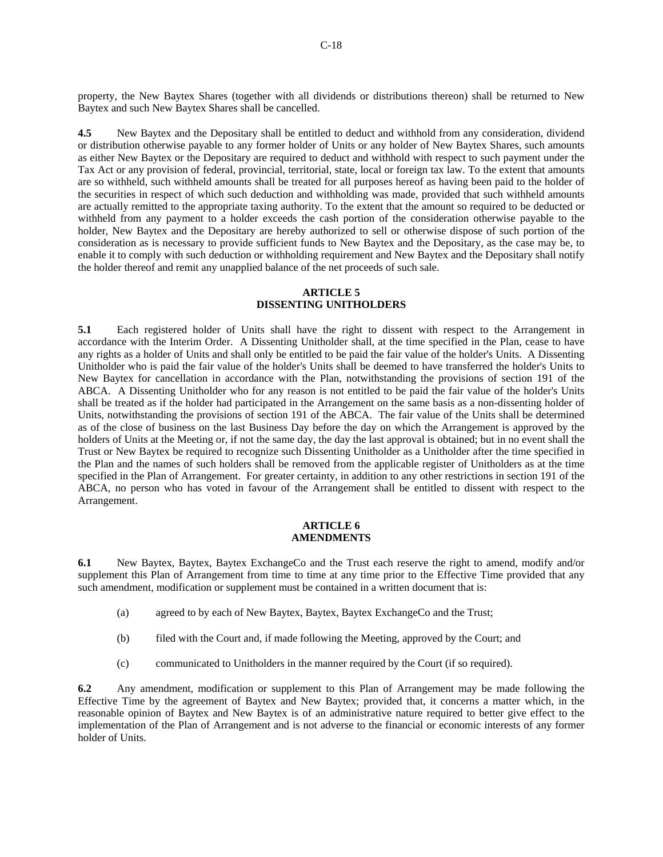property, the New Baytex Shares (together with all dividends or distributions thereon) shall be returned to New Baytex and such New Baytex Shares shall be cancelled.

**4.5** New Baytex and the Depositary shall be entitled to deduct and withhold from any consideration, dividend or distribution otherwise payable to any former holder of Units or any holder of New Baytex Shares, such amounts as either New Baytex or the Depositary are required to deduct and withhold with respect to such payment under the Tax Act or any provision of federal, provincial, territorial, state, local or foreign tax law. To the extent that amounts are so withheld, such withheld amounts shall be treated for all purposes hereof as having been paid to the holder of the securities in respect of which such deduction and withholding was made, provided that such withheld amounts are actually remitted to the appropriate taxing authority. To the extent that the amount so required to be deducted or withheld from any payment to a holder exceeds the cash portion of the consideration otherwise payable to the holder, New Baytex and the Depositary are hereby authorized to sell or otherwise dispose of such portion of the consideration as is necessary to provide sufficient funds to New Baytex and the Depositary, as the case may be, to enable it to comply with such deduction or withholding requirement and New Baytex and the Depositary shall notify the holder thereof and remit any unapplied balance of the net proceeds of such sale.

## **ARTICLE 5 DISSENTING UNITHOLDERS**

**5.1** Each registered holder of Units shall have the right to dissent with respect to the Arrangement in accordance with the Interim Order. A Dissenting Unitholder shall, at the time specified in the Plan, cease to have any rights as a holder of Units and shall only be entitled to be paid the fair value of the holder's Units. A Dissenting Unitholder who is paid the fair value of the holder's Units shall be deemed to have transferred the holder's Units to New Baytex for cancellation in accordance with the Plan, notwithstanding the provisions of section 191 of the ABCA. A Dissenting Unitholder who for any reason is not entitled to be paid the fair value of the holder's Units shall be treated as if the holder had participated in the Arrangement on the same basis as a non-dissenting holder of Units, notwithstanding the provisions of section 191 of the ABCA. The fair value of the Units shall be determined as of the close of business on the last Business Day before the day on which the Arrangement is approved by the holders of Units at the Meeting or, if not the same day, the day the last approval is obtained; but in no event shall the Trust or New Baytex be required to recognize such Dissenting Unitholder as a Unitholder after the time specified in the Plan and the names of such holders shall be removed from the applicable register of Unitholders as at the time specified in the Plan of Arrangement. For greater certainty, in addition to any other restrictions in section 191 of the ABCA, no person who has voted in favour of the Arrangement shall be entitled to dissent with respect to the Arrangement.

## **ARTICLE 6 AMENDMENTS**

**6.1** New Baytex, Baytex, Baytex ExchangeCo and the Trust each reserve the right to amend, modify and/or supplement this Plan of Arrangement from time to time at any time prior to the Effective Time provided that any such amendment, modification or supplement must be contained in a written document that is:

- (a) agreed to by each of New Baytex, Baytex, Baytex ExchangeCo and the Trust;
- (b) filed with the Court and, if made following the Meeting, approved by the Court; and
- (c) communicated to Unitholders in the manner required by the Court (if so required).

**6.2** Any amendment, modification or supplement to this Plan of Arrangement may be made following the Effective Time by the agreement of Baytex and New Baytex; provided that, it concerns a matter which, in the reasonable opinion of Baytex and New Baytex is of an administrative nature required to better give effect to the implementation of the Plan of Arrangement and is not adverse to the financial or economic interests of any former holder of Units.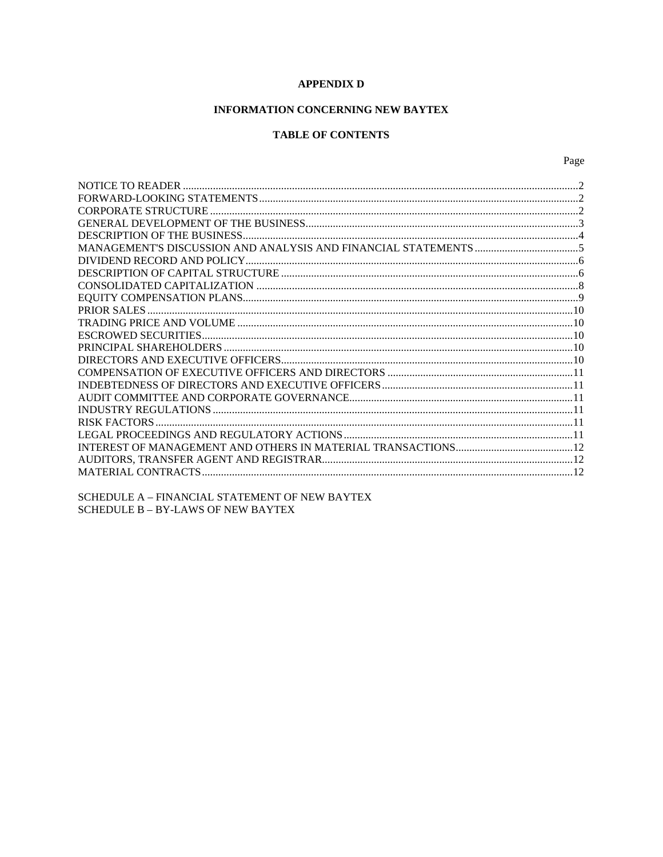# **APPENDIX D**

# INFORMATION CONCERNING NEW BAYTEX

# **TABLE OF CONTENTS**

Page

SCHEDULE A - FINANCIAL STATEMENT OF NEW BAYTEX SCHEDULE B - BY-LAWS OF NEW BAYTEX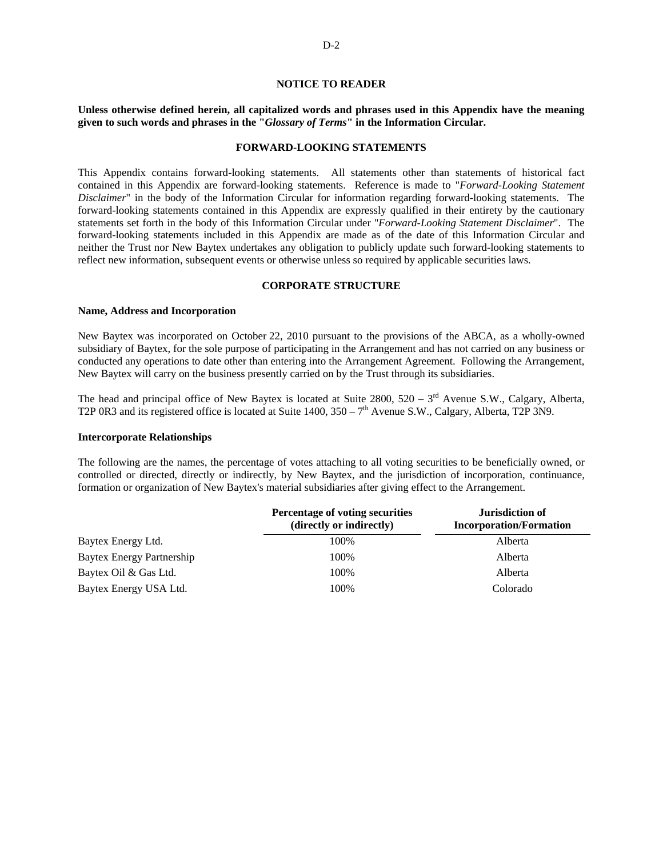## **NOTICE TO READER**

## **Unless otherwise defined herein, all capitalized words and phrases used in this Appendix have the meaning given to such words and phrases in the "***Glossary of Terms***" in the Information Circular.**

#### **FORWARD-LOOKING STATEMENTS**

This Appendix contains forward-looking statements. All statements other than statements of historical fact contained in this Appendix are forward-looking statements. Reference is made to "*Forward-Looking Statement Disclaimer*" in the body of the Information Circular for information regarding forward-looking statements. The forward-looking statements contained in this Appendix are expressly qualified in their entirety by the cautionary statements set forth in the body of this Information Circular under "*Forward-Looking Statement Disclaimer*". The forward-looking statements included in this Appendix are made as of the date of this Information Circular and neither the Trust nor New Baytex undertakes any obligation to publicly update such forward-looking statements to reflect new information, subsequent events or otherwise unless so required by applicable securities laws.

## **CORPORATE STRUCTURE**

#### **Name, Address and Incorporation**

New Baytex was incorporated on October 22, 2010 pursuant to the provisions of the ABCA, as a wholly-owned subsidiary of Baytex, for the sole purpose of participating in the Arrangement and has not carried on any business or conducted any operations to date other than entering into the Arrangement Agreement. Following the Arrangement, New Baytex will carry on the business presently carried on by the Trust through its subsidiaries.

The head and principal office of New Baytex is located at Suite  $2800$ ,  $520 - 3<sup>rd</sup>$  Avenue S.W., Calgary, Alberta, T2P 0R3 and its registered office is located at Suite  $1400$ ,  $350 - 7$ <sup>th</sup> Avenue S.W., Calgary, Alberta, T2P 3N9.

#### **Intercorporate Relationships**

The following are the names, the percentage of votes attaching to all voting securities to be beneficially owned, or controlled or directed, directly or indirectly, by New Baytex, and the jurisdiction of incorporation, continuance, formation or organization of New Baytex's material subsidiaries after giving effect to the Arrangement.

|                           | Percentage of voting securities<br>(directly or indirectly) | <b>Jurisdiction of</b><br><b>Incorporation/Formation</b> |
|---------------------------|-------------------------------------------------------------|----------------------------------------------------------|
| Baytex Energy Ltd.        | 100%                                                        | Alberta                                                  |
| Baytex Energy Partnership | 100%                                                        | Alberta                                                  |
| Baytex Oil & Gas Ltd.     | 100%                                                        | Alberta                                                  |
| Baytex Energy USA Ltd.    | 100%                                                        | Colorado                                                 |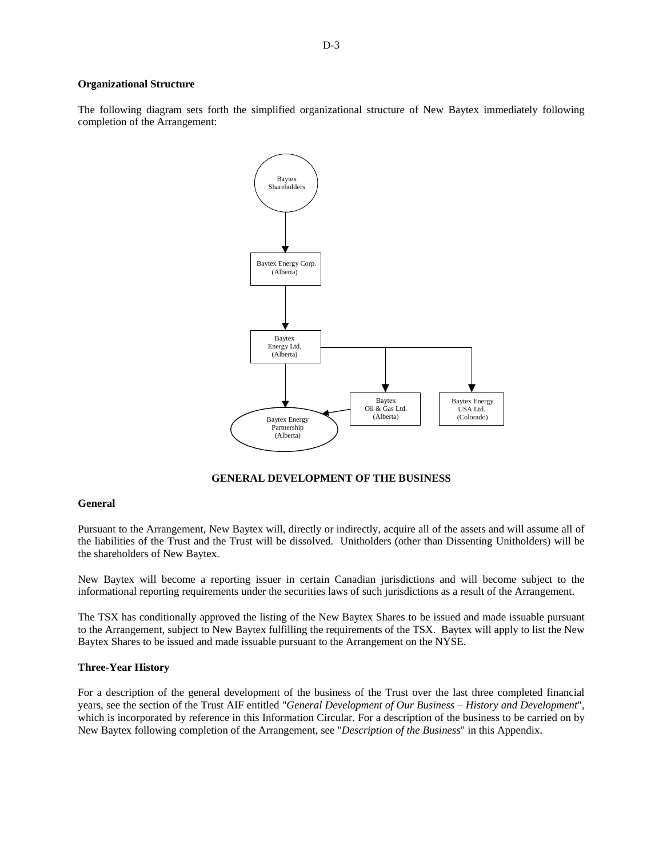#### **Organizational Structure**

The following diagram sets forth the simplified organizational structure of New Baytex immediately following completion of the Arrangement:



**GENERAL DEVELOPMENT OF THE BUSINESS** 

## **General**

Pursuant to the Arrangement, New Baytex will, directly or indirectly, acquire all of the assets and will assume all of the liabilities of the Trust and the Trust will be dissolved. Unitholders (other than Dissenting Unitholders) will be the shareholders of New Baytex.

New Baytex will become a reporting issuer in certain Canadian jurisdictions and will become subject to the informational reporting requirements under the securities laws of such jurisdictions as a result of the Arrangement.

The TSX has conditionally approved the listing of the New Baytex Shares to be issued and made issuable pursuant to the Arrangement, subject to New Baytex fulfilling the requirements of the TSX. Baytex will apply to list the New Baytex Shares to be issued and made issuable pursuant to the Arrangement on the NYSE.

## **Three-Year History**

For a description of the general development of the business of the Trust over the last three completed financial years, see the section of the Trust AIF entitled "*General Development of Our Business – History and Development*", which is incorporated by reference in this Information Circular. For a description of the business to be carried on by New Baytex following completion of the Arrangement, see "*Description of the Business*" in this Appendix.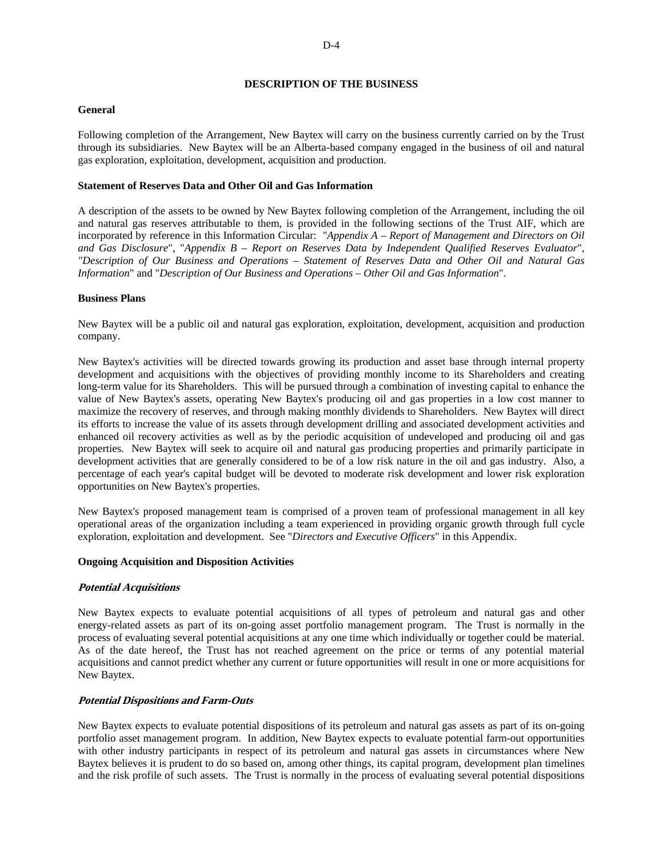## **DESCRIPTION OF THE BUSINESS**

## **General**

Following completion of the Arrangement, New Baytex will carry on the business currently carried on by the Trust through its subsidiaries. New Baytex will be an Alberta-based company engaged in the business of oil and natural gas exploration, exploitation, development, acquisition and production.

## **Statement of Reserves Data and Other Oil and Gas Information**

A description of the assets to be owned by New Baytex following completion of the Arrangement, including the oil and natural gas reserves attributable to them, is provided in the following sections of the Trust AIF, which are incorporated by reference in this Information Circular: "*Appendix A – Report of Management and Directors on Oil and Gas Disclosure*", "*Appendix B – Report on Reserves Data by Independent Qualified Reserves Evaluator*", *"Description of Our Business and Operations – Statement of Reserves Data and Other Oil and Natural Gas Information*" and "*Description of Our Business and Operations – Other Oil and Gas Information*".

## **Business Plans**

New Baytex will be a public oil and natural gas exploration, exploitation, development, acquisition and production company.

New Baytex's activities will be directed towards growing its production and asset base through internal property development and acquisitions with the objectives of providing monthly income to its Shareholders and creating long-term value for its Shareholders. This will be pursued through a combination of investing capital to enhance the value of New Baytex's assets, operating New Baytex's producing oil and gas properties in a low cost manner to maximize the recovery of reserves, and through making monthly dividends to Shareholders. New Baytex will direct its efforts to increase the value of its assets through development drilling and associated development activities and enhanced oil recovery activities as well as by the periodic acquisition of undeveloped and producing oil and gas properties. New Baytex will seek to acquire oil and natural gas producing properties and primarily participate in development activities that are generally considered to be of a low risk nature in the oil and gas industry. Also, a percentage of each year's capital budget will be devoted to moderate risk development and lower risk exploration opportunities on New Baytex's properties.

New Baytex's proposed management team is comprised of a proven team of professional management in all key operational areas of the organization including a team experienced in providing organic growth through full cycle exploration, exploitation and development. See "*Directors and Executive Officers*" in this Appendix.

## **Ongoing Acquisition and Disposition Activities**

## **Potential Acquisitions**

New Baytex expects to evaluate potential acquisitions of all types of petroleum and natural gas and other energy-related assets as part of its on-going asset portfolio management program. The Trust is normally in the process of evaluating several potential acquisitions at any one time which individually or together could be material. As of the date hereof, the Trust has not reached agreement on the price or terms of any potential material acquisitions and cannot predict whether any current or future opportunities will result in one or more acquisitions for New Baytex.

## **Potential Dispositions and Farm-Outs**

New Baytex expects to evaluate potential dispositions of its petroleum and natural gas assets as part of its on-going portfolio asset management program. In addition, New Baytex expects to evaluate potential farm-out opportunities with other industry participants in respect of its petroleum and natural gas assets in circumstances where New Baytex believes it is prudent to do so based on, among other things, its capital program, development plan timelines and the risk profile of such assets. The Trust is normally in the process of evaluating several potential dispositions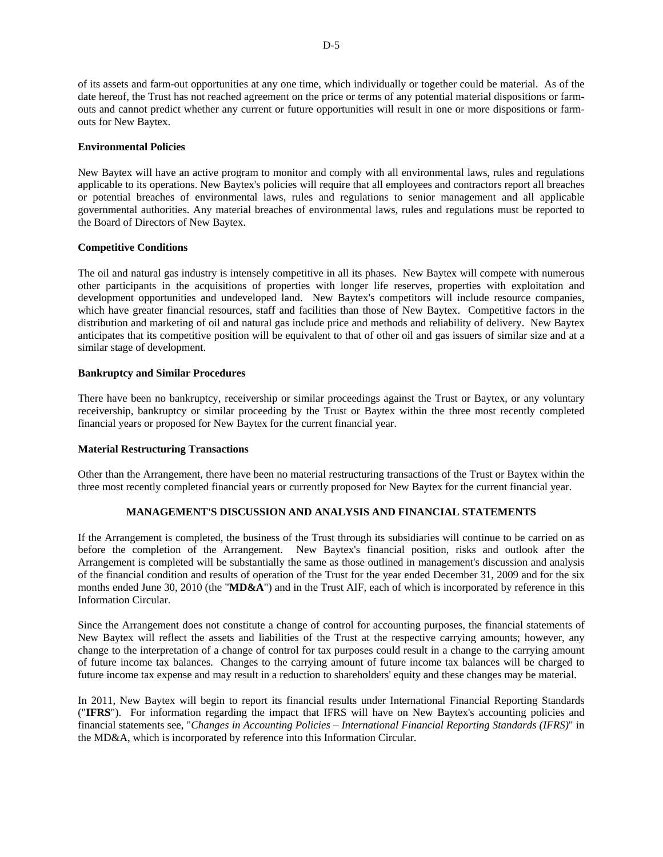of its assets and farm-out opportunities at any one time, which individually or together could be material. As of the date hereof, the Trust has not reached agreement on the price or terms of any potential material dispositions or farmouts and cannot predict whether any current or future opportunities will result in one or more dispositions or farmouts for New Baytex.

## **Environmental Policies**

New Baytex will have an active program to monitor and comply with all environmental laws, rules and regulations applicable to its operations. New Baytex's policies will require that all employees and contractors report all breaches or potential breaches of environmental laws, rules and regulations to senior management and all applicable governmental authorities. Any material breaches of environmental laws, rules and regulations must be reported to the Board of Directors of New Baytex.

#### **Competitive Conditions**

The oil and natural gas industry is intensely competitive in all its phases. New Baytex will compete with numerous other participants in the acquisitions of properties with longer life reserves, properties with exploitation and development opportunities and undeveloped land. New Baytex's competitors will include resource companies, which have greater financial resources, staff and facilities than those of New Baytex. Competitive factors in the distribution and marketing of oil and natural gas include price and methods and reliability of delivery. New Baytex anticipates that its competitive position will be equivalent to that of other oil and gas issuers of similar size and at a similar stage of development.

## **Bankruptcy and Similar Procedures**

There have been no bankruptcy, receivership or similar proceedings against the Trust or Baytex, or any voluntary receivership, bankruptcy or similar proceeding by the Trust or Baytex within the three most recently completed financial years or proposed for New Baytex for the current financial year.

## **Material Restructuring Transactions**

Other than the Arrangement, there have been no material restructuring transactions of the Trust or Baytex within the three most recently completed financial years or currently proposed for New Baytex for the current financial year.

## **MANAGEMENT'S DISCUSSION AND ANALYSIS AND FINANCIAL STATEMENTS**

If the Arrangement is completed, the business of the Trust through its subsidiaries will continue to be carried on as before the completion of the Arrangement. New Baytex's financial position, risks and outlook after the Arrangement is completed will be substantially the same as those outlined in management's discussion and analysis of the financial condition and results of operation of the Trust for the year ended December 31, 2009 and for the six months ended June 30, 2010 (the "**MD&A**") and in the Trust AIF, each of which is incorporated by reference in this Information Circular.

Since the Arrangement does not constitute a change of control for accounting purposes, the financial statements of New Baytex will reflect the assets and liabilities of the Trust at the respective carrying amounts; however, any change to the interpretation of a change of control for tax purposes could result in a change to the carrying amount of future income tax balances. Changes to the carrying amount of future income tax balances will be charged to future income tax expense and may result in a reduction to shareholders' equity and these changes may be material.

In 2011, New Baytex will begin to report its financial results under International Financial Reporting Standards ("**IFRS**"). For information regarding the impact that IFRS will have on New Baytex's accounting policies and financial statements see, "*Changes in Accounting Policies – International Financial Reporting Standards (IFRS)*" in the MD&A, which is incorporated by reference into this Information Circular.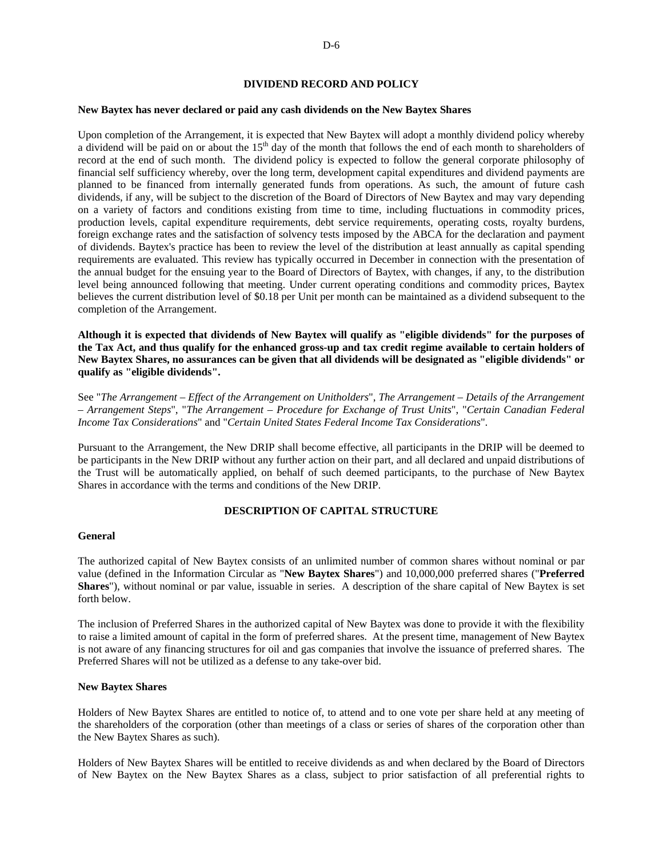## **DIVIDEND RECORD AND POLICY**

#### **New Baytex has never declared or paid any cash dividends on the New Baytex Shares**

Upon completion of the Arrangement, it is expected that New Baytex will adopt a monthly dividend policy whereby a dividend will be paid on or about the 15<sup>th</sup> day of the month that follows the end of each month to shareholders of record at the end of such month. The dividend policy is expected to follow the general corporate philosophy of financial self sufficiency whereby, over the long term, development capital expenditures and dividend payments are planned to be financed from internally generated funds from operations. As such, the amount of future cash dividends, if any, will be subject to the discretion of the Board of Directors of New Baytex and may vary depending on a variety of factors and conditions existing from time to time, including fluctuations in commodity prices, production levels, capital expenditure requirements, debt service requirements, operating costs, royalty burdens, foreign exchange rates and the satisfaction of solvency tests imposed by the ABCA for the declaration and payment of dividends. Baytex's practice has been to review the level of the distribution at least annually as capital spending requirements are evaluated. This review has typically occurred in December in connection with the presentation of the annual budget for the ensuing year to the Board of Directors of Baytex, with changes, if any, to the distribution level being announced following that meeting. Under current operating conditions and commodity prices, Baytex believes the current distribution level of \$0.18 per Unit per month can be maintained as a dividend subsequent to the completion of the Arrangement.

**Although it is expected that dividends of New Baytex will qualify as "eligible dividends" for the purposes of the Tax Act, and thus qualify for the enhanced gross-up and tax credit regime available to certain holders of New Baytex Shares, no assurances can be given that all dividends will be designated as "eligible dividends" or qualify as "eligible dividends".** 

See "*The Arrangement – Effect of the Arrangement on Unitholders*", *The Arrangement – Details of the Arrangement – Arrangement Steps*", "*The Arrangement – Procedure for Exchange of Trust Units*", "*Certain Canadian Federal Income Tax Considerations*" and "*Certain United States Federal Income Tax Considerations*".

Pursuant to the Arrangement, the New DRIP shall become effective, all participants in the DRIP will be deemed to be participants in the New DRIP without any further action on their part, and all declared and unpaid distributions of the Trust will be automatically applied, on behalf of such deemed participants, to the purchase of New Baytex Shares in accordance with the terms and conditions of the New DRIP.

#### **DESCRIPTION OF CAPITAL STRUCTURE**

#### **General**

The authorized capital of New Baytex consists of an unlimited number of common shares without nominal or par value (defined in the Information Circular as "**New Baytex Shares**") and 10,000,000 preferred shares ("**Preferred Shares**"), without nominal or par value, issuable in series. A description of the share capital of New Baytex is set forth below.

The inclusion of Preferred Shares in the authorized capital of New Baytex was done to provide it with the flexibility to raise a limited amount of capital in the form of preferred shares. At the present time, management of New Baytex is not aware of any financing structures for oil and gas companies that involve the issuance of preferred shares. The Preferred Shares will not be utilized as a defense to any take-over bid.

#### **New Baytex Shares**

Holders of New Baytex Shares are entitled to notice of, to attend and to one vote per share held at any meeting of the shareholders of the corporation (other than meetings of a class or series of shares of the corporation other than the New Baytex Shares as such).

Holders of New Baytex Shares will be entitled to receive dividends as and when declared by the Board of Directors of New Baytex on the New Baytex Shares as a class, subject to prior satisfaction of all preferential rights to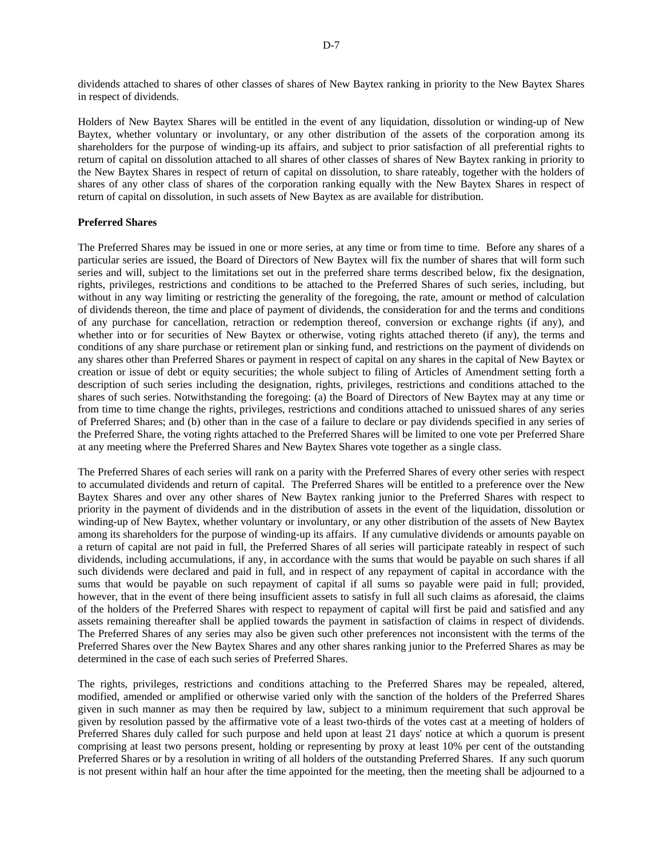dividends attached to shares of other classes of shares of New Baytex ranking in priority to the New Baytex Shares in respect of dividends.

Holders of New Baytex Shares will be entitled in the event of any liquidation, dissolution or winding-up of New Baytex, whether voluntary or involuntary, or any other distribution of the assets of the corporation among its shareholders for the purpose of winding-up its affairs, and subject to prior satisfaction of all preferential rights to return of capital on dissolution attached to all shares of other classes of shares of New Baytex ranking in priority to the New Baytex Shares in respect of return of capital on dissolution, to share rateably, together with the holders of shares of any other class of shares of the corporation ranking equally with the New Baytex Shares in respect of return of capital on dissolution, in such assets of New Baytex as are available for distribution.

## **Preferred Shares**

The Preferred Shares may be issued in one or more series, at any time or from time to time. Before any shares of a particular series are issued, the Board of Directors of New Baytex will fix the number of shares that will form such series and will, subject to the limitations set out in the preferred share terms described below, fix the designation, rights, privileges, restrictions and conditions to be attached to the Preferred Shares of such series, including, but without in any way limiting or restricting the generality of the foregoing, the rate, amount or method of calculation of dividends thereon, the time and place of payment of dividends, the consideration for and the terms and conditions of any purchase for cancellation, retraction or redemption thereof, conversion or exchange rights (if any), and whether into or for securities of New Baytex or otherwise, voting rights attached thereto (if any), the terms and conditions of any share purchase or retirement plan or sinking fund, and restrictions on the payment of dividends on any shares other than Preferred Shares or payment in respect of capital on any shares in the capital of New Baytex or creation or issue of debt or equity securities; the whole subject to filing of Articles of Amendment setting forth a description of such series including the designation, rights, privileges, restrictions and conditions attached to the shares of such series. Notwithstanding the foregoing: (a) the Board of Directors of New Baytex may at any time or from time to time change the rights, privileges, restrictions and conditions attached to unissued shares of any series of Preferred Shares; and (b) other than in the case of a failure to declare or pay dividends specified in any series of the Preferred Share, the voting rights attached to the Preferred Shares will be limited to one vote per Preferred Share at any meeting where the Preferred Shares and New Baytex Shares vote together as a single class.

The Preferred Shares of each series will rank on a parity with the Preferred Shares of every other series with respect to accumulated dividends and return of capital. The Preferred Shares will be entitled to a preference over the New Baytex Shares and over any other shares of New Baytex ranking junior to the Preferred Shares with respect to priority in the payment of dividends and in the distribution of assets in the event of the liquidation, dissolution or winding-up of New Baytex, whether voluntary or involuntary, or any other distribution of the assets of New Baytex among its shareholders for the purpose of winding-up its affairs. If any cumulative dividends or amounts payable on a return of capital are not paid in full, the Preferred Shares of all series will participate rateably in respect of such dividends, including accumulations, if any, in accordance with the sums that would be payable on such shares if all such dividends were declared and paid in full, and in respect of any repayment of capital in accordance with the sums that would be payable on such repayment of capital if all sums so payable were paid in full; provided, however, that in the event of there being insufficient assets to satisfy in full all such claims as aforesaid, the claims of the holders of the Preferred Shares with respect to repayment of capital will first be paid and satisfied and any assets remaining thereafter shall be applied towards the payment in satisfaction of claims in respect of dividends. The Preferred Shares of any series may also be given such other preferences not inconsistent with the terms of the Preferred Shares over the New Baytex Shares and any other shares ranking junior to the Preferred Shares as may be determined in the case of each such series of Preferred Shares.

The rights, privileges, restrictions and conditions attaching to the Preferred Shares may be repealed, altered, modified, amended or amplified or otherwise varied only with the sanction of the holders of the Preferred Shares given in such manner as may then be required by law, subject to a minimum requirement that such approval be given by resolution passed by the affirmative vote of a least two-thirds of the votes cast at a meeting of holders of Preferred Shares duly called for such purpose and held upon at least 21 days' notice at which a quorum is present comprising at least two persons present, holding or representing by proxy at least 10% per cent of the outstanding Preferred Shares or by a resolution in writing of all holders of the outstanding Preferred Shares. If any such quorum is not present within half an hour after the time appointed for the meeting, then the meeting shall be adjourned to a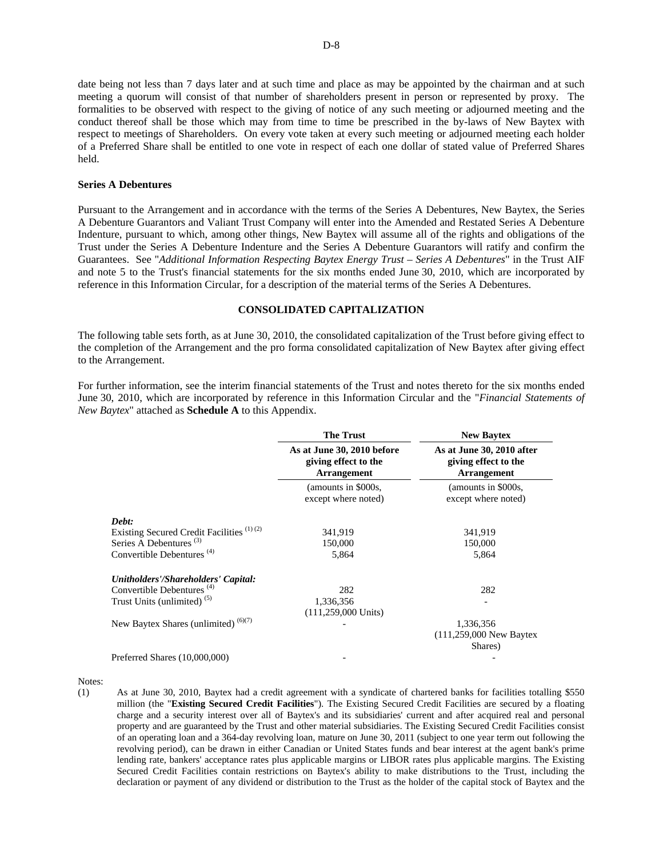date being not less than 7 days later and at such time and place as may be appointed by the chairman and at such meeting a quorum will consist of that number of shareholders present in person or represented by proxy. The formalities to be observed with respect to the giving of notice of any such meeting or adjourned meeting and the conduct thereof shall be those which may from time to time be prescribed in the by-laws of New Baytex with respect to meetings of Shareholders. On every vote taken at every such meeting or adjourned meeting each holder of a Preferred Share shall be entitled to one vote in respect of each one dollar of stated value of Preferred Shares held.

#### **Series A Debentures**

Pursuant to the Arrangement and in accordance with the terms of the Series A Debentures, New Baytex, the Series A Debenture Guarantors and Valiant Trust Company will enter into the Amended and Restated Series A Debenture Indenture, pursuant to which, among other things, New Baytex will assume all of the rights and obligations of the Trust under the Series A Debenture Indenture and the Series A Debenture Guarantors will ratify and confirm the Guarantees. See "*Additional Information Respecting Baytex Energy Trust – Series A Debentures*" in the Trust AIF and note 5 to the Trust's financial statements for the six months ended June 30, 2010, which are incorporated by reference in this Information Circular, for a description of the material terms of the Series A Debentures.

## **CONSOLIDATED CAPITALIZATION**

The following table sets forth, as at June 30, 2010, the consolidated capitalization of the Trust before giving effect to the completion of the Arrangement and the pro forma consolidated capitalization of New Baytex after giving effect to the Arrangement.

For further information, see the interim financial statements of the Trust and notes thereto for the six months ended June 30, 2010, which are incorporated by reference in this Information Circular and the "*Financial Statements of New Baytex*" attached as **Schedule A** to this Appendix.

|                                                      | <b>The Trust</b><br>As at June 30, 2010 before<br>giving effect to the<br><b>Arrangement</b> | <b>New Baytex</b>                                                       |
|------------------------------------------------------|----------------------------------------------------------------------------------------------|-------------------------------------------------------------------------|
|                                                      |                                                                                              | As at June 30, 2010 after<br>giving effect to the<br><b>Arrangement</b> |
|                                                      | (amounts in \$000s,<br>except where noted)                                                   | (amounts in \$000s,<br>except where noted)                              |
| Debt:                                                |                                                                                              |                                                                         |
| Existing Secured Credit Facilities <sup>(1)(2)</sup> | 341,919                                                                                      | 341,919                                                                 |
| Series A Debentures <sup>(3)</sup>                   | 150,000                                                                                      | 150,000                                                                 |
| Convertible Debentures <sup>(4)</sup>                | 5,864                                                                                        | 5,864                                                                   |
| Unitholders'/Shareholders' Capital:                  |                                                                                              |                                                                         |
| Convertible Debentures <sup>(4)</sup>                | 282                                                                                          | 282                                                                     |
| Trust Units (unlimited) <sup>(5)</sup>               | 1,336,356                                                                                    |                                                                         |
|                                                      | $(111, 259, 000$ Units)                                                                      |                                                                         |
| New Baytex Shares (unlimited) (6)(7)                 |                                                                                              | 1,336,356                                                               |
|                                                      |                                                                                              | $(111,259,000$ New Baytex                                               |
|                                                      |                                                                                              | Shares)                                                                 |
| Preferred Shares (10,000,000)                        |                                                                                              |                                                                         |

Notes:

(1) As at June 30, 2010, Baytex had a credit agreement with a syndicate of chartered banks for facilities totalling \$550 million (the "**Existing Secured Credit Facilities**"). The Existing Secured Credit Facilities are secured by a floating charge and a security interest over all of Baytex's and its subsidiaries' current and after acquired real and personal property and are guaranteed by the Trust and other material subsidiaries. The Existing Secured Credit Facilities consist of an operating loan and a 364-day revolving loan, mature on June 30, 2011 (subject to one year term out following the revolving period), can be drawn in either Canadian or United States funds and bear interest at the agent bank's prime lending rate, bankers' acceptance rates plus applicable margins or LIBOR rates plus applicable margins. The Existing Secured Credit Facilities contain restrictions on Baytex's ability to make distributions to the Trust, including the declaration or payment of any dividend or distribution to the Trust as the holder of the capital stock of Baytex and the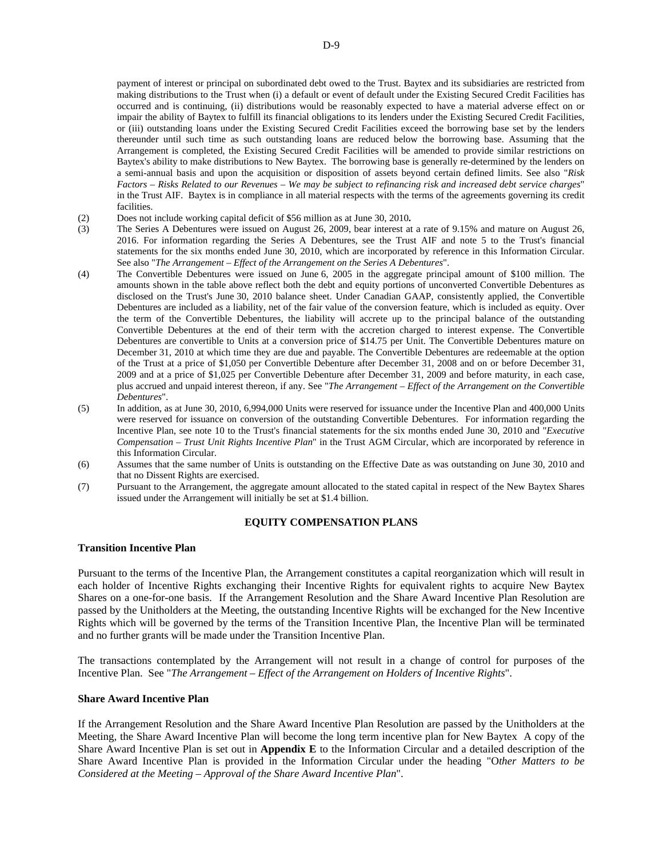payment of interest or principal on subordinated debt owed to the Trust. Baytex and its subsidiaries are restricted from making distributions to the Trust when (i) a default or event of default under the Existing Secured Credit Facilities has occurred and is continuing, (ii) distributions would be reasonably expected to have a material adverse effect on or impair the ability of Baytex to fulfill its financial obligations to its lenders under the Existing Secured Credit Facilities, or (iii) outstanding loans under the Existing Secured Credit Facilities exceed the borrowing base set by the lenders thereunder until such time as such outstanding loans are reduced below the borrowing base. Assuming that the Arrangement is completed, the Existing Secured Credit Facilities will be amended to provide similar restrictions on Baytex's ability to make distributions to New Baytex. The borrowing base is generally re-determined by the lenders on a semi-annual basis and upon the acquisition or disposition of assets beyond certain defined limits. See also "*Risk Factors – Risks Related to our Revenues – We may be subject to refinancing risk and increased debt service charges*" in the Trust AIF. Baytex is in compliance in all material respects with the terms of the agreements governing its credit **facilities** 

- (2) Does not include working capital deficit of \$56 million as at June 30, 2010**.**
- (3) The Series A Debentures were issued on August 26, 2009, bear interest at a rate of 9.15% and mature on August 26, 2016. For information regarding the Series A Debentures, see the Trust AIF and note 5 to the Trust's financial statements for the six months ended June 30, 2010, which are incorporated by reference in this Information Circular. See also "*The Arrangement – Effect of the Arrangement on the Series A Debentures*".
- (4) The Convertible Debentures were issued on June 6, 2005 in the aggregate principal amount of \$100 million. The amounts shown in the table above reflect both the debt and equity portions of unconverted Convertible Debentures as disclosed on the Trust's June 30, 2010 balance sheet. Under Canadian GAAP, consistently applied, the Convertible Debentures are included as a liability, net of the fair value of the conversion feature, which is included as equity. Over the term of the Convertible Debentures, the liability will accrete up to the principal balance of the outstanding Convertible Debentures at the end of their term with the accretion charged to interest expense. The Convertible Debentures are convertible to Units at a conversion price of \$14.75 per Unit. The Convertible Debentures mature on December 31, 2010 at which time they are due and payable. The Convertible Debentures are redeemable at the option of the Trust at a price of \$1,050 per Convertible Debenture after December 31, 2008 and on or before December 31, 2009 and at a price of \$1,025 per Convertible Debenture after December 31, 2009 and before maturity, in each case, plus accrued and unpaid interest thereon, if any. See "*The Arrangement – Effect of the Arrangement on the Convertible Debentures*".
- (5) In addition, as at June 30, 2010, 6,994,000 Units were reserved for issuance under the Incentive Plan and 400,000 Units were reserved for issuance on conversion of the outstanding Convertible Debentures. For information regarding the Incentive Plan, see note 10 to the Trust's financial statements for the six months ended June 30, 2010 and "*Executive Compensation – Trust Unit Rights Incentive Plan*" in the Trust AGM Circular, which are incorporated by reference in this Information Circular.
- (6) Assumes that the same number of Units is outstanding on the Effective Date as was outstanding on June 30, 2010 and that no Dissent Rights are exercised.
- (7) Pursuant to the Arrangement, the aggregate amount allocated to the stated capital in respect of the New Baytex Shares issued under the Arrangement will initially be set at \$1.4 billion.

## **EQUITY COMPENSATION PLANS**

## **Transition Incentive Plan**

Pursuant to the terms of the Incentive Plan, the Arrangement constitutes a capital reorganization which will result in each holder of Incentive Rights exchanging their Incentive Rights for equivalent rights to acquire New Baytex Shares on a one-for-one basis. If the Arrangement Resolution and the Share Award Incentive Plan Resolution are passed by the Unitholders at the Meeting, the outstanding Incentive Rights will be exchanged for the New Incentive Rights which will be governed by the terms of the Transition Incentive Plan, the Incentive Plan will be terminated and no further grants will be made under the Transition Incentive Plan.

The transactions contemplated by the Arrangement will not result in a change of control for purposes of the Incentive Plan. See "*The Arrangement – Effect of the Arrangement on Holders of Incentive Rights*".

#### **Share Award Incentive Plan**

If the Arrangement Resolution and the Share Award Incentive Plan Resolution are passed by the Unitholders at the Meeting, the Share Award Incentive Plan will become the long term incentive plan for New Baytex A copy of the Share Award Incentive Plan is set out in **Appendix E** to the Information Circular and a detailed description of the Share Award Incentive Plan is provided in the Information Circular under the heading "O*ther Matters to be Considered at the Meeting – Approval of the Share Award Incentive Plan*".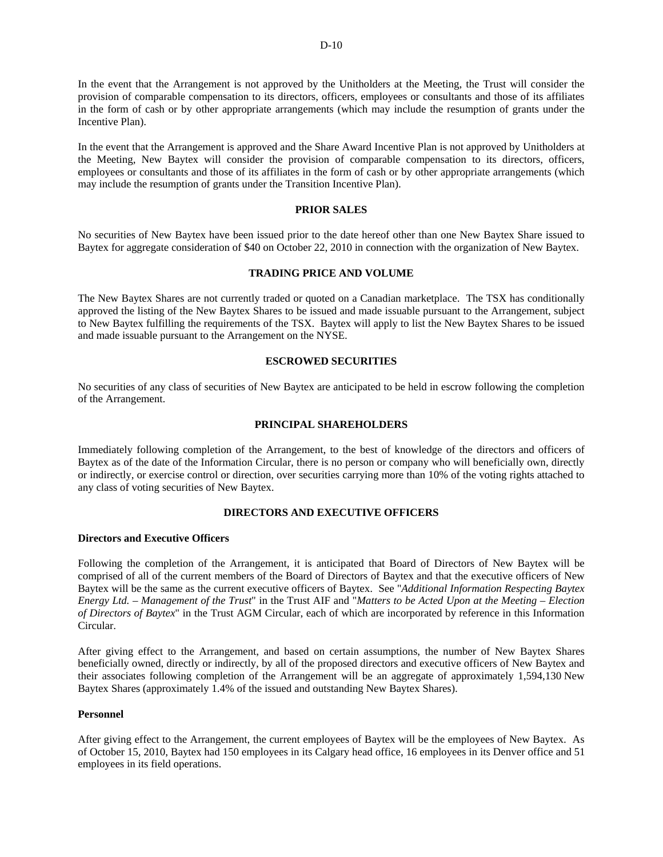In the event that the Arrangement is not approved by the Unitholders at the Meeting, the Trust will consider the provision of comparable compensation to its directors, officers, employees or consultants and those of its affiliates in the form of cash or by other appropriate arrangements (which may include the resumption of grants under the Incentive Plan).

In the event that the Arrangement is approved and the Share Award Incentive Plan is not approved by Unitholders at the Meeting, New Baytex will consider the provision of comparable compensation to its directors, officers, employees or consultants and those of its affiliates in the form of cash or by other appropriate arrangements (which may include the resumption of grants under the Transition Incentive Plan).

## **PRIOR SALES**

No securities of New Baytex have been issued prior to the date hereof other than one New Baytex Share issued to Baytex for aggregate consideration of \$40 on October 22, 2010 in connection with the organization of New Baytex.

## **TRADING PRICE AND VOLUME**

The New Baytex Shares are not currently traded or quoted on a Canadian marketplace. The TSX has conditionally approved the listing of the New Baytex Shares to be issued and made issuable pursuant to the Arrangement, subject to New Baytex fulfilling the requirements of the TSX. Baytex will apply to list the New Baytex Shares to be issued and made issuable pursuant to the Arrangement on the NYSE.

## **ESCROWED SECURITIES**

No securities of any class of securities of New Baytex are anticipated to be held in escrow following the completion of the Arrangement.

## **PRINCIPAL SHAREHOLDERS**

Immediately following completion of the Arrangement, to the best of knowledge of the directors and officers of Baytex as of the date of the Information Circular, there is no person or company who will beneficially own, directly or indirectly, or exercise control or direction, over securities carrying more than 10% of the voting rights attached to any class of voting securities of New Baytex.

## **DIRECTORS AND EXECUTIVE OFFICERS**

## **Directors and Executive Officers**

Following the completion of the Arrangement, it is anticipated that Board of Directors of New Baytex will be comprised of all of the current members of the Board of Directors of Baytex and that the executive officers of New Baytex will be the same as the current executive officers of Baytex. See "*Additional Information Respecting Baytex Energy Ltd. – Management of the Trust*" in the Trust AIF and "*Matters to be Acted Upon at the Meeting – Election of Directors of Baytex*" in the Trust AGM Circular, each of which are incorporated by reference in this Information Circular.

After giving effect to the Arrangement, and based on certain assumptions, the number of New Baytex Shares beneficially owned, directly or indirectly, by all of the proposed directors and executive officers of New Baytex and their associates following completion of the Arrangement will be an aggregate of approximately 1,594,130 New Baytex Shares (approximately 1.4% of the issued and outstanding New Baytex Shares).

# **Personnel**

After giving effect to the Arrangement, the current employees of Baytex will be the employees of New Baytex. As of October 15, 2010, Baytex had 150 employees in its Calgary head office, 16 employees in its Denver office and 51 employees in its field operations.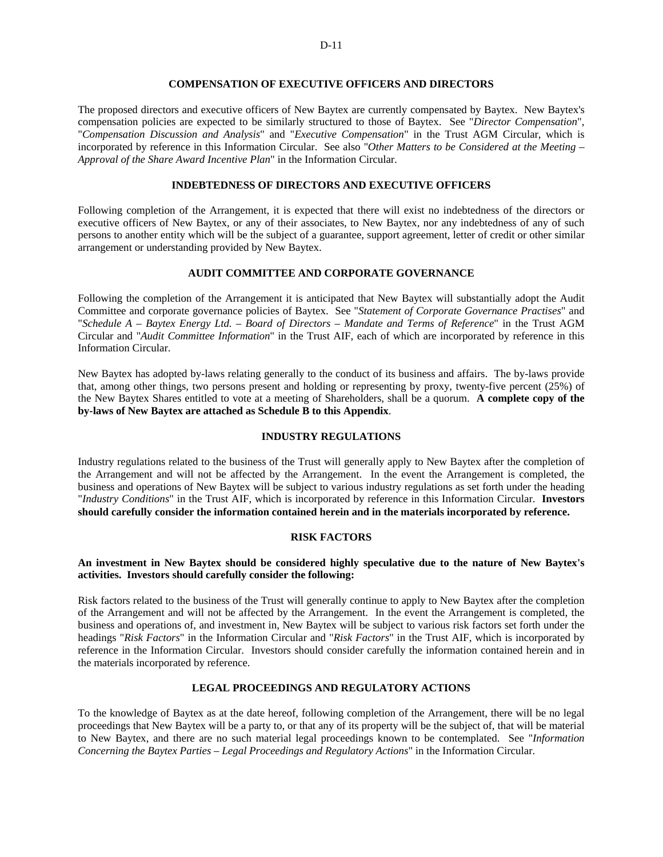# **COMPENSATION OF EXECUTIVE OFFICERS AND DIRECTORS**

The proposed directors and executive officers of New Baytex are currently compensated by Baytex. New Baytex's compensation policies are expected to be similarly structured to those of Baytex. See "*Director Compensation*", "*Compensation Discussion and Analysis*" and "*Executive Compensation*" in the Trust AGM Circular, which is incorporated by reference in this Information Circular. See also "*Other Matters to be Considered at the Meeting – Approval of the Share Award Incentive Plan*" in the Information Circular.

# **INDEBTEDNESS OF DIRECTORS AND EXECUTIVE OFFICERS**

Following completion of the Arrangement, it is expected that there will exist no indebtedness of the directors or executive officers of New Baytex, or any of their associates, to New Baytex, nor any indebtedness of any of such persons to another entity which will be the subject of a guarantee, support agreement, letter of credit or other similar arrangement or understanding provided by New Baytex.

# **AUDIT COMMITTEE AND CORPORATE GOVERNANCE**

Following the completion of the Arrangement it is anticipated that New Baytex will substantially adopt the Audit Committee and corporate governance policies of Baytex. See "*Statement of Corporate Governance Practises*" and "*Schedule A – Baytex Energy Ltd. – Board of Directors – Mandate and Terms of Reference*" in the Trust AGM Circular and "*Audit Committee Information*" in the Trust AIF, each of which are incorporated by reference in this Information Circular.

New Baytex has adopted by-laws relating generally to the conduct of its business and affairs. The by-laws provide that, among other things, two persons present and holding or representing by proxy, twenty-five percent (25%) of the New Baytex Shares entitled to vote at a meeting of Shareholders, shall be a quorum. **A complete copy of the by-laws of New Baytex are attached as Schedule B to this Appendix**.

## **INDUSTRY REGULATIONS**

Industry regulations related to the business of the Trust will generally apply to New Baytex after the completion of the Arrangement and will not be affected by the Arrangement. In the event the Arrangement is completed, the business and operations of New Baytex will be subject to various industry regulations as set forth under the heading "*Industry Conditions*" in the Trust AIF, which is incorporated by reference in this Information Circular. **Investors should carefully consider the information contained herein and in the materials incorporated by reference.** 

## **RISK FACTORS**

## **An investment in New Baytex should be considered highly speculative due to the nature of New Baytex's activities. Investors should carefully consider the following:**

Risk factors related to the business of the Trust will generally continue to apply to New Baytex after the completion of the Arrangement and will not be affected by the Arrangement. In the event the Arrangement is completed, the business and operations of, and investment in, New Baytex will be subject to various risk factors set forth under the headings "*Risk Factors*" in the Information Circular and "*Risk Factors*" in the Trust AIF, which is incorporated by reference in the Information Circular. Investors should consider carefully the information contained herein and in the materials incorporated by reference.

# **LEGAL PROCEEDINGS AND REGULATORY ACTIONS**

To the knowledge of Baytex as at the date hereof, following completion of the Arrangement, there will be no legal proceedings that New Baytex will be a party to, or that any of its property will be the subject of, that will be material to New Baytex, and there are no such material legal proceedings known to be contemplated. See "*Information Concerning the Baytex Parties – Legal Proceedings and Regulatory Actions*" in the Information Circular.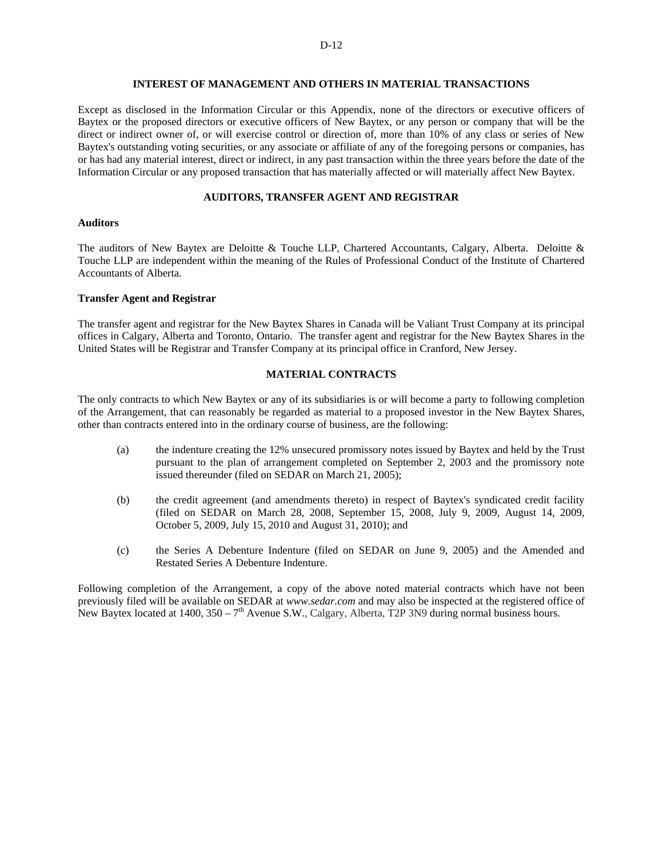## **INTEREST OF MANAGEMENT AND OTHERS IN MATERIAL TRANSACTIONS**

Except as disclosed in the Information Circular or this Appendix, none of the directors or executive officers of Baytex or the proposed directors or executive officers of New Baytex, or any person or company that will be the direct or indirect owner of, or will exercise control or direction of, more than 10% of any class or series of New Baytex's outstanding voting securities, or any associate or affiliate of any of the foregoing persons or companies, has or has had any material interest, direct or indirect, in any past transaction within the three years before the date of the Information Circular or any proposed transaction that has materially affected or will materially affect New Baytex.

## **AUDITORS, TRANSFER AGENT AND REGISTRAR**

## **Auditors**

The auditors of New Baytex are Deloitte & Touche LLP, Chartered Accountants, Calgary, Alberta. Deloitte & Touche LLP are independent within the meaning of the Rules of Professional Conduct of the Institute of Chartered Accountants of Alberta.

## **Transfer Agent and Registrar**

The transfer agent and registrar for the New Baytex Shares in Canada will be Valiant Trust Company at its principal offices in Calgary, Alberta and Toronto, Ontario. The transfer agent and registrar for the New Baytex Shares in the United States will be Registrar and Transfer Company at its principal office in Cranford, New Jersey.

## **MATERIAL CONTRACTS**

The only contracts to which New Baytex or any of its subsidiaries is or will become a party to following completion of the Arrangement, that can reasonably be regarded as material to a proposed investor in the New Baytex Shares, other than contracts entered into in the ordinary course of business, are the following:

- (a) the indenture creating the 12% unsecured promissory notes issued by Baytex and held by the Trust pursuant to the plan of arrangement completed on September 2, 2003 and the promissory note issued thereunder (filed on SEDAR on March 21, 2005);
- (b) the credit agreement (and amendments thereto) in respect of Baytex's syndicated credit facility (filed on SEDAR on March 28, 2008, September 15, 2008, July 9, 2009, August 14, 2009, October 5, 2009, July 15, 2010 and August 31, 2010); and
- (c) the Series A Debenture Indenture (filed on SEDAR on June 9, 2005) and the Amended and Restated Series A Debenture Indenture.

Following completion of the Arrangement, a copy of the above noted material contracts which have not been previously filed will be available on SEDAR at *www.sedar.com* and may also be inspected at the registered office of New Baytex located at 1400,  $350 - 7<sup>th</sup>$  Avenue S.W., Calgary, Alberta, T2P 3N9 during normal business hours.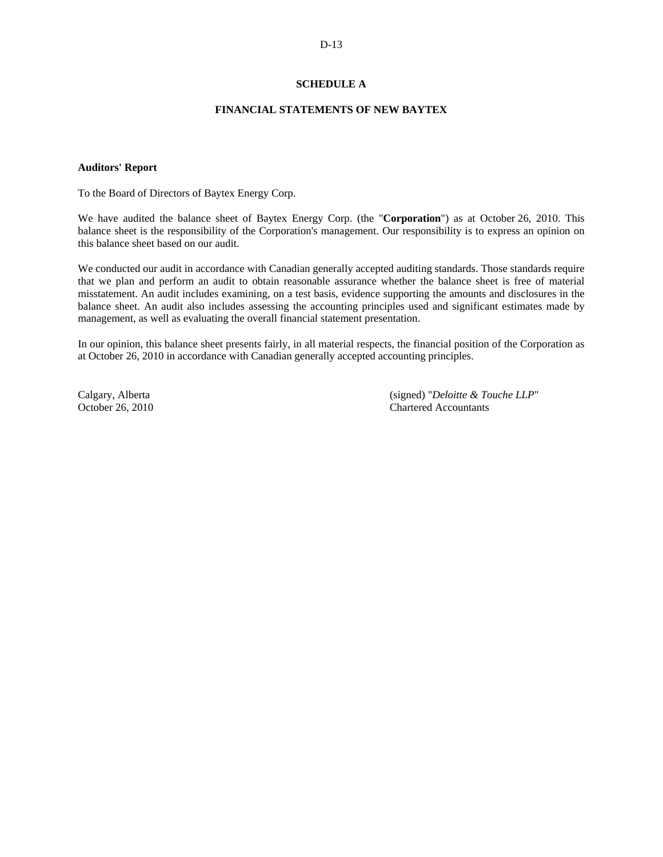# **SCHEDULE A**

## **FINANCIAL STATEMENTS OF NEW BAYTEX**

## **Auditors' Report**

To the Board of Directors of Baytex Energy Corp.

We have audited the balance sheet of Baytex Energy Corp. (the "**Corporation**") as at October 26, 2010. This balance sheet is the responsibility of the Corporation's management. Our responsibility is to express an opinion on this balance sheet based on our audit.

We conducted our audit in accordance with Canadian generally accepted auditing standards. Those standards require that we plan and perform an audit to obtain reasonable assurance whether the balance sheet is free of material misstatement. An audit includes examining, on a test basis, evidence supporting the amounts and disclosures in the balance sheet. An audit also includes assessing the accounting principles used and significant estimates made by management, as well as evaluating the overall financial statement presentation.

In our opinion, this balance sheet presents fairly, in all material respects, the financial position of the Corporation as at October 26, 2010 in accordance with Canadian generally accepted accounting principles.

Calgary, Alberta (signed) "*Deloitte & Touche LLP*" (Calgary, Alberta (signed) and *Chartered Accountants* Chartered Accountants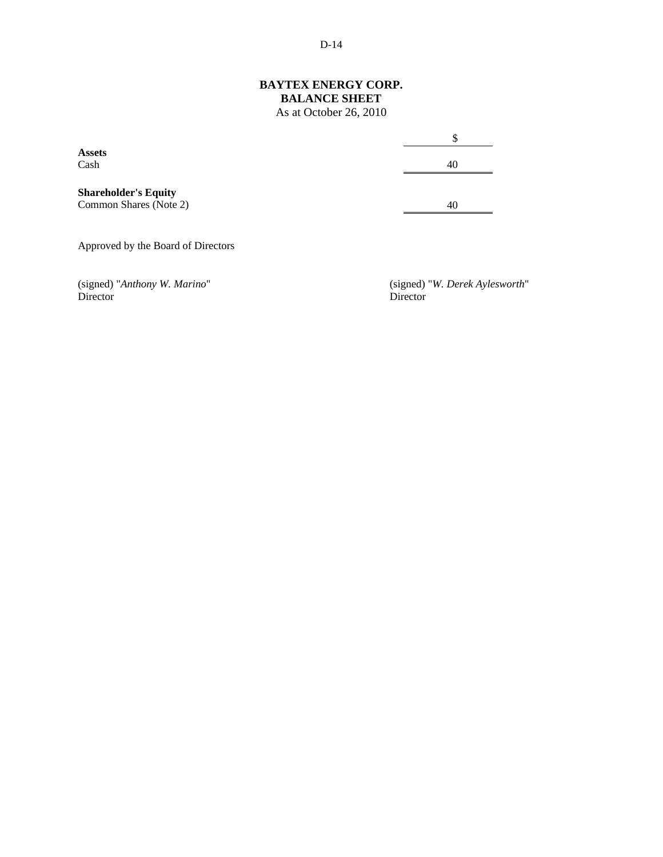# D-14

# **BAYTEX ENERGY CORP. BALANCE SHEET**

As at October 26, 2010

|                                                       | \$ |
|-------------------------------------------------------|----|
| <b>Assets</b>                                         |    |
| Cash                                                  | 40 |
| <b>Shareholder's Equity</b><br>Common Shares (Note 2) | 40 |
| Approved by the Board of Directors                    |    |

(signed) "Anthony W. Marino"<br>Director

(signed) "*W. Derek Aylesworth*" (Director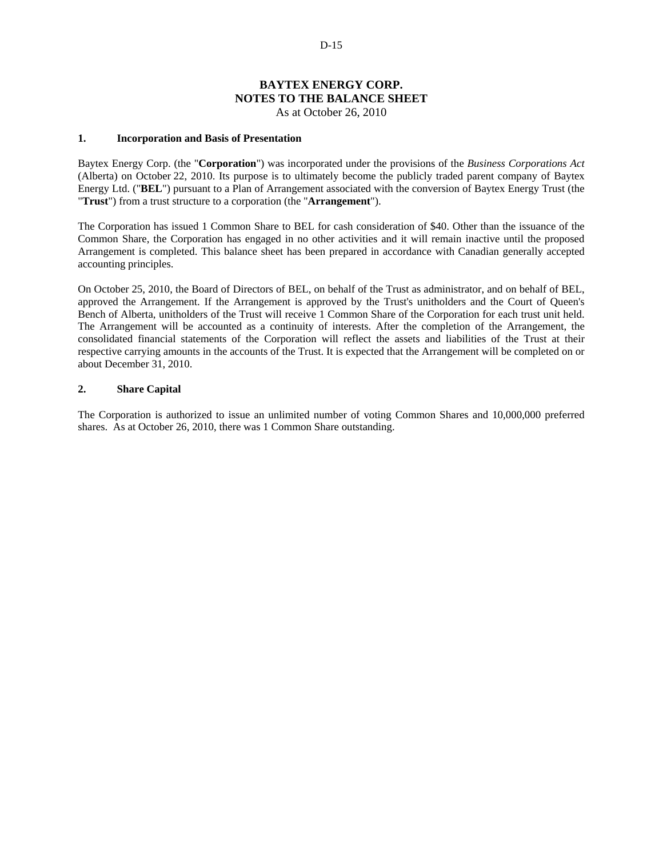# **BAYTEX ENERGY CORP. NOTES TO THE BALANCE SHEET**

As at October 26, 2010

## **1. Incorporation and Basis of Presentation**

Baytex Energy Corp. (the "**Corporation**") was incorporated under the provisions of the *Business Corporations Act* (Alberta) on October 22, 2010. Its purpose is to ultimately become the publicly traded parent company of Baytex Energy Ltd. ("**BEL**") pursuant to a Plan of Arrangement associated with the conversion of Baytex Energy Trust (the "**Trust**") from a trust structure to a corporation (the "**Arrangement**").

The Corporation has issued 1 Common Share to BEL for cash consideration of \$40. Other than the issuance of the Common Share, the Corporation has engaged in no other activities and it will remain inactive until the proposed Arrangement is completed. This balance sheet has been prepared in accordance with Canadian generally accepted accounting principles.

On October 25, 2010, the Board of Directors of BEL, on behalf of the Trust as administrator, and on behalf of BEL, approved the Arrangement. If the Arrangement is approved by the Trust's unitholders and the Court of Queen's Bench of Alberta, unitholders of the Trust will receive 1 Common Share of the Corporation for each trust unit held. The Arrangement will be accounted as a continuity of interests. After the completion of the Arrangement, the consolidated financial statements of the Corporation will reflect the assets and liabilities of the Trust at their respective carrying amounts in the accounts of the Trust. It is expected that the Arrangement will be completed on or about December 31, 2010.

## **2. Share Capital**

The Corporation is authorized to issue an unlimited number of voting Common Shares and 10,000,000 preferred shares. As at October 26, 2010, there was 1 Common Share outstanding.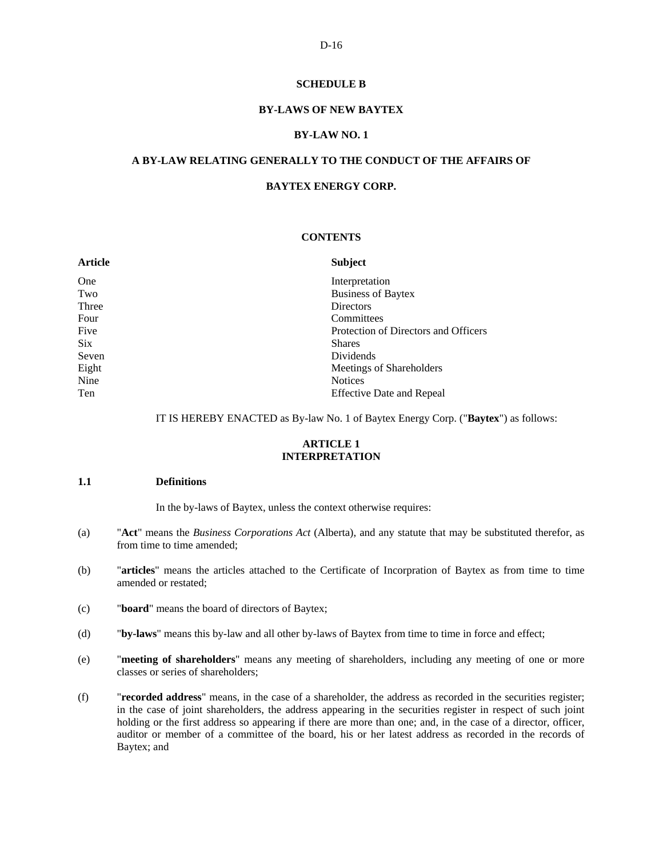## **SCHEDULE B**

## **BY-LAWS OF NEW BAYTEX**

#### **BY-LAW NO. 1**

## **A BY-LAW RELATING GENERALLY TO THE CONDUCT OF THE AFFAIRS OF**

## **BAYTEX ENERGY CORP.**

#### **CONTENTS**

| <b>Subject</b>                       |
|--------------------------------------|
| Interpretation                       |
| <b>Business of Baytex</b>            |
| <b>Directors</b>                     |
| Committees                           |
| Protection of Directors and Officers |
| <b>Shares</b>                        |
| Dividends                            |
| Meetings of Shareholders             |
| <b>Notices</b>                       |
| <b>Effective Date and Repeal</b>     |
|                                      |

IT IS HEREBY ENACTED as By-law No. 1 of Baytex Energy Corp. ("**Baytex**") as follows:

### **ARTICLE 1 INTERPRETATION**

## **1.1 Definitions**

In the by-laws of Baytex, unless the context otherwise requires:

- (a) "**Act**" means the *Business Corporations Act* (Alberta), and any statute that may be substituted therefor, as from time to time amended;
- (b) "**articles**" means the articles attached to the Certificate of Incorpration of Baytex as from time to time amended or restated;
- (c) "**board**" means the board of directors of Baytex;
- (d) "**by-laws**" means this by-law and all other by-laws of Baytex from time to time in force and effect;
- (e) "**meeting of shareholders**" means any meeting of shareholders, including any meeting of one or more classes or series of shareholders;
- (f) "**recorded address**" means, in the case of a shareholder, the address as recorded in the securities register; in the case of joint shareholders, the address appearing in the securities register in respect of such joint holding or the first address so appearing if there are more than one; and, in the case of a director, officer, auditor or member of a committee of the board, his or her latest address as recorded in the records of Baytex; and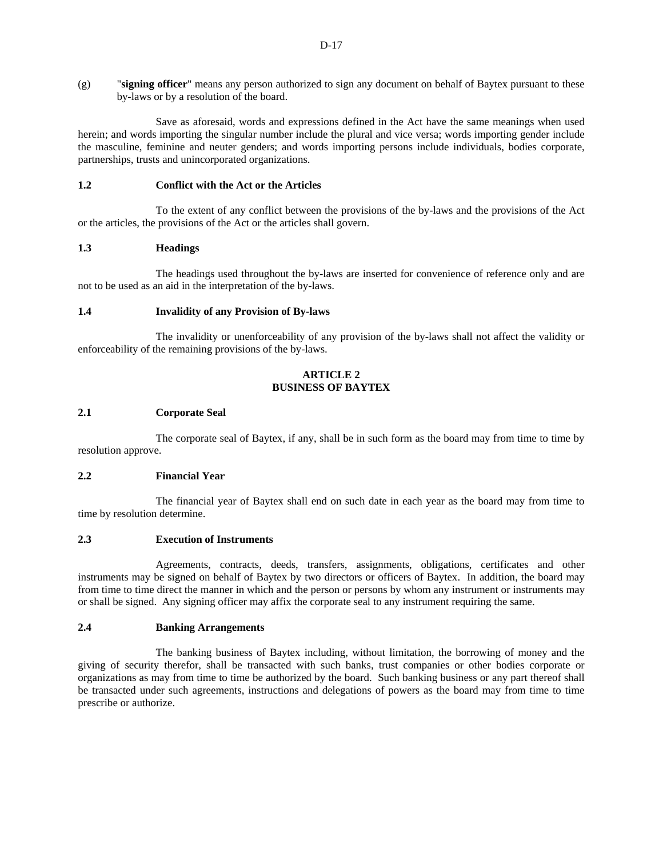Save as aforesaid, words and expressions defined in the Act have the same meanings when used herein; and words importing the singular number include the plural and vice versa; words importing gender include the masculine, feminine and neuter genders; and words importing persons include individuals, bodies corporate, partnerships, trusts and unincorporated organizations.

# **1.2 Conflict with the Act or the Articles**

To the extent of any conflict between the provisions of the by-laws and the provisions of the Act or the articles, the provisions of the Act or the articles shall govern.

# **1.3 Headings**

The headings used throughout the by-laws are inserted for convenience of reference only and are not to be used as an aid in the interpretation of the by-laws.

# **1.4 Invalidity of any Provision of By-laws**

The invalidity or unenforceability of any provision of the by-laws shall not affect the validity or enforceability of the remaining provisions of the by-laws.

# **ARTICLE 2 BUSINESS OF BAYTEX**

# **2.1 Corporate Seal**

The corporate seal of Baytex, if any, shall be in such form as the board may from time to time by resolution approve.

# **2.2 Financial Year**

The financial year of Baytex shall end on such date in each year as the board may from time to time by resolution determine.

# **2.3 Execution of Instruments**

Agreements, contracts, deeds, transfers, assignments, obligations, certificates and other instruments may be signed on behalf of Baytex by two directors or officers of Baytex. In addition, the board may from time to time direct the manner in which and the person or persons by whom any instrument or instruments may or shall be signed. Any signing officer may affix the corporate seal to any instrument requiring the same.

# **2.4 Banking Arrangements**

The banking business of Baytex including, without limitation, the borrowing of money and the giving of security therefor, shall be transacted with such banks, trust companies or other bodies corporate or organizations as may from time to time be authorized by the board. Such banking business or any part thereof shall be transacted under such agreements, instructions and delegations of powers as the board may from time to time prescribe or authorize.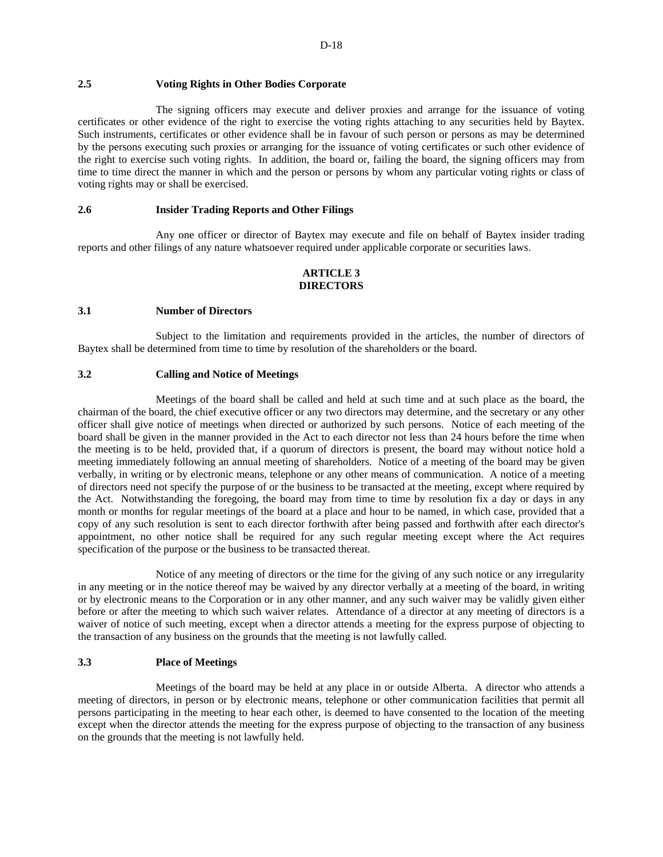## **2.5 Voting Rights in Other Bodies Corporate**

The signing officers may execute and deliver proxies and arrange for the issuance of voting certificates or other evidence of the right to exercise the voting rights attaching to any securities held by Baytex. Such instruments, certificates or other evidence shall be in favour of such person or persons as may be determined by the persons executing such proxies or arranging for the issuance of voting certificates or such other evidence of the right to exercise such voting rights. In addition, the board or, failing the board, the signing officers may from time to time direct the manner in which and the person or persons by whom any particular voting rights or class of voting rights may or shall be exercised.

## **2.6 Insider Trading Reports and Other Filings**

Any one officer or director of Baytex may execute and file on behalf of Baytex insider trading reports and other filings of any nature whatsoever required under applicable corporate or securities laws.

## **ARTICLE 3 DIRECTORS**

#### **3.1 Number of Directors**

Subject to the limitation and requirements provided in the articles, the number of directors of Baytex shall be determined from time to time by resolution of the shareholders or the board.

## **3.2 Calling and Notice of Meetings**

Meetings of the board shall be called and held at such time and at such place as the board, the chairman of the board, the chief executive officer or any two directors may determine, and the secretary or any other officer shall give notice of meetings when directed or authorized by such persons. Notice of each meeting of the board shall be given in the manner provided in the Act to each director not less than 24 hours before the time when the meeting is to be held, provided that, if a quorum of directors is present, the board may without notice hold a meeting immediately following an annual meeting of shareholders. Notice of a meeting of the board may be given verbally, in writing or by electronic means, telephone or any other means of communication. A notice of a meeting of directors need not specify the purpose of or the business to be transacted at the meeting, except where required by the Act. Notwithstanding the foregoing, the board may from time to time by resolution fix a day or days in any month or months for regular meetings of the board at a place and hour to be named, in which case, provided that a copy of any such resolution is sent to each director forthwith after being passed and forthwith after each director's appointment, no other notice shall be required for any such regular meeting except where the Act requires specification of the purpose or the business to be transacted thereat.

Notice of any meeting of directors or the time for the giving of any such notice or any irregularity in any meeting or in the notice thereof may be waived by any director verbally at a meeting of the board, in writing or by electronic means to the Corporation or in any other manner, and any such waiver may be validly given either before or after the meeting to which such waiver relates. Attendance of a director at any meeting of directors is a waiver of notice of such meeting, except when a director attends a meeting for the express purpose of objecting to the transaction of any business on the grounds that the meeting is not lawfully called.

## **3.3 Place of Meetings**

Meetings of the board may be held at any place in or outside Alberta. A director who attends a meeting of directors, in person or by electronic means, telephone or other communication facilities that permit all persons participating in the meeting to hear each other, is deemed to have consented to the location of the meeting except when the director attends the meeting for the express purpose of objecting to the transaction of any business on the grounds that the meeting is not lawfully held.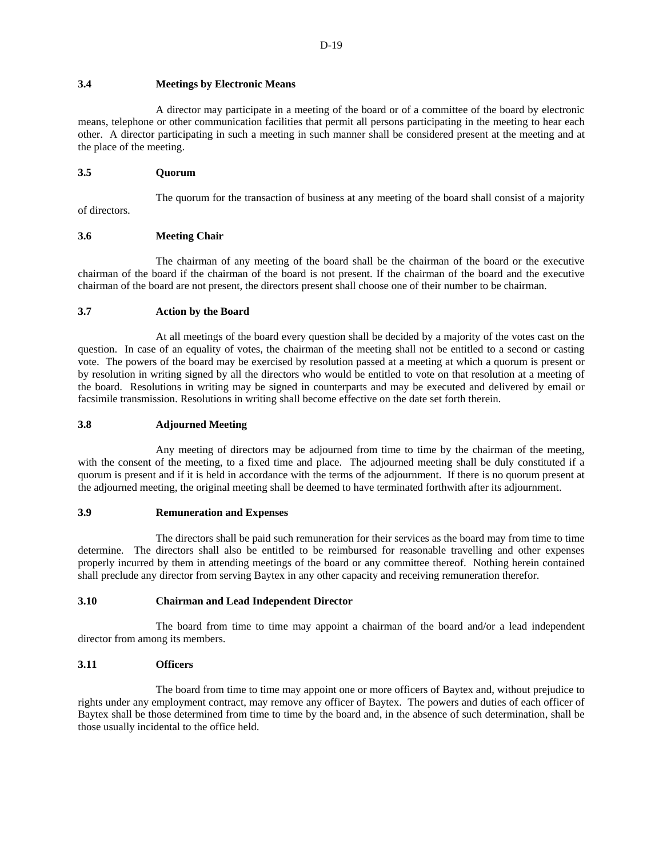## **3.4 Meetings by Electronic Means**

A director may participate in a meeting of the board or of a committee of the board by electronic means, telephone or other communication facilities that permit all persons participating in the meeting to hear each other. A director participating in such a meeting in such manner shall be considered present at the meeting and at the place of the meeting.

## **3.5 Quorum**

of directors.

The quorum for the transaction of business at any meeting of the board shall consist of a majority

## **3.6 Meeting Chair**

The chairman of any meeting of the board shall be the chairman of the board or the executive chairman of the board if the chairman of the board is not present. If the chairman of the board and the executive chairman of the board are not present, the directors present shall choose one of their number to be chairman.

## **3.7 Action by the Board**

At all meetings of the board every question shall be decided by a majority of the votes cast on the question. In case of an equality of votes, the chairman of the meeting shall not be entitled to a second or casting vote. The powers of the board may be exercised by resolution passed at a meeting at which a quorum is present or by resolution in writing signed by all the directors who would be entitled to vote on that resolution at a meeting of the board. Resolutions in writing may be signed in counterparts and may be executed and delivered by email or facsimile transmission. Resolutions in writing shall become effective on the date set forth therein.

## **3.8 Adjourned Meeting**

Any meeting of directors may be adjourned from time to time by the chairman of the meeting, with the consent of the meeting, to a fixed time and place. The adjourned meeting shall be duly constituted if a quorum is present and if it is held in accordance with the terms of the adjournment. If there is no quorum present at the adjourned meeting, the original meeting shall be deemed to have terminated forthwith after its adjournment.

## **3.9 Remuneration and Expenses**

The directors shall be paid such remuneration for their services as the board may from time to time determine. The directors shall also be entitled to be reimbursed for reasonable travelling and other expenses properly incurred by them in attending meetings of the board or any committee thereof. Nothing herein contained shall preclude any director from serving Baytex in any other capacity and receiving remuneration therefor.

## **3.10 Chairman and Lead Independent Director**

The board from time to time may appoint a chairman of the board and/or a lead independent director from among its members.

## **3.11 Officers**

The board from time to time may appoint one or more officers of Baytex and, without prejudice to rights under any employment contract, may remove any officer of Baytex. The powers and duties of each officer of Baytex shall be those determined from time to time by the board and, in the absence of such determination, shall be those usually incidental to the office held.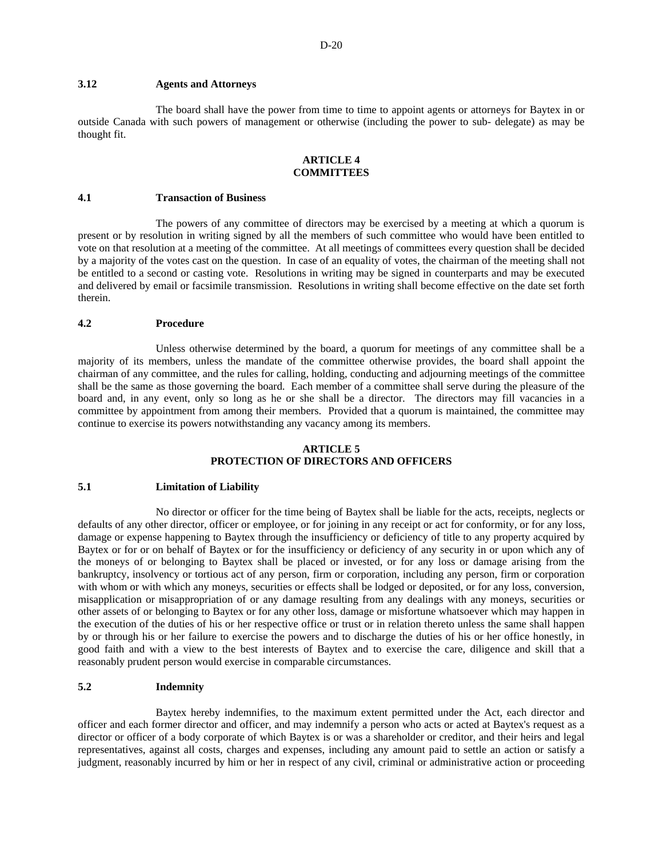# **3.12 Agents and Attorneys**

The board shall have the power from time to time to appoint agents or attorneys for Baytex in or outside Canada with such powers of management or otherwise (including the power to sub- delegate) as may be thought fit.

## **ARTICLE 4 COMMITTEES**

#### **4.1 Transaction of Business**

The powers of any committee of directors may be exercised by a meeting at which a quorum is present or by resolution in writing signed by all the members of such committee who would have been entitled to vote on that resolution at a meeting of the committee. At all meetings of committees every question shall be decided by a majority of the votes cast on the question. In case of an equality of votes, the chairman of the meeting shall not be entitled to a second or casting vote. Resolutions in writing may be signed in counterparts and may be executed and delivered by email or facsimile transmission. Resolutions in writing shall become effective on the date set forth therein.

#### **4.2 Procedure**

Unless otherwise determined by the board, a quorum for meetings of any committee shall be a majority of its members, unless the mandate of the committee otherwise provides, the board shall appoint the chairman of any committee, and the rules for calling, holding, conducting and adjourning meetings of the committee shall be the same as those governing the board. Each member of a committee shall serve during the pleasure of the board and, in any event, only so long as he or she shall be a director. The directors may fill vacancies in a committee by appointment from among their members. Provided that a quorum is maintained, the committee may continue to exercise its powers notwithstanding any vacancy among its members.

#### **ARTICLE 5 PROTECTION OF DIRECTORS AND OFFICERS**

#### **5.1 Limitation of Liability**

No director or officer for the time being of Baytex shall be liable for the acts, receipts, neglects or defaults of any other director, officer or employee, or for joining in any receipt or act for conformity, or for any loss, damage or expense happening to Baytex through the insufficiency or deficiency of title to any property acquired by Baytex or for or on behalf of Baytex or for the insufficiency or deficiency of any security in or upon which any of the moneys of or belonging to Baytex shall be placed or invested, or for any loss or damage arising from the bankruptcy, insolvency or tortious act of any person, firm or corporation, including any person, firm or corporation with whom or with which any moneys, securities or effects shall be lodged or deposited, or for any loss, conversion, misapplication or misappropriation of or any damage resulting from any dealings with any moneys, securities or other assets of or belonging to Baytex or for any other loss, damage or misfortune whatsoever which may happen in the execution of the duties of his or her respective office or trust or in relation thereto unless the same shall happen by or through his or her failure to exercise the powers and to discharge the duties of his or her office honestly, in good faith and with a view to the best interests of Baytex and to exercise the care, diligence and skill that a reasonably prudent person would exercise in comparable circumstances.

## **5.2 Indemnity**

Baytex hereby indemnifies, to the maximum extent permitted under the Act, each director and officer and each former director and officer, and may indemnify a person who acts or acted at Baytex's request as a director or officer of a body corporate of which Baytex is or was a shareholder or creditor, and their heirs and legal representatives, against all costs, charges and expenses, including any amount paid to settle an action or satisfy a judgment, reasonably incurred by him or her in respect of any civil, criminal or administrative action or proceeding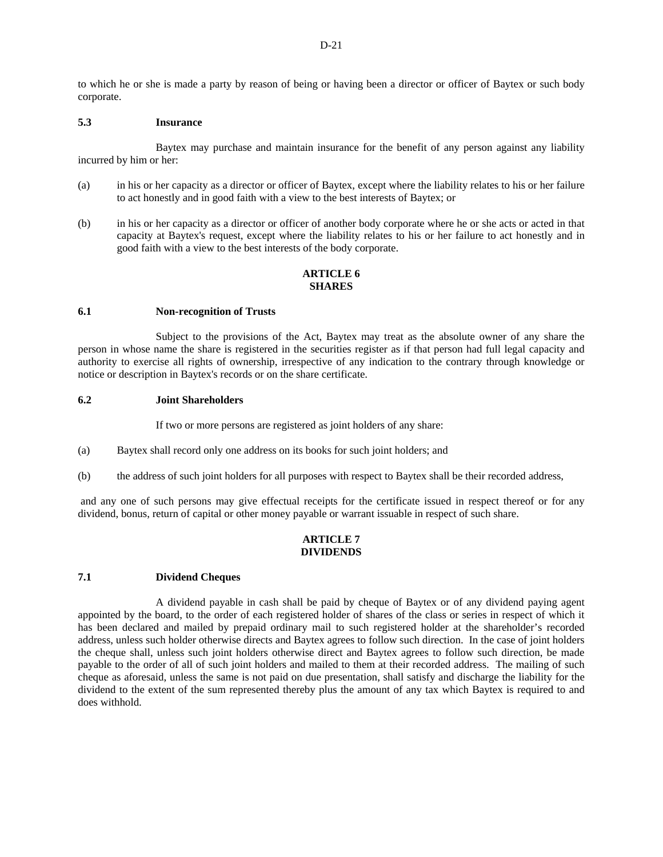to which he or she is made a party by reason of being or having been a director or officer of Baytex or such body corporate.

#### **5.3 Insurance**

Baytex may purchase and maintain insurance for the benefit of any person against any liability incurred by him or her:

- (a) in his or her capacity as a director or officer of Baytex, except where the liability relates to his or her failure to act honestly and in good faith with a view to the best interests of Baytex; or
- (b) in his or her capacity as a director or officer of another body corporate where he or she acts or acted in that capacity at Baytex's request, except where the liability relates to his or her failure to act honestly and in good faith with a view to the best interests of the body corporate.

# **ARTICLE 6 SHARES**

#### **6.1 Non-recognition of Trusts**

Subject to the provisions of the Act, Baytex may treat as the absolute owner of any share the person in whose name the share is registered in the securities register as if that person had full legal capacity and authority to exercise all rights of ownership, irrespective of any indication to the contrary through knowledge or notice or description in Baytex's records or on the share certificate.

## **6.2 Joint Shareholders**

If two or more persons are registered as joint holders of any share:

- (a) Baytex shall record only one address on its books for such joint holders; and
- (b) the address of such joint holders for all purposes with respect to Baytex shall be their recorded address,

 and any one of such persons may give effectual receipts for the certificate issued in respect thereof or for any dividend, bonus, return of capital or other money payable or warrant issuable in respect of such share.

## **ARTICLE 7 DIVIDENDS**

# **7.1 Dividend Cheques**

A dividend payable in cash shall be paid by cheque of Baytex or of any dividend paying agent appointed by the board, to the order of each registered holder of shares of the class or series in respect of which it has been declared and mailed by prepaid ordinary mail to such registered holder at the shareholder's recorded address, unless such holder otherwise directs and Baytex agrees to follow such direction. In the case of joint holders the cheque shall, unless such joint holders otherwise direct and Baytex agrees to follow such direction, be made payable to the order of all of such joint holders and mailed to them at their recorded address. The mailing of such cheque as aforesaid, unless the same is not paid on due presentation, shall satisfy and discharge the liability for the dividend to the extent of the sum represented thereby plus the amount of any tax which Baytex is required to and does withhold.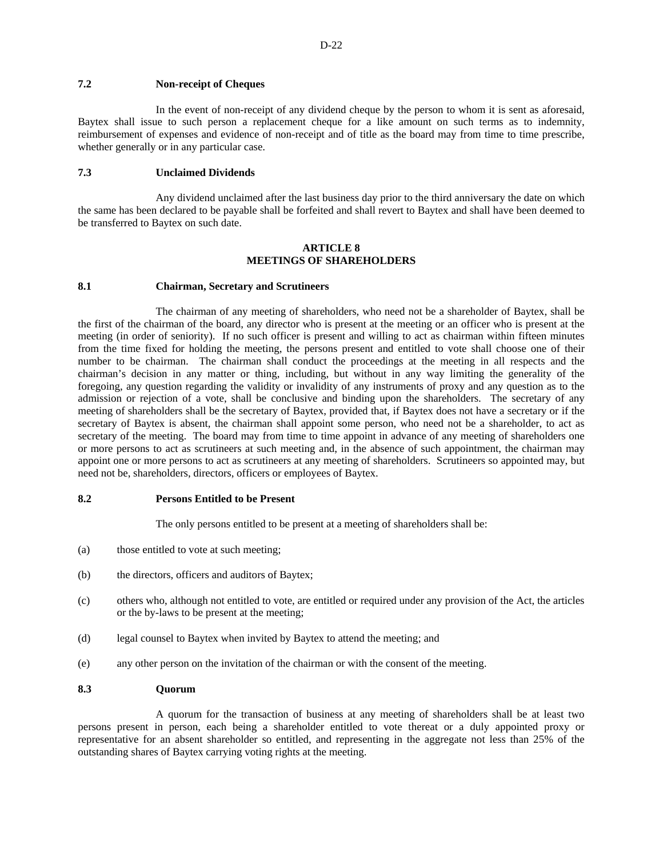# **7.2 Non-receipt of Cheques**

In the event of non-receipt of any dividend cheque by the person to whom it is sent as aforesaid, Baytex shall issue to such person a replacement cheque for a like amount on such terms as to indemnity, reimbursement of expenses and evidence of non-receipt and of title as the board may from time to time prescribe, whether generally or in any particular case.

## **7.3 Unclaimed Dividends**

Any dividend unclaimed after the last business day prior to the third anniversary the date on which the same has been declared to be payable shall be forfeited and shall revert to Baytex and shall have been deemed to be transferred to Baytex on such date.

## **ARTICLE 8 MEETINGS OF SHAREHOLDERS**

#### **8.1 Chairman, Secretary and Scrutineers**

The chairman of any meeting of shareholders, who need not be a shareholder of Baytex, shall be the first of the chairman of the board, any director who is present at the meeting or an officer who is present at the meeting (in order of seniority). If no such officer is present and willing to act as chairman within fifteen minutes from the time fixed for holding the meeting, the persons present and entitled to vote shall choose one of their number to be chairman. The chairman shall conduct the proceedings at the meeting in all respects and the chairman's decision in any matter or thing, including, but without in any way limiting the generality of the foregoing, any question regarding the validity or invalidity of any instruments of proxy and any question as to the admission or rejection of a vote, shall be conclusive and binding upon the shareholders. The secretary of any meeting of shareholders shall be the secretary of Baytex, provided that, if Baytex does not have a secretary or if the secretary of Baytex is absent, the chairman shall appoint some person, who need not be a shareholder, to act as secretary of the meeting. The board may from time to time appoint in advance of any meeting of shareholders one or more persons to act as scrutineers at such meeting and, in the absence of such appointment, the chairman may appoint one or more persons to act as scrutineers at any meeting of shareholders. Scrutineers so appointed may, but need not be, shareholders, directors, officers or employees of Baytex.

#### **8.2 Persons Entitled to be Present**

The only persons entitled to be present at a meeting of shareholders shall be:

- (a) those entitled to vote at such meeting;
- (b) the directors, officers and auditors of Baytex;
- (c) others who, although not entitled to vote, are entitled or required under any provision of the Act, the articles or the by-laws to be present at the meeting;
- (d) legal counsel to Baytex when invited by Baytex to attend the meeting; and
- (e) any other person on the invitation of the chairman or with the consent of the meeting.

## **8.3 Quorum**

A quorum for the transaction of business at any meeting of shareholders shall be at least two persons present in person, each being a shareholder entitled to vote thereat or a duly appointed proxy or representative for an absent shareholder so entitled, and representing in the aggregate not less than 25% of the outstanding shares of Baytex carrying voting rights at the meeting.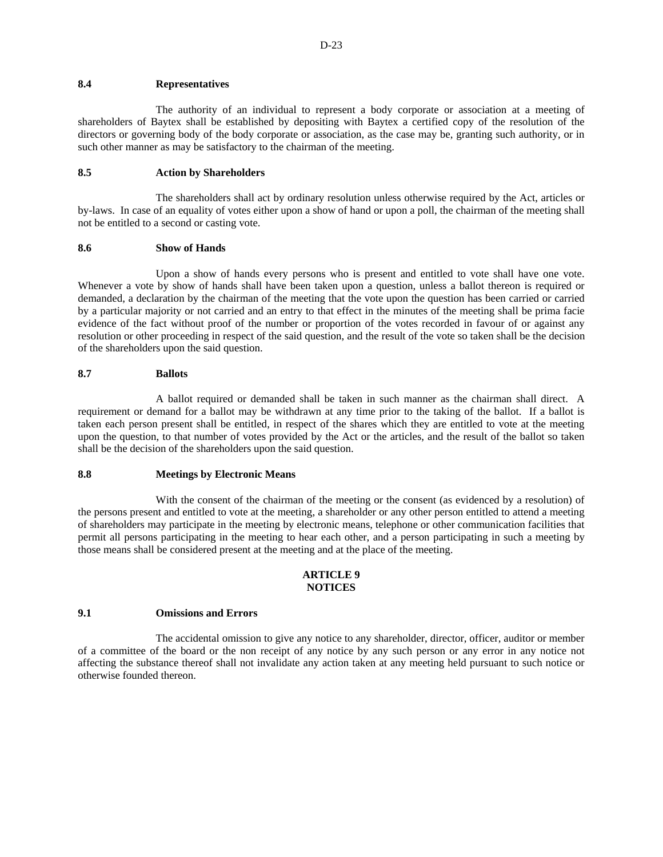#### **8.4 Representatives**

The authority of an individual to represent a body corporate or association at a meeting of shareholders of Baytex shall be established by depositing with Baytex a certified copy of the resolution of the directors or governing body of the body corporate or association, as the case may be, granting such authority, or in such other manner as may be satisfactory to the chairman of the meeting.

# **8.5 Action by Shareholders**

The shareholders shall act by ordinary resolution unless otherwise required by the Act, articles or by-laws. In case of an equality of votes either upon a show of hand or upon a poll, the chairman of the meeting shall not be entitled to a second or casting vote.

#### **8.6 Show of Hands**

Upon a show of hands every persons who is present and entitled to vote shall have one vote. Whenever a vote by show of hands shall have been taken upon a question, unless a ballot thereon is required or demanded, a declaration by the chairman of the meeting that the vote upon the question has been carried or carried by a particular majority or not carried and an entry to that effect in the minutes of the meeting shall be prima facie evidence of the fact without proof of the number or proportion of the votes recorded in favour of or against any resolution or other proceeding in respect of the said question, and the result of the vote so taken shall be the decision of the shareholders upon the said question.

## **8.7 Ballots**

A ballot required or demanded shall be taken in such manner as the chairman shall direct. A requirement or demand for a ballot may be withdrawn at any time prior to the taking of the ballot. If a ballot is taken each person present shall be entitled, in respect of the shares which they are entitled to vote at the meeting upon the question, to that number of votes provided by the Act or the articles, and the result of the ballot so taken shall be the decision of the shareholders upon the said question.

#### **8.8 Meetings by Electronic Means**

With the consent of the chairman of the meeting or the consent (as evidenced by a resolution) of the persons present and entitled to vote at the meeting, a shareholder or any other person entitled to attend a meeting of shareholders may participate in the meeting by electronic means, telephone or other communication facilities that permit all persons participating in the meeting to hear each other, and a person participating in such a meeting by those means shall be considered present at the meeting and at the place of the meeting.

#### **ARTICLE 9 NOTICES**

# **9.1 Omissions and Errors**

The accidental omission to give any notice to any shareholder, director, officer, auditor or member of a committee of the board or the non receipt of any notice by any such person or any error in any notice not affecting the substance thereof shall not invalidate any action taken at any meeting held pursuant to such notice or otherwise founded thereon.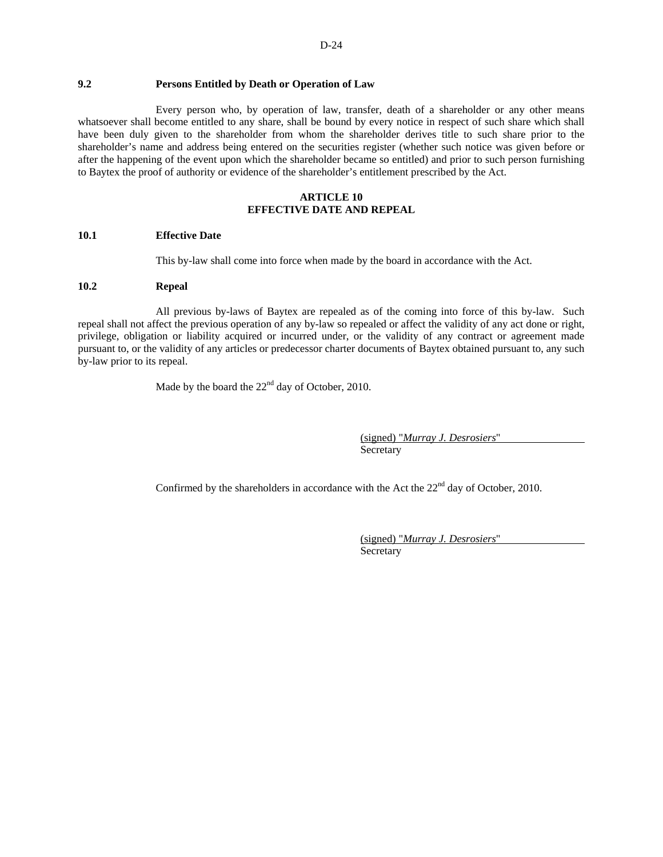# **9.2 Persons Entitled by Death or Operation of Law**

Every person who, by operation of law, transfer, death of a shareholder or any other means whatsoever shall become entitled to any share, shall be bound by every notice in respect of such share which shall have been duly given to the shareholder from whom the shareholder derives title to such share prior to the shareholder's name and address being entered on the securities register (whether such notice was given before or after the happening of the event upon which the shareholder became so entitled) and prior to such person furnishing to Baytex the proof of authority or evidence of the shareholder's entitlement prescribed by the Act.

#### **ARTICLE 10 EFFECTIVE DATE AND REPEAL**

#### **10.1 Effective Date**

This by-law shall come into force when made by the board in accordance with the Act.

# **10.2 Repeal**

All previous by-laws of Baytex are repealed as of the coming into force of this by-law. Such repeal shall not affect the previous operation of any by-law so repealed or affect the validity of any act done or right, privilege, obligation or liability acquired or incurred under, or the validity of any contract or agreement made pursuant to, or the validity of any articles or predecessor charter documents of Baytex obtained pursuant to, any such by-law prior to its repeal.

Made by the board the  $22<sup>nd</sup>$  day of October, 2010.

 (signed) "*Murray J. Desrosiers*" Secretary

Confirmed by the shareholders in accordance with the Act the  $22<sup>nd</sup>$  day of October, 2010.

 (signed) "*Murray J. Desrosiers*" Secretary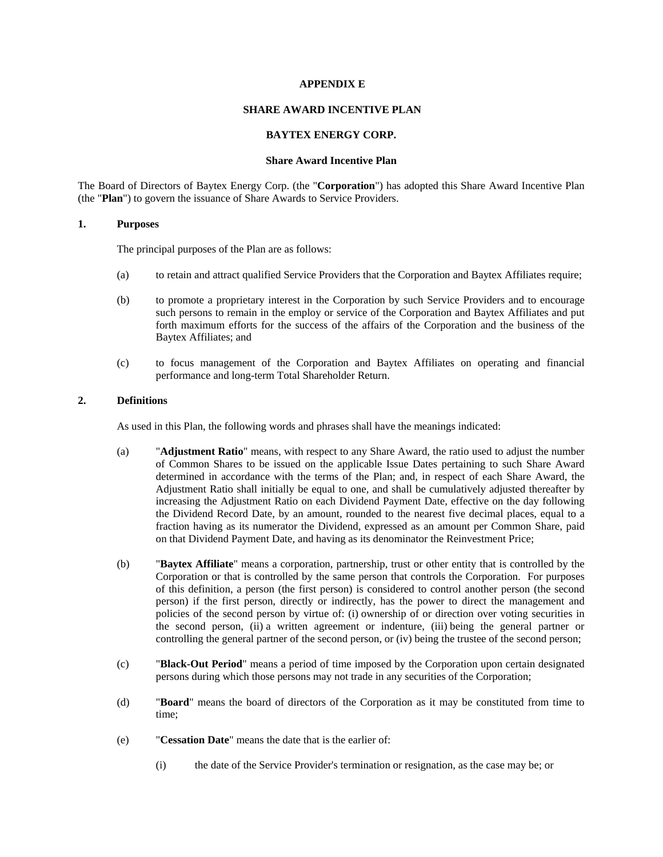#### **APPENDIX E**

# **SHARE AWARD INCENTIVE PLAN**

#### **BAYTEX ENERGY CORP.**

# **Share Award Incentive Plan**

The Board of Directors of Baytex Energy Corp. (the "**Corporation**") has adopted this Share Award Incentive Plan (the "**Plan**") to govern the issuance of Share Awards to Service Providers.

# **1. Purposes**

The principal purposes of the Plan are as follows:

- (a) to retain and attract qualified Service Providers that the Corporation and Baytex Affiliates require;
- (b) to promote a proprietary interest in the Corporation by such Service Providers and to encourage such persons to remain in the employ or service of the Corporation and Baytex Affiliates and put forth maximum efforts for the success of the affairs of the Corporation and the business of the Baytex Affiliates; and
- (c) to focus management of the Corporation and Baytex Affiliates on operating and financial performance and long-term Total Shareholder Return.

# **2. Definitions**

As used in this Plan, the following words and phrases shall have the meanings indicated:

- (a) "**Adjustment Ratio**" means, with respect to any Share Award, the ratio used to adjust the number of Common Shares to be issued on the applicable Issue Dates pertaining to such Share Award determined in accordance with the terms of the Plan; and, in respect of each Share Award, the Adjustment Ratio shall initially be equal to one, and shall be cumulatively adjusted thereafter by increasing the Adjustment Ratio on each Dividend Payment Date, effective on the day following the Dividend Record Date, by an amount, rounded to the nearest five decimal places, equal to a fraction having as its numerator the Dividend, expressed as an amount per Common Share, paid on that Dividend Payment Date, and having as its denominator the Reinvestment Price;
- (b) "**Baytex Affiliate**" means a corporation, partnership, trust or other entity that is controlled by the Corporation or that is controlled by the same person that controls the Corporation. For purposes of this definition, a person (the first person) is considered to control another person (the second person) if the first person, directly or indirectly, has the power to direct the management and policies of the second person by virtue of: (i) ownership of or direction over voting securities in the second person, (ii) a written agreement or indenture, (iii) being the general partner or controlling the general partner of the second person, or (iv) being the trustee of the second person;
- (c) "**Black-Out Period**" means a period of time imposed by the Corporation upon certain designated persons during which those persons may not trade in any securities of the Corporation;
- (d) "**Board**" means the board of directors of the Corporation as it may be constituted from time to time;
- (e) "**Cessation Date**" means the date that is the earlier of:
	- (i) the date of the Service Provider's termination or resignation, as the case may be; or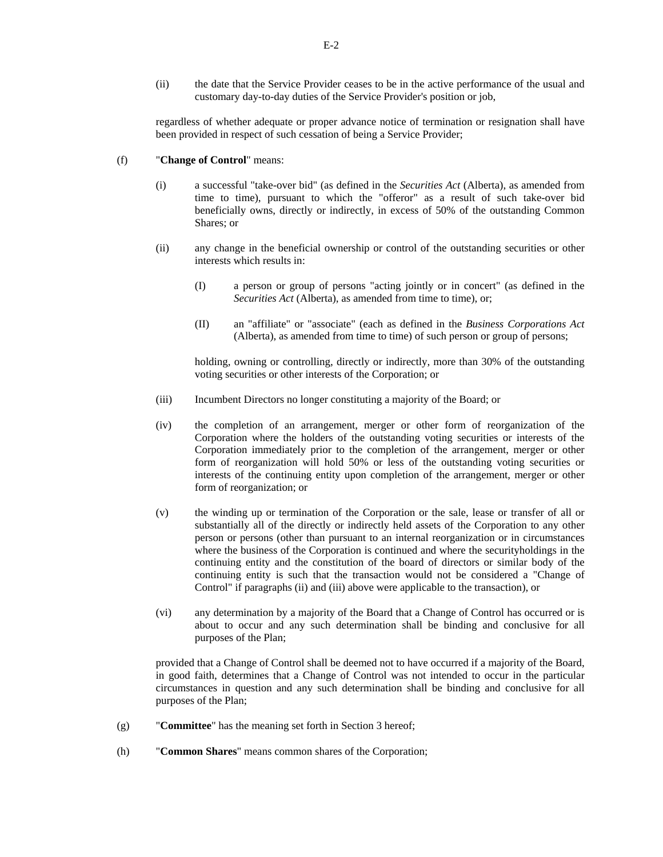(ii) the date that the Service Provider ceases to be in the active performance of the usual and customary day-to-day duties of the Service Provider's position or job,

regardless of whether adequate or proper advance notice of termination or resignation shall have been provided in respect of such cessation of being a Service Provider;

# (f) "**Change of Control**" means:

- (i) a successful "take-over bid" (as defined in the *Securities Act* (Alberta), as amended from time to time), pursuant to which the "offeror" as a result of such take-over bid beneficially owns, directly or indirectly, in excess of 50% of the outstanding Common Shares; or
- (ii) any change in the beneficial ownership or control of the outstanding securities or other interests which results in:
	- (I) a person or group of persons "acting jointly or in concert" (as defined in the *Securities Act* (Alberta), as amended from time to time), or;
	- (II) an "affiliate" or "associate" (each as defined in the *Business Corporations Act* (Alberta), as amended from time to time) of such person or group of persons;

holding, owning or controlling, directly or indirectly, more than 30% of the outstanding voting securities or other interests of the Corporation; or

- (iii) Incumbent Directors no longer constituting a majority of the Board; or
- (iv) the completion of an arrangement, merger or other form of reorganization of the Corporation where the holders of the outstanding voting securities or interests of the Corporation immediately prior to the completion of the arrangement, merger or other form of reorganization will hold 50% or less of the outstanding voting securities or interests of the continuing entity upon completion of the arrangement, merger or other form of reorganization; or
- (v) the winding up or termination of the Corporation or the sale, lease or transfer of all or substantially all of the directly or indirectly held assets of the Corporation to any other person or persons (other than pursuant to an internal reorganization or in circumstances where the business of the Corporation is continued and where the securityholdings in the continuing entity and the constitution of the board of directors or similar body of the continuing entity is such that the transaction would not be considered a "Change of Control" if paragraphs (ii) and (iii) above were applicable to the transaction), or
- (vi) any determination by a majority of the Board that a Change of Control has occurred or is about to occur and any such determination shall be binding and conclusive for all purposes of the Plan;

provided that a Change of Control shall be deemed not to have occurred if a majority of the Board, in good faith, determines that a Change of Control was not intended to occur in the particular circumstances in question and any such determination shall be binding and conclusive for all purposes of the Plan;

- (g) "**Committee**" has the meaning set forth in Section 3 hereof;
- (h) "**Common Shares**" means common shares of the Corporation;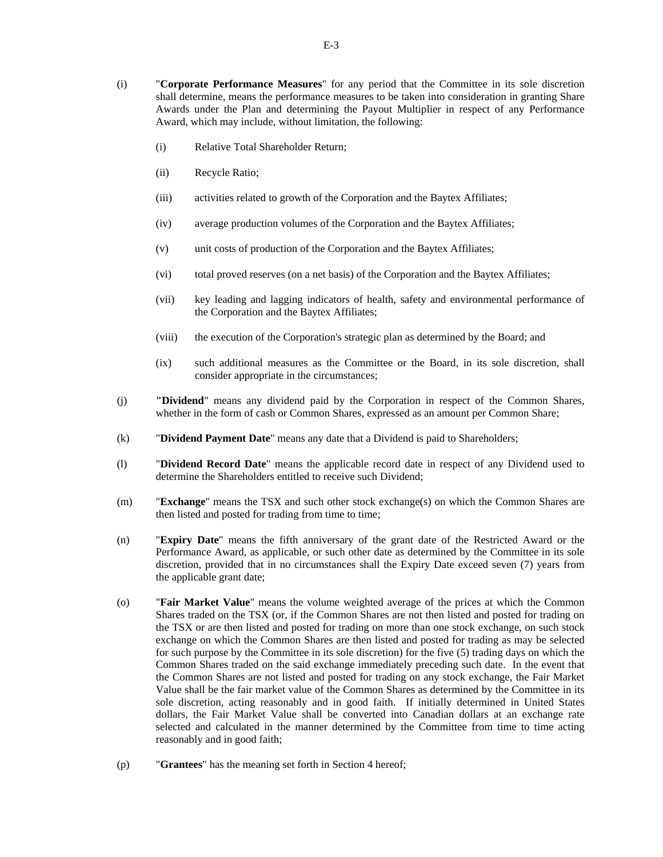- (i) "**Corporate Performance Measures**" for any period that the Committee in its sole discretion shall determine, means the performance measures to be taken into consideration in granting Share Awards under the Plan and determining the Payout Multiplier in respect of any Performance Award, which may include, without limitation, the following:
	- (i) Relative Total Shareholder Return;
	- (ii) Recycle Ratio;
	- (iii) activities related to growth of the Corporation and the Baytex Affiliates;
	- (iv) average production volumes of the Corporation and the Baytex Affiliates;
	- (v) unit costs of production of the Corporation and the Baytex Affiliates;
	- (vi) total proved reserves (on a net basis) of the Corporation and the Baytex Affiliates;
	- (vii) key leading and lagging indicators of health, safety and environmental performance of the Corporation and the Baytex Affiliates;
	- (viii) the execution of the Corporation's strategic plan as determined by the Board; and
	- (ix) such additional measures as the Committee or the Board, in its sole discretion, shall consider appropriate in the circumstances;
- (j) **"Dividend**" means any dividend paid by the Corporation in respect of the Common Shares, whether in the form of cash or Common Shares, expressed as an amount per Common Share;
- (k) "**Dividend Payment Date**" means any date that a Dividend is paid to Shareholders;
- (l) "**Dividend Record Date**" means the applicable record date in respect of any Dividend used to determine the Shareholders entitled to receive such Dividend;
- (m) "**Exchange**" means the TSX and such other stock exchange(s) on which the Common Shares are then listed and posted for trading from time to time;
- (n) "**Expiry Date**" means the fifth anniversary of the grant date of the Restricted Award or the Performance Award, as applicable, or such other date as determined by the Committee in its sole discretion, provided that in no circumstances shall the Expiry Date exceed seven (7) years from the applicable grant date;
- (o) "**Fair Market Value**" means the volume weighted average of the prices at which the Common Shares traded on the TSX (or, if the Common Shares are not then listed and posted for trading on the TSX or are then listed and posted for trading on more than one stock exchange, on such stock exchange on which the Common Shares are then listed and posted for trading as may be selected for such purpose by the Committee in its sole discretion) for the five (5) trading days on which the Common Shares traded on the said exchange immediately preceding such date. In the event that the Common Shares are not listed and posted for trading on any stock exchange, the Fair Market Value shall be the fair market value of the Common Shares as determined by the Committee in its sole discretion, acting reasonably and in good faith. If initially determined in United States dollars, the Fair Market Value shall be converted into Canadian dollars at an exchange rate selected and calculated in the manner determined by the Committee from time to time acting reasonably and in good faith;
- (p) "**Grantees**" has the meaning set forth in Section 4 hereof;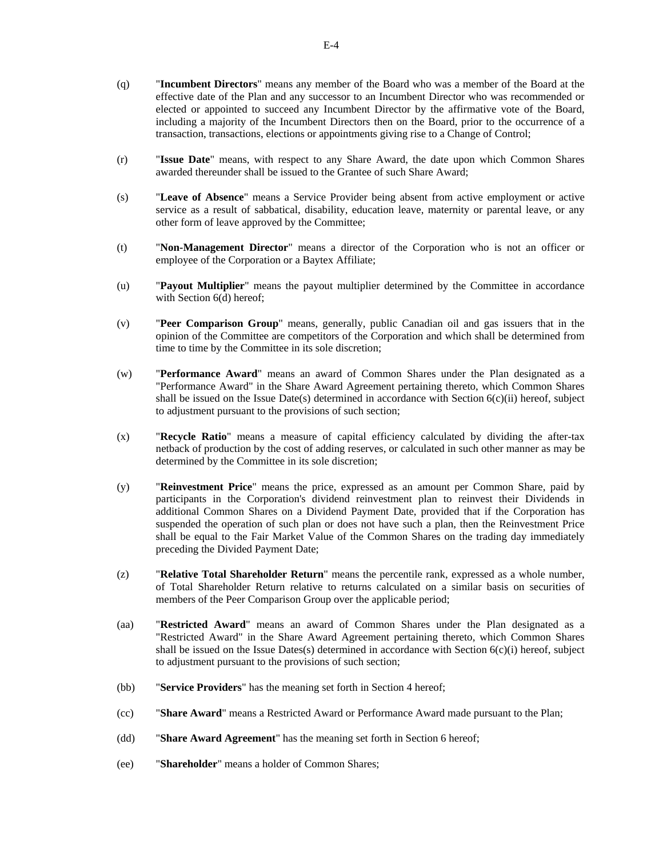- (q) "**Incumbent Directors**" means any member of the Board who was a member of the Board at the effective date of the Plan and any successor to an Incumbent Director who was recommended or elected or appointed to succeed any Incumbent Director by the affirmative vote of the Board, including a majority of the Incumbent Directors then on the Board, prior to the occurrence of a transaction, transactions, elections or appointments giving rise to a Change of Control;
- (r) "**Issue Date**" means, with respect to any Share Award, the date upon which Common Shares awarded thereunder shall be issued to the Grantee of such Share Award;
- (s) "**Leave of Absence**" means a Service Provider being absent from active employment or active service as a result of sabbatical, disability, education leave, maternity or parental leave, or any other form of leave approved by the Committee;
- (t) "**Non-Management Director**" means a director of the Corporation who is not an officer or employee of the Corporation or a Baytex Affiliate;
- (u) "**Payout Multiplier**" means the payout multiplier determined by the Committee in accordance with Section 6(d) hereof;
- (v) "**Peer Comparison Group**" means, generally, public Canadian oil and gas issuers that in the opinion of the Committee are competitors of the Corporation and which shall be determined from time to time by the Committee in its sole discretion;
- (w) "**Performance Award**" means an award of Common Shares under the Plan designated as a "Performance Award" in the Share Award Agreement pertaining thereto, which Common Shares shall be issued on the Issue Date(s) determined in accordance with Section  $6(c)(ii)$  hereof, subject to adjustment pursuant to the provisions of such section;
- (x) "**Recycle Ratio**" means a measure of capital efficiency calculated by dividing the after-tax netback of production by the cost of adding reserves, or calculated in such other manner as may be determined by the Committee in its sole discretion;
- (y) "**Reinvestment Price**" means the price, expressed as an amount per Common Share, paid by participants in the Corporation's dividend reinvestment plan to reinvest their Dividends in additional Common Shares on a Dividend Payment Date, provided that if the Corporation has suspended the operation of such plan or does not have such a plan, then the Reinvestment Price shall be equal to the Fair Market Value of the Common Shares on the trading day immediately preceding the Divided Payment Date;
- (z) "**Relative Total Shareholder Return**" means the percentile rank, expressed as a whole number, of Total Shareholder Return relative to returns calculated on a similar basis on securities of members of the Peer Comparison Group over the applicable period;
- (aa) "**Restricted Award**" means an award of Common Shares under the Plan designated as a "Restricted Award" in the Share Award Agreement pertaining thereto, which Common Shares shall be issued on the Issue Dates(s) determined in accordance with Section  $6(c)(i)$  hereof, subject to adjustment pursuant to the provisions of such section;
- (bb) "**Service Providers**" has the meaning set forth in Section 4 hereof;
- (cc) "**Share Award**" means a Restricted Award or Performance Award made pursuant to the Plan;
- (dd) "**Share Award Agreement**" has the meaning set forth in Section 6 hereof;
- (ee) "**Shareholder**" means a holder of Common Shares;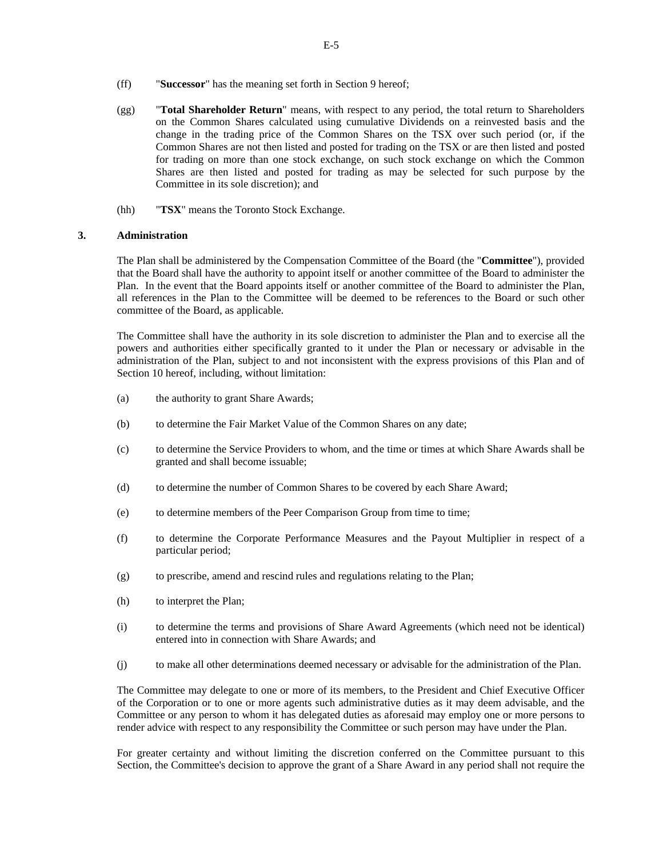- (ff) "**Successor**" has the meaning set forth in Section 9 hereof;
- (gg) "**Total Shareholder Return**" means, with respect to any period, the total return to Shareholders on the Common Shares calculated using cumulative Dividends on a reinvested basis and the change in the trading price of the Common Shares on the TSX over such period (or, if the Common Shares are not then listed and posted for trading on the TSX or are then listed and posted for trading on more than one stock exchange, on such stock exchange on which the Common Shares are then listed and posted for trading as may be selected for such purpose by the Committee in its sole discretion); and
- (hh) "**TSX**" means the Toronto Stock Exchange.

# **3. Administration**

The Plan shall be administered by the Compensation Committee of the Board (the "**Committee**"), provided that the Board shall have the authority to appoint itself or another committee of the Board to administer the Plan. In the event that the Board appoints itself or another committee of the Board to administer the Plan, all references in the Plan to the Committee will be deemed to be references to the Board or such other committee of the Board, as applicable.

The Committee shall have the authority in its sole discretion to administer the Plan and to exercise all the powers and authorities either specifically granted to it under the Plan or necessary or advisable in the administration of the Plan, subject to and not inconsistent with the express provisions of this Plan and of Section 10 hereof, including, without limitation:

- (a) the authority to grant Share Awards;
- (b) to determine the Fair Market Value of the Common Shares on any date;
- (c) to determine the Service Providers to whom, and the time or times at which Share Awards shall be granted and shall become issuable;
- (d) to determine the number of Common Shares to be covered by each Share Award;
- (e) to determine members of the Peer Comparison Group from time to time;
- (f) to determine the Corporate Performance Measures and the Payout Multiplier in respect of a particular period;
- (g) to prescribe, amend and rescind rules and regulations relating to the Plan;
- (h) to interpret the Plan;
- (i) to determine the terms and provisions of Share Award Agreements (which need not be identical) entered into in connection with Share Awards; and
- (j) to make all other determinations deemed necessary or advisable for the administration of the Plan.

The Committee may delegate to one or more of its members, to the President and Chief Executive Officer of the Corporation or to one or more agents such administrative duties as it may deem advisable, and the Committee or any person to whom it has delegated duties as aforesaid may employ one or more persons to render advice with respect to any responsibility the Committee or such person may have under the Plan.

For greater certainty and without limiting the discretion conferred on the Committee pursuant to this Section, the Committee's decision to approve the grant of a Share Award in any period shall not require the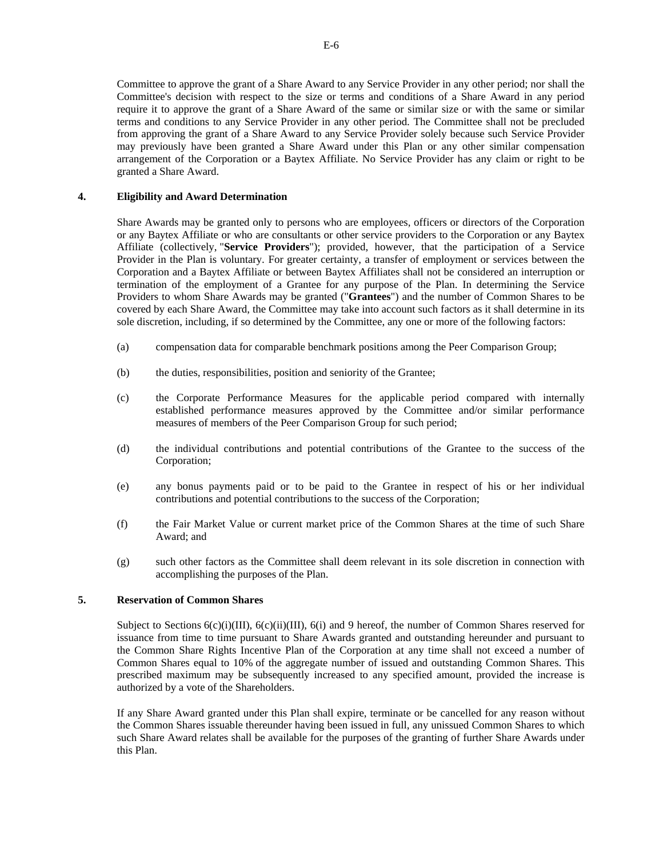Committee to approve the grant of a Share Award to any Service Provider in any other period; nor shall the Committee's decision with respect to the size or terms and conditions of a Share Award in any period require it to approve the grant of a Share Award of the same or similar size or with the same or similar terms and conditions to any Service Provider in any other period. The Committee shall not be precluded from approving the grant of a Share Award to any Service Provider solely because such Service Provider may previously have been granted a Share Award under this Plan or any other similar compensation arrangement of the Corporation or a Baytex Affiliate. No Service Provider has any claim or right to be granted a Share Award.

#### **4. Eligibility and Award Determination**

Share Awards may be granted only to persons who are employees, officers or directors of the Corporation or any Baytex Affiliate or who are consultants or other service providers to the Corporation or any Baytex Affiliate (collectively, "**Service Providers**"); provided, however, that the participation of a Service Provider in the Plan is voluntary. For greater certainty, a transfer of employment or services between the Corporation and a Baytex Affiliate or between Baytex Affiliates shall not be considered an interruption or termination of the employment of a Grantee for any purpose of the Plan. In determining the Service Providers to whom Share Awards may be granted ("**Grantees**") and the number of Common Shares to be covered by each Share Award, the Committee may take into account such factors as it shall determine in its sole discretion, including, if so determined by the Committee, any one or more of the following factors:

- (a) compensation data for comparable benchmark positions among the Peer Comparison Group;
- (b) the duties, responsibilities, position and seniority of the Grantee;
- (c) the Corporate Performance Measures for the applicable period compared with internally established performance measures approved by the Committee and/or similar performance measures of members of the Peer Comparison Group for such period;
- (d) the individual contributions and potential contributions of the Grantee to the success of the Corporation;
- (e) any bonus payments paid or to be paid to the Grantee in respect of his or her individual contributions and potential contributions to the success of the Corporation;
- (f) the Fair Market Value or current market price of the Common Shares at the time of such Share Award; and
- (g) such other factors as the Committee shall deem relevant in its sole discretion in connection with accomplishing the purposes of the Plan.

# **5. Reservation of Common Shares**

Subject to Sections  $6(c)(i)(III)$ ,  $6(c)(ii)(III)$ ,  $6(i)$  and 9 hereof, the number of Common Shares reserved for issuance from time to time pursuant to Share Awards granted and outstanding hereunder and pursuant to the Common Share Rights Incentive Plan of the Corporation at any time shall not exceed a number of Common Shares equal to 10% of the aggregate number of issued and outstanding Common Shares. This prescribed maximum may be subsequently increased to any specified amount, provided the increase is authorized by a vote of the Shareholders.

If any Share Award granted under this Plan shall expire, terminate or be cancelled for any reason without the Common Shares issuable thereunder having been issued in full, any unissued Common Shares to which such Share Award relates shall be available for the purposes of the granting of further Share Awards under this Plan.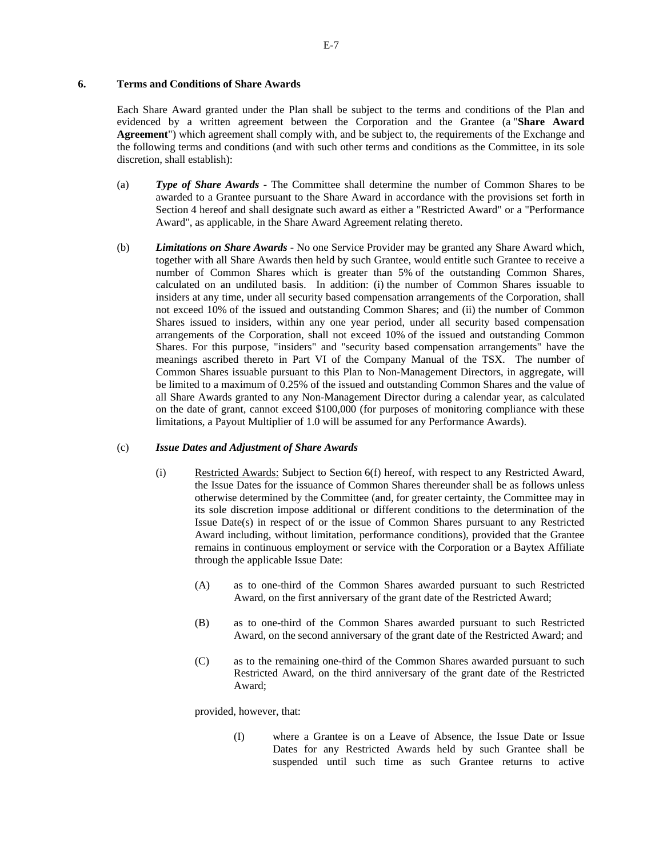# **6. Terms and Conditions of Share Awards**

Each Share Award granted under the Plan shall be subject to the terms and conditions of the Plan and evidenced by a written agreement between the Corporation and the Grantee (a "**Share Award Agreement**") which agreement shall comply with, and be subject to, the requirements of the Exchange and the following terms and conditions (and with such other terms and conditions as the Committee, in its sole discretion, shall establish):

- (a) *Type of Share Awards* The Committee shall determine the number of Common Shares to be awarded to a Grantee pursuant to the Share Award in accordance with the provisions set forth in Section 4 hereof and shall designate such award as either a "Restricted Award" or a "Performance Award", as applicable, in the Share Award Agreement relating thereto.
- (b) *Limitations on Share Awards* No one Service Provider may be granted any Share Award which, together with all Share Awards then held by such Grantee, would entitle such Grantee to receive a number of Common Shares which is greater than 5% of the outstanding Common Shares, calculated on an undiluted basis. In addition: (i) the number of Common Shares issuable to insiders at any time, under all security based compensation arrangements of the Corporation, shall not exceed 10% of the issued and outstanding Common Shares; and (ii) the number of Common Shares issued to insiders, within any one year period, under all security based compensation arrangements of the Corporation, shall not exceed 10% of the issued and outstanding Common Shares. For this purpose, "insiders" and "security based compensation arrangements" have the meanings ascribed thereto in Part VI of the Company Manual of the TSX. The number of Common Shares issuable pursuant to this Plan to Non-Management Directors, in aggregate, will be limited to a maximum of 0.25% of the issued and outstanding Common Shares and the value of all Share Awards granted to any Non-Management Director during a calendar year, as calculated on the date of grant, cannot exceed \$100,000 (for purposes of monitoring compliance with these limitations, a Payout Multiplier of 1.0 will be assumed for any Performance Awards).

## (c) *Issue Dates and Adjustment of Share Awards*

- (i) Restricted Awards: Subject to Section 6(f) hereof, with respect to any Restricted Award, the Issue Dates for the issuance of Common Shares thereunder shall be as follows unless otherwise determined by the Committee (and, for greater certainty, the Committee may in its sole discretion impose additional or different conditions to the determination of the Issue Date(s) in respect of or the issue of Common Shares pursuant to any Restricted Award including, without limitation, performance conditions), provided that the Grantee remains in continuous employment or service with the Corporation or a Baytex Affiliate through the applicable Issue Date:
	- (A) as to one-third of the Common Shares awarded pursuant to such Restricted Award, on the first anniversary of the grant date of the Restricted Award;
	- (B) as to one-third of the Common Shares awarded pursuant to such Restricted Award, on the second anniversary of the grant date of the Restricted Award; and
	- (C) as to the remaining one-third of the Common Shares awarded pursuant to such Restricted Award, on the third anniversary of the grant date of the Restricted Award;

provided, however, that:

(I) where a Grantee is on a Leave of Absence, the Issue Date or Issue Dates for any Restricted Awards held by such Grantee shall be suspended until such time as such Grantee returns to active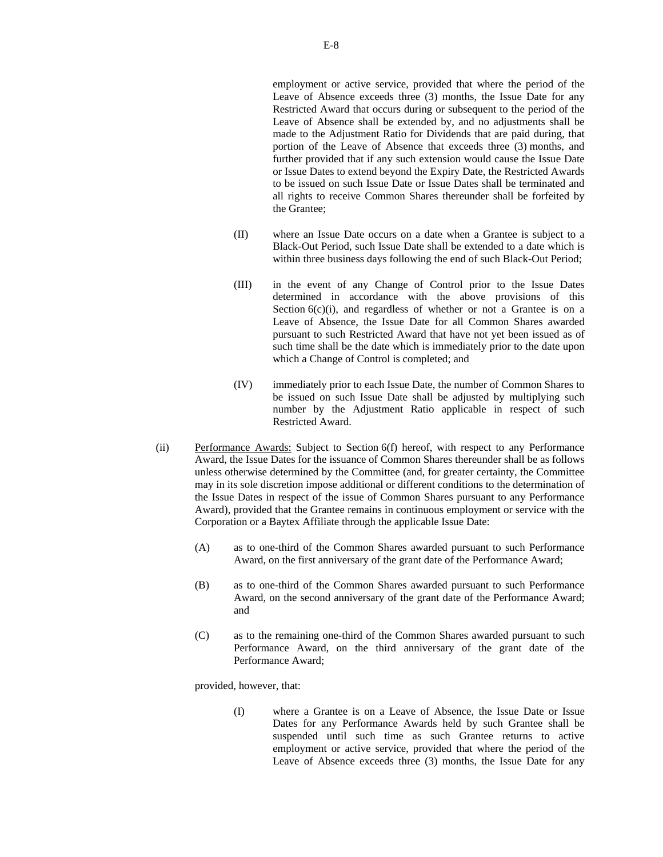employment or active service, provided that where the period of the Leave of Absence exceeds three (3) months, the Issue Date for any Restricted Award that occurs during or subsequent to the period of the Leave of Absence shall be extended by, and no adjustments shall be made to the Adjustment Ratio for Dividends that are paid during, that portion of the Leave of Absence that exceeds three (3) months, and further provided that if any such extension would cause the Issue Date or Issue Dates to extend beyond the Expiry Date, the Restricted Awards to be issued on such Issue Date or Issue Dates shall be terminated and all rights to receive Common Shares thereunder shall be forfeited by the Grantee;

- (II) where an Issue Date occurs on a date when a Grantee is subject to a Black-Out Period, such Issue Date shall be extended to a date which is within three business days following the end of such Black-Out Period;
- (III) in the event of any Change of Control prior to the Issue Dates determined in accordance with the above provisions of this Section  $6(c)(i)$ , and regardless of whether or not a Grantee is on a Leave of Absence, the Issue Date for all Common Shares awarded pursuant to such Restricted Award that have not yet been issued as of such time shall be the date which is immediately prior to the date upon which a Change of Control is completed; and
- (IV) immediately prior to each Issue Date, the number of Common Shares to be issued on such Issue Date shall be adjusted by multiplying such number by the Adjustment Ratio applicable in respect of such Restricted Award.
- (ii) Performance Awards: Subject to Section 6(f) hereof, with respect to any Performance Award, the Issue Dates for the issuance of Common Shares thereunder shall be as follows unless otherwise determined by the Committee (and, for greater certainty, the Committee may in its sole discretion impose additional or different conditions to the determination of the Issue Dates in respect of the issue of Common Shares pursuant to any Performance Award), provided that the Grantee remains in continuous employment or service with the Corporation or a Baytex Affiliate through the applicable Issue Date:
	- (A) as to one-third of the Common Shares awarded pursuant to such Performance Award, on the first anniversary of the grant date of the Performance Award;
	- (B) as to one-third of the Common Shares awarded pursuant to such Performance Award, on the second anniversary of the grant date of the Performance Award; and
	- (C) as to the remaining one-third of the Common Shares awarded pursuant to such Performance Award, on the third anniversary of the grant date of the Performance Award;

provided, however, that:

(I) where a Grantee is on a Leave of Absence, the Issue Date or Issue Dates for any Performance Awards held by such Grantee shall be suspended until such time as such Grantee returns to active employment or active service, provided that where the period of the Leave of Absence exceeds three (3) months, the Issue Date for any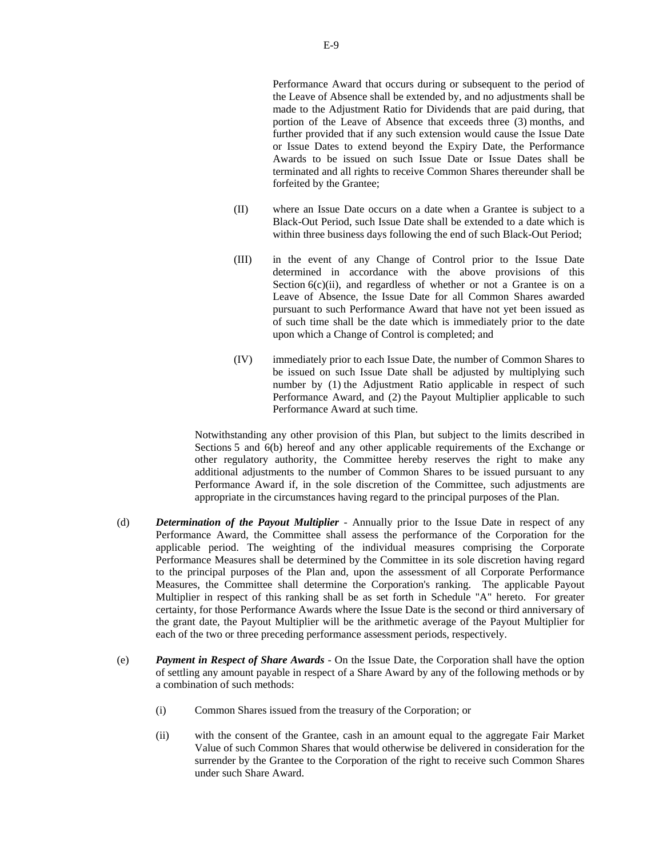Performance Award that occurs during or subsequent to the period of the Leave of Absence shall be extended by, and no adjustments shall be made to the Adjustment Ratio for Dividends that are paid during, that portion of the Leave of Absence that exceeds three (3) months, and further provided that if any such extension would cause the Issue Date or Issue Dates to extend beyond the Expiry Date, the Performance Awards to be issued on such Issue Date or Issue Dates shall be terminated and all rights to receive Common Shares thereunder shall be forfeited by the Grantee;

- (II) where an Issue Date occurs on a date when a Grantee is subject to a Black-Out Period, such Issue Date shall be extended to a date which is within three business days following the end of such Black-Out Period;
- (III) in the event of any Change of Control prior to the Issue Date determined in accordance with the above provisions of this Section  $6(c)(ii)$ , and regardless of whether or not a Grantee is on a Leave of Absence, the Issue Date for all Common Shares awarded pursuant to such Performance Award that have not yet been issued as of such time shall be the date which is immediately prior to the date upon which a Change of Control is completed; and
- (IV) immediately prior to each Issue Date, the number of Common Shares to be issued on such Issue Date shall be adjusted by multiplying such number by (1) the Adjustment Ratio applicable in respect of such Performance Award, and (2) the Payout Multiplier applicable to such Performance Award at such time.

Notwithstanding any other provision of this Plan, but subject to the limits described in Sections 5 and 6(b) hereof and any other applicable requirements of the Exchange or other regulatory authority, the Committee hereby reserves the right to make any additional adjustments to the number of Common Shares to be issued pursuant to any Performance Award if, in the sole discretion of the Committee, such adjustments are appropriate in the circumstances having regard to the principal purposes of the Plan.

- (d) *Determination of the Payout Multiplier* Annually prior to the Issue Date in respect of any Performance Award, the Committee shall assess the performance of the Corporation for the applicable period. The weighting of the individual measures comprising the Corporate Performance Measures shall be determined by the Committee in its sole discretion having regard to the principal purposes of the Plan and, upon the assessment of all Corporate Performance Measures, the Committee shall determine the Corporation's ranking. The applicable Payout Multiplier in respect of this ranking shall be as set forth in Schedule "A" hereto. For greater certainty, for those Performance Awards where the Issue Date is the second or third anniversary of the grant date, the Payout Multiplier will be the arithmetic average of the Payout Multiplier for each of the two or three preceding performance assessment periods, respectively.
- (e) *Payment in Respect of Share Awards* On the Issue Date, the Corporation shall have the option of settling any amount payable in respect of a Share Award by any of the following methods or by a combination of such methods:
	- (i) Common Shares issued from the treasury of the Corporation; or
	- (ii) with the consent of the Grantee, cash in an amount equal to the aggregate Fair Market Value of such Common Shares that would otherwise be delivered in consideration for the surrender by the Grantee to the Corporation of the right to receive such Common Shares under such Share Award.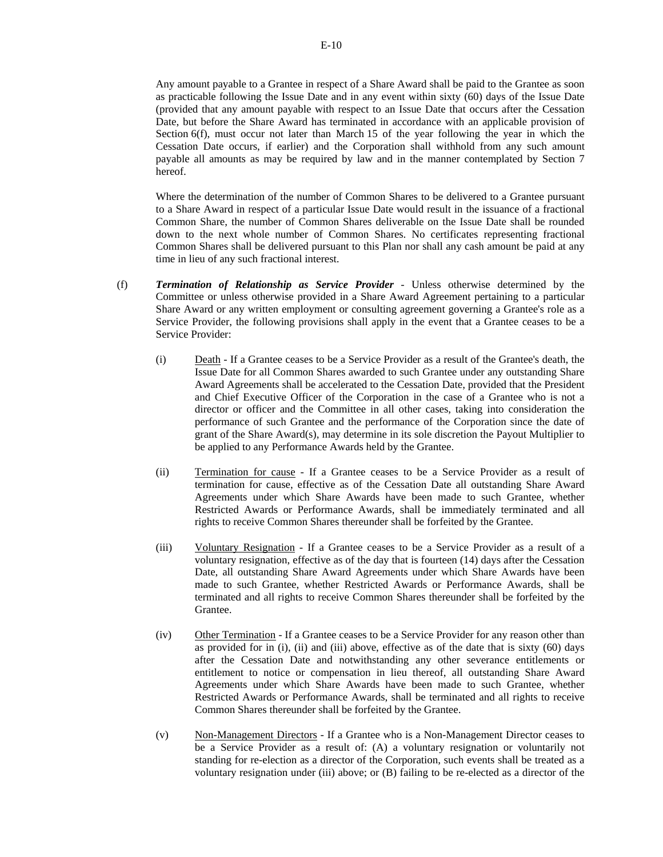Any amount payable to a Grantee in respect of a Share Award shall be paid to the Grantee as soon as practicable following the Issue Date and in any event within sixty (60) days of the Issue Date (provided that any amount payable with respect to an Issue Date that occurs after the Cessation Date, but before the Share Award has terminated in accordance with an applicable provision of Section 6(f), must occur not later than March 15 of the year following the year in which the Cessation Date occurs, if earlier) and the Corporation shall withhold from any such amount payable all amounts as may be required by law and in the manner contemplated by Section 7 hereof.

Where the determination of the number of Common Shares to be delivered to a Grantee pursuant to a Share Award in respect of a particular Issue Date would result in the issuance of a fractional Common Share, the number of Common Shares deliverable on the Issue Date shall be rounded down to the next whole number of Common Shares. No certificates representing fractional Common Shares shall be delivered pursuant to this Plan nor shall any cash amount be paid at any time in lieu of any such fractional interest.

- (f) *Termination of Relationship as Service Provider* Unless otherwise determined by the Committee or unless otherwise provided in a Share Award Agreement pertaining to a particular Share Award or any written employment or consulting agreement governing a Grantee's role as a Service Provider, the following provisions shall apply in the event that a Grantee ceases to be a Service Provider:
	- (i) Death If a Grantee ceases to be a Service Provider as a result of the Grantee's death, the Issue Date for all Common Shares awarded to such Grantee under any outstanding Share Award Agreements shall be accelerated to the Cessation Date, provided that the President and Chief Executive Officer of the Corporation in the case of a Grantee who is not a director or officer and the Committee in all other cases, taking into consideration the performance of such Grantee and the performance of the Corporation since the date of grant of the Share Award(s), may determine in its sole discretion the Payout Multiplier to be applied to any Performance Awards held by the Grantee.
	- (ii) Termination for cause If a Grantee ceases to be a Service Provider as a result of termination for cause, effective as of the Cessation Date all outstanding Share Award Agreements under which Share Awards have been made to such Grantee, whether Restricted Awards or Performance Awards, shall be immediately terminated and all rights to receive Common Shares thereunder shall be forfeited by the Grantee.
	- (iii) Voluntary Resignation If a Grantee ceases to be a Service Provider as a result of a voluntary resignation, effective as of the day that is fourteen (14) days after the Cessation Date, all outstanding Share Award Agreements under which Share Awards have been made to such Grantee, whether Restricted Awards or Performance Awards, shall be terminated and all rights to receive Common Shares thereunder shall be forfeited by the Grantee.
	- (iv) Other Termination If a Grantee ceases to be a Service Provider for any reason other than as provided for in (i), (ii) and (iii) above, effective as of the date that is sixty (60) days after the Cessation Date and notwithstanding any other severance entitlements or entitlement to notice or compensation in lieu thereof, all outstanding Share Award Agreements under which Share Awards have been made to such Grantee, whether Restricted Awards or Performance Awards, shall be terminated and all rights to receive Common Shares thereunder shall be forfeited by the Grantee.
	- (v) Non-Management Directors If a Grantee who is a Non-Management Director ceases to be a Service Provider as a result of: (A) a voluntary resignation or voluntarily not standing for re-election as a director of the Corporation, such events shall be treated as a voluntary resignation under (iii) above; or (B) failing to be re-elected as a director of the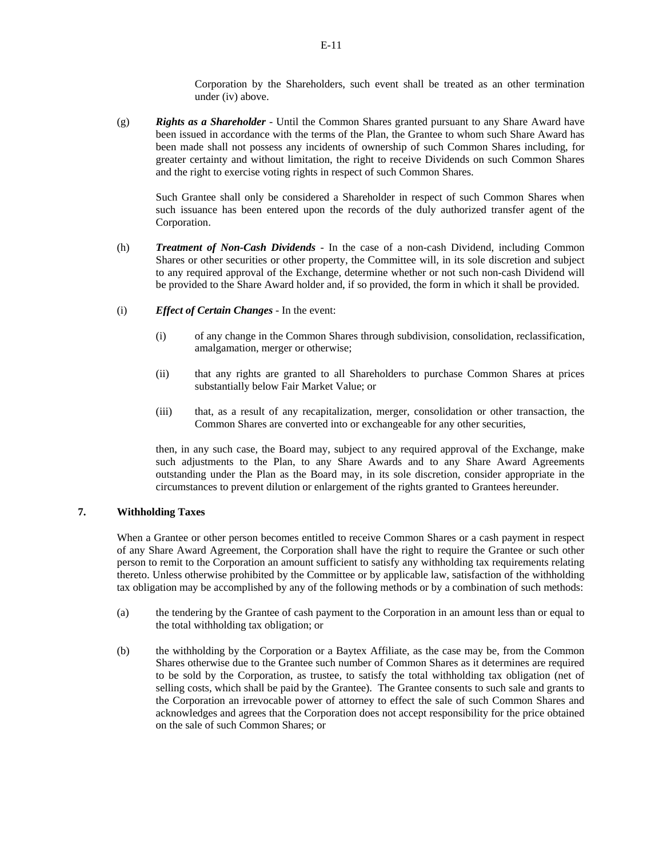Corporation by the Shareholders, such event shall be treated as an other termination under (iv) above.

(g) *Rights as a Shareholder* - Until the Common Shares granted pursuant to any Share Award have been issued in accordance with the terms of the Plan, the Grantee to whom such Share Award has been made shall not possess any incidents of ownership of such Common Shares including, for greater certainty and without limitation, the right to receive Dividends on such Common Shares and the right to exercise voting rights in respect of such Common Shares.

Such Grantee shall only be considered a Shareholder in respect of such Common Shares when such issuance has been entered upon the records of the duly authorized transfer agent of the Corporation.

- (h) *Treatment of Non-Cash Dividends* In the case of a non-cash Dividend, including Common Shares or other securities or other property, the Committee will, in its sole discretion and subject to any required approval of the Exchange, determine whether or not such non-cash Dividend will be provided to the Share Award holder and, if so provided, the form in which it shall be provided.
- (i) *Effect of Certain Changes* In the event:
	- (i) of any change in the Common Shares through subdivision, consolidation, reclassification, amalgamation, merger or otherwise;
	- (ii) that any rights are granted to all Shareholders to purchase Common Shares at prices substantially below Fair Market Value; or
	- (iii) that, as a result of any recapitalization, merger, consolidation or other transaction, the Common Shares are converted into or exchangeable for any other securities,

then, in any such case, the Board may, subject to any required approval of the Exchange, make such adjustments to the Plan, to any Share Awards and to any Share Award Agreements outstanding under the Plan as the Board may, in its sole discretion, consider appropriate in the circumstances to prevent dilution or enlargement of the rights granted to Grantees hereunder.

## **7. Withholding Taxes**

When a Grantee or other person becomes entitled to receive Common Shares or a cash payment in respect of any Share Award Agreement, the Corporation shall have the right to require the Grantee or such other person to remit to the Corporation an amount sufficient to satisfy any withholding tax requirements relating thereto. Unless otherwise prohibited by the Committee or by applicable law, satisfaction of the withholding tax obligation may be accomplished by any of the following methods or by a combination of such methods:

- (a) the tendering by the Grantee of cash payment to the Corporation in an amount less than or equal to the total withholding tax obligation; or
- (b) the withholding by the Corporation or a Baytex Affiliate, as the case may be, from the Common Shares otherwise due to the Grantee such number of Common Shares as it determines are required to be sold by the Corporation, as trustee, to satisfy the total withholding tax obligation (net of selling costs, which shall be paid by the Grantee). The Grantee consents to such sale and grants to the Corporation an irrevocable power of attorney to effect the sale of such Common Shares and acknowledges and agrees that the Corporation does not accept responsibility for the price obtained on the sale of such Common Shares; or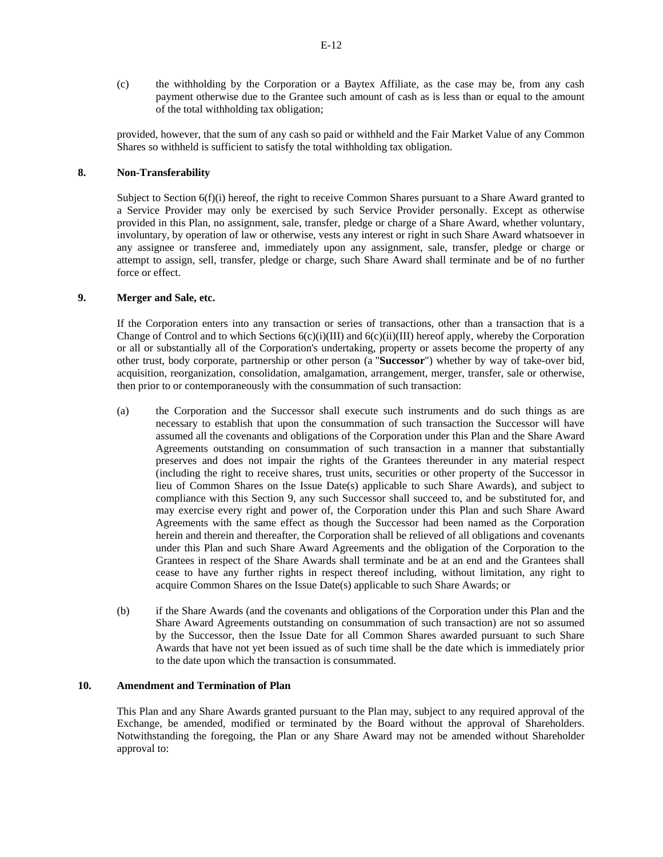(c) the withholding by the Corporation or a Baytex Affiliate, as the case may be, from any cash payment otherwise due to the Grantee such amount of cash as is less than or equal to the amount of the total withholding tax obligation;

provided, however, that the sum of any cash so paid or withheld and the Fair Market Value of any Common Shares so withheld is sufficient to satisfy the total withholding tax obligation.

# **8. Non-Transferability**

Subject to Section  $6(f)(i)$  hereof, the right to receive Common Shares pursuant to a Share Award granted to a Service Provider may only be exercised by such Service Provider personally. Except as otherwise provided in this Plan, no assignment, sale, transfer, pledge or charge of a Share Award, whether voluntary, involuntary, by operation of law or otherwise, vests any interest or right in such Share Award whatsoever in any assignee or transferee and, immediately upon any assignment, sale, transfer, pledge or charge or attempt to assign, sell, transfer, pledge or charge, such Share Award shall terminate and be of no further force or effect.

# **9. Merger and Sale, etc.**

If the Corporation enters into any transaction or series of transactions, other than a transaction that is a Change of Control and to which Sections 6(c)(i)(III) and 6(c)(ii)(III) hereof apply, whereby the Corporation or all or substantially all of the Corporation's undertaking, property or assets become the property of any other trust, body corporate, partnership or other person (a "**Successor**") whether by way of take-over bid, acquisition, reorganization, consolidation, amalgamation, arrangement, merger, transfer, sale or otherwise, then prior to or contemporaneously with the consummation of such transaction:

- (a) the Corporation and the Successor shall execute such instruments and do such things as are necessary to establish that upon the consummation of such transaction the Successor will have assumed all the covenants and obligations of the Corporation under this Plan and the Share Award Agreements outstanding on consummation of such transaction in a manner that substantially preserves and does not impair the rights of the Grantees thereunder in any material respect (including the right to receive shares, trust units, securities or other property of the Successor in lieu of Common Shares on the Issue Date(s) applicable to such Share Awards), and subject to compliance with this Section 9, any such Successor shall succeed to, and be substituted for, and may exercise every right and power of, the Corporation under this Plan and such Share Award Agreements with the same effect as though the Successor had been named as the Corporation herein and therein and thereafter, the Corporation shall be relieved of all obligations and covenants under this Plan and such Share Award Agreements and the obligation of the Corporation to the Grantees in respect of the Share Awards shall terminate and be at an end and the Grantees shall cease to have any further rights in respect thereof including, without limitation, any right to acquire Common Shares on the Issue Date(s) applicable to such Share Awards; or
- (b) if the Share Awards (and the covenants and obligations of the Corporation under this Plan and the Share Award Agreements outstanding on consummation of such transaction) are not so assumed by the Successor, then the Issue Date for all Common Shares awarded pursuant to such Share Awards that have not yet been issued as of such time shall be the date which is immediately prior to the date upon which the transaction is consummated.

# **10. Amendment and Termination of Plan**

This Plan and any Share Awards granted pursuant to the Plan may, subject to any required approval of the Exchange, be amended, modified or terminated by the Board without the approval of Shareholders. Notwithstanding the foregoing, the Plan or any Share Award may not be amended without Shareholder approval to: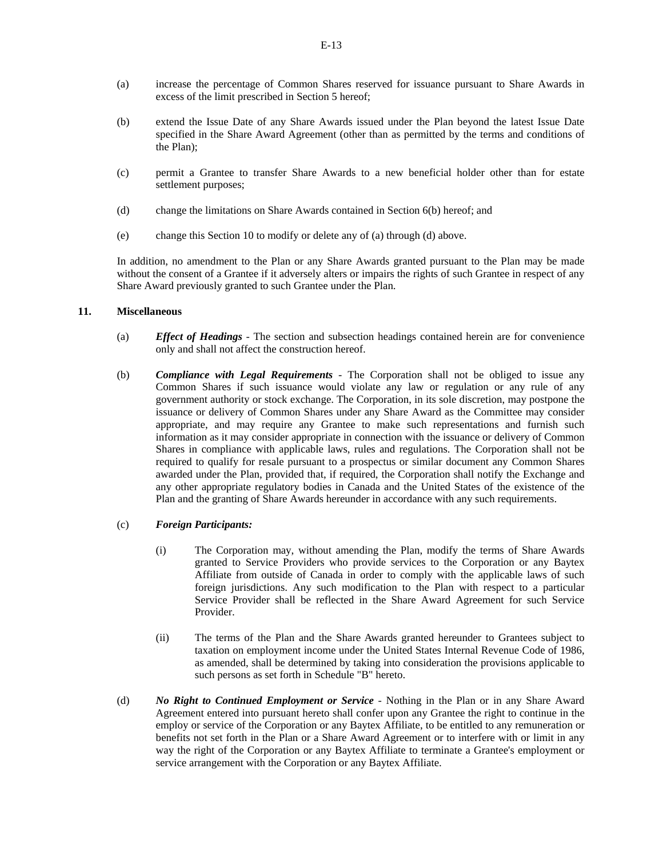- (a) increase the percentage of Common Shares reserved for issuance pursuant to Share Awards in excess of the limit prescribed in Section 5 hereof;
- (b) extend the Issue Date of any Share Awards issued under the Plan beyond the latest Issue Date specified in the Share Award Agreement (other than as permitted by the terms and conditions of the Plan);
- (c) permit a Grantee to transfer Share Awards to a new beneficial holder other than for estate settlement purposes;
- (d) change the limitations on Share Awards contained in Section 6(b) hereof; and
- (e) change this Section 10 to modify or delete any of (a) through (d) above.

In addition, no amendment to the Plan or any Share Awards granted pursuant to the Plan may be made without the consent of a Grantee if it adversely alters or impairs the rights of such Grantee in respect of any Share Award previously granted to such Grantee under the Plan.

#### **11. Miscellaneous**

- (a) *Effect of Headings* The section and subsection headings contained herein are for convenience only and shall not affect the construction hereof.
- (b) *Compliance with Legal Requirements* The Corporation shall not be obliged to issue any Common Shares if such issuance would violate any law or regulation or any rule of any government authority or stock exchange. The Corporation, in its sole discretion, may postpone the issuance or delivery of Common Shares under any Share Award as the Committee may consider appropriate, and may require any Grantee to make such representations and furnish such information as it may consider appropriate in connection with the issuance or delivery of Common Shares in compliance with applicable laws, rules and regulations. The Corporation shall not be required to qualify for resale pursuant to a prospectus or similar document any Common Shares awarded under the Plan, provided that, if required, the Corporation shall notify the Exchange and any other appropriate regulatory bodies in Canada and the United States of the existence of the Plan and the granting of Share Awards hereunder in accordance with any such requirements.

#### (c) *Foreign Participants:*

- (i) The Corporation may, without amending the Plan, modify the terms of Share Awards granted to Service Providers who provide services to the Corporation or any Baytex Affiliate from outside of Canada in order to comply with the applicable laws of such foreign jurisdictions. Any such modification to the Plan with respect to a particular Service Provider shall be reflected in the Share Award Agreement for such Service Provider.
- (ii) The terms of the Plan and the Share Awards granted hereunder to Grantees subject to taxation on employment income under the United States Internal Revenue Code of 1986, as amended, shall be determined by taking into consideration the provisions applicable to such persons as set forth in Schedule "B" hereto.
- (d) *No Right to Continued Employment or Service* Nothing in the Plan or in any Share Award Agreement entered into pursuant hereto shall confer upon any Grantee the right to continue in the employ or service of the Corporation or any Baytex Affiliate, to be entitled to any remuneration or benefits not set forth in the Plan or a Share Award Agreement or to interfere with or limit in any way the right of the Corporation or any Baytex Affiliate to terminate a Grantee's employment or service arrangement with the Corporation or any Baytex Affiliate.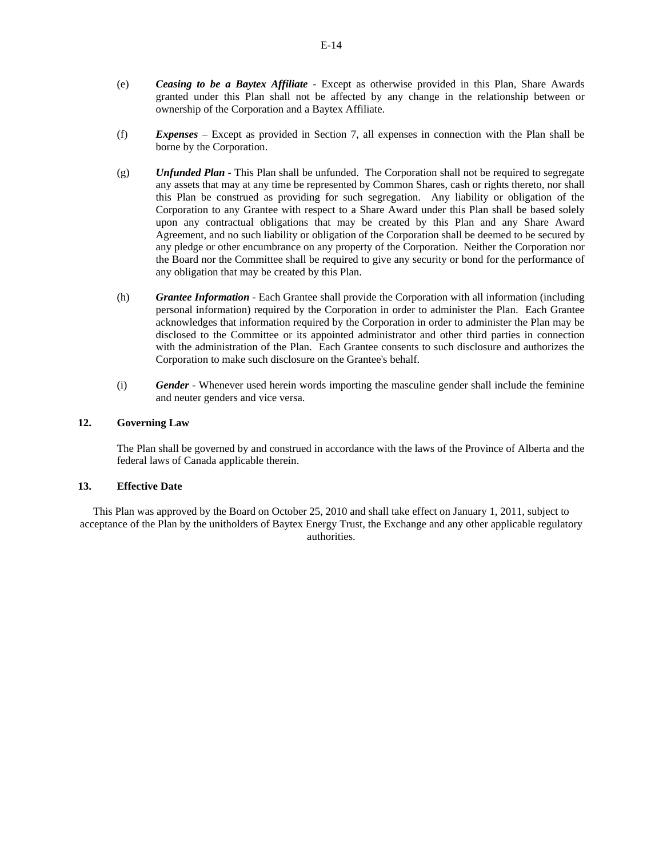- (e) *Ceasing to be a Baytex Affiliate* Except as otherwise provided in this Plan, Share Awards granted under this Plan shall not be affected by any change in the relationship between or ownership of the Corporation and a Baytex Affiliate.
- (f) *Expenses* Except as provided in Section 7, all expenses in connection with the Plan shall be borne by the Corporation.
- (g) *Unfunded Plan* This Plan shall be unfunded. The Corporation shall not be required to segregate any assets that may at any time be represented by Common Shares, cash or rights thereto, nor shall this Plan be construed as providing for such segregation. Any liability or obligation of the Corporation to any Grantee with respect to a Share Award under this Plan shall be based solely upon any contractual obligations that may be created by this Plan and any Share Award Agreement, and no such liability or obligation of the Corporation shall be deemed to be secured by any pledge or other encumbrance on any property of the Corporation. Neither the Corporation nor the Board nor the Committee shall be required to give any security or bond for the performance of any obligation that may be created by this Plan.
- (h) *Grantee Information* Each Grantee shall provide the Corporation with all information (including personal information) required by the Corporation in order to administer the Plan. Each Grantee acknowledges that information required by the Corporation in order to administer the Plan may be disclosed to the Committee or its appointed administrator and other third parties in connection with the administration of the Plan. Each Grantee consents to such disclosure and authorizes the Corporation to make such disclosure on the Grantee's behalf.
- (i) *Gender* Whenever used herein words importing the masculine gender shall include the feminine and neuter genders and vice versa.

## **12. Governing Law**

The Plan shall be governed by and construed in accordance with the laws of the Province of Alberta and the federal laws of Canada applicable therein.

# **13. Effective Date**

This Plan was approved by the Board on October 25, 2010 and shall take effect on January 1, 2011, subject to acceptance of the Plan by the unitholders of Baytex Energy Trust, the Exchange and any other applicable regulatory authorities.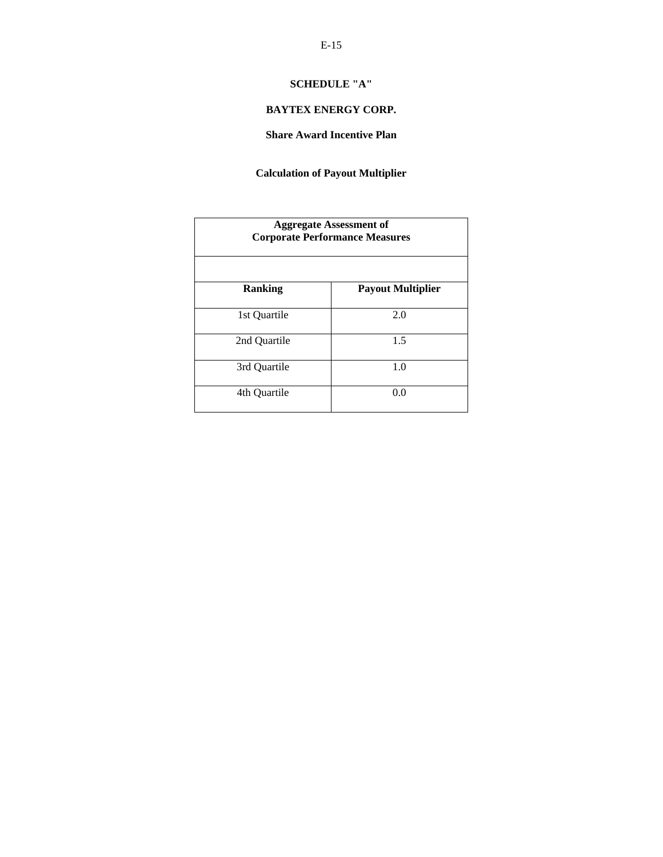# **SCHEDULE "A"**

# **BAYTEX ENERGY CORP.**

**Share Award Incentive Plan** 

# **Calculation of Payout Multiplier**

| <b>Aggregate Assessment of</b><br><b>Corporate Performance Measures</b> |                          |
|-------------------------------------------------------------------------|--------------------------|
| Ranking                                                                 | <b>Payout Multiplier</b> |
| 1st Quartile                                                            | 2.0                      |
| 2nd Quartile                                                            | 1.5                      |
| 3rd Quartile                                                            | 1.0                      |
| 4th Quartile                                                            | 0.0                      |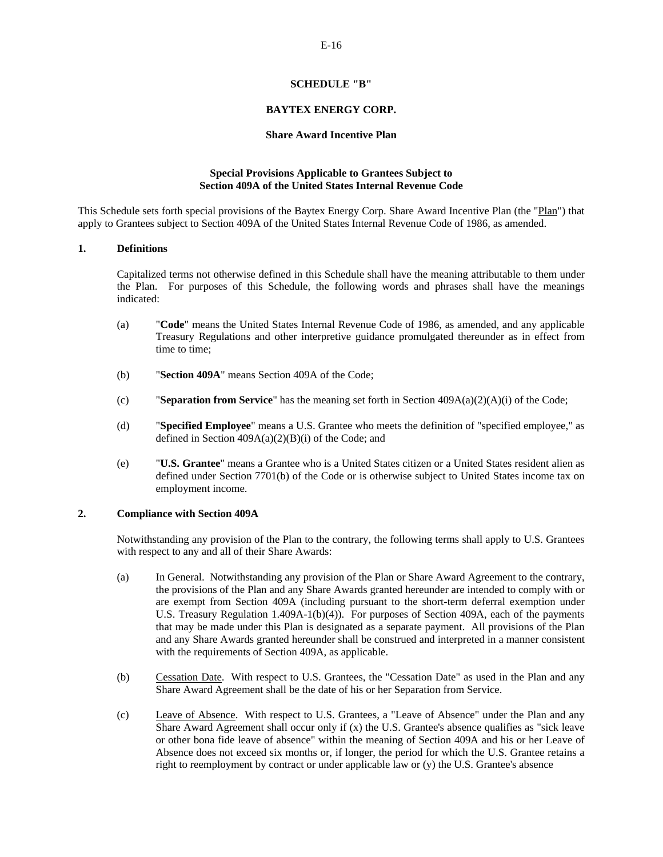# **SCHEDULE "B"**

# **BAYTEX ENERGY CORP.**

## **Share Award Incentive Plan**

# **Special Provisions Applicable to Grantees Subject to Section 409A of the United States Internal Revenue Code**

This Schedule sets forth special provisions of the Baytex Energy Corp. Share Award Incentive Plan (the "Plan") that apply to Grantees subject to Section 409A of the United States Internal Revenue Code of 1986, as amended.

# **1. Definitions**

Capitalized terms not otherwise defined in this Schedule shall have the meaning attributable to them under the Plan. For purposes of this Schedule, the following words and phrases shall have the meanings indicated:

- (a) "**Code**" means the United States Internal Revenue Code of 1986, as amended, and any applicable Treasury Regulations and other interpretive guidance promulgated thereunder as in effect from time to time;
- (b) "**Section 409A**" means Section 409A of the Code;
- (c) "**Separation from Service**" has the meaning set forth in Section 409A(a)(2)(A)(i) of the Code;
- (d) "**Specified Employee**" means a U.S. Grantee who meets the definition of "specified employee," as defined in Section  $409A(a)(2)(B)(i)$  of the Code; and
- (e) "**U.S. Grantee**" means a Grantee who is a United States citizen or a United States resident alien as defined under Section 7701(b) of the Code or is otherwise subject to United States income tax on employment income.

## **2. Compliance with Section 409A**

Notwithstanding any provision of the Plan to the contrary, the following terms shall apply to U.S. Grantees with respect to any and all of their Share Awards:

- (a) In General. Notwithstanding any provision of the Plan or Share Award Agreement to the contrary, the provisions of the Plan and any Share Awards granted hereunder are intended to comply with or are exempt from Section 409A (including pursuant to the short-term deferral exemption under U.S. Treasury Regulation 1.409A-1(b)(4)). For purposes of Section 409A, each of the payments that may be made under this Plan is designated as a separate payment. All provisions of the Plan and any Share Awards granted hereunder shall be construed and interpreted in a manner consistent with the requirements of Section 409A, as applicable.
- (b) Cessation Date. With respect to U.S. Grantees, the "Cessation Date" as used in the Plan and any Share Award Agreement shall be the date of his or her Separation from Service.
- (c) Leave of Absence. With respect to U.S. Grantees, a "Leave of Absence" under the Plan and any Share Award Agreement shall occur only if  $(x)$  the U.S. Grantee's absence qualifies as "sick leave or other bona fide leave of absence" within the meaning of Section 409A and his or her Leave of Absence does not exceed six months or, if longer, the period for which the U.S. Grantee retains a right to reemployment by contract or under applicable law or (y) the U.S. Grantee's absence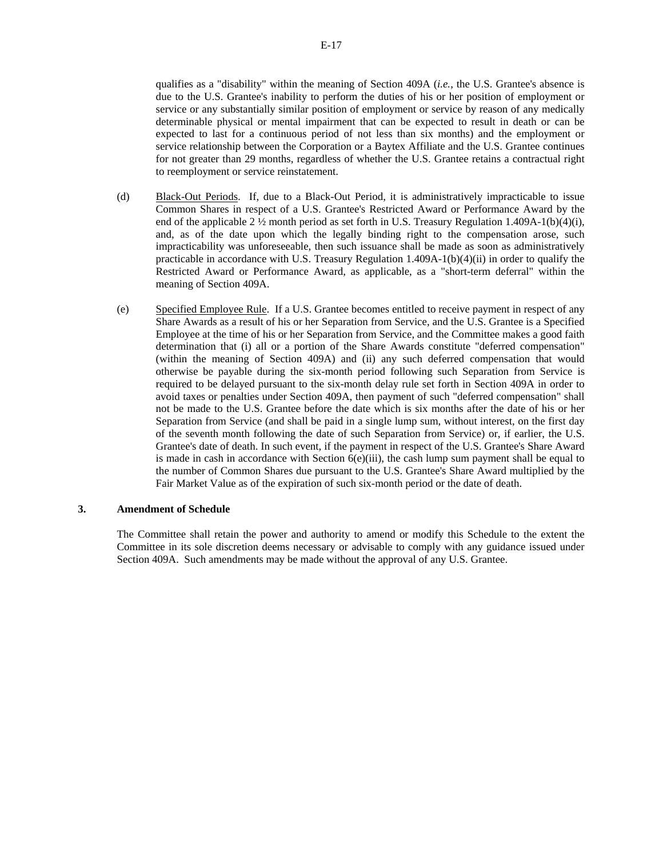qualifies as a "disability" within the meaning of Section 409A (*i.e.*, the U.S. Grantee's absence is due to the U.S. Grantee's inability to perform the duties of his or her position of employment or service or any substantially similar position of employment or service by reason of any medically determinable physical or mental impairment that can be expected to result in death or can be expected to last for a continuous period of not less than six months) and the employment or service relationship between the Corporation or a Baytex Affiliate and the U.S. Grantee continues for not greater than 29 months, regardless of whether the U.S. Grantee retains a contractual right to reemployment or service reinstatement.

- (d) Black-Out Periods. If, due to a Black-Out Period, it is administratively impracticable to issue Common Shares in respect of a U.S. Grantee's Restricted Award or Performance Award by the end of the applicable 2  $\frac{1}{2}$  month period as set forth in U.S. Treasury Regulation 1.409A-1(b)(4)(i), and, as of the date upon which the legally binding right to the compensation arose, such impracticability was unforeseeable, then such issuance shall be made as soon as administratively practicable in accordance with U.S. Treasury Regulation 1.409A-1(b)(4)(ii) in order to qualify the Restricted Award or Performance Award, as applicable, as a "short-term deferral" within the meaning of Section 409A.
- (e) Specified Employee Rule. If a U.S. Grantee becomes entitled to receive payment in respect of any Share Awards as a result of his or her Separation from Service, and the U.S. Grantee is a Specified Employee at the time of his or her Separation from Service, and the Committee makes a good faith determination that (i) all or a portion of the Share Awards constitute "deferred compensation" (within the meaning of Section 409A) and (ii) any such deferred compensation that would otherwise be payable during the six-month period following such Separation from Service is required to be delayed pursuant to the six-month delay rule set forth in Section 409A in order to avoid taxes or penalties under Section 409A, then payment of such "deferred compensation" shall not be made to the U.S. Grantee before the date which is six months after the date of his or her Separation from Service (and shall be paid in a single lump sum, without interest, on the first day of the seventh month following the date of such Separation from Service) or, if earlier, the U.S. Grantee's date of death. In such event, if the payment in respect of the U.S. Grantee's Share Award is made in cash in accordance with Section  $6(e)$ (iii), the cash lump sum payment shall be equal to the number of Common Shares due pursuant to the U.S. Grantee's Share Award multiplied by the Fair Market Value as of the expiration of such six-month period or the date of death.

# **3. Amendment of Schedule**

The Committee shall retain the power and authority to amend or modify this Schedule to the extent the Committee in its sole discretion deems necessary or advisable to comply with any guidance issued under Section 409A. Such amendments may be made without the approval of any U.S. Grantee.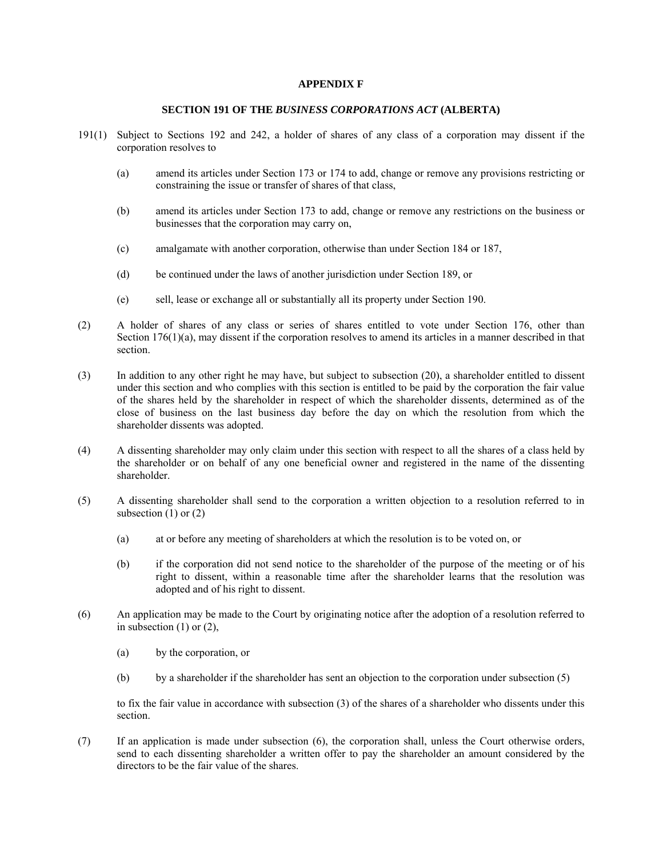# **APPENDIX F**

#### **SECTION 191 OF THE** *BUSINESS CORPORATIONS ACT* **(ALBERTA)**

- 191(1) Subject to Sections 192 and 242, a holder of shares of any class of a corporation may dissent if the corporation resolves to
	- (a) amend its articles under Section 173 or 174 to add, change or remove any provisions restricting or constraining the issue or transfer of shares of that class,
	- (b) amend its articles under Section 173 to add, change or remove any restrictions on the business or businesses that the corporation may carry on,
	- (c) amalgamate with another corporation, otherwise than under Section 184 or 187,
	- (d) be continued under the laws of another jurisdiction under Section 189, or
	- (e) sell, lease or exchange all or substantially all its property under Section 190.
- (2) A holder of shares of any class or series of shares entitled to vote under Section 176, other than Section 176(1)(a), may dissent if the corporation resolves to amend its articles in a manner described in that section.
- (3) In addition to any other right he may have, but subject to subsection (20), a shareholder entitled to dissent under this section and who complies with this section is entitled to be paid by the corporation the fair value of the shares held by the shareholder in respect of which the shareholder dissents, determined as of the close of business on the last business day before the day on which the resolution from which the shareholder dissents was adopted.
- (4) A dissenting shareholder may only claim under this section with respect to all the shares of a class held by the shareholder or on behalf of any one beneficial owner and registered in the name of the dissenting shareholder.
- (5) A dissenting shareholder shall send to the corporation a written objection to a resolution referred to in subsection  $(1)$  or  $(2)$ 
	- (a) at or before any meeting of shareholders at which the resolution is to be voted on, or
	- (b) if the corporation did not send notice to the shareholder of the purpose of the meeting or of his right to dissent, within a reasonable time after the shareholder learns that the resolution was adopted and of his right to dissent.
- (6) An application may be made to the Court by originating notice after the adoption of a resolution referred to in subsection  $(1)$  or  $(2)$ ,
	- (a) by the corporation, or
	- (b) by a shareholder if the shareholder has sent an objection to the corporation under subsection (5)

to fix the fair value in accordance with subsection (3) of the shares of a shareholder who dissents under this section.

(7) If an application is made under subsection (6), the corporation shall, unless the Court otherwise orders, send to each dissenting shareholder a written offer to pay the shareholder an amount considered by the directors to be the fair value of the shares.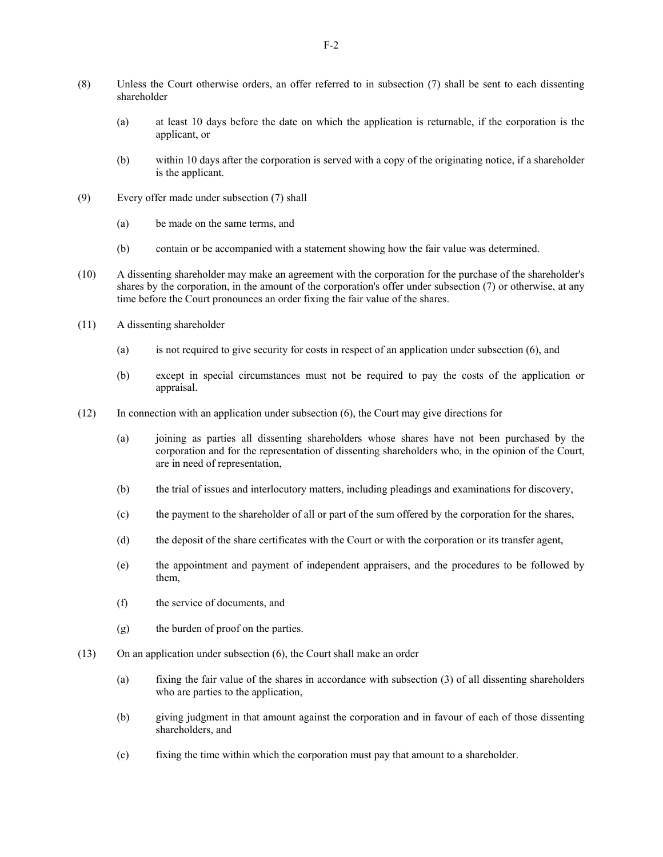- (8) Unless the Court otherwise orders, an offer referred to in subsection (7) shall be sent to each dissenting shareholder
	- (a) at least 10 days before the date on which the application is returnable, if the corporation is the applicant, or
	- (b) within 10 days after the corporation is served with a copy of the originating notice, if a shareholder is the applicant.
- (9) Every offer made under subsection (7) shall
	- (a) be made on the same terms, and
	- (b) contain or be accompanied with a statement showing how the fair value was determined.
- (10) A dissenting shareholder may make an agreement with the corporation for the purchase of the shareholder's shares by the corporation, in the amount of the corporation's offer under subsection (7) or otherwise, at any time before the Court pronounces an order fixing the fair value of the shares.
- (11) A dissenting shareholder
	- (a) is not required to give security for costs in respect of an application under subsection (6), and
	- (b) except in special circumstances must not be required to pay the costs of the application or appraisal.
- (12) In connection with an application under subsection (6), the Court may give directions for
	- (a) joining as parties all dissenting shareholders whose shares have not been purchased by the corporation and for the representation of dissenting shareholders who, in the opinion of the Court, are in need of representation,
	- (b) the trial of issues and interlocutory matters, including pleadings and examinations for discovery,
	- (c) the payment to the shareholder of all or part of the sum offered by the corporation for the shares,
	- (d) the deposit of the share certificates with the Court or with the corporation or its transfer agent,
	- (e) the appointment and payment of independent appraisers, and the procedures to be followed by them,
	- (f) the service of documents, and
	- (g) the burden of proof on the parties.
- (13) On an application under subsection (6), the Court shall make an order
	- (a) fixing the fair value of the shares in accordance with subsection (3) of all dissenting shareholders who are parties to the application,
	- (b) giving judgment in that amount against the corporation and in favour of each of those dissenting shareholders, and
	- (c) fixing the time within which the corporation must pay that amount to a shareholder.